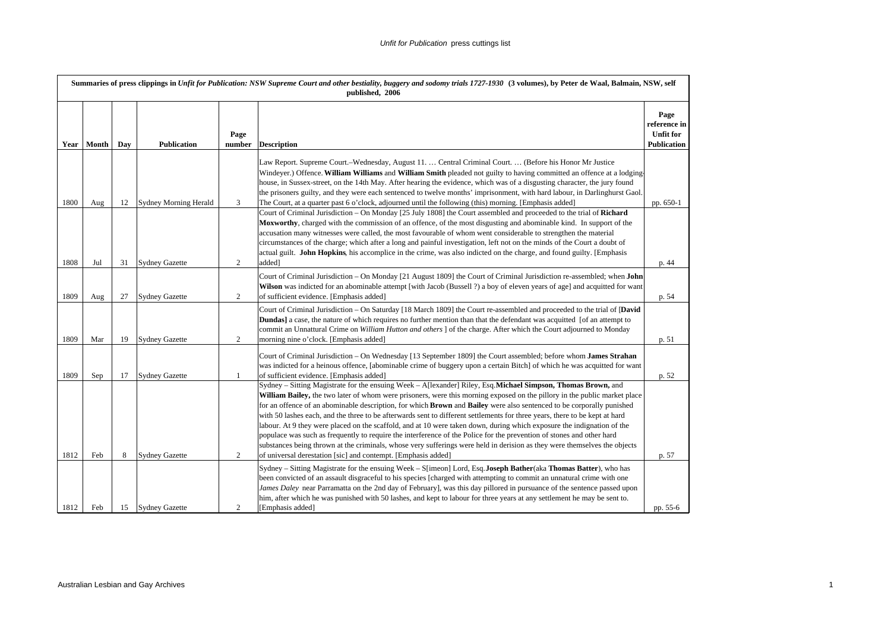|      | Summaries of press clippings in Unfit for Publication: NSW Supreme Court and other bestiality, buggery and sodomy trials 1727-1930 (3 volumes), by Peter de Waal, Balmain, NSW, self<br>published, 2006 |     |                              |                |                                                                                                                                                                                                                                                                                                                                                                                                                                                                                                                                                                                                                                                                                                                                                                                                                                                                                                                                                                   |                                                         |  |  |  |  |
|------|---------------------------------------------------------------------------------------------------------------------------------------------------------------------------------------------------------|-----|------------------------------|----------------|-------------------------------------------------------------------------------------------------------------------------------------------------------------------------------------------------------------------------------------------------------------------------------------------------------------------------------------------------------------------------------------------------------------------------------------------------------------------------------------------------------------------------------------------------------------------------------------------------------------------------------------------------------------------------------------------------------------------------------------------------------------------------------------------------------------------------------------------------------------------------------------------------------------------------------------------------------------------|---------------------------------------------------------|--|--|--|--|
|      | Year   Month                                                                                                                                                                                            | Day | <b>Publication</b>           | Page<br>number | <b>Description</b>                                                                                                                                                                                                                                                                                                                                                                                                                                                                                                                                                                                                                                                                                                                                                                                                                                                                                                                                                | Page<br>reference in<br>Unfit for<br><b>Publication</b> |  |  |  |  |
| 1800 | Aug                                                                                                                                                                                                     | 12  | <b>Sydney Morning Herald</b> | 3              | Law Report. Supreme Court.–Wednesday, August 11.  Central Criminal Court.  (Before his Honor Mr Justice<br>Windeyer.) Offence. William Williams and William Smith pleaded not guilty to having committed an offence at a lodging-<br>house, in Sussex-street, on the 14th May. After hearing the evidence, which was of a disgusting character, the jury found<br>the prisoners guilty, and they were each sentenced to twelve months' imprisonment, with hard labour, in Darlinghurst Gaol.<br>The Court, at a quarter past 6 o'clock, adjourned until the following (this) morning. [Emphasis added]                                                                                                                                                                                                                                                                                                                                                            | pp. 650-1                                               |  |  |  |  |
| 1808 | Jul                                                                                                                                                                                                     | 31  | <b>Sydney Gazette</b>        | 2              | Court of Criminal Jurisdiction - On Monday [25 July 1808] the Court assembled and proceeded to the trial of Richard<br>Moxworthy, charged with the commission of an offence, of the most disgusting and abominable kind. In support of the<br>accusation many witnesses were called, the most favourable of whom went considerable to strengthen the material<br>circumstances of the charge; which after a long and painful investigation, left not on the minds of the Court a doubt of<br>actual guilt. John Hopkins, his accomplice in the crime, was also indicted on the charge, and found guilty. [Emphasis<br>added]                                                                                                                                                                                                                                                                                                                                      | p. 44                                                   |  |  |  |  |
| 1809 | Aug                                                                                                                                                                                                     | 27  | <b>Sydney Gazette</b>        | 2              | Court of Criminal Jurisdiction – On Monday $[21 \text{ August } 1809]$ the Court of Criminal Jurisdiction re-assembled; when <b>John</b><br>Wilson was indicted for an abominable attempt [with Jacob (Bussell ?) a boy of eleven years of age] and acquitted for want<br>of sufficient evidence. [Emphasis added]                                                                                                                                                                                                                                                                                                                                                                                                                                                                                                                                                                                                                                                | p. 54                                                   |  |  |  |  |
| 1809 | Mar                                                                                                                                                                                                     | 19  | <b>Sydney Gazette</b>        | 2              | Court of Criminal Jurisdiction - On Saturday [18 March 1809] the Court re-assembled and proceeded to the trial of [David<br><b>Dundas</b> a case, the nature of which requires no further mention than that the defendant was acquited [of an attempt to<br>commit an Unnattural Crime on William Hutton and others ] of the charge. After which the Court adjourned to Monday<br>morning nine o'clock. [Emphasis added]                                                                                                                                                                                                                                                                                                                                                                                                                                                                                                                                          | p. 51                                                   |  |  |  |  |
| 1809 | Sep                                                                                                                                                                                                     | 17  | <b>Sydney Gazette</b>        | 1              | Court of Criminal Jurisdiction – On Wednesday [13 September 1809] the Court assembled; before whom <b>James Strahan</b><br>was indicted for a heinous offence, [abominable crime of buggery upon a certain Bitch] of which he was acquitted for want<br>of sufficient evidence. [Emphasis added]                                                                                                                                                                                                                                                                                                                                                                                                                                                                                                                                                                                                                                                                  | p. 52                                                   |  |  |  |  |
| 1812 | Feb                                                                                                                                                                                                     | 8   | <b>Sydney Gazette</b>        | 2              | Sydney – Sitting Magistrate for the ensuing Week – A[lexander] Riley, Esq. Michael Simpson, Thomas Brown, and<br>William Bailey, the two later of whom were prisoners, were this morning exposed on the pillory in the public market place<br>for an offence of an abominable description, for which <b>Brown</b> and <b>Bailey</b> were also sentenced to be corporally punished<br>with 50 lashes each, and the three to be afterwards sent to different settlements for three years, there to be kept at hard<br>labour. At 9 they were placed on the scaffold, and at 10 were taken down, during which exposure the indignation of the<br>populace was such as frequently to require the interference of the Police for the prevention of stones and other hard<br>substances being thrown at the criminals, whose very sufferings were held in derision as they were themselves the objects<br>of universal derestation [sic] and contempt. [Emphasis added] | p. 57                                                   |  |  |  |  |
| 1812 | Feb                                                                                                                                                                                                     | 15  | <b>Sydney Gazette</b>        | $\overline{c}$ | Sydney – Sitting Magistrate for the ensuing Week – S[imeon] Lord, Esq. Joseph Bather(aka Thomas Batter), who has<br>been convicted of an assault disgraceful to his species [charged with attempting to commit an unnatural crime with one<br>James Daley near Parramatta on the 2nd day of February], was this day pillored in pursuance of the sentence passed upon<br>him, after which he was punished with 50 lashes, and kept to labour for three years at any settlement he may be sent to.<br>[Emphasis added]                                                                                                                                                                                                                                                                                                                                                                                                                                             | pp. 55-6                                                |  |  |  |  |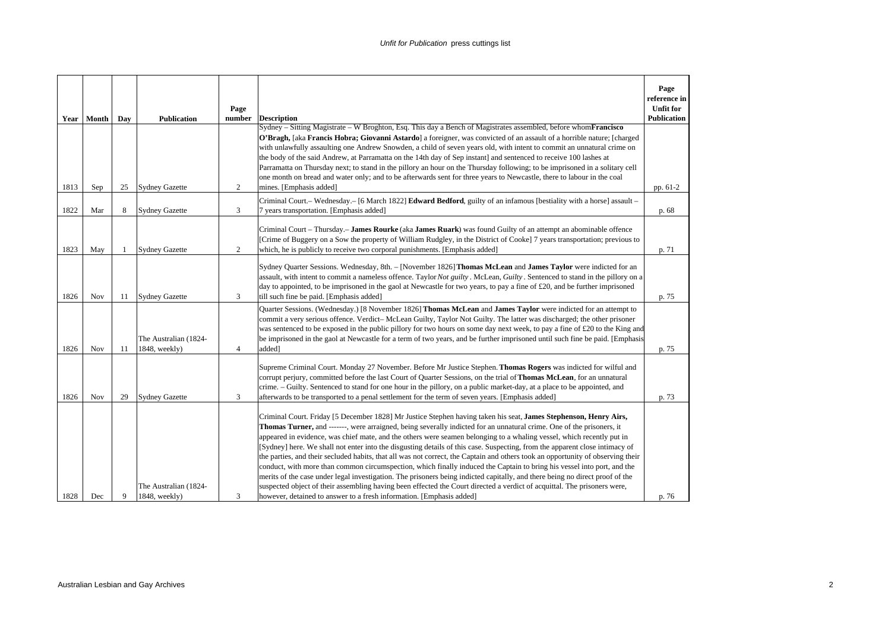|      |            |     |                                        | Page           |                                                                                                                                                                                                                                                                                                                                                                                                                                                                                                                                                                                                                                                                                                                                                                                                                                                                                                                                                                                                                                                                                                    | Page<br>reference in<br><b>Unfit for</b> |
|------|------------|-----|----------------------------------------|----------------|----------------------------------------------------------------------------------------------------------------------------------------------------------------------------------------------------------------------------------------------------------------------------------------------------------------------------------------------------------------------------------------------------------------------------------------------------------------------------------------------------------------------------------------------------------------------------------------------------------------------------------------------------------------------------------------------------------------------------------------------------------------------------------------------------------------------------------------------------------------------------------------------------------------------------------------------------------------------------------------------------------------------------------------------------------------------------------------------------|------------------------------------------|
|      | Year Month | Day | <b>Publication</b>                     | number         | <b>Description</b>                                                                                                                                                                                                                                                                                                                                                                                                                                                                                                                                                                                                                                                                                                                                                                                                                                                                                                                                                                                                                                                                                 | <b>Publication</b>                       |
| 1813 | Sep        | 25  | <b>Sydney Gazette</b>                  | 2              | Sydney - Sitting Magistrate - W Broghton, Esq. This day a Bench of Magistrates assembled, before whom Francisco<br>O'Bragh, [aka Francis Hobra; Giovanni Astardo] a foreigner, was convicted of an assault of a horrible nature; [charged]<br>with unlawfully assaulting one Andrew Snowden, a child of seven years old, with intent to commit an unnatural crime on<br>the body of the said Andrew, at Parramatta on the 14th day of Sep instant] and sentenced to receive 100 lashes at<br>Parramatta on Thursday next; to stand in the pillory an hour on the Thursday following; to be imprisoned in a solitary cell<br>one month on bread and water only; and to be afterwards sent for three years to Newcastle, there to labour in the coal<br>mines. [Emphasis added]                                                                                                                                                                                                                                                                                                                      | pp. 61-2                                 |
| 1822 | Mar        | 8   | <b>Sydney Gazette</b>                  | 3              | Criminal Court.- Wednesday.- [6 March 1822] Edward Bedford, guilty of an infamous [bestiality with a horse] assault -<br>7 years transportation. [Emphasis added]                                                                                                                                                                                                                                                                                                                                                                                                                                                                                                                                                                                                                                                                                                                                                                                                                                                                                                                                  | p. 68                                    |
| 1823 | May        | -1  | <b>Sydney Gazette</b>                  | 2              | Criminal Court – Thursday. – James Rourke (aka James Ruark) was found Guilty of an attempt an abominable offence<br>[Crime of Buggery on a Sow the property of William Rudgley, in the District of Cooke] 7 years transportation; previous to<br>which, he is publicly to receive two corporal punishments. [Emphasis added]                                                                                                                                                                                                                                                                                                                                                                                                                                                                                                                                                                                                                                                                                                                                                                       | p. 71                                    |
| 1826 | Nov        | 11  | <b>Sydney Gazette</b>                  | 3              | Sydney Quarter Sessions. Wednesday, 8th. – [November 1826] Thomas McLean and James Taylor were indicted for an<br>assault, with intent to commit a nameless offence. Taylor Not guilty . McLean, Guilty . Sentenced to stand in the pillory on a<br>day to appointed, to be imprisoned in the gaol at Newcastle for two years, to pay a fine of £20, and be further imprisoned<br>till such fine be paid. [Emphasis added]                                                                                                                                                                                                                                                                                                                                                                                                                                                                                                                                                                                                                                                                         | p. 75                                    |
| 1826 | Nov        | 11  | The Australian (1824-<br>1848, weekly) | $\overline{4}$ | Quarter Sessions. (Wednesday.) [8 November 1826] Thomas McLean and James Taylor were indicted for an attempt to<br>commit a very serious offence. Verdict-McLean Guilty, Taylor Not Guilty. The latter was discharged; the other prisoner<br>was sentenced to be exposed in the public pillory for two hours on some day next week, to pay a fine of £20 to the King and<br>be imprisoned in the gaol at Newcastle for a term of two years, and be further imprisoned until such fine be paid. [Emphasis<br>added]                                                                                                                                                                                                                                                                                                                                                                                                                                                                                                                                                                                 | p. 75                                    |
| 1826 | Nov        | 29  | <b>Sydney Gazette</b>                  | 3              | Supreme Criminal Court. Monday 27 November. Before Mr Justice Stephen. Thomas Rogers was indicted for wilful and<br>corrupt perjury, committed before the last Court of Quarter Sessions, on the trial of Thomas McLean, for an unnatural<br>crime. – Guilty. Sentenced to stand for one hour in the pillory, on a public market-day, at a place to be appointed, and<br>afterwards to be transported to a penal settlement for the term of seven years. [Emphasis added]                                                                                                                                                                                                                                                                                                                                                                                                                                                                                                                                                                                                                          | p. 73                                    |
| 1828 | Dec        | 9   | The Australian (1824-<br>1848, weekly) | 3              | Criminal Court. Friday [5 December 1828] Mr Justice Stephen having taken his seat, James Stephenson, Henry Airs,<br>Thomas Turner, and ------, were arraigned, being severally indicted for an unnatural crime. One of the prisoners, it<br>appeared in evidence, was chief mate, and the others were seamen belonging to a whaling vessel, which recently put in<br>[Sydney] here. We shall not enter into the disgusting details of this case. Suspecting, from the apparent close intimacy of<br>the parties, and their secluded habits, that all was not correct, the Captain and others took an opportunity of observing their<br>conduct, with more than common circumspection, which finally induced the Captain to bring his vessel into port, and the<br>merits of the case under legal investigation. The prisoners being indicted capitally, and there being no direct proof of the<br>suspected object of their assembling having been effected the Court directed a verdict of acquittal. The prisoners were,<br>however, detained to answer to a fresh information. [Emphasis added] | p. 76                                    |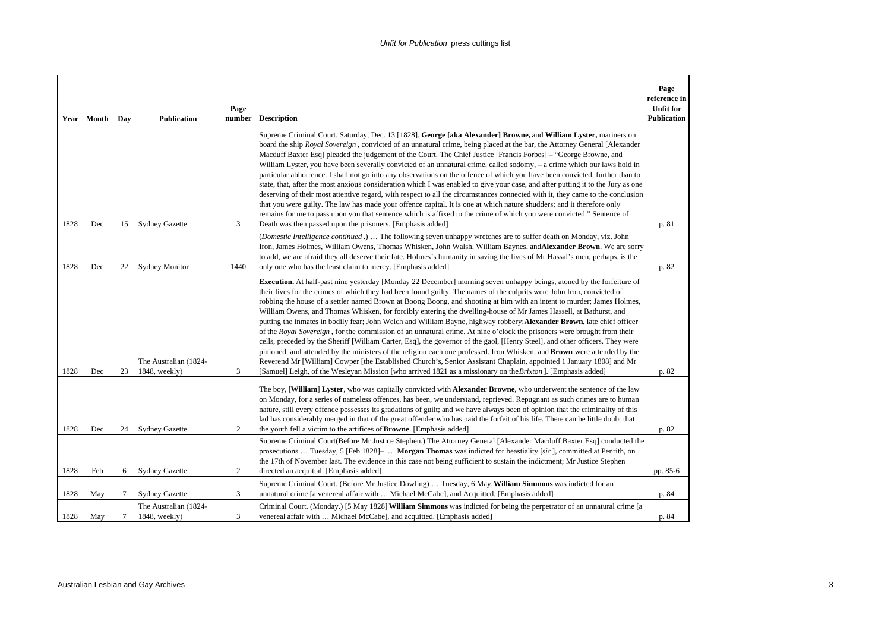| Year | Month | Day    | <b>Publication</b>                     | Page<br>number | <b>Description</b>                                                                                                                                                                                                                                                                                                                                                                                                                                                                                                                                                                                                                                                                                                                                                                                                                                                                                                                                                                                                                                                                                                                                                                                                                                                   | Page<br>reference in<br><b>Unfit for</b><br><b>Publication</b> |
|------|-------|--------|----------------------------------------|----------------|----------------------------------------------------------------------------------------------------------------------------------------------------------------------------------------------------------------------------------------------------------------------------------------------------------------------------------------------------------------------------------------------------------------------------------------------------------------------------------------------------------------------------------------------------------------------------------------------------------------------------------------------------------------------------------------------------------------------------------------------------------------------------------------------------------------------------------------------------------------------------------------------------------------------------------------------------------------------------------------------------------------------------------------------------------------------------------------------------------------------------------------------------------------------------------------------------------------------------------------------------------------------|----------------------------------------------------------------|
| 1828 | Dec   | 15     | <b>Sydney Gazette</b>                  | 3              | Supreme Criminal Court. Saturday, Dec. 13 [1828]. George [aka Alexander] Browne, and William Lyster, mariners on<br>board the ship Royal Sovereign, convicted of an unnatural crime, being placed at the bar, the Attorney General [Alexander<br>Macduff Baxter Esq] pleaded the judgement of the Court. The Chief Justice [Francis Forbes] – "George Browne, and<br>William Lyster, you have been severally convicted of an unnatural crime, called sodomy, – a crime which our laws hold in<br>particular abhorrence. I shall not go into any observations on the offence of which you have been convicted, further than to<br>state, that, after the most anxious consideration which I was enabled to give your case, and after putting it to the Jury as one<br>deserving of their most attentive regard, with respect to all the circumstances connected with it, they came to the conclusion<br>that you were guilty. The law has made your offence capital. It is one at which nature shudders; and it therefore only<br>remains for me to pass upon you that sentence which is affixed to the crime of which you were convicted." Sentence of<br>Death was then passed upon the prisoners. [Emphasis added]                                                 | p. 81                                                          |
| 1828 | Dec   | 22     | <b>Sydney Monitor</b>                  | 1440           | (Domestic Intelligence continued .)  The following seven unhappy wretches are to suffer death on Monday, viz. John<br>Iron, James Holmes, William Owens, Thomas Whisken, John Walsh, William Baynes, and Alexander Brown. We are sorry<br>to add, we are afraid they all deserve their fate. Holmes's humanity in saving the lives of Mr Hassal's men, perhaps, is the<br>only one who has the least claim to mercy. [Emphasis added]                                                                                                                                                                                                                                                                                                                                                                                                                                                                                                                                                                                                                                                                                                                                                                                                                                | p. 82                                                          |
| 1828 | Dec   | 23     | The Australian (1824-<br>1848, weekly) | 3              | <b>Execution.</b> At half-past nine yesterday [Monday 22 December] morning seven unhappy beings, atoned by the forfeiture of<br>their lives for the crimes of which they had been found guilty. The names of the culprits were John Iron, convicted of<br>robbing the house of a settler named Brown at Boong Boong, and shooting at him with an intent to murder; James Holmes,<br>William Owens, and Thomas Whisken, for forcibly entering the dwelling-house of Mr James Hassell, at Bathurst, and<br>putting the inmates in bodily fear; John Welch and William Bayne, highway robbery; Alexander Brown, late chief officer<br>of the Royal Sovereign, for the commission of an unnatural crime. At nine o'clock the prisoners were brought from their<br>cells, preceded by the Sheriff [William Carter, Esq], the governor of the gaol, [Henry Steel], and other officers. They were<br>pinioned, and attended by the ministers of the religion each one professed. Iron Whisken, and Brown were attended by the<br>Reverend Mr [William] Cowper [the Established Church's, Senior Assistant Chaplain, appointed 1 January 1808] and Mr<br>[Samuel] Leigh, of the Wesleyan Mission [who arrived 1821 as a missionary on the <i>Brixton</i> ]. [Emphasis added] | p. 82                                                          |
| 1828 | Dec   | 24     | <b>Sydney Gazette</b>                  | 2              | The boy, [William] Lyster, who was capitally convicted with Alexander Browne, who underwent the sentence of the law<br>on Monday, for a series of nameless offences, has been, we understand, reprieved. Repugnant as such crimes are to human<br>nature, still every offence possesses its gradations of guilt; and we have always been of opinion that the criminality of this<br>lad has considerably merged in that of the great offender who has paid the forfeit of his life. There can be little doubt that<br>the youth fell a victim to the artifices of <b>Browne</b> . [Emphasis added]                                                                                                                                                                                                                                                                                                                                                                                                                                                                                                                                                                                                                                                                   | p. 82                                                          |
| 1828 | Feb   | 6      | <b>Sydney Gazette</b>                  | 2              | Supreme Criminal Court(Before Mr Justice Stephen.) The Attorney General [Alexander Macduff Baxter Esq] conducted the<br>prosecutions  Tuesday, 5 [Feb 1828]-  Morgan Thomas was indicted for beastiality [sic], committed at Penrith, on<br>the 17th of November last. The evidence in this case not being sufficient to sustain the indictment; Mr Justice Stephen<br>directed an acquittal. [Emphasis added]                                                                                                                                                                                                                                                                                                                                                                                                                                                                                                                                                                                                                                                                                                                                                                                                                                                       | pp. 85-6                                                       |
| 1828 | May   | 7      | <b>Sydney Gazette</b>                  | 3              | Supreme Criminal Court. (Before Mr Justice Dowling)  Tuesday, 6 May. William Simmons was indicted for an<br>unnatural crime [a venereal affair with  Michael McCabe], and Acquitted. [Emphasis added]                                                                                                                                                                                                                                                                                                                                                                                                                                                                                                                                                                                                                                                                                                                                                                                                                                                                                                                                                                                                                                                                | p. 84                                                          |
| 1828 | May   | $\tau$ | The Australian (1824-<br>1848, weekly) | 3              | Criminal Court. (Monday.) [5 May 1828] William Simmons was indicted for being the perpetrator of an unnatural crime [a<br>venereal affair with  Michael McCabe], and acquitted. [Emphasis added]                                                                                                                                                                                                                                                                                                                                                                                                                                                                                                                                                                                                                                                                                                                                                                                                                                                                                                                                                                                                                                                                     | p. 84                                                          |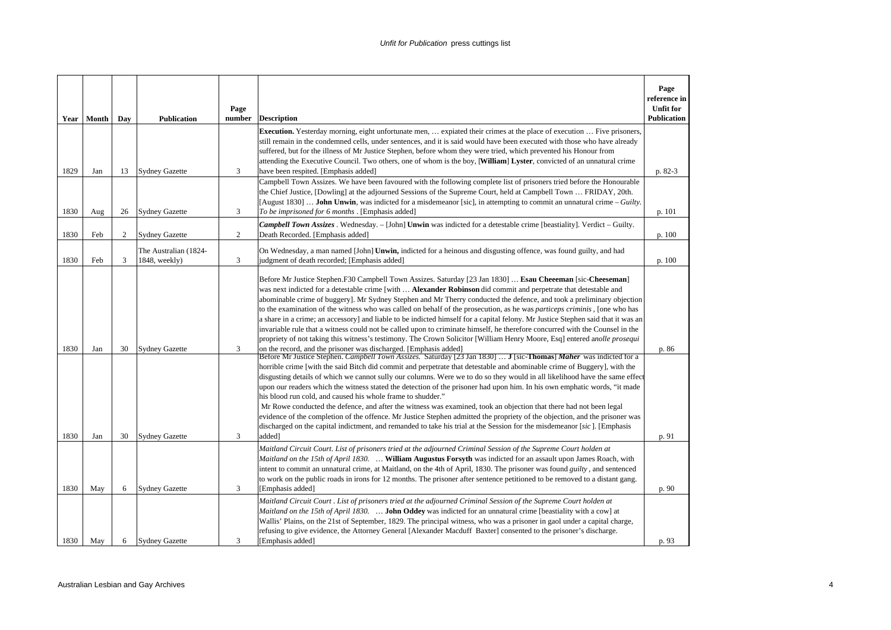| Year         | Month      | Day      | <b>Publication</b>                             | Page<br>number | <b>Description</b>                                                                                                                                                                                                                                                                                                                                                                                                                                                                                                                                                                                                                                                                                                                                                                                                                                                                                                                                                                                                                                                                                                                                                                                                                                                                                                                                                                                                                                                                                                                                                                                                                                                                                                                                                                                                                                                                                                                      | Page<br>reference in<br><b>Unfit for</b><br><b>Publication</b> |
|--------------|------------|----------|------------------------------------------------|----------------|-----------------------------------------------------------------------------------------------------------------------------------------------------------------------------------------------------------------------------------------------------------------------------------------------------------------------------------------------------------------------------------------------------------------------------------------------------------------------------------------------------------------------------------------------------------------------------------------------------------------------------------------------------------------------------------------------------------------------------------------------------------------------------------------------------------------------------------------------------------------------------------------------------------------------------------------------------------------------------------------------------------------------------------------------------------------------------------------------------------------------------------------------------------------------------------------------------------------------------------------------------------------------------------------------------------------------------------------------------------------------------------------------------------------------------------------------------------------------------------------------------------------------------------------------------------------------------------------------------------------------------------------------------------------------------------------------------------------------------------------------------------------------------------------------------------------------------------------------------------------------------------------------------------------------------------------|----------------------------------------------------------------|
| 1829         | Jan        | 13       | <b>Sydney Gazette</b>                          | 3              | Execution. Yesterday morning, eight unfortunate men,  expiated their crimes at the place of execution  Five prisoners,<br>still remain in the condemned cells, under sentences, and it is said would have been executed with those who have already<br>suffered, but for the illness of Mr Justice Stephen, before whom they were tried, which prevented his Honour from<br>attending the Executive Council. Two others, one of whom is the boy, [William] Lyster, convicted of an unnatural crime<br>have been respited. [Emphasis added]                                                                                                                                                                                                                                                                                                                                                                                                                                                                                                                                                                                                                                                                                                                                                                                                                                                                                                                                                                                                                                                                                                                                                                                                                                                                                                                                                                                              | $p. 82-3$                                                      |
| 1830         | Aug        | 26       | <b>Sydney Gazette</b>                          | 3              | Campbell Town Assizes. We have been favoured with the following complete list of prisoners tried before the Honourable<br>the Chief Justice, [Dowling] at the adjourned Sessions of the Supreme Court, held at Campbell Town  FRIDAY, 20th.<br>[August 1830] <b>John Unwin</b> , was indicted for a misdemeanor [sic], in attempting to commit an unnatural crime – Guilty.<br>To be imprisoned for 6 months . [Emphasis added]                                                                                                                                                                                                                                                                                                                                                                                                                                                                                                                                                                                                                                                                                                                                                                                                                                                                                                                                                                                                                                                                                                                                                                                                                                                                                                                                                                                                                                                                                                         | p. 101                                                         |
| 1830         | Feb        | 2        | <b>Sydney Gazette</b>                          | 2              | <b>Campbell Town Assizes</b> . Wednesday. - [John] <b>Unwin</b> was indicted for a detestable crime [beastiality]. Verdict - Guilty.<br>Death Recorded. [Emphasis added]                                                                                                                                                                                                                                                                                                                                                                                                                                                                                                                                                                                                                                                                                                                                                                                                                                                                                                                                                                                                                                                                                                                                                                                                                                                                                                                                                                                                                                                                                                                                                                                                                                                                                                                                                                | p. 100                                                         |
| 1830         | Feb        | 3        | The Australian (1824-<br>1848, weekly)         | 3              | On Wednesday, a man named [John] Unwin, indicted for a heinous and disgusting offence, was found guilty, and had<br>judgment of death recorded; [Emphasis added]                                                                                                                                                                                                                                                                                                                                                                                                                                                                                                                                                                                                                                                                                                                                                                                                                                                                                                                                                                                                                                                                                                                                                                                                                                                                                                                                                                                                                                                                                                                                                                                                                                                                                                                                                                        | p. 100                                                         |
| 1830<br>1830 | Jan<br>Jan | 30<br>30 | <b>Sydney Gazette</b><br><b>Sydney Gazette</b> | 3<br>3         | Before Mr Justice Stephen.F30 Campbell Town Assizes. Saturday [23 Jan 1830]  Esau Cheeeman [sic-Cheeseman]<br>was next indicted for a detestable crime [with  Alexander Robinson did commit and perpetrate that detestable and<br>abominable crime of buggery]. Mr Sydney Stephen and Mr Therry conducted the defence, and took a preliminary objection<br>to the examination of the witness who was called on behalf of the prosecution, as he was <i>particeps criminis</i> , [one who has<br>a share in a crime; an accessory] and liable to be indicted himself for a capital felony. Mr Justice Stephen said that it was an<br>invariable rule that a witness could not be called upon to criminate himself, he therefore concurred with the Counsel in the<br>propriety of not taking this witness's testimony. The Crown Solicitor [William Henry Moore, Esq] entered anolle prosequi<br>on the record, and the prisoner was discharged. [Emphasis added]<br>Before Mr Justice Stephen. Campbell Town Assizes. Saturday [23 Jan 1830]  J [sic-Thomas] Maher was indicted for a<br>horrible crime [with the said Bitch did commit and perpetrate that detestable and abominable crime of Buggery], with the<br>disgusting details of which we cannot sully our columns. Were we to do so they would in all likelihood have the same effect<br>upon our readers which the witness stated the detection of the prisoner had upon him. In his own emphatic words, "it made<br>his blood run cold, and caused his whole frame to shudder."<br>Mr Rowe conducted the defence, and after the witness was examined, took an objection that there had not been legal<br>evidence of the completion of the offence. Mr Justice Stephen admitted the propriety of the objection, and the prisoner was<br>discharged on the capital indictment, and remanded to take his trial at the Session for the misdemeanor [sic]. [Emphasis<br>added] | p. 86<br>p. 91                                                 |
| 1830         | May        | 6        | <b>Sydney Gazette</b>                          | 3              | Maitland Circuit Court. List of prisoners tried at the adjourned Criminal Session of the Supreme Court holden at<br>Maitland on the 15th of April 1830.  William Augustus Forsyth was indicted for an assault upon James Roach, with<br>intent to commit an unnatural crime, at Maitland, on the 4th of April, 1830. The prisoner was found <i>guilty</i> , and sentenced<br>to work on the public roads in irons for 12 months. The prisoner after sentence petitioned to be removed to a distant gang.<br>[Emphasis added]                                                                                                                                                                                                                                                                                                                                                                                                                                                                                                                                                                                                                                                                                                                                                                                                                                                                                                                                                                                                                                                                                                                                                                                                                                                                                                                                                                                                            | p. 90                                                          |
| 1830         | May        | 6        | <b>Sydney Gazette</b>                          | 3              | Maitland Circuit Court . List of prisoners tried at the adjourned Criminal Session of the Supreme Court holden at<br><i>Maitland on the 15th of April 1830.</i> <b>John Oddey</b> was indicted for an unnatural crime [beastiality with a cow] at<br>Wallis' Plains, on the 21st of September, 1829. The principal witness, who was a prisoner in gaol under a capital charge,<br>refusing to give evidence, the Attorney General [Alexander Macduff Baxter] consented to the prisoner's discharge.<br>[Emphasis added]                                                                                                                                                                                                                                                                                                                                                                                                                                                                                                                                                                                                                                                                                                                                                                                                                                                                                                                                                                                                                                                                                                                                                                                                                                                                                                                                                                                                                 | p. 93                                                          |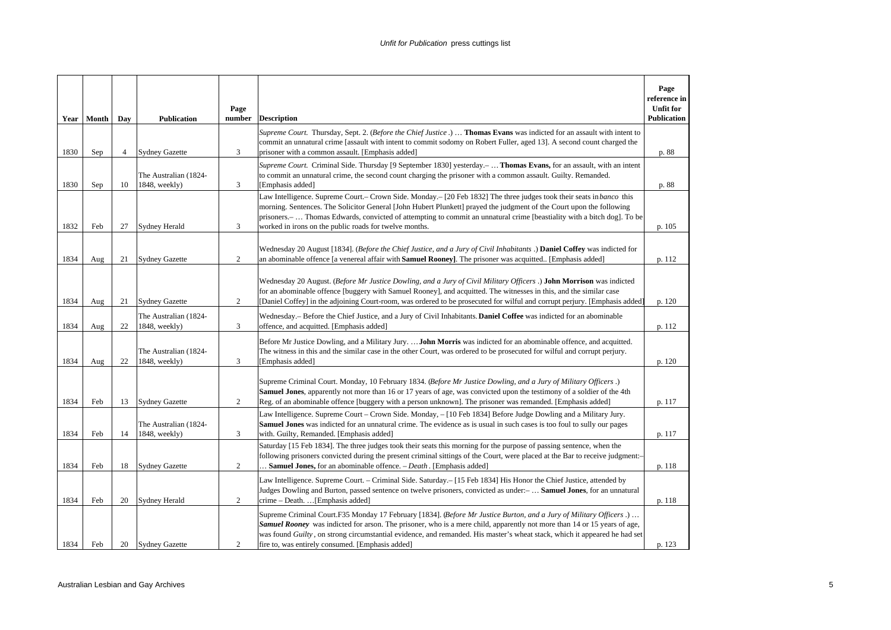|      | Year   Month | Day            | <b>Publication</b>                     | Page<br>number | <b>Description</b>                                                                                                                                                                                                                                                                                                                                                                                                                             | Page<br>reference in<br><b>Unfit for</b><br><b>Publication</b> |
|------|--------------|----------------|----------------------------------------|----------------|------------------------------------------------------------------------------------------------------------------------------------------------------------------------------------------------------------------------------------------------------------------------------------------------------------------------------------------------------------------------------------------------------------------------------------------------|----------------------------------------------------------------|
| 1830 | Sep          | $\overline{4}$ | <b>Sydney Gazette</b>                  | 3              | Supreme Court. Thursday, Sept. 2. (Before the Chief Justice.)  Thomas Evans was indicted for an assault with intent to<br>commit an unnatural crime [assault with intent to commit sodomy on Robert Fuller, aged 13]. A second count charged the<br>prisoner with a common assault. [Emphasis added]                                                                                                                                           | p. 88                                                          |
| 1830 | Sep          | 10             | The Australian (1824-<br>1848, weekly) | 3              | Supreme Court. Criminal Side. Thursday [9 September 1830] yesterday. -  Thomas Evans, for an assault, with an intent<br>to commit an unnatural crime, the second count charging the prisoner with a common assault. Guilty. Remanded.<br>[Emphasis added]                                                                                                                                                                                      | p. 88                                                          |
| 1832 | Feb          | 27             | Sydney Herald                          | 3              | Law Intelligence. Supreme Court.- Crown Side. Monday.- [20 Feb 1832] The three judges took their seats in banco this<br>morning. Sentences. The Solicitor General [John Hubert Plunkett] prayed the judgment of the Court upon the following<br>prisoners.—  Thomas Edwards, convicted of attempting to commit an unnatural crime [beastiality with a bitch dog]. To be<br>worked in irons on the public roads for twelve months.              | p. 105                                                         |
| 1834 | Aug          | 21             | <b>Sydney Gazette</b>                  | $\overline{c}$ | Wednesday 20 August [1834]. (Before the Chief Justice, and a Jury of Civil Inhabitants .) Daniel Coffey was indicted for<br>an abominable offence [a venereal affair with Samuel Rooney]. The prisoner was acquitted [Emphasis added]                                                                                                                                                                                                          | p. 112                                                         |
| 1834 | Aug          | 21             | <b>Sydney Gazette</b>                  | 2              | Wednesday 20 August. (Before Mr Justice Dowling, and a Jury of Civil Military Officers.) John Morrison was indicted<br>for an abominable offence [buggery with Samuel Rooney], and acquitted. The witnesses in this, and the similar case<br>[Daniel Coffey] in the adjoining Court-room, was ordered to be prosecuted for wilful and corrupt perjury. [Emphasis added]                                                                        | p. 120                                                         |
| 1834 | Aug          | 22             | The Australian (1824-<br>1848, weekly) | 3              | Wednesday. – Before the Chief Justice, and a Jury of Civil Inhabitants. Daniel Coffee was indicted for an abominable<br>offence, and acquitted. [Emphasis added]                                                                                                                                                                                                                                                                               | p. 112                                                         |
| 1834 | Aug          | 22             | The Australian (1824-<br>1848, weekly) | 3              | Before Mr Justice Dowling, and a Military Jury.  John Morris was indicted for an abominable offence, and acquitted.<br>The witness in this and the similar case in the other Court, was ordered to be prosecuted for wilful and corrupt perjury.<br>[Emphasis added]                                                                                                                                                                           | p. 120                                                         |
| 1834 | Feb          | 13             | <b>Sydney Gazette</b>                  | 2              | Supreme Criminal Court. Monday, 10 February 1834. (Before Mr Justice Dowling, and a Jury of Military Officers.)<br><b>Samuel Jones</b> , apparently not more than 16 or 17 years of age, was convicted upon the testimony of a soldier of the 4th<br>Reg. of an abominable offence [buggery with a person unknown]. The prisoner was remanded. [Emphasis added]                                                                                | p. 117                                                         |
| 1834 | Feb          | 14             | The Australian (1824-<br>1848, weekly) | 3              | Law Intelligence. Supreme Court – Crown Side. Monday, – [10 Feb 1834] Before Judge Dowling and a Military Jury.<br><b>Samuel Jones</b> was indicted for an unnatural crime. The evidence as is usual in such cases is too foul to sully our pages<br>with. Guilty, Remanded. [Emphasis added]                                                                                                                                                  | p. 117                                                         |
| 1834 | Feb          | 18             | <b>Sydney Gazette</b>                  | 2              | Saturday [15 Feb 1834]. The three judges took their seats this morning for the purpose of passing sentence, when the<br>following prisoners convicted during the present criminal sittings of the Court, were placed at the Bar to receive judgment:-<br>. Samuel Jones, for an abominable offence. - Death. [Emphasis added]                                                                                                                  | p. 118                                                         |
| 1834 | Feb          | 20             | <b>Sydney Herald</b>                   | 2              | Law Intelligence. Supreme Court. – Criminal Side. Saturday. – [15 Feb 1834] His Honor the Chief Justice, attended by<br>Judges Dowling and Burton, passed sentence on twelve prisoners, convicted as under:- Samuel Jones, for an unnatural<br>crime - Death.  [Emphasis added]                                                                                                                                                                | p. 118                                                         |
| 1834 | Feb          | 20             | <b>Sydney Gazette</b>                  | 2              | Supreme Criminal Court.F35 Monday 17 February [1834]. (Before Mr Justice Burton, and a Jury of Military Officers.)<br><b>Samuel Rooney</b> was indicted for arson. The prisoner, who is a mere child, apparently not more than 14 or 15 years of age,<br>was found <i>Guilty</i> , on strong circumstantial evidence, and remanded. His master's wheat stack, which it appeared he had set<br>fire to, was entirely consumed. [Emphasis added] | p. 123                                                         |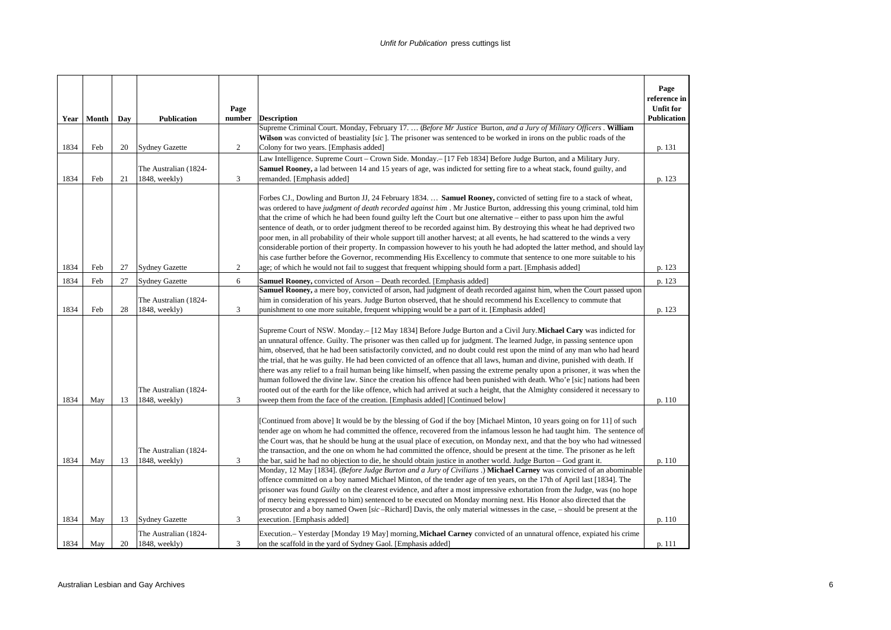|      | Year   Month | Day | <b>Publication</b>                     | Page<br>number | <b>Description</b>                                                                                                                                                                                                                                                                                                                                                                                                                                                                                                                                                                                                                                                                                                                                                                                                                                                                                                                                                                   | Page<br>reference in<br><b>Unfit for</b><br><b>Publication</b> |
|------|--------------|-----|----------------------------------------|----------------|--------------------------------------------------------------------------------------------------------------------------------------------------------------------------------------------------------------------------------------------------------------------------------------------------------------------------------------------------------------------------------------------------------------------------------------------------------------------------------------------------------------------------------------------------------------------------------------------------------------------------------------------------------------------------------------------------------------------------------------------------------------------------------------------------------------------------------------------------------------------------------------------------------------------------------------------------------------------------------------|----------------------------------------------------------------|
|      |              |     |                                        |                | Supreme Criminal Court. Monday, February 17.  (Before Mr Justice Burton, and a Jury of Military Officers. William                                                                                                                                                                                                                                                                                                                                                                                                                                                                                                                                                                                                                                                                                                                                                                                                                                                                    |                                                                |
|      |              |     |                                        |                | Wilson was convicted of beastiality [sic]. The prisoner was sentenced to be worked in irons on the public roads of the                                                                                                                                                                                                                                                                                                                                                                                                                                                                                                                                                                                                                                                                                                                                                                                                                                                               |                                                                |
| 1834 | Feb          | 20  | <b>Sydney Gazette</b>                  | 2              | Colony for two years. [Emphasis added]                                                                                                                                                                                                                                                                                                                                                                                                                                                                                                                                                                                                                                                                                                                                                                                                                                                                                                                                               | p. 131                                                         |
|      |              |     |                                        |                | Law Intelligence. Supreme Court - Crown Side. Monday. - [17 Feb 1834] Before Judge Burton, and a Military Jury.                                                                                                                                                                                                                                                                                                                                                                                                                                                                                                                                                                                                                                                                                                                                                                                                                                                                      |                                                                |
|      |              |     | The Australian (1824-                  |                | <b>Samuel Rooney</b> , a lad between 14 and 15 years of age, was indicted for setting fire to a wheat stack, found guilty, and                                                                                                                                                                                                                                                                                                                                                                                                                                                                                                                                                                                                                                                                                                                                                                                                                                                       |                                                                |
| 1834 | Feb          | 21  | 1848, weekly)                          | 3              | remanded. [Emphasis added]                                                                                                                                                                                                                                                                                                                                                                                                                                                                                                                                                                                                                                                                                                                                                                                                                                                                                                                                                           | p. 123                                                         |
|      |              |     |                                        |                | Forbes CJ., Dowling and Burton JJ, 24 February 1834.  Samuel Rooney, convicted of setting fire to a stack of wheat,<br>was ordered to have judgment of death recorded against him. Mr Justice Burton, addressing this young criminal, told him<br>that the crime of which he had been found guilty left the Court but one alternative – either to pass upon him the awful<br>sentence of death, or to order judgment thereof to be recorded against him. By destroying this wheat he had deprived two<br>poor men, in all probability of their whole support till another harvest; at all events, he had scattered to the winds a very<br>considerable portion of their property. In compassion however to his youth he had adopted the latter method, and should lay<br>his case further before the Governor, recommending His Excellency to commute that sentence to one more suitable to his                                                                                      |                                                                |
| 1834 | Feb          | 27  | <b>Sydney Gazette</b>                  | 2              | age; of which he would not fail to suggest that frequent whipping should form a part. [Emphasis added]                                                                                                                                                                                                                                                                                                                                                                                                                                                                                                                                                                                                                                                                                                                                                                                                                                                                               | p. 123                                                         |
| 1834 | Feb          | 27  | <b>Sydney Gazette</b>                  | 6              | <b>Samuel Rooney, convicted of Arson - Death recorded. [Emphasis added]</b>                                                                                                                                                                                                                                                                                                                                                                                                                                                                                                                                                                                                                                                                                                                                                                                                                                                                                                          | p. 123                                                         |
| 1834 | Feb          | 28  | The Australian (1824-<br>1848, weekly) | 3              | Samuel Rooney, a mere boy, convicted of arson, had judgment of death recorded against him, when the Court passed upon<br>him in consideration of his years. Judge Burton observed, that he should recommend his Excellency to commute that<br>punishment to one more suitable, frequent whipping would be a part of it. [Emphasis added]                                                                                                                                                                                                                                                                                                                                                                                                                                                                                                                                                                                                                                             | p. 123                                                         |
| 1834 | May          | 13  | The Australian (1824-<br>1848, weekly) | 3              | Supreme Court of NSW. Monday. - [12 May 1834] Before Judge Burton and a Civil Jury. Michael Cary was indicted for<br>an unnatural offence. Guilty. The prisoner was then called up for judgment. The learned Judge, in passing sentence upon<br>him, observed, that he had been satisfactorily convicted, and no doubt could rest upon the mind of any man who had heard<br>the trial, that he was guilty. He had been convicted of an offence that all laws, human and divine, punished with death. If<br>there was any relief to a frail human being like himself, when passing the extreme penalty upon a prisoner, it was when the<br>human followed the divine law. Since the creation his offence had been punished with death. Who'e [sic] nations had been<br>rooted out of the earth for the like offence, which had arrived at such a height, that the Almighty considered it necessary to<br>sweep them from the face of the creation. [Emphasis added] [Continued below] | p. 110                                                         |
| 1834 | May          | 13  | The Australian (1824-<br>1848, weekly) | 3              | [Continued from above] It would be by the blessing of God if the boy [Michael Minton, 10 years going on for 11] of such<br>tender age on whom he had committed the offence, recovered from the infamous lesson he had taught him. The sentence of<br>the Court was, that he should be hung at the usual place of execution, on Monday next, and that the boy who had witnessed<br>the transaction, and the one on whom he had committed the offence, should be present at the time. The prisoner as he left<br>the bar, said he had no objection to die, he should obtain justice in another world. Judge Burton – God grant it.                                                                                                                                                                                                                                                                                                                                                     | p. 110                                                         |
| 1834 | May          | 13  | <b>Sydney Gazette</b>                  | 3              | Monday, 12 May [1834]. (Before Judge Burton and a Jury of Civilians .) Michael Carney was convicted of an abominable<br>offence committed on a boy named Michael Minton, of the tender age of ten years, on the 17th of April last [1834]. The<br>prisoner was found <i>Guilty</i> on the clearest evidence, and after a most impressive exhortation from the Judge, was (no hope<br>of mercy being expressed to him) sentenced to be executed on Monday morning next. His Honor also directed that the<br>prosecutor and a boy named Owen [sic-Richard] Davis, the only material witnesses in the case, – should be present at the<br>execution. [Emphasis added]                                                                                                                                                                                                                                                                                                                   | p. 110                                                         |
|      |              |     | The Australian (1824-                  |                | Execution.– Yesterday [Monday 19 May] morning, Michael Carney convicted of an unnatural offence, expiated his crime                                                                                                                                                                                                                                                                                                                                                                                                                                                                                                                                                                                                                                                                                                                                                                                                                                                                  |                                                                |
| 1834 | May          | 20  | 1848, weekly)                          | 3              | on the scaffold in the yard of Sydney Gaol. [Emphasis added]                                                                                                                                                                                                                                                                                                                                                                                                                                                                                                                                                                                                                                                                                                                                                                                                                                                                                                                         | p. 111                                                         |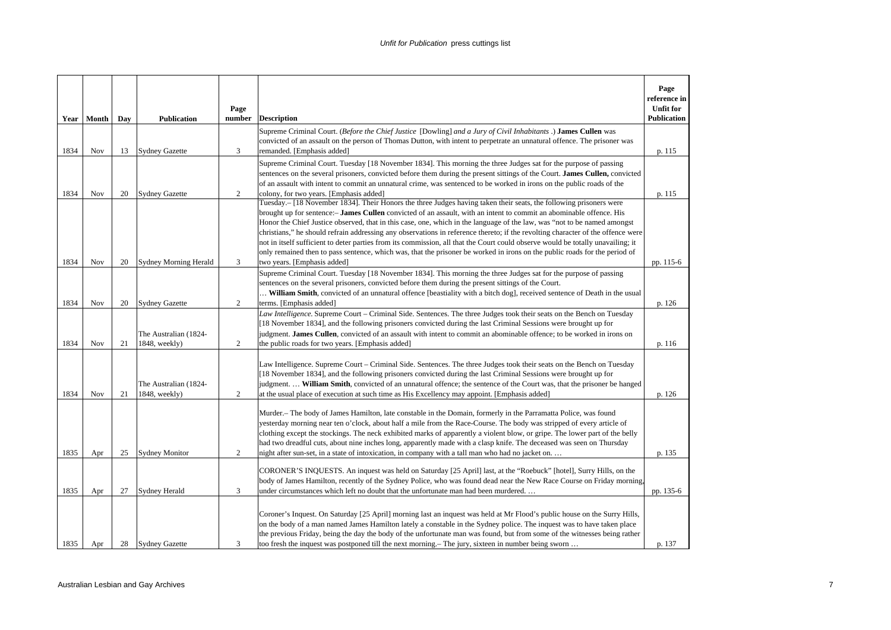|              | Year   Month | Day      | <b>Publication</b>                            | Page<br>number | <b>Description</b>                                                                                                                                                                                                                                                                                                                                                                                                                                                                                                                                                                                                                                                                                                                                                                                       | Page<br>reference in<br><b>Unfit for</b><br>Publication |
|--------------|--------------|----------|-----------------------------------------------|----------------|----------------------------------------------------------------------------------------------------------------------------------------------------------------------------------------------------------------------------------------------------------------------------------------------------------------------------------------------------------------------------------------------------------------------------------------------------------------------------------------------------------------------------------------------------------------------------------------------------------------------------------------------------------------------------------------------------------------------------------------------------------------------------------------------------------|---------------------------------------------------------|
| 1834         | <b>Nov</b>   | 13       | <b>Sydney Gazette</b>                         | 3              | Supreme Criminal Court. (Before the Chief Justice [Dowling] and a Jury of Civil Inhabitants .) James Cullen was<br>convicted of an assault on the person of Thomas Dutton, with intent to perpetrate an unnatural offence. The prisoner was<br>remanded. [Emphasis added]                                                                                                                                                                                                                                                                                                                                                                                                                                                                                                                                | p. 115                                                  |
| 1834         | Nov          | 20       | <b>Sydney Gazette</b>                         | $\overline{c}$ | Supreme Criminal Court. Tuesday [18 November 1834]. This morning the three Judges sat for the purpose of passing<br>sentences on the several prisoners, convicted before them during the present sittings of the Court. James Cullen, convicted<br>of an assault with intent to commit an unnatural crime, was sentenced to be worked in irons on the public roads of the<br>colony, for two years. [Emphasis added]                                                                                                                                                                                                                                                                                                                                                                                     | p. 115                                                  |
| 1834         | <b>Nov</b>   | 20       | <b>Sydney Morning Herald</b>                  | 3              | Tuesday.- [18 November 1834]. Their Honors the three Judges having taken their seats, the following prisoners were<br>brought up for sentence:- James Cullen convicted of an assault, with an intent to commit an abominable offence. His<br>Honor the Chief Justice observed, that in this case, one, which in the language of the law, was "not to be named amongst<br>christians," he should refrain addressing any observations in reference thereto; if the revolting character of the offence were<br>not in itself sufficient to deter parties from its commission, all that the Court could observe would be totally unavailing; it<br>only remained then to pass sentence, which was, that the prisoner be worked in irons on the public roads for the period of<br>two years. [Emphasis added] | pp. 115-6                                               |
| 1834         | Nov          | 20       | <b>Sydney Gazette</b>                         | $\overline{c}$ | Supreme Criminal Court. Tuesday [18 November 1834]. This morning the three Judges sat for the purpose of passing<br>sentences on the several prisoners, convicted before them during the present sittings of the Court.<br>William Smith, convicted of an unnatural offence [beastiality with a bitch dog], received sentence of Death in the usual<br>terms. [Emphasis added]                                                                                                                                                                                                                                                                                                                                                                                                                           | p. 126                                                  |
| 1834         | Nov          | 21       | The Australian (1824-<br>1848, weekly)        | $\overline{c}$ | Law Intelligence. Supreme Court – Criminal Side. Sentences. The three Judges took their seats on the Bench on Tuesday<br>[18 November 1834], and the following prisoners convicted during the last Criminal Sessions were brought up for<br>judgment. James Cullen, convicted of an assault with intent to commit an abominable offence; to be worked in irons on<br>the public roads for two years. [Emphasis added]                                                                                                                                                                                                                                                                                                                                                                                    | p. 116                                                  |
| 1834         | Nov          | 21       | The Australian (1824-<br>1848, weekly)        | $\overline{c}$ | Law Intelligence. Supreme Court – Criminal Side. Sentences. The three Judges took their seats on the Bench on Tuesday<br>[18 November 1834], and the following prisoners convicted during the last Criminal Sessions were brought up for<br>judgment.  William Smith, convicted of an unnatural offence; the sentence of the Court was, that the prisoner be hanged<br>at the usual place of execution at such time as His Excellency may appoint. [Emphasis added]                                                                                                                                                                                                                                                                                                                                      | p. 126                                                  |
|              |              |          |                                               | 2              | Murder.- The body of James Hamilton, late constable in the Domain, formerly in the Parramatta Police, was found<br>yesterday morning near ten o'clock, about half a mile from the Race-Course. The body was stripped of every article of<br>clothing except the stockings. The neck exhibited marks of apparently a violent blow, or gripe. The lower part of the belly<br>had two dreadful cuts, about nine inches long, apparently made with a clasp knife. The deceased was seen on Thursday                                                                                                                                                                                                                                                                                                          |                                                         |
| 1835<br>1835 | Apr<br>Apr   | 25<br>27 | <b>Sydney Monitor</b><br><b>Sydney Herald</b> | 3              | night after sun-set, in a state of intoxication, in company with a tall man who had no jacket on<br>CORONER'S INQUESTS. An inquest was held on Saturday [25 April] last, at the "Roebuck" [hotel], Surry Hills, on the<br>body of James Hamilton, recently of the Sydney Police, who was found dead near the New Race Course on Friday morning,<br>under circumstances which left no doubt that the unfortunate man had been murdered                                                                                                                                                                                                                                                                                                                                                                    | p. 135<br>pp. 135-6                                     |
| 1835         | Apr          | 28       | <b>Sydney Gazette</b>                         | 3              | Coroner's Inquest. On Saturday [25 April] morning last an inquest was held at Mr Flood's public house on the Surry Hills,<br>on the body of a man named James Hamilton lately a constable in the Sydney police. The inquest was to have taken place<br>the previous Friday, being the day the body of the unfortunate man was found, but from some of the witnesses being rather<br>too fresh the inquest was postponed till the next morning.— The jury, sixteen in number being sworn                                                                                                                                                                                                                                                                                                                  | p. 137                                                  |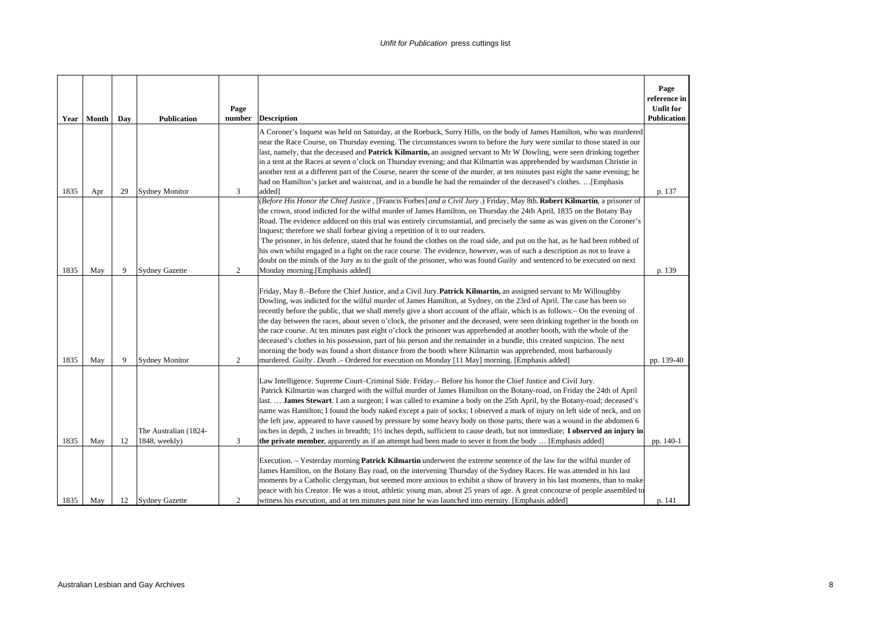|              | Year   Month | Day     | <b>Publication</b>                                                 | Page<br>number | <b>Description</b>                                                                                                                                                                                                                                                                                                                                                                                                                                                                                                                                                                                                                                                                                                                                                                                                                                                                                                                                                                     | Page<br>reference in<br><b>Unfit for</b><br><b>Publication</b> |
|--------------|--------------|---------|--------------------------------------------------------------------|----------------|----------------------------------------------------------------------------------------------------------------------------------------------------------------------------------------------------------------------------------------------------------------------------------------------------------------------------------------------------------------------------------------------------------------------------------------------------------------------------------------------------------------------------------------------------------------------------------------------------------------------------------------------------------------------------------------------------------------------------------------------------------------------------------------------------------------------------------------------------------------------------------------------------------------------------------------------------------------------------------------|----------------------------------------------------------------|
|              |              |         |                                                                    |                | A Coroner's Inquest was held on Saturday, at the Roebuck, Surry Hills, on the body of James Hamilton, who was murdered<br>near the Race Course, on Thursday evening. The circumstances sworn to before the Jury were similar to those stated in our<br>last, namely, that the deceased and <b>Patrick Kilmartin</b> , an assigned servant to Mr W Dowling, were seen drinking together<br>in a tent at the Races at seven o'clock on Thursday evening; and that Kilmartin was apprehended by wardsman Christie in<br>another tent at a different part of the Course, nearer the scene of the murder, at ten minutes past eight the same evening; he<br>had on Hamilton's jacket and waistcoat, and in a bundle he had the remainder of the deceased's clothes.  [Emphasis                                                                                                                                                                                                              |                                                                |
| 1835         | Apr          | 29      | <b>Sydney Monitor</b>                                              | 3              | added]<br>(Before His Honor the Chief Justice, [Francis Forbes] and a Civil Jury.) Friday, May 8th. Robert Kilmartin, a prisoner of<br>the crown, stood indicted for the wilful murder of James Hamilton, on Thursday the 24th April, 1835 on the Botany Bay<br>Road. The evidence adduced on this trial was entirely circumstantial, and precisely the same as was given on the Coroner's<br>Inquest; therefore we shall forbear giving a repetition of it to our readers.<br>The prisoner, in his defence, stated that he found the clothes on the road side, and put on the hat, as he had been robbed of<br>his own whilst engaged in a fight on the race course. The evidence, however, was of such a description as not to leave a<br>doubt on the minds of the Jury as to the guilt of the prisoner, who was found Guilty and sentenced to be executed on next                                                                                                                  | p. 137                                                         |
| 1835         | May          | 9       | <b>Sydney Gazette</b>                                              | 2              | Monday morning.[Emphasis added]<br>Friday, May 8.-Before the Chief Justice, and a Civil Jury. Patrick Kilmartin, an assigned servant to Mr Willoughby<br>Dowling, was indicted for the wilful murder of James Hamilton, at Sydney, on the 23rd of April. The case has been so<br>recently before the public, that we shall merely give a short account of the affair, which is as follows:- On the evening of<br>the day between the races, about seven o'clock, the prisoner and the deceased, were seen drinking together in the booth on<br>the race course. At ten minutes past eight o'clock the prisoner was apprehended at another booth, with the whole of the<br>deceased's clothes in his possession, part of his person and the remainder in a bundle, this created suspicion. The next<br>morning the body was found a short distance from the booth where Kilmartin was apprehended, most barbarously                                                                     | p. 139                                                         |
| 1835<br>1835 | May<br>May   | 9<br>12 | <b>Sydney Monitor</b><br>The Australian (1824-<br>$1848$ , weekly) | 2<br>3         | murdered. Guilty. Death .- Ordered for execution on Monday [11 May] morning. [Emphasis added]<br>Law Intelligence. Supreme Court-Criminal Side. Friday. - Before his honor the Chief Justice and Civil Jury.<br>Patrick Kilmartin was charged with the wilful murder of James Hamilton on the Botany-road, on Friday the 24th of April<br>last. <b>James Stewart</b> . I am a surgeon; I was called to examine a body on the 25th April, by the Botany-road; deceased's<br>name was Hamilton; I found the body naked except a pair of socks; I observed a mark of injury on left side of neck, and on<br>the left jaw, appeared to have caused by pressure by some heavy body on those parts; there was a wound in the abdomen 6<br>inches in depth, 2 inches in breadth; 11/2 inches depth, sufficient to cause death, but not immediate; I observed an injury in<br><b>the private member,</b> apparently as if an attempt had been made to sever it from the body  [Emphasis added] | pp. 139-40<br>pp. 140-1                                        |
| 1835         | May          | 12      | <b>Sydney Gazette</b>                                              | 2              | Execution. - Yesterday morning Patrick Kilmartin underwent the extreme sentence of the law for the wilful murder of<br>James Hamilton, on the Botany Bay road, on the intervening Thursday of the Sydney Races. He was attended in his last<br>moments by a Catholic clergyman, but seemed more anxious to exhibit a show of bravery in his last moments, than to make<br>peace with his Creator. He was a stout, athletic young man, about 25 years of age. A great concourse of people assembled to<br>witness his execution, and at ten minutes past nine he was launched into eternity. [Emphasis added]                                                                                                                                                                                                                                                                                                                                                                           | p. 141                                                         |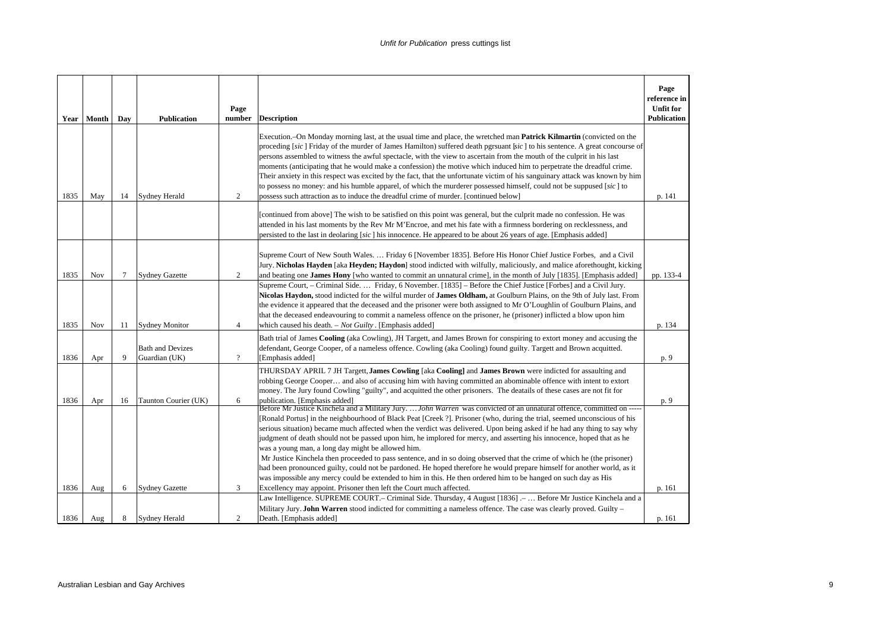| Year | Month | Day    | <b>Publication</b>                       | Page<br>number | <b>Description</b>                                                                                                                                                                                                                                                                                                                                                                                                                                                                                                                                                                                                                                                                                                                                                                                                                                                                                                                                                                                        | Page<br>reference in<br><b>Unfit for</b><br><b>Publication</b> |
|------|-------|--------|------------------------------------------|----------------|-----------------------------------------------------------------------------------------------------------------------------------------------------------------------------------------------------------------------------------------------------------------------------------------------------------------------------------------------------------------------------------------------------------------------------------------------------------------------------------------------------------------------------------------------------------------------------------------------------------------------------------------------------------------------------------------------------------------------------------------------------------------------------------------------------------------------------------------------------------------------------------------------------------------------------------------------------------------------------------------------------------|----------------------------------------------------------------|
| 1835 | May   | 14     | Sydney Herald                            | 2              | Execution. On Monday morning last, at the usual time and place, the wretched man Patrick Kilmartin (convicted on the<br>proceding [sic] Friday of the murder of James Hamilton) suffered death pgrsuant [sic] to his sentence. A great concourse of<br>persons assembled to witness the awful spectacle, with the view to ascertain from the mouth of the culprit in his last<br>moments (anticipating that he would make a confession) the motive which induced him to perpetrate the dreadful crime.<br>Their anxiety in this respect was excited by the fact, that the unfortunate victim of his sanguinary attack was known by him<br>to possess no money: and his humble apparel, of which the murderer possessed himself, could not be suppused [sic] to<br>possess such attraction as to induce the dreadful crime of murder. [continued below]                                                                                                                                                    | p. 141                                                         |
|      |       |        |                                          |                | [continued from above] The wish to be satisfied on this point was general, but the culprit made no confession. He was<br>attended in his last moments by the Rev Mr M'Encroe, and met his fate with a firmness bordering on recklessness, and<br>persisted to the last in deolaring [sic] his innocence. He appeared to be about 26 years of age. [Emphasis added]                                                                                                                                                                                                                                                                                                                                                                                                                                                                                                                                                                                                                                        |                                                                |
| 1835 | Nov   | $\tau$ | <b>Sydney Gazette</b>                    | 2              | Supreme Court of New South Wales.  Friday 6 [November 1835]. Before His Honor Chief Justice Forbes, and a Civil<br>Jury. Nicholas Hayden [aka Heyden; Haydon] stood indicted with wilfully, maliciously, and malice aforethought, kicking<br>and beating one James Hony [who wanted to commit an unnatural crime], in the month of July [1835]. [Emphasis added]                                                                                                                                                                                                                                                                                                                                                                                                                                                                                                                                                                                                                                          | pp. 133-4                                                      |
| 1835 | Nov   | 11     | <b>Sydney Monitor</b>                    | $\overline{4}$ | Supreme Court, – Criminal Side.  Friday, 6 November. [1835] – Before the Chief Justice [Forbes] and a Civil Jury.<br>Nicolas Haydon, stood indicted for the wilful murder of James Oldham, at Goulburn Plains, on the 9th of July last. From<br>the evidence it appeared that the deceased and the prisoner were both assigned to Mr O'Loughlin of Goulburn Plains, and<br>that the deceased endeavouring to commit a nameless offence on the prisoner, he (prisoner) inflicted a blow upon him<br>which caused his death. $-$ <i>Not Guilty</i> . [Emphasis added]                                                                                                                                                                                                                                                                                                                                                                                                                                       | p. 134                                                         |
| 1836 | Apr   | 9      | <b>Bath and Devizes</b><br>Guardian (UK) | $\overline{?}$ | Bath trial of James Cooling (aka Cowling), JH Targett, and James Brown for conspiring to extort money and accusing the<br>defendant, George Cooper, of a nameless offence. Cowling (aka Cooling) found guilty. Targett and Brown acquitted.<br>[Emphasis added]                                                                                                                                                                                                                                                                                                                                                                                                                                                                                                                                                                                                                                                                                                                                           | p. 9                                                           |
| 1836 | Apr   | 16     | Taunton Courier (UK)                     | 6              | THURSDAY APRIL 7 JH Targett, James Cowling [aka Cooling] and James Brown were indicted for assaulting and<br>robbing George Cooper and also of accusing him with having committed an abominable offence with intent to extort<br>money. The Jury found Cowling "guilty", and acquitted the other prisoners. The deatails of these cases are not fit for<br>publication. [Emphasis added]                                                                                                                                                                                                                                                                                                                                                                                                                                                                                                                                                                                                                  | p. 9                                                           |
| 1836 | Aug   | 6      | <b>Sydney Gazette</b>                    | 3              | Before Mr Justice Kinchela and a Military Jury.  John Warren was convicted of an unnatural offence, committed on ----<br>[Ronald Portus] in the neighbourhood of Black Peat [Creek ?]. Prisoner (who, during the trial, seemed unconscious of his<br>serious situation) became much affected when the verdict was delivered. Upon being asked if he had any thing to say why<br>judgment of death should not be passed upon him, he implored for mercy, and asserting his innocence, hoped that as he<br>was a young man, a long day might be allowed him.<br>Mr Justice Kinchela then proceeded to pass sentence, and in so doing observed that the crime of which he (the prisoner)<br>had been pronounced guilty, could not be pardoned. He hoped therefore he would prepare himself for another world, as it<br>was impossible any mercy could be extended to him in this. He then ordered him to be hanged on such day as His<br>Excellency may appoint. Prisoner then left the Court much affected. | p. 161                                                         |
| 1836 | Aug   | 8      | <b>Sydney Herald</b>                     | $\overline{c}$ | Law Intelligence. SUPREME COURT. – Criminal Side. Thursday, 4 August [1836] . –  Before Mr Justice Kinchela and a<br>Military Jury. John Warren stood indicted for committing a nameless offence. The case was clearly proved. Guilty –<br>Death. [Emphasis added]                                                                                                                                                                                                                                                                                                                                                                                                                                                                                                                                                                                                                                                                                                                                        | p. 161                                                         |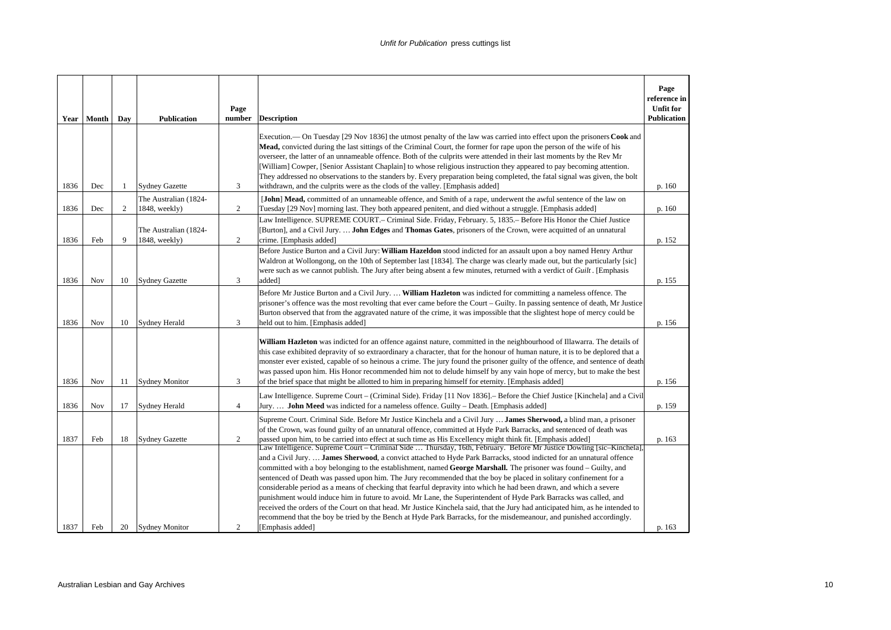|              | Year   Month | Day    | <b>Publication</b>                                         | Page<br>number | <b>Description</b>                                                                                                                                                                                                                                                                                                                                                                                                                                                                                                                                                                                                                                                                                                                                                                                                                                                                                                                                                      | Page<br>reference in<br><b>Unfit for</b><br><b>Publication</b> |
|--------------|--------------|--------|------------------------------------------------------------|----------------|-------------------------------------------------------------------------------------------------------------------------------------------------------------------------------------------------------------------------------------------------------------------------------------------------------------------------------------------------------------------------------------------------------------------------------------------------------------------------------------------------------------------------------------------------------------------------------------------------------------------------------------------------------------------------------------------------------------------------------------------------------------------------------------------------------------------------------------------------------------------------------------------------------------------------------------------------------------------------|----------------------------------------------------------------|
| 1836         | Dec          | 1      | <b>Sydney Gazette</b>                                      | 3              | Execution.— On Tuesday [29 Nov 1836] the utmost penalty of the law was carried into effect upon the prisoners Cook and<br>Mead, convicted during the last sittings of the Criminal Court, the former for rape upon the person of the wife of his<br>overseer, the latter of an unnameable offence. Both of the culprits were attended in their last moments by the Rev Mr<br>[William] Cowper, [Senior Assistant Chaplain] to whose religious instruction they appeared to pay becoming attention.<br>They addressed no observations to the standers by. Every preparation being completed, the fatal signal was given, the bolt<br>withdrawn, and the culprits were as the clods of the valley. [Emphasis added]                                                                                                                                                                                                                                                       | p. 160                                                         |
|              |              |        | The Australian (1824-                                      |                | [John] Mead, committed of an unnameable offence, and Smith of a rape, underwent the awful sentence of the law on                                                                                                                                                                                                                                                                                                                                                                                                                                                                                                                                                                                                                                                                                                                                                                                                                                                        |                                                                |
| 1836<br>1836 | Dec<br>Feb   | 2<br>9 | $1848$ , weekly)<br>The Australian (1824-<br>1848, weekly) | 2<br>2         | Tuesday [29 Nov] morning last. They both appeared penitent, and died without a struggle. [Emphasis added]<br>Law Intelligence. SUPREME COURT .- Criminal Side. Friday, February. 5, 1835. - Before His Honor the Chief Justice<br>[Burton], and a Civil Jury.  John Edges and Thomas Gates, prisoners of the Crown, were acquitted of an unnatural<br>crime. [Emphasis added]                                                                                                                                                                                                                                                                                                                                                                                                                                                                                                                                                                                           | p. 160<br>p. 152                                               |
| 1836         | Nov          | 10     | <b>Sydney Gazette</b>                                      | $\overline{3}$ | Before Justice Burton and a Civil Jury: William Hazeldon stood indicted for an assault upon a boy named Henry Arthur<br>Waldron at Wollongong, on the 10th of September last [1834]. The charge was clearly made out, but the particularly [sic]<br>were such as we cannot publish. The Jury after being absent a few minutes, returned with a verdict of Guilt. [Emphasis<br>added]                                                                                                                                                                                                                                                                                                                                                                                                                                                                                                                                                                                    | p. 155                                                         |
| 1836         | Nov          | 10     | <b>Sydney Herald</b>                                       | $\overline{3}$ | Before Mr Justice Burton and a Civil Jury.  William Hazleton was indicted for committing a nameless offence. The<br>prisoner's offence was the most revolting that ever came before the Court – Guilty. In passing sentence of death, Mr Justice<br>Burton observed that from the aggravated nature of the crime, it was impossible that the slightest hope of mercy could be<br>held out to him. [Emphasis added]                                                                                                                                                                                                                                                                                                                                                                                                                                                                                                                                                      | p. 156                                                         |
| 1836         | Nov          | 11     | <b>Sydney Monitor</b>                                      | 3              | William Hazleton was indicted for an offence against nature, committed in the neighbourhood of Illawarra. The details of<br>this case exhibited depravity of so extraordinary a character, that for the honour of human nature, it is to be deplored that a<br>monster ever existed, capable of so heinous a crime. The jury found the prisoner guilty of the offence, and sentence of death<br>was passed upon him. His Honor recommended him not to delude himself by any vain hope of mercy, but to make the best<br>of the brief space that might be allotted to him in preparing himself for eternity. [Emphasis added]                                                                                                                                                                                                                                                                                                                                            | p. 156                                                         |
| 1836         | Nov          | 17     | Sydney Herald                                              | $\overline{4}$ | Law Intelligence. Supreme Court – (Criminal Side). Friday [11 Nov 1836]. – Before the Chief Justice [Kinchela] and a Civil<br>Jury John Meed was indicted for a nameless offence. Guilty – Death. [Emphasis added]                                                                                                                                                                                                                                                                                                                                                                                                                                                                                                                                                                                                                                                                                                                                                      | p. 159                                                         |
| 1837         | Feb          | 18     | <b>Sydney Gazette</b>                                      | 2              | Supreme Court. Criminal Side. Before Mr Justice Kinchela and a Civil Jury  James Sherwood, a blind man, a prisoner<br>of the Crown, was found guilty of an unnatural offence, committed at Hyde Park Barracks, and sentenced of death was<br>passed upon him, to be carried into effect at such time as His Excellency might think fit. [Emphasis added]<br>Law Intelligence. Supreme Court – Criminal Side  Thursday, 16th, February. Before Mr Justice Dowling [sic–Kinchela].<br>and a Civil Jury.  James Sherwood, a convict attached to Hyde Park Barracks, stood indicted for an unnatural offence<br>committed with a boy belonging to the establishment, named George Marshall. The prisoner was found – Guilty, and<br>sentenced of Death was passed upon him. The Jury recommended that the boy be placed in solitary confinement for a<br>considerable period as a means of checking that fearful depravity into which he had been drawn, and which a severe | p. 163                                                         |
| 1837         | Feb          | 20     | <b>Sydney Monitor</b>                                      | $\overline{c}$ | punishment would induce him in future to avoid. Mr Lane, the Superintendent of Hyde Park Barracks was called, and<br>received the orders of the Court on that head. Mr Justice Kinchela said, that the Jury had anticipated him, as he intended to<br>recommend that the boy be tried by the Bench at Hyde Park Barracks, for the misdemeanour, and punished accordingly.<br>[Emphasis added]                                                                                                                                                                                                                                                                                                                                                                                                                                                                                                                                                                           | p. 163                                                         |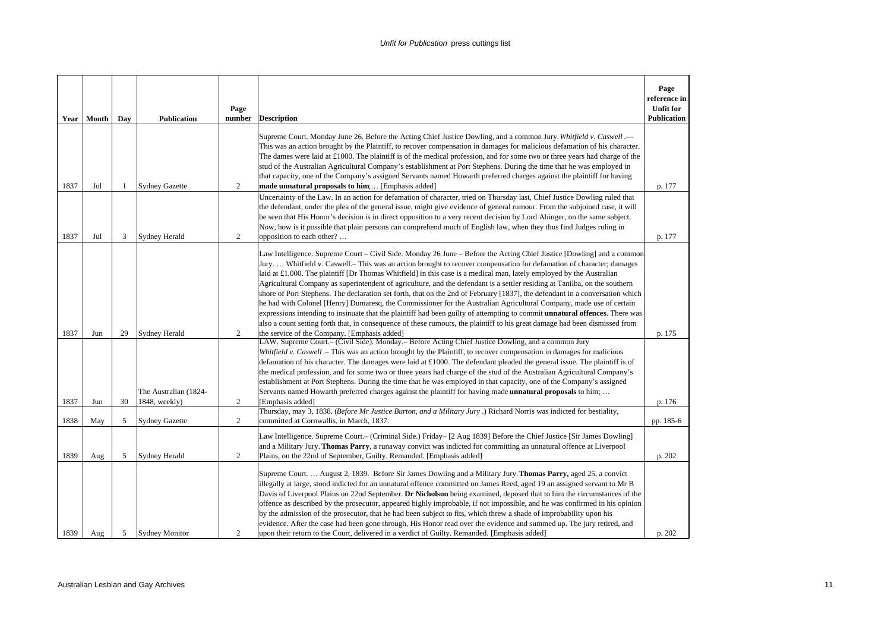|      | Year   Month | Day | <b>Publication</b>                     | Page<br>number | <b>Description</b>                                                                                                                                                                                                                                                                                                                                                                                                                                                                                                                                                                                                                                                                                                                                                                                                                                                                                                                                                                                                                                                                | Page<br>reference in<br><b>Unfit for</b><br><b>Publication</b> |
|------|--------------|-----|----------------------------------------|----------------|-----------------------------------------------------------------------------------------------------------------------------------------------------------------------------------------------------------------------------------------------------------------------------------------------------------------------------------------------------------------------------------------------------------------------------------------------------------------------------------------------------------------------------------------------------------------------------------------------------------------------------------------------------------------------------------------------------------------------------------------------------------------------------------------------------------------------------------------------------------------------------------------------------------------------------------------------------------------------------------------------------------------------------------------------------------------------------------|----------------------------------------------------------------|
|      |              |     |                                        |                | Supreme Court. Monday June 26. Before the Acting Chief Justice Dowling, and a common Jury. Whitfield v. Caswell.—<br>This was an action brought by the Plaintiff, to recover compensation in damages for malicious defamation of his character.<br>The dames were laid at £1000. The plaintiff is of the medical profession, and for some two or three years had charge of the<br>stud of the Australian Agricultural Company's establishment at Port Stephens. During the time that he was employed in<br>that capacity, one of the Company's assigned Servants named Howarth preferred charges against the plaintiff for having                                                                                                                                                                                                                                                                                                                                                                                                                                                 |                                                                |
| 1837 | Jul          | -1  | <b>Sydney Gazette</b>                  | 2              | made unnatural proposals to him; [Emphasis added]<br>Uncertainty of the Law. In an action for defamation of character, tried on Thursday last, Chief Justice Dowling ruled that                                                                                                                                                                                                                                                                                                                                                                                                                                                                                                                                                                                                                                                                                                                                                                                                                                                                                                   | p. 177                                                         |
| 1837 | Jul          | 3   | <b>Sydney Herald</b>                   | 2              | the defendant, under the plea of the general issue, might give evidence of general rumour. From the subjoined case, it will<br>be seen that His Honor's decision is in direct opposition to a very recent decision by Lord Abinger, on the same subject.<br>Now, how is it possible that plain persons can comprehend much of English law, when they thus find Judges ruling in<br>opposition to each other?                                                                                                                                                                                                                                                                                                                                                                                                                                                                                                                                                                                                                                                                      | p. 177                                                         |
| 1837 | Jun          | 29  | Sydney Herald                          | 2              | Law Intelligence. Supreme Court – Civil Side. Monday 26 June – Before the Acting Chief Justice [Dowling] and a common<br>Jury Whitfield v. Caswell. – This was an action brought to recover compensation for defamation of character; damages<br>laid at $\pounds$ 1,000. The plaintiff [Dr Thomas Whitfield] in this case is a medical man, lately employed by the Australian<br>Agricultural Company as superintendent of agriculture, and the defendant is a settler residing at Tanilba, on the southern<br>shore of Port Stephens. The declaration set forth, that on the 2nd of February [1837], the defendant in a conversation which<br>he had with Colonel [Henry] Dumaresq, the Commissioner for the Australian Agricultural Company, made use of certain<br>expressions intending to insinuate that the plaintiff had been guilty of attempting to commit unnatural offences. There was<br>also a count setting forth that, in consequence of these rumours, the plaintiff to his great damage had been dismissed from<br>the service of the Company. [Emphasis added] | p. 175                                                         |
| 1837 | Jun          | 30  | The Australian (1824-<br>1848, weekly) | 2              | LAW. Supreme Court.– (Civil Side). Monday.– Before Acting Chief Justice Dowling, and a common Jury<br>Whitfield v. Caswell .- This was an action brought by the Plaintiff, to recover compensation in damages for malicious<br>defamation of his character. The damages were laid at £1000. The defendant pleaded the general issue. The plaintiff is of<br>the medical profession, and for some two or three years had charge of the stud of the Australian Agricultural Company's<br>establishment at Port Stephens. During the time that he was employed in that capacity, one of the Company's assigned<br>Servants named Howarth preferred charges against the plaintiff for having made <b>unnatural proposals</b> to him;<br>[Emphasis added]                                                                                                                                                                                                                                                                                                                              | p. 176                                                         |
| 1838 | May          | 5   | <b>Sydney Gazette</b>                  | 2              | Thursday, may 3, 1838. (Before Mr Justice Burton, and a Military Jury .) Richard Norris was indicted for bestiality,<br>committed at Cornwallis, in March, 1837.                                                                                                                                                                                                                                                                                                                                                                                                                                                                                                                                                                                                                                                                                                                                                                                                                                                                                                                  | pp. 185-6                                                      |
| 1839 | Aug          | 5   | <b>Sydney Herald</b>                   | 2              | Law Intelligence. Supreme Court. – (Criminal Side.) Friday – [2 Aug 1839] Before the Chief Justice [Sir James Dowling]<br>and a Military Jury. Thomas Parry, a runaway convict was indicted for committing an unnatural offence at Liverpool<br>Plains, on the 22nd of September, Guilty. Remanded. [Emphasis added]                                                                                                                                                                                                                                                                                                                                                                                                                                                                                                                                                                                                                                                                                                                                                              | p. 202                                                         |
| 1839 | Aug          | 5   | <b>Sydney Monitor</b>                  | $\overline{c}$ | Supreme Court.  August 2, 1839. Before Sir James Dowling and a Military Jury. Thomas Parry, aged 25, a convict<br>illegally at large, stood indicted for an unnatural offence committed on James Reed, aged 19 an assigned servant to Mr B<br>Davis of Liverpool Plains on 22nd September. Dr Nicholson being examined, deposed that to him the circumstances of the<br>offence as described by the prosecutor, appeared highly improbable, if not impossible, and he was confirmed in his opinion<br>by the admission of the prosecutor, that he had been subject to fits, which threw a shade of improbability upon his<br>evidence. After the case had been gone through, His Honor read over the evidence and summed up. The jury retired, and<br>upon their return to the Court, delivered in a verdict of Guilty. Remanded. [Emphasis added]                                                                                                                                                                                                                                | p. 202                                                         |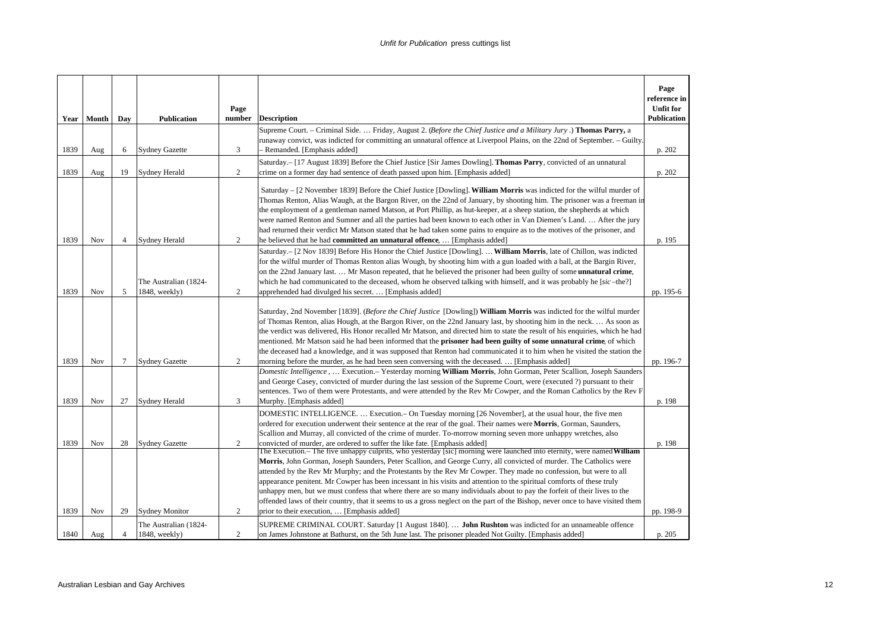|      | Year   Month | Day    | <b>Publication</b>                     | Page<br>number | <b>Description</b>                                                                                                                                                                                                                                                                                                                                                                                                                                                                                                                                                                                                                                                                                                                                                                                        | Page<br>reference in<br><b>Unfit for</b><br><b>Publication</b> |
|------|--------------|--------|----------------------------------------|----------------|-----------------------------------------------------------------------------------------------------------------------------------------------------------------------------------------------------------------------------------------------------------------------------------------------------------------------------------------------------------------------------------------------------------------------------------------------------------------------------------------------------------------------------------------------------------------------------------------------------------------------------------------------------------------------------------------------------------------------------------------------------------------------------------------------------------|----------------------------------------------------------------|
| 1839 | Aug          | 6      | <b>Sydney Gazette</b>                  | 3              | Supreme Court. – Criminal Side.  Friday, August 2. (Before the Chief Justice and a Military Jury.) Thomas Parry, a<br>runaway convict, was indicted for committing an unnatural offence at Liverpool Plains, on the 22nd of September. – Guilty.<br>Remanded. [Emphasis added]                                                                                                                                                                                                                                                                                                                                                                                                                                                                                                                            | p. 202                                                         |
| 1839 | Aug          | 19     | <b>Sydney Herald</b>                   | $\overline{2}$ | Saturday .- [17 August 1839] Before the Chief Justice [Sir James Dowling]. Thomas Parry, convicted of an unnatural<br>crime on a former day had sentence of death passed upon him. [Emphasis added]                                                                                                                                                                                                                                                                                                                                                                                                                                                                                                                                                                                                       | p. 202                                                         |
| 1839 | Nov          | 4      | <b>Sydney Herald</b>                   | $\mathfrak{2}$ | Saturday – [2 November 1839] Before the Chief Justice [Dowling]. William Morris was indicted for the wilful murder of<br>Thomas Renton, Alias Waugh, at the Bargon River, on the 22nd of January, by shooting him. The prisoner was a freeman in<br>the employment of a gentleman named Matson, at Port Phillip, as hut-keeper, at a sheep station, the shepherds at which<br>were named Renton and Sumner and all the parties had been known to each other in Van Diemen's Land.  After the jury<br>had returned their verdict Mr Matson stated that he had taken some pains to enquire as to the motives of the prisoner, and<br>he believed that he had committed an unnatural offence,  [Emphasis added]                                                                                              | p. 195                                                         |
| 1839 | Nov          | 5      | The Australian (1824-<br>1848, weekly) | 2              | Saturday. [2 Nov 1839] Before His Honor the Chief Justice [Dowling].  William Morris, late of Chillon, was indicted<br>for the wilful murder of Thomas Renton alias Wough, by shooting him with a gun loaded with a ball, at the Bargin River,<br>on the 22nd January last Mr Mason repeated, that he believed the prisoner had been guilty of some <b>unnatural crime</b> ,<br>which he had communicated to the deceased, whom he observed talking with himself, and it was probably he [sic-the?]<br>apprehended had divulged his secret.  [Emphasis added]                                                                                                                                                                                                                                             | pp. 195-6                                                      |
| 1839 | <b>Nov</b>   | $\tau$ | <b>Sydney Gazette</b>                  | 2              | Saturday, 2nd November [1839]. (Before the Chief Justice [Dowling]) William Morris was indicted for the wilful murder<br>of Thomas Renton, alias Hough, at the Bargon River, on the 22nd January last, by shooting him in the neck As soon as<br>the verdict was delivered, His Honor recalled Mr Matson, and directed him to state the result of his enquiries, which he had<br>mentioned. Mr Matson said he had been informed that the <b>prisoner had been guilty of some unnatural crime</b> , of which<br>the deceased had a knowledge, and it was supposed that Renton had communicated it to him when he visited the station the<br>morning before the murder, as he had been seen conversing with the deceased.  [Emphasis added]                                                                 | pp. 196-7                                                      |
| 1839 | Nov          | 27     | <b>Sydney Herald</b>                   | 3              | Domestic Intelligence,  Execution.– Yesterday morning <b>William Morris</b> , John Gorman, Peter Scallion, Joseph Saunders<br>and George Casey, convicted of murder during the last session of the Supreme Court, were (executed ?) pursuant to their<br>sentences. Two of them were Protestants, and were attended by the Rev Mr Cowper, and the Roman Catholics by the Rev F<br>Murphy. [Emphasis added]                                                                                                                                                                                                                                                                                                                                                                                                | p. 198                                                         |
| 1839 | Nov          | 28     | <b>Sydney Gazette</b>                  | 2              | DOMESTIC INTELLIGENCE Execution. - On Tuesday morning [26 November], at the usual hour, the five men<br>ordered for execution underwent their sentence at the rear of the goal. Their names were <b>Morris</b> , Gorman, Saunders,<br>Scallion and Murray, all convicted of the crime of murder. To-morrow morning seven more unhappy wretches, also<br>convicted of murder, are ordered to suffer the like fate. [Emphasis added]                                                                                                                                                                                                                                                                                                                                                                        | p. 198                                                         |
| 1839 | Nov          | 29     | <b>Sydney Monitor</b>                  | $\overline{c}$ | The Execution.– The five unhappy culprits, who yesterday [sic] morning were launched into eternity, were named William<br>Morris, John Gorman, Joseph Saunders, Peter Scallion, and George Curry, all convicted of murder. The Catholics were<br>attended by the Rev Mr Murphy; and the Protestants by the Rev Mr Cowper. They made no confession, but were to all<br>appearance penitent. Mr Cowper has been incessant in his visits and attention to the spiritual comforts of these truly<br>unhappy men, but we must confess that where there are so many individuals about to pay the forfeit of their lives to the<br>offended laws of their country, that it seems to us a gross neglect on the part of the Bishop, never once to have visited them<br>prior to their execution,  [Emphasis added] | pp. 198-9                                                      |
| 1840 | Aug          | 4      | The Australian (1824-<br>1848, weekly) | $\mathfrak{2}$ | SUPREME CRIMINAL COURT. Saturday [1 August 1840].  John Rushton was indicted for an unnameable offence<br>on James Johnstone at Bathurst, on the 5th June last. The prisoner pleaded Not Guilty. [Emphasis added]                                                                                                                                                                                                                                                                                                                                                                                                                                                                                                                                                                                         | p. 205                                                         |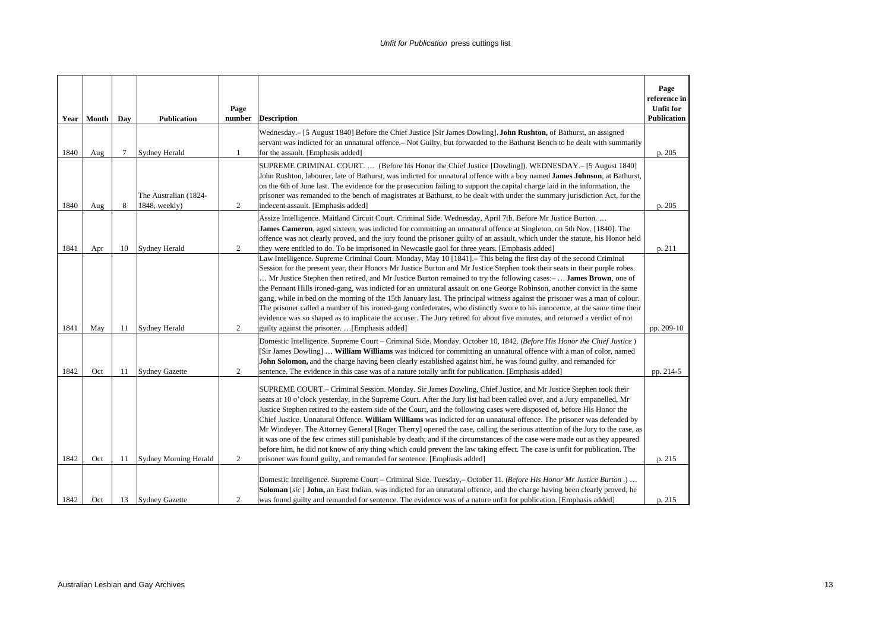|      | Year Month | Day | <b>Publication</b>                     | Page<br>number | <b>Description</b>                                                                                                                                                                                                                                                                                                                                                                                                                                                                                                                                                                                                                                                                                                                                                                                                                                                                                                                                                     | Page<br>reference in<br><b>Unfit for</b><br><b>Publication</b> |
|------|------------|-----|----------------------------------------|----------------|------------------------------------------------------------------------------------------------------------------------------------------------------------------------------------------------------------------------------------------------------------------------------------------------------------------------------------------------------------------------------------------------------------------------------------------------------------------------------------------------------------------------------------------------------------------------------------------------------------------------------------------------------------------------------------------------------------------------------------------------------------------------------------------------------------------------------------------------------------------------------------------------------------------------------------------------------------------------|----------------------------------------------------------------|
| 1840 | Aug        | 7   | <b>Sydney Herald</b>                   | $\mathbf{1}$   | Wednesday.- [5 August 1840] Before the Chief Justice [Sir James Dowling]. John Rushton, of Bathurst, an assigned<br>servant was indicted for an unnatural offence. – Not Guilty, but forwarded to the Bathurst Bench to be dealt with summarily<br>for the assault. [Emphasis added]                                                                                                                                                                                                                                                                                                                                                                                                                                                                                                                                                                                                                                                                                   | p. 205                                                         |
| 1840 | Aug        | 8   | The Australian (1824-<br>1848, weekly) | $\overline{c}$ | SUPREME CRIMINAL COURT (Before his Honor the Chief Justice [Dowling]). WEDNESDAY.- [5 August 1840]<br>John Rushton, labourer, late of Bathurst, was indicted for unnatural offence with a boy named James Johnson, at Bathurst,<br>on the 6th of June last. The evidence for the prosecution failing to support the capital charge laid in the information, the<br>prisoner was remanded to the bench of magistrates at Bathurst, to be dealt with under the summary jurisdiction Act, for the<br>indecent assault. [Emphasis added]                                                                                                                                                                                                                                                                                                                                                                                                                                   | p. 205                                                         |
| 1841 | Apr        | 10  | <b>Sydney Herald</b>                   | 2              | Assize Intelligence. Maitland Circuit Court. Criminal Side. Wednesday, April 7th. Before Mr Justice Burton.<br>James Cameron, aged sixteen, was indicted for committing an unnatural offence at Singleton, on 5th Nov. [1840]. The<br>offence was not clearly proved, and the jury found the prisoner guilty of an assault, which under the statute, his Honor held<br>they were entitled to do. To be imprisoned in Newcastle gaol for three years. [Emphasis added]                                                                                                                                                                                                                                                                                                                                                                                                                                                                                                  | p. 211                                                         |
| 1841 | May        | 11  | <b>Sydney Herald</b>                   | 2              | Law Intelligence. Supreme Criminal Court. Monday, May 10 [1841]. This being the first day of the second Criminal<br>Session for the present year, their Honors Mr Justice Burton and Mr Justice Stephen took their seats in their purple robes.<br>Mr Justice Stephen then retired, and Mr Justice Burton remained to try the following cases:-  James Brown, one of<br>the Pennant Hills ironed-gang, was indicted for an unnatural assault on one George Robinson, another convict in the same<br>gang, while in bed on the morning of the 15th January last. The principal witness against the prisoner was a man of colour.<br>The prisoner called a number of his ironed-gang confederates, who distinctly swore to his innocence, at the same time their<br>evidence was so shaped as to implicate the accuser. The Jury retired for about five minutes, and returned a verdict of not<br>guilty against the prisoner. [Emphasis added]                          | pp. 209-10                                                     |
| 1842 | Oct        | 11  | <b>Sydney Gazette</b>                  | 2              | Domestic Intelligence. Supreme Court - Criminal Side. Monday, October 10, 1842. (Before His Honor the Chief Justice)<br>[Sir James Dowling]  William Williams was indicted for committing an unnatural offence with a man of color, named<br>John Solomon, and the charge having been clearly established against him, he was found guilty, and remanded for<br>sentence. The evidence in this case was of a nature totally unfit for publication. [Emphasis added]                                                                                                                                                                                                                                                                                                                                                                                                                                                                                                    | pp. 214-5                                                      |
| 1842 | Oct        | 11  | <b>Sydney Morning Herald</b>           | 2              | SUPREME COURT .- Criminal Session. Monday. Sir James Dowling, Chief Justice, and Mr Justice Stephen took their<br>seats at 10 o'clock yesterday, in the Supreme Court. After the Jury list had been called over, and a Jury empanelled, Mr<br>Justice Stephen retired to the eastern side of the Court, and the following cases were disposed of, before His Honor the<br>Chief Justice. Unnatural Offence. William Williams was indicted for an unnatural offence. The prisoner was defended by<br>Mr Windeyer. The Attorney General [Roger Therry] opened the case, calling the serious attention of the Jury to the case, as<br>it was one of the few crimes still punishable by death; and if the circumstances of the case were made out as they appeared<br>before him, he did not know of any thing which could prevent the law taking effect. The case is unfit for publication. The<br>prisoner was found guilty, and remanded for sentence. [Emphasis added] | p. 215                                                         |
| 1842 | Oct        | 13  | <b>Sydney Gazette</b>                  | $\overline{c}$ | Domestic Intelligence. Supreme Court – Criminal Side. Tuesday, – October 11. (Before His Honor Mr Justice Burton.)<br>Soloman [sic] John, an East Indian, was indicted for an unnatural offence, and the charge having been clearly proved, he<br>was found guilty and remanded for sentence. The evidence was of a nature unfit for publication. [Emphasis added]                                                                                                                                                                                                                                                                                                                                                                                                                                                                                                                                                                                                     | p. 215                                                         |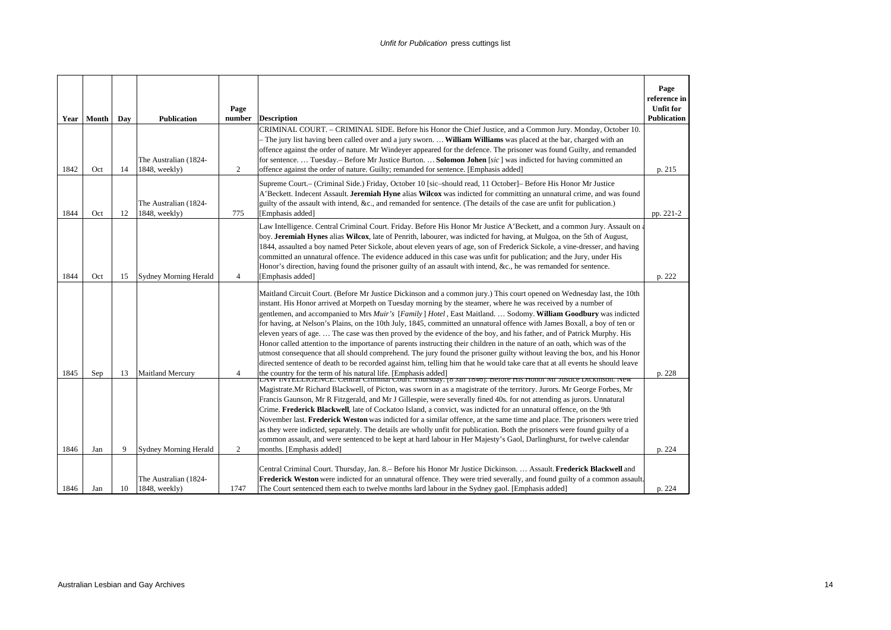|      | Year Month | Day | <b>Publication</b>                     | Page<br>number | <b>Description</b>                                                                                                                                                                                                                                                                                                                                                                                                                                                                                                                                                                                                                                                                                                                                                                                                                                                                                                                                                                                                                                                                                                                                                                          | Page<br>reference in<br><b>Unfit for</b><br><b>Publication</b> |
|------|------------|-----|----------------------------------------|----------------|---------------------------------------------------------------------------------------------------------------------------------------------------------------------------------------------------------------------------------------------------------------------------------------------------------------------------------------------------------------------------------------------------------------------------------------------------------------------------------------------------------------------------------------------------------------------------------------------------------------------------------------------------------------------------------------------------------------------------------------------------------------------------------------------------------------------------------------------------------------------------------------------------------------------------------------------------------------------------------------------------------------------------------------------------------------------------------------------------------------------------------------------------------------------------------------------|----------------------------------------------------------------|
| 1842 | Oct        | 14  | The Australian (1824-<br>1848, weekly) | 2              | CRIMINAL COURT. – CRIMINAL SIDE. Before his Honor the Chief Justice, and a Common Jury. Monday, October 10.<br>- The jury list having been called over and a jury sworn.  William Williams was placed at the bar, charged with an<br>offence against the order of nature. Mr Windeyer appeared for the defence. The prisoner was found Guilty, and remanded<br>for sentence Tuesday. - Before Mr Justice Burton Solomon Johen [sic] was indicted for having committed an<br>offence against the order of nature. Guilty; remanded for sentence. [Emphasis added]                                                                                                                                                                                                                                                                                                                                                                                                                                                                                                                                                                                                                            | p. 215                                                         |
| 1844 | Oct        | 12  | The Australian (1824-<br>1848, weekly) | 775            | Supreme Court.- (Criminal Side.) Friday, October 10 [sic-should read, 11 October]- Before His Honor Mr Justice<br>A'Beckett. Indecent Assault. Jeremiah Hyne alias Wilcox was indicted for committing an unnatural crime, and was found<br>guilty of the assault with intend, &c., and remanded for sentence. (The details of the case are unfit for publication.)<br>[Emphasis added]                                                                                                                                                                                                                                                                                                                                                                                                                                                                                                                                                                                                                                                                                                                                                                                                      | pp. 221-2                                                      |
| 1844 | Oct        | 15  | <b>Sydney Morning Herald</b>           | $\overline{4}$ | Law Intelligence. Central Criminal Court. Friday. Before His Honor Mr Justice A'Beckett, and a common Jury. Assault on<br>boy. Jeremiah Hynes alias Wilcox, late of Penrith, labourer, was indicted for having, at Mulgoa, on the 5th of August,<br>1844, assaulted a boy named Peter Sickole, about eleven years of age, son of Frederick Sickole, a vine-dresser, and having<br>committed an unnatural offence. The evidence adduced in this case was unfit for publication; and the Jury, under His<br>Honor's direction, having found the prisoner guilty of an assault with intend, &c., he was remanded for sentence.<br>[Emphasis added]                                                                                                                                                                                                                                                                                                                                                                                                                                                                                                                                             | p. 222                                                         |
| 1845 | Sep        | 13  | <b>Maitland Mercury</b>                | $\overline{4}$ | Maitland Circuit Court. (Before Mr Justice Dickinson and a common jury.) This court opened on Wednesday last, the 10th<br>instant. His Honor arrived at Morpeth on Tuesday morning by the steamer, where he was received by a number of<br>gentlemen, and accompanied to Mrs Muir's [Family] Hotel, East Maitland.  Sodomy. William Goodbury was indicted<br>for having, at Nelson's Plains, on the 10th July, 1845, committed an unnatural offence with James Boxall, a boy of ten or<br>eleven years of age.  The case was then proved by the evidence of the boy, and his father, and of Patrick Murphy. His<br>Honor called attention to the importance of parents instructing their children in the nature of an oath, which was of the<br>utmost consequence that all should comprehend. The jury found the prisoner guilty without leaving the box, and his Honor<br>directed sentence of death to be recorded against him, telling him that he would take care that at all events he should leave<br>the country for the term of his natural life. [Emphasis added]<br>LAW INTELLIGENCE. Central Criminal Court. Thursday. [8 Jan 1846]. Before HIS Honor MI Justice Dickinson. New | p. 228                                                         |
| 1846 | Jan        | 9   | <b>Sydney Morning Herald</b>           | 2              | Magistrate.Mr Richard Blackwell, of Picton, was sworn in as a magistrate of the territory. Jurors. Mr George Forbes, Mr<br>Francis Gaunson, Mr R Fitzgerald, and Mr J Gillespie, were severally fined 40s. for not attending as jurors. Unnatural<br>Crime. Frederick Blackwell, late of Cockatoo Island, a convict, was indicted for an unnatural offence, on the 9th<br>November last. Frederick Weston was indicted for a similar offence, at the same time and place. The prisoners were tried<br>as they were indicted, separately. The details are wholly unfit for publication. Both the prisoners were found guilty of a<br>common assault, and were sentenced to be kept at hard labour in Her Majesty's Gaol, Darlinghurst, for twelve calendar<br>months. [Emphasis added]                                                                                                                                                                                                                                                                                                                                                                                                       | p. 224                                                         |
| 1846 | Jan        | 10  | The Australian (1824-<br>1848, weekly) | 1747           | Central Criminal Court. Thursday, Jan. 8.– Before his Honor Mr Justice Dickinson.  Assault. Frederick Blackwell and<br>Frederick Weston were indicted for an unnatural offence. They were tried severally, and found guilty of a common assault.<br>The Court sentenced them each to twelve months lard labour in the Sydney gaol. [Emphasis added]                                                                                                                                                                                                                                                                                                                                                                                                                                                                                                                                                                                                                                                                                                                                                                                                                                         | p. 224                                                         |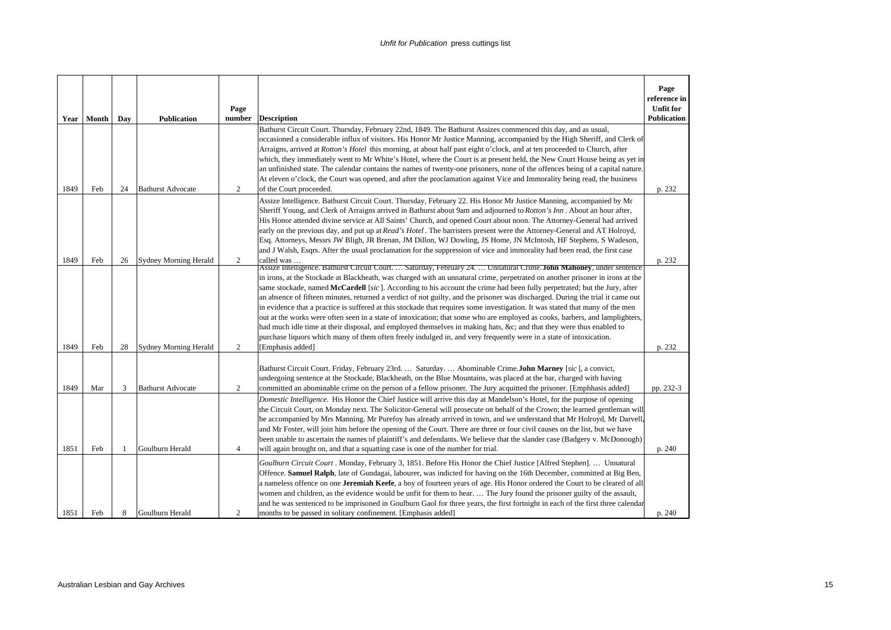| Year         | Month      | Day     | <b>Publication</b>                          | Page<br>number      | <b>Description</b>                                                                                                                                                                                                                                                                                                                                                                                                                                                                                                                                                                                                                                                                                                                                                                                                                                                                                                                                                                                                                             | Page<br>reference in<br><b>Unfit for</b><br><b>Publication</b> |
|--------------|------------|---------|---------------------------------------------|---------------------|------------------------------------------------------------------------------------------------------------------------------------------------------------------------------------------------------------------------------------------------------------------------------------------------------------------------------------------------------------------------------------------------------------------------------------------------------------------------------------------------------------------------------------------------------------------------------------------------------------------------------------------------------------------------------------------------------------------------------------------------------------------------------------------------------------------------------------------------------------------------------------------------------------------------------------------------------------------------------------------------------------------------------------------------|----------------------------------------------------------------|
|              |            |         |                                             |                     | Bathurst Circuit Court. Thursday, February 22nd, 1849. The Bathurst Assizes commenced this day, and as usual,<br>occasioned a considerable influx of visitors. His Honor Mr Justice Manning, accompanied by the High Sheriff, and Clerk of<br>Arraigns, arrived at Rotton's Hotel this morning, at about half past eight o'clock, and at ten proceeded to Church, after<br>which, they immediately went to Mr White's Hotel, where the Court is at present held, the New Court House being as yet in<br>an unfinished state. The calendar contains the names of twenty-one prisoners, none of the offences being of a capital nature.                                                                                                                                                                                                                                                                                                                                                                                                          |                                                                |
| 1849         | Feb        | 24      | <b>Bathurst Advocate</b>                    | 2                   | At eleven o'clock, the Court was opened, and after the proclamation against Vice and Immorality being read, the business<br>of the Court proceeded.                                                                                                                                                                                                                                                                                                                                                                                                                                                                                                                                                                                                                                                                                                                                                                                                                                                                                            | p. 232                                                         |
|              |            |         |                                             |                     | Assize Intelligence. Bathurst Circuit Court. Thursday, February 22. His Honor Mr Justice Manning, accompanied by Mr<br>Sheriff Young, and Clerk of Arraigns arrived in Bathurst about 9am and adjourned to Rotton's Inn . About an hour after,<br>His Honor attended divine service at All Saints' Church, and opened Court about noon. The Attorney-General had arrived<br>early on the previous day, and put up at Read's Hotel. The barristers present were the Attorney-General and AT Holroyd,<br>Esq. Attorneys, Messrs JW Bligh, JR Brenan, JM Dillon, WJ Dowling, JS Home, JN McIntosh, HF Stephens, S Wadeson,<br>and J Walsh, Esqrs. After the usual proclamation for the suppression of vice and immorality had been read, the first case                                                                                                                                                                                                                                                                                           |                                                                |
| 1849         | Feb        | 26      | <b>Sydney Morning Herald</b>                | 2                   | called was<br>Assize Intelligence. Bathurst Circuit Court.  Saturday, February 24.  Unnatural Crime. John Mahoney, under sentence<br>in irons, at the Stockade at Blackheath, was charged with an unnatural crime, perpetrated on another prisoner in irons at the<br>same stockade, named McCardell [sic]. According to his account the crime had been fully perpetrated; but the Jury, after<br>an absence of fifteen minutes, returned a verdict of not guilty, and the prisoner was discharged. During the trial it came out<br>in evidence that a practice is suffered at this stockade that requires some investigation. It was stated that many of the men<br>out at the works were often seen in a state of intoxication; that some who are employed as cooks, barbers, and lamplighters,<br>had much idle time at their disposal, and employed themselves in making hats, &c and that they were thus enabled to<br>purchase liquors which many of them often freely indulged in, and very frequently were in a state of intoxication. | p. 232                                                         |
| 1849         | Feb        | 28      | <b>Sydney Morning Herald</b>                | 2                   | [Emphasis added]<br>Bathurst Circuit Court. Friday, February 23rd.  Saturday.  Abominable Crime.John Marney [sic], a convict,<br>undergoing sentence at the Stockade, Blackheath, on the Blue Mountains, was placed at the bar, charged with having                                                                                                                                                                                                                                                                                                                                                                                                                                                                                                                                                                                                                                                                                                                                                                                            | p. 232                                                         |
| 1849<br>1851 | Mar<br>Feb | 3<br>-1 | <b>Bathurst Advocate</b><br>Goulburn Herald | 2<br>$\overline{4}$ | committed an abominable crime on the person of a fellow prisoner. The Jury acquitted the prisoner. [Emphhasis added]<br>Domestic Intelligence. His Honor the Chief Justice will arrive this day at Mandelson's Hotel, for the purpose of opening<br>the Circuit Court, on Monday next. The Solicitor-General will prosecute on behalf of the Crown; the learned gentleman will<br>be accompanied by Mrs Manning. Mr Purefoy has already arrived in town, and we understand that Mr Holroyd, Mr Darvell.<br>and Mr Foster, will join him before the opening of the Court. There are three or four civil causes on the list, but we have<br>been unable to ascertain the names of plaintiff's and defendants. We believe that the slander case (Badgery v. McDonough)<br>will again brought on, and that a squatting case is one of the number for trial.                                                                                                                                                                                        | pp. 232-3<br>p. 240                                            |
| 1851         | Feb        | 8       | Goulburn Herald                             | 2                   | Goulburn Circuit Court . Monday, February 3, 1851. Before His Honor the Chief Justice [Alfred Stephen].  Unnatural<br>Offence. Samuel Ralph, late of Gundagai, labourer, was indicted for having on the 16th December, committed at Big Ben,<br>a nameless offence on one Jeremiah Keefe, a boy of fourteen years of age. His Honor ordered the Court to be cleared of all<br>women and children, as the evidence would be unfit for them to hear.  The Jury found the prisoner guilty of the assault,<br>and he was sentenced to be imprisoned in Goulburn Gaol for three years, the first fortnight in each of the first three calendar<br>months to be passed in solitary confinement. [Emphasis added]                                                                                                                                                                                                                                                                                                                                     | p. 240                                                         |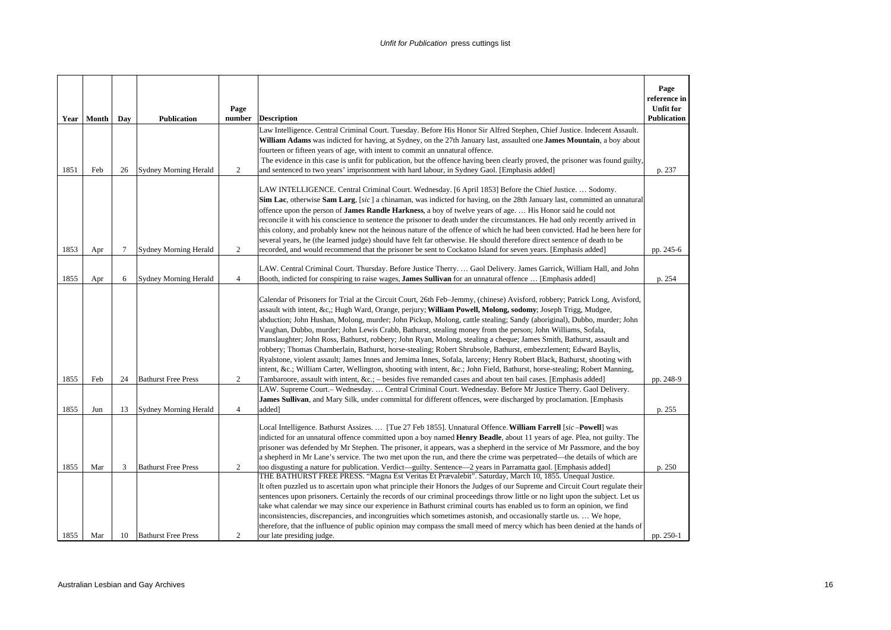|      | Year   Month | Day    | <b>Publication</b>           | Page<br>number | <b>Description</b>                                                                                                                                                                                                                                                           | Page<br>reference in<br><b>Unfit for</b><br><b>Publication</b> |
|------|--------------|--------|------------------------------|----------------|------------------------------------------------------------------------------------------------------------------------------------------------------------------------------------------------------------------------------------------------------------------------------|----------------------------------------------------------------|
|      |              |        |                              |                | Law Intelligence. Central Criminal Court. Tuesday. Before His Honor Sir Alfred Stephen, Chief Justice. Indecent Assault.                                                                                                                                                     |                                                                |
|      |              |        |                              |                | William Adams was indicted for having, at Sydney, on the 27th January last, assaulted one James Mountain, a boy about                                                                                                                                                        |                                                                |
|      |              |        |                              |                | fourteen or fifteen years of age, with intent to commit an unnatural offence.                                                                                                                                                                                                |                                                                |
| 1851 | Feb          | 26     | <b>Sydney Morning Herald</b> | 2              | The evidence in this case is unfit for publication, but the offence having been clearly proved, the prisoner was found guilty,<br>and sentenced to two years' imprisonment with hard labour, in Sydney Gaol. [Emphasis added]                                                | p. 237                                                         |
|      |              |        |                              |                |                                                                                                                                                                                                                                                                              |                                                                |
|      |              |        |                              |                | LAW INTELLIGENCE. Central Criminal Court. Wednesday. [6 April 1853] Before the Chief Justice.  Sodomy.                                                                                                                                                                       |                                                                |
|      |              |        |                              |                | Sim Lac, otherwise Sam Larg, [sic] a chinaman, was indicted for having, on the 28th January last, committed an unnatural                                                                                                                                                     |                                                                |
|      |              |        |                              |                | offence upon the person of <b>James Randle Harkness</b> , a boy of twelve years of age.  His Honor said he could not<br>reconcile it with his conscience to sentence the prisoner to death under the circumstances. He had only recently arrived in                          |                                                                |
|      |              |        |                              |                | this colony, and probably knew not the heinous nature of the offence of which he had been convicted. Had he been here for                                                                                                                                                    |                                                                |
|      |              |        |                              |                | several years, he (the learned judge) should have felt far otherwise. He should therefore direct sentence of death to be                                                                                                                                                     |                                                                |
| 1853 | Apr          | $\tau$ | <b>Sydney Morning Herald</b> | 2              | recorded, and would recommend that the prisoner be sent to Cockatoo Island for seven years. [Emphasis added]                                                                                                                                                                 | pp. 245-6                                                      |
|      |              |        |                              |                | LAW. Central Criminal Court. Thursday. Before Justice Therry.  Gaol Delivery. James Garrick, William Hall, and John                                                                                                                                                          |                                                                |
| 1855 | Apr          | 6      | <b>Sydney Morning Herald</b> | $\overline{4}$ | Booth, indicted for conspiring to raise wages, James Sullivan for an unnatural offence  [Emphasis added]                                                                                                                                                                     | p. 254                                                         |
|      |              |        |                              |                |                                                                                                                                                                                                                                                                              |                                                                |
|      |              |        |                              |                | Calendar of Prisoners for Trial at the Circuit Court, 26th Feb-Jemmy, (chinese) Avisford, robbery; Patrick Long, Avisford,                                                                                                                                                   |                                                                |
|      |              |        |                              |                | assault with intent, &c,; Hugh Ward, Orange, perjury; <b>William Powell, Molong, sodomy</b> ; Joseph Trigg, Mudgee,                                                                                                                                                          |                                                                |
|      |              |        |                              |                | abduction; John Hushan, Molong, murder; John Pickup, Molong, cattle stealing; Sandy (aboriginal), Dubbo, murder; John<br>Vaughan, Dubbo, murder; John Lewis Crabb, Bathurst, stealing money from the person; John Williams, Sofala,                                          |                                                                |
|      |              |        |                              |                | manslaughter; John Ross, Bathurst, robbery; John Ryan, Molong, stealing a cheque; James Smith, Bathurst, assault and                                                                                                                                                         |                                                                |
|      |              |        |                              |                | robbery; Thomas Chamberlain, Bathurst, horse-stealing; Robert Shrubsole, Bathurst, embezzlement; Edward Baylis,                                                                                                                                                              |                                                                |
|      |              |        |                              |                | Ryalstone, violent assault; James Innes and Jemima Innes, Sofala, larceny; Henry Robert Black, Bathurst, shooting with                                                                                                                                                       |                                                                |
|      |              |        |                              |                | intent, &c. William Carter, Wellington, shooting with intent, &c. John Field, Bathurst, horse-stealing; Robert Manning,                                                                                                                                                      |                                                                |
| 1855 | Feb          | 24     | <b>Bathurst Free Press</b>   | $\overline{c}$ | Tambaroore, assault with intent, $\&c$ .; – besides five remanded cases and about ten bail cases. [Emphasis added]                                                                                                                                                           | pp. 248-9                                                      |
|      |              |        |                              |                | LAW. Supreme Court.- Wednesday.  Central Criminal Court. Wednesday. Before Mr Justice Therry. Gaol Delivery.                                                                                                                                                                 |                                                                |
| 1855 | Jun          | 13     | <b>Sydney Morning Herald</b> | $\overline{4}$ | James Sullivan, and Mary Silk, under committal for different offences, were discharged by proclamation. [Emphasis<br>added]                                                                                                                                                  | p. 255                                                         |
|      |              |        |                              |                |                                                                                                                                                                                                                                                                              |                                                                |
|      |              |        |                              |                | Local Intelligence. Bathurst Assizes.  [Tue 27 Feb 1855]. Unnatural Offence. William Farrell [sic-Powell] was                                                                                                                                                                |                                                                |
|      |              |        |                              |                | indicted for an unnatural offence committed upon a boy named <b>Henry Beadle</b> , about 11 years of age. Plea, not guilty. The                                                                                                                                              |                                                                |
|      |              |        |                              |                | prisoner was defended by Mr Stephen. The prisoner, it appears, was a shepherd in the service of Mr Passmore, and the boy                                                                                                                                                     |                                                                |
| 1855 | Mar          | 3      | <b>Bathurst Free Press</b>   | $\overline{c}$ | a shepherd in Mr Lane's service. The two met upon the run, and there the crime was perpetrated—the details of which are<br>too disgusting a nature for publication. Verdict—guilty. Sentence—2 years in Parramatta gaol. [Emphasis added]                                    | p. 250                                                         |
|      |              |        |                              |                | THE BATHURST FREE PRESS. "Magna Est Veritas Et Prævalebit". Saturday, March 10, 1855. Unequal Justice.                                                                                                                                                                       |                                                                |
|      |              |        |                              |                | It often puzzled us to ascertain upon what principle their Honors the Judges of our Supreme and Circuit Court regulate their                                                                                                                                                 |                                                                |
|      |              |        |                              |                | sentences upon prisoners. Certainly the records of our criminal proceedings throw little or no light upon the subject. Let us                                                                                                                                                |                                                                |
|      |              |        |                              |                | take what calendar we may since our experience in Bathurst criminal courts has enabled us to form an opinion, we find                                                                                                                                                        |                                                                |
|      |              |        |                              |                |                                                                                                                                                                                                                                                                              |                                                                |
|      |              |        |                              |                |                                                                                                                                                                                                                                                                              |                                                                |
| 1855 | Mar          | 10     | <b>Bathurst Free Press</b>   | 2              | inconsistencies, discrepancies, and incongruities which sometimes astonish, and occasionally startle us.  We hope,<br>therefore, that the influence of public opinion may compass the small meed of mercy which has been denied at the hands of<br>our late presiding judge. | pp. 250-1                                                      |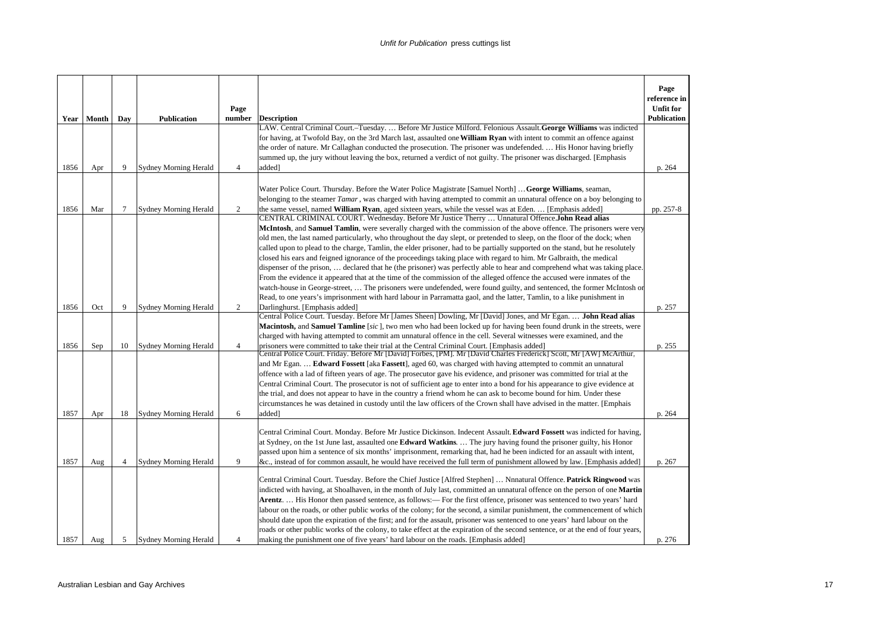|      | Year   Month | Day            | <b>Publication</b>           | Page<br>number | <b>Description</b>                                                                                                                                                                                                                                                                                                                                                                                                                                                                                                                                                                                                                                                                                                                                                                                                                                                     | Page<br>reference in<br><b>Unfit for</b><br>Publication |
|------|--------------|----------------|------------------------------|----------------|------------------------------------------------------------------------------------------------------------------------------------------------------------------------------------------------------------------------------------------------------------------------------------------------------------------------------------------------------------------------------------------------------------------------------------------------------------------------------------------------------------------------------------------------------------------------------------------------------------------------------------------------------------------------------------------------------------------------------------------------------------------------------------------------------------------------------------------------------------------------|---------------------------------------------------------|
|      |              |                |                              |                | LAW. Central Criminal Court.-Tuesday.  Before Mr Justice Milford. Felonious Assault. George Williams was indicted                                                                                                                                                                                                                                                                                                                                                                                                                                                                                                                                                                                                                                                                                                                                                      |                                                         |
|      |              |                |                              |                | for having, at Twofold Bay, on the 3rd March last, assaulted one William Ryan with intent to commit an offence against                                                                                                                                                                                                                                                                                                                                                                                                                                                                                                                                                                                                                                                                                                                                                 |                                                         |
|      |              |                |                              |                | the order of nature. Mr Callaghan conducted the prosecution. The prisoner was undefended.  His Honor having briefly                                                                                                                                                                                                                                                                                                                                                                                                                                                                                                                                                                                                                                                                                                                                                    |                                                         |
|      |              |                |                              |                | summed up, the jury without leaving the box, returned a verdict of not guilty. The prisoner was discharged. [Emphasis                                                                                                                                                                                                                                                                                                                                                                                                                                                                                                                                                                                                                                                                                                                                                  |                                                         |
| 1856 | Apr          | 9              | <b>Sydney Morning Herald</b> | $\overline{4}$ | added]                                                                                                                                                                                                                                                                                                                                                                                                                                                                                                                                                                                                                                                                                                                                                                                                                                                                 | p. 264                                                  |
|      |              |                |                              |                | Water Police Court. Thursday. Before the Water Police Magistrate [Samuel North]  George Williams, seaman,<br>belonging to the steamer Tamar, was charged with having attempted to commit an unnatural offence on a boy belonging to                                                                                                                                                                                                                                                                                                                                                                                                                                                                                                                                                                                                                                    |                                                         |
| 1856 | Mar          | 7              | <b>Sydney Morning Herald</b> | $\overline{c}$ | the same vessel, named William Ryan, aged sixteen years, while the vessel was at Eden.  [Emphasis added]                                                                                                                                                                                                                                                                                                                                                                                                                                                                                                                                                                                                                                                                                                                                                               | pp. 257-8                                               |
|      |              |                |                              |                | CENTRAL CRIMINAL COURT. Wednesday. Before Mr Justice Therry  Unnatural Offence.John Read alias<br>McIntosh, and Samuel Tamlin, were severally charged with the commission of the above offence. The prisoners were very<br>old men, the last named particularly, who throughout the day slept, or pretended to sleep, on the floor of the dock; when<br>called upon to plead to the charge, Tamlin, the elder prisoner, had to be partially supported on the stand, but he resolutely<br>closed his ears and feigned ignorance of the proceedings taking place with regard to him. Mr Galbraith, the medical<br>dispenser of the prison,  declared that he (the prisoner) was perfectly able to hear and comprehend what was taking place.<br>From the evidence it appeared that at the time of the commission of the alleged offence the accused were inmates of the  |                                                         |
|      |              |                |                              |                | watch-house in George-street,  The prisoners were undefended, were found guilty, and sentenced, the former McIntosh or                                                                                                                                                                                                                                                                                                                                                                                                                                                                                                                                                                                                                                                                                                                                                 |                                                         |
|      |              |                |                              |                | Read, to one years's imprisonment with hard labour in Parramatta gaol, and the latter, Tamlin, to a like punishment in                                                                                                                                                                                                                                                                                                                                                                                                                                                                                                                                                                                                                                                                                                                                                 |                                                         |
| 1856 | Oct          | 9              | <b>Sydney Morning Herald</b> | $\overline{c}$ | Darlinghurst. [Emphasis added]                                                                                                                                                                                                                                                                                                                                                                                                                                                                                                                                                                                                                                                                                                                                                                                                                                         | p. 257                                                  |
| 1856 | Sep          | 10             | <b>Sydney Morning Herald</b> | 4              | Central Police Court. Tuesday. Before Mr [James Sheen] Dowling, Mr [David] Jones, and Mr Egan.  John Read alias<br><b>Macintosh,</b> and <b>Samuel Tamline</b> [sic], two men who had been locked up for having been found drunk in the streets, were<br>charged with having attempted to commit am unnatural offence in the cell. Several witnesses were examined, and the<br>prisoners were committed to take their trial at the Central Criminal Court. [Emphasis added]                                                                                                                                                                                                                                                                                                                                                                                            | p. 255                                                  |
| 1857 | Apr          | 18             | <b>Sydney Morning Herald</b> | 6              | Central Police Court. Friday. Before Mr [David] Forbes, [PM]. Mr [David Charles Frederick] Scott, Mr [AW] McArthur,<br>and Mr Egan.  Edward Fossett [aka Fassett], aged 60, was charged with having attempted to commit an unnatural<br>offence with a lad of fifteen years of age. The prosecutor gave his evidence, and prisoner was committed for trial at the<br>Central Criminal Court. The prosecutor is not of sufficient age to enter into a bond for his appearance to give evidence at<br>the trial, and does not appear to have in the country a friend whom he can ask to become bound for him. Under these<br>circumstances he was detained in custody until the law officers of the Crown shall have advised in the matter. [Emphais<br>added]                                                                                                           | p. 264                                                  |
|      |              |                |                              |                |                                                                                                                                                                                                                                                                                                                                                                                                                                                                                                                                                                                                                                                                                                                                                                                                                                                                        |                                                         |
| 1857 | Aug          | $\overline{4}$ | <b>Sydney Morning Herald</b> | 9              | Central Criminal Court. Monday. Before Mr Justice Dickinson. Indecent Assault. Edward Fossett was indicted for having,<br>at Sydney, on the 1st June last, assaulted one Edward Watkins.  The jury having found the prisoner guilty, his Honor<br>passed upon him a sentence of six months' imprisonment, remarking that, had he been indicted for an assault with intent,<br>&c., instead of for common assault, he would have received the full term of punishment allowed by law. [Emphasis added]                                                                                                                                                                                                                                                                                                                                                                  | p. 267                                                  |
| 1857 | Aug          | 5              | <b>Sydney Morning Herald</b> | 4              | Central Criminal Court. Tuesday. Before the Chief Justice [Alfred Stephen]  Nnnatural Offence. Patrick Ringwood was<br>indicted with having, at Shoalhaven, in the month of July last, committed an unnatural offence on the person of one <b>Martin</b><br>Arentz His Honor then passed sentence, as follows:— For the first offence, prisoner was sentenced to two years' hard<br>labour on the roads, or other public works of the colony; for the second, a similar punishment, the commencement of which<br>should date upon the expiration of the first; and for the assault, prisoner was sentenced to one years' hard labour on the<br>roads or other public works of the colony, to take effect at the expiration of the second sentence, or at the end of four years,<br>making the punishment one of five years' hard labour on the roads. [Emphasis added] | p. 276                                                  |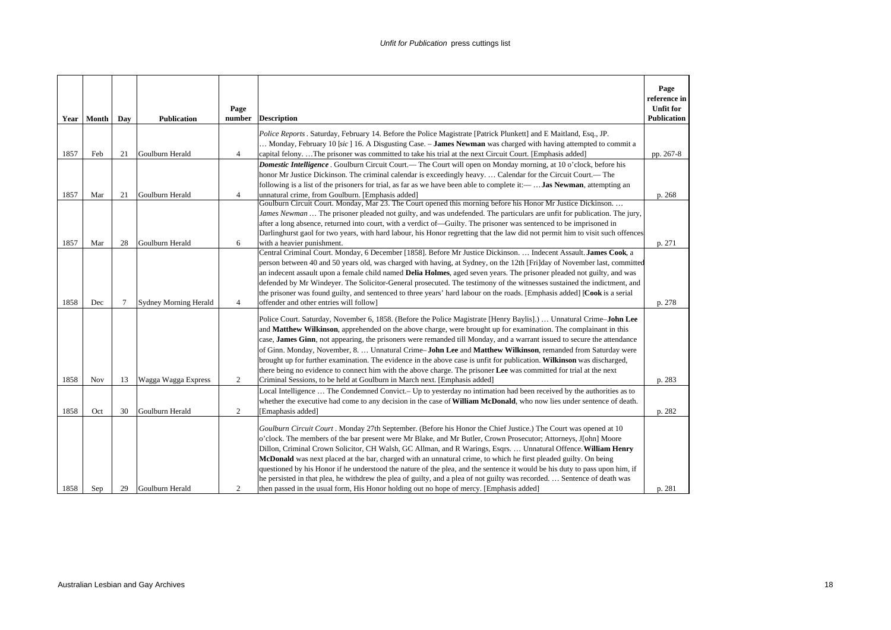|      | Year   Month | Day | <b>Publication</b>           | Page<br>number | <b>Description</b>                                                                                                                                                                                                                                                                                                                                                                                                                                                                                                                                                                                                                                                                                                                                                                                                              | Page<br>reference in<br><b>Unfit for</b><br>Publication |
|------|--------------|-----|------------------------------|----------------|---------------------------------------------------------------------------------------------------------------------------------------------------------------------------------------------------------------------------------------------------------------------------------------------------------------------------------------------------------------------------------------------------------------------------------------------------------------------------------------------------------------------------------------------------------------------------------------------------------------------------------------------------------------------------------------------------------------------------------------------------------------------------------------------------------------------------------|---------------------------------------------------------|
| 1857 | Feb          | 21  | Goulburn Herald              | $\overline{4}$ | Police Reports . Saturday, February 14. Before the Police Magistrate [Patrick Plunkett] and E Maitland, Esq., JP.<br>Monday, February 10 [sic] 16. A Disgusting Case. - <b>James Newman</b> was charged with having attempted to commit a<br>capital felonyThe prisoner was committed to take his trial at the next Circuit Court. [Emphasis added]                                                                                                                                                                                                                                                                                                                                                                                                                                                                             | pp. 267-8                                               |
| 1857 | Mar          | 21  | Goulburn Herald              | $\overline{4}$ | <b>Domestic Intelligence</b> . Goulburn Circuit Court.— The Court will open on Monday morning, at 10 o'clock, before his<br>honor Mr Justice Dickinson. The criminal calendar is exceedingly heavy Calendar for the Circuit Court.— The<br>following is a list of the prisoners for trial, as far as we have been able to complete it:— <b>Jas Newman</b> , attempting an<br>unnatural crime, from Goulburn. [Emphasis added]                                                                                                                                                                                                                                                                                                                                                                                                   | p. 268                                                  |
| 1857 | Mar          | 28  | Goulburn Herald              | 6              | Goulburn Circuit Court. Monday, Mar 23. The Court opened this morning before his Honor Mr Justice Dickinson<br>James Newman  The prisoner pleaded not guilty, and was undefended. The particulars are unfit for publication. The jury,<br>after a long absence, returned into court, with a verdict of—Guilty. The prisoner was sentenced to be imprisoned in<br>Darlinghurst gaol for two years, with hard labour, his Honor regretting that the law did not permit him to visit such offences<br>with a heavier punishment.                                                                                                                                                                                                                                                                                                   | p. 271                                                  |
| 1858 | Dec          | 7   | <b>Sydney Morning Herald</b> | $\overline{4}$ | Central Criminal Court. Monday, 6 December [1858]. Before Mr Justice Dickinson.  Indecent Assault. James Cook, a<br>person between 40 and 50 years old, was charged with having, at Sydney, on the 12th [Fri]day of November last, committed<br>an indecent assault upon a female child named <b>Delia Holmes</b> , aged seven years. The prisoner pleaded not guilty, and was<br>defended by Mr Windeyer. The Solicitor-General prosecuted. The testimony of the witnesses sustained the indictment, and<br>the prisoner was found guilty, and sentenced to three years' hard labour on the roads. [Emphasis added] [Cook is a serial<br>offender and other entries will follow]                                                                                                                                               | p. 278                                                  |
| 1858 | <b>Nov</b>   | 13  | Wagga Wagga Express          | 2              | Police Court. Saturday, November 6, 1858. (Before the Police Magistrate [Henry Baylis].)  Unnatural Crime-John Lee<br>and Matthew Wilkinson, apprehended on the above charge, were brought up for examination. The complainant in this<br>case, James Ginn, not appearing, the prisoners were remanded till Monday, and a warrant issued to secure the attendance<br>of Ginn. Monday, November, 8.  Unnatural Crime-John Lee and Matthew Wilkinson, remanded from Saturday were<br>brought up for further examination. The evidence in the above case is unfit for publication. Wilkinson was discharged,<br>there being no evidence to connect him with the above charge. The prisoner Lee was committed for trial at the next<br>Criminal Sessions, to be held at Goulburn in March next. [Emphasis added]                    | p. 283                                                  |
| 1858 | Oct          | 30  | Goulburn Herald              | 2              | Local Intelligence  The Condemned Convict. – Up to yesterday no intimation had been received by the authorities as to<br>whether the executive had come to any decision in the case of <b>William McDonald</b> , who now lies under sentence of death.<br>[Emaphasis added]                                                                                                                                                                                                                                                                                                                                                                                                                                                                                                                                                     | p. 282                                                  |
| 1858 | Sep          | 29  | Goulburn Herald              | 2              | Goulburn Circuit Court . Monday 27th September. (Before his Honor the Chief Justice.) The Court was opened at 10<br>o'clock. The members of the bar present were Mr Blake, and Mr Butler, Crown Prosecutor; Attorneys, J[ohn] Moore<br>Dillon, Criminal Crown Solicitor, CH Walsh, GC Allman, and R Warings, Esqrs.  Unnatural Offence. William Henry<br>McDonald was next placed at the bar, charged with an unnatural crime, to which he first pleaded guilty. On being<br>questioned by his Honor if he understood the nature of the plea, and the sentence it would be his duty to pass upon him, if<br>he persisted in that plea, he withdrew the plea of guilty, and a plea of not guilty was recorded.  Sentence of death was<br>then passed in the usual form, His Honor holding out no hope of mercy. [Emphasis added] | p. 281                                                  |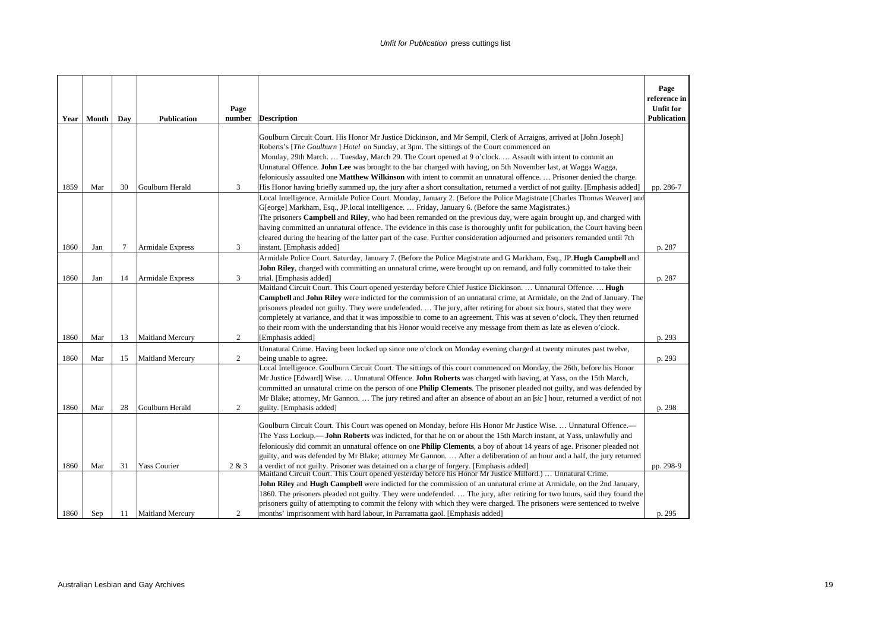| Year         | Month      | Day      | <b>Publication</b>                         | Page<br>number | <b>Description</b>                                                                                                                                                                                                                                                                                                                                                                                                                                                                                                                                                                                                                          | Page<br>reference in<br><b>Unfit for</b><br><b>Publication</b> |
|--------------|------------|----------|--------------------------------------------|----------------|---------------------------------------------------------------------------------------------------------------------------------------------------------------------------------------------------------------------------------------------------------------------------------------------------------------------------------------------------------------------------------------------------------------------------------------------------------------------------------------------------------------------------------------------------------------------------------------------------------------------------------------------|----------------------------------------------------------------|
|              |            |          |                                            |                | Goulburn Circuit Court. His Honor Mr Justice Dickinson, and Mr Sempil, Clerk of Arraigns, arrived at [John Joseph]<br>Roberts's [The Goulburn] Hotel on Sunday, at 3pm. The sittings of the Court commenced on<br>Monday, 29th March Tuesday, March 29. The Court opened at 9 o'clock Assault with intent to commit an<br>Unnatural Offence. John Lee was brought to the bar charged with having, on 5th November last, at Wagga Wagga,<br>feloniously assaulted one Matthew Wilkinson with intent to commit an unnatural offence.  Prisoner denied the charge.                                                                             |                                                                |
| 1859         | Mar        | 30       | Goulburn Herald                            | 3              | His Honor having briefly summed up, the jury after a short consultation, returned a verdict of not guilty. [Emphasis added]                                                                                                                                                                                                                                                                                                                                                                                                                                                                                                                 | pp. 286-7                                                      |
|              |            |          |                                            |                | Local Intelligence. Armidale Police Court. Monday, January 2. (Before the Police Magistrate [Charles Thomas Weaver] and<br>G[eorge] Markham, Esq., JP.local intelligence.  Friday, January 6. (Before the same Magistrates.)<br>The prisoners <b>Campbell</b> and <b>Riley</b> , who had been remanded on the previous day, were again brought up, and charged with<br>having committed an unnatural offence. The evidence in this case is thoroughly unfit for publication, the Court having been<br>cleared during the hearing of the latter part of the case. Further consideration adjourned and prisoners remanded until 7th           |                                                                |
| 1860         | Jan        | 7        | <b>Armidale Express</b>                    | 3              | instant. [Emphasis added]<br>Armidale Police Court. Saturday, January 7. (Before the Police Magistrate and G Markham, Esq., JP. Hugh Campbell and                                                                                                                                                                                                                                                                                                                                                                                                                                                                                           | p. 287                                                         |
| 1860         | Jan        | 14       | <b>Armidale Express</b>                    | 3              | John Riley, charged with committing an unnatural crime, were brought up on remand, and fully committed to take their<br>trial. [Emphasis added]                                                                                                                                                                                                                                                                                                                                                                                                                                                                                             | p. 287                                                         |
| 1860         | Mar        | 13       | <b>Maitland Mercury</b>                    | $\overline{c}$ | Maitland Circuit Court. This Court opened yesterday before Chief Justice Dickinson.  Unnatural Offence.  Hugh<br>Campbell and John Riley were indicted for the commission of an unnatural crime, at Armidale, on the 2nd of January. The<br>prisoners pleaded not guilty. They were undefended.  The jury, after retiring for about six hours, stated that they were<br>completely at variance, and that it was impossible to come to an agreement. This was at seven o'clock. They then returned<br>to their room with the understanding that his Honor would receive any message from them as late as eleven o'clock.<br>[Emphasis added] | p. 293                                                         |
|              |            |          |                                            |                | Unnatural Crime. Having been locked up since one o'clock on Monday evening charged at twenty minutes past twelve,                                                                                                                                                                                                                                                                                                                                                                                                                                                                                                                           |                                                                |
| 1860<br>1860 | Mar<br>Mar | 15<br>28 | <b>Maitland Mercury</b><br>Goulburn Herald | 2<br>2         | being unable to agree.<br>Local Intelligence. Goulburn Circuit Court. The sittings of this court commenced on Monday, the 26th, before his Honor<br>Mr Justice [Edward] Wise.  Unnatural Offence. John Roberts was charged with having, at Yass, on the 15th March,<br>committed an unnatural crime on the person of one <b>Philip Clements</b> . The prisoner pleaded not guilty, and was defended by<br>Mr Blake; attorney, Mr Gannon.  The jury retired and after an absence of about an an [sic] hour, returned a verdict of not<br>guilty. [Emphasis added]                                                                            | p. 293<br>p. 298                                               |
| 1860         | Mar        | 31       | <b>Yass Courier</b>                        | 2 & 3          | Goulburn Circuit Court. This Court was opened on Monday, before His Honor Mr Justice Wise Unnatural Offence.—<br>The Yass Lockup.— <b>John Roberts</b> was indicted, for that he on or about the 15th March instant, at Yass, unlawfully and<br>feloniously did commit an unnatural offence on one <b>Philip Clements</b> , a boy of about 14 years of age. Prisoner pleaded not<br>guilty, and was defended by Mr Blake; attorney Mr Gannon.  After a deliberation of an hour and a half, the jury returned<br>a verdict of not guilty. Prisoner was detained on a charge of forgery. [Emphasis added]                                     | pp. 298-9                                                      |
| 1860         | Sep        | 11       | <b>Maitland Mercury</b>                    | $\overline{c}$ | Maitland Circuit Court. This Court opened yesterday before his Honor Mr Justice Milford.)  Unnatural Crime.<br>John Riley and Hugh Campbell were indicted for the commission of an unnatural crime at Armidale, on the 2nd January,<br>1860. The prisoners pleaded not guilty. They were undefended.  The jury, after retiring for two hours, said they found the<br>prisoners guilty of attempting to commit the felony with which they were charged. The prisoners were sentenced to twelve<br>months' imprisonment with hard labour, in Parramatta gaol. [Emphasis added]                                                                | p. 295                                                         |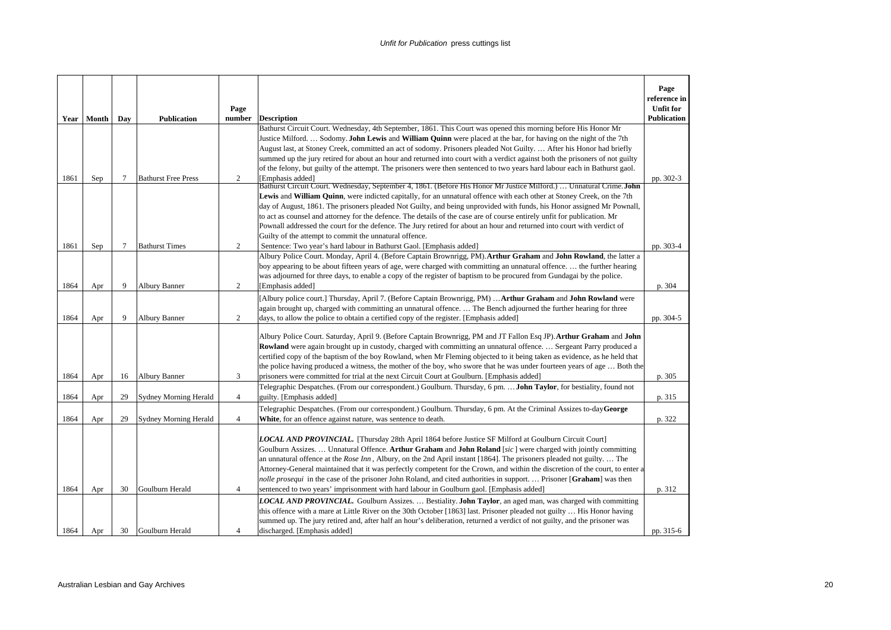|      | Year   Month | Day | <b>Publication</b>           | Page<br>number | <b>Description</b>                                                                                                                                                                                                                      | Page<br>reference in<br><b>Unfit for</b><br><b>Publication</b> |
|------|--------------|-----|------------------------------|----------------|-----------------------------------------------------------------------------------------------------------------------------------------------------------------------------------------------------------------------------------------|----------------------------------------------------------------|
|      |              |     |                              |                | Bathurst Circuit Court. Wednesday, 4th September, 1861. This Court was opened this morning before His Honor Mr                                                                                                                          |                                                                |
|      |              |     |                              |                | Justice Milford.  Sodomy. <b>John Lewis</b> and <b>William Quinn</b> were placed at the bar, for having on the night of the 7th                                                                                                         |                                                                |
|      |              |     |                              |                | August last, at Stoney Creek, committed an act of sodomy. Prisoners pleaded Not Guilty.  After his Honor had briefly                                                                                                                    |                                                                |
|      |              |     |                              |                | summed up the jury retired for about an hour and returned into court with a verdict against both the prisoners of not guilty                                                                                                            |                                                                |
|      |              |     |                              |                | of the felony, but guilty of the attempt. The prisoners were then sentenced to two years hard labour each in Bathurst gaol.                                                                                                             |                                                                |
| 1861 | Sep          | 7   | <b>Bathurst Free Press</b>   | 2              | [Emphasis added]<br>Bathurst Circuit Court. Wednesday, September 4, 1861. (Before His Honor Mr Justice Milford.)  Unnatural Crime. John                                                                                                 | pp. 302-3                                                      |
|      |              |     |                              |                | Lewis and William Quinn, were indicted capitally, for an unnatural offence with each other at Stoney Creek, on the 7th                                                                                                                  |                                                                |
|      |              |     |                              |                | day of August, 1861. The prisoners pleaded Not Guilty, and being unprovided with funds, his Honor assigned Mr Pownall,                                                                                                                  |                                                                |
|      |              |     |                              |                | to act as counsel and attorney for the defence. The details of the case are of course entirely unfit for publication. Mr                                                                                                                |                                                                |
|      |              |     |                              |                | Pownall addressed the court for the defence. The Jury retired for about an hour and returned into court with verdict of                                                                                                                 |                                                                |
|      |              |     |                              |                | Guilty of the attempt to commit the unnatural offence.                                                                                                                                                                                  |                                                                |
| 1861 | Sep          | 7   | <b>Bathurst Times</b>        | 2              | Sentence: Two year's hard labour in Bathurst Gaol. [Emphasis added]<br>Albury Police Court. Monday, April 4. (Before Captain Brownrigg, PM). Arthur Graham and John Rowland, the latter a                                               | pp. 303-4                                                      |
|      |              |     |                              |                | boy appearing to be about fifteen years of age, were charged with committing an unnatural offence.  the further hearing                                                                                                                 |                                                                |
|      |              |     |                              |                | was adjourned for three days, to enable a copy of the register of baptism to be procured from Gundagai by the police.                                                                                                                   |                                                                |
| 1864 | Apr          | 9   | <b>Albury Banner</b>         | 2              | [Emphasis added]                                                                                                                                                                                                                        | p. 304                                                         |
|      |              |     |                              |                | [Albury police court.] Thursday, April 7. (Before Captain Brownrigg, PM)  Arthur Graham and John Rowland were                                                                                                                           |                                                                |
|      |              |     |                              |                | again brought up, charged with committing an unnatural offence The Bench adjourned the further hearing for three                                                                                                                        |                                                                |
| 1864 | Apr          | 9   | <b>Albury Banner</b>         | $\overline{c}$ | days, to allow the police to obtain a certified copy of the register. [Emphasis added]                                                                                                                                                  | pp. 304-5                                                      |
|      |              |     |                              |                |                                                                                                                                                                                                                                         |                                                                |
|      |              |     |                              |                | Albury Police Court. Saturday, April 9. (Before Captain Brownrigg, PM and JT Fallon Esq JP). Arthur Graham and John<br>Rowland were again brought up in custody, charged with committing an unnatural offence Sergeant Parry produced a |                                                                |
|      |              |     |                              |                | certified copy of the baptism of the boy Rowland, when Mr Fleming objected to it being taken as evidence, as he held that                                                                                                               |                                                                |
|      |              |     |                              |                | the police having produced a witness, the mother of the boy, who swore that he was under fourteen years of age  Both the                                                                                                                |                                                                |
| 1864 | Apr          | 16  | Albury Banner                | 3              | prisoners were committed for trial at the next Circuit Court at Goulburn. [Emphasis added]                                                                                                                                              | p. 305                                                         |
|      |              |     |                              |                | Telegraphic Despatches. (From our correspondent.) Goulburn. Thursday, 6 pm. <b>John Taylor</b> , for bestiality, found not                                                                                                              |                                                                |
| 1864 | Apr          | 29  | Sydney Morning Herald        | $\overline{4}$ | guilty. [Emphasis added]                                                                                                                                                                                                                | p. 315                                                         |
|      |              |     |                              |                | Telegraphic Despatches. (From our correspondent.) Goulburn. Thursday, 6 pm. At the Criminal Assizes to-day George                                                                                                                       |                                                                |
| 1864 | Apr          | 29  | <b>Sydney Morning Herald</b> | $\overline{4}$ | White, for an offence against nature, was sentence to death.                                                                                                                                                                            | p. 322                                                         |
|      |              |     |                              |                |                                                                                                                                                                                                                                         |                                                                |
|      |              |     |                              |                | <b>LOCAL AND PROVINCIAL.</b> [Thursday 28th April 1864 before Justice SF Milford at Goulburn Circuit Court]<br>Goulburn Assizes.  Unnatural Offence. Arthur Graham and John Roland [sic] were charged with jointly committing           |                                                                |
|      |              |     |                              |                | an unnatural offence at the <i>Rose Inn</i> , Albury, on the 2nd April instant [1864]. The prisoners pleaded not guilty The                                                                                                             |                                                                |
|      |              |     |                              |                | Attorney-General maintained that it was perfectly competent for the Crown, and within the discretion of the court, to enter a                                                                                                           |                                                                |
|      |              |     |                              |                | nolle prosequi in the case of the prisoner John Roland, and cited authorities in support.  Prisoner [Graham] was then                                                                                                                   |                                                                |
| 1864 | Apr          | 30  | Goulburn Herald              | $\overline{4}$ | sentenced to two years' imprisonment with hard labour in Goulburn gaol. [Emphasis added]                                                                                                                                                | p. 312                                                         |
|      |              |     |                              |                | <b>LOCAL AND PROVINCIAL.</b> Goulburn Assizes.  Bestiality. <b>John Taylor</b> , an aged man, was charged with committing                                                                                                               |                                                                |
|      |              |     |                              |                | this offence with a mare at Little River on the 30th October [1863] last. Prisoner pleaded not guilty  His Honor having                                                                                                                 |                                                                |
|      |              |     |                              |                | summed up. The jury retired and, after half an hour's deliberation, returned a verdict of not guilty, and the prisoner was                                                                                                              |                                                                |
| 1864 | Apr          | 30  | Goulburn Herald              | $\overline{4}$ | discharged. [Emphasis added]                                                                                                                                                                                                            | pp. 315-6                                                      |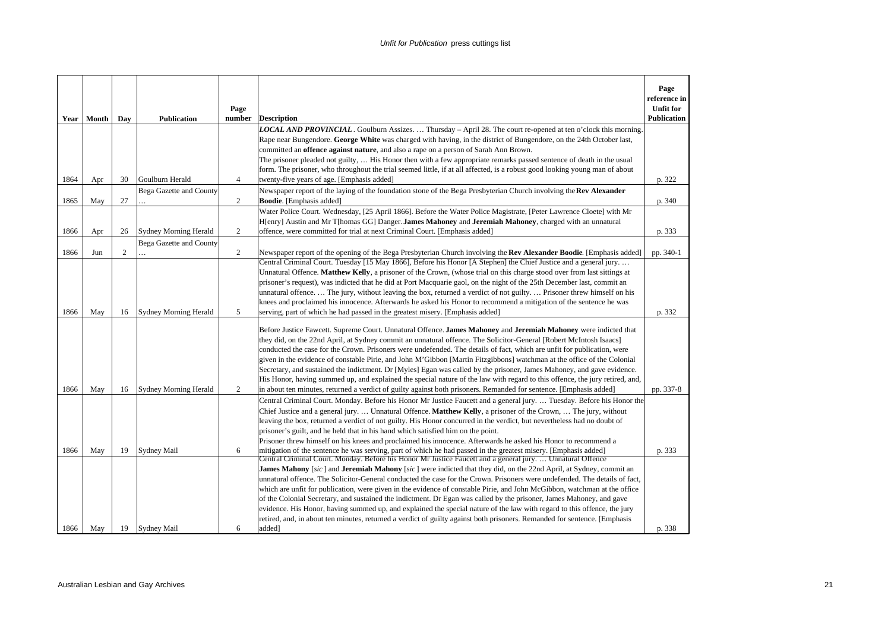|      | Year   Month | Day | <b>Publication</b>           | Page<br>number | <b>Description</b>                                                                                                                                                                                                                                                                                                                                                                                                                                                                                                                                                                                                                                                                                                                                    | Page<br>reference in<br><b>Unfit for</b><br><b>Publication</b> |
|------|--------------|-----|------------------------------|----------------|-------------------------------------------------------------------------------------------------------------------------------------------------------------------------------------------------------------------------------------------------------------------------------------------------------------------------------------------------------------------------------------------------------------------------------------------------------------------------------------------------------------------------------------------------------------------------------------------------------------------------------------------------------------------------------------------------------------------------------------------------------|----------------------------------------------------------------|
|      |              |     |                              |                | <b>LOCAL AND PROVINCIAL</b> . Goulburn Assizes.  Thursday – April 28. The court re-opened at ten o'clock this morning.                                                                                                                                                                                                                                                                                                                                                                                                                                                                                                                                                                                                                                |                                                                |
|      |              |     |                              |                | Rape near Bungendore. George White was charged with having, in the district of Bungendore, on the 24th October last,                                                                                                                                                                                                                                                                                                                                                                                                                                                                                                                                                                                                                                  |                                                                |
|      |              |     |                              |                | committed an <b>offence against nature</b> , and also a rape on a person of Sarah Ann Brown.<br>The prisoner pleaded not guilty,  His Honor then with a few appropriate remarks passed sentence of death in the usual                                                                                                                                                                                                                                                                                                                                                                                                                                                                                                                                 |                                                                |
|      |              |     |                              |                | form. The prisoner, who throughout the trial seemed little, if at all affected, is a robust good looking young man of about                                                                                                                                                                                                                                                                                                                                                                                                                                                                                                                                                                                                                           |                                                                |
| 1864 | Apr          | 30  | Goulburn Herald              | $\overline{4}$ | twenty-five years of age. [Emphasis added]                                                                                                                                                                                                                                                                                                                                                                                                                                                                                                                                                                                                                                                                                                            | p. 322                                                         |
|      |              |     | Bega Gazette and County      |                | Newspaper report of the laying of the foundation stone of the Bega Presbyterian Church involving the Rev Alexander                                                                                                                                                                                                                                                                                                                                                                                                                                                                                                                                                                                                                                    |                                                                |
| 1865 | May          | 27  |                              | $\overline{c}$ | <b>Boodie</b> . [Emphasis added]                                                                                                                                                                                                                                                                                                                                                                                                                                                                                                                                                                                                                                                                                                                      | p. 340                                                         |
|      |              |     |                              |                | Water Police Court. Wednesday, [25 April 1866]. Before the Water Police Magistrate, [Peter Lawrence Cloete] with Mr                                                                                                                                                                                                                                                                                                                                                                                                                                                                                                                                                                                                                                   |                                                                |
| 1866 |              | 26  | Sydney Morning Herald        | 2              | H[enry] Austin and Mr T[homas GG] Danger. James Mahoney and Jeremiah Mahoney, charged with an unnatural<br>offence, were committed for trial at next Criminal Court. [Emphasis added]                                                                                                                                                                                                                                                                                                                                                                                                                                                                                                                                                                 | p. 333                                                         |
|      | Apr          |     | Bega Gazette and County      |                |                                                                                                                                                                                                                                                                                                                                                                                                                                                                                                                                                                                                                                                                                                                                                       |                                                                |
| 1866 | Jun          | 2   |                              | 2              | Newspaper report of the opening of the Bega Presbyterian Church involving the Rev Alexander Boodie. [Emphasis added]                                                                                                                                                                                                                                                                                                                                                                                                                                                                                                                                                                                                                                  | pp. 340-1                                                      |
|      |              |     |                              |                | Central Criminal Court. Tuesday [15 May 1866], Before his Honor [A Stephen] the Chief Justice and a general jury                                                                                                                                                                                                                                                                                                                                                                                                                                                                                                                                                                                                                                      |                                                                |
|      |              |     |                              |                | Unnatural Offence. Matthew Kelly, a prisoner of the Crown, (whose trial on this charge stood over from last sittings at                                                                                                                                                                                                                                                                                                                                                                                                                                                                                                                                                                                                                               |                                                                |
|      |              |     |                              |                | prisoner's request), was indicted that he did at Port Macquarie gaol, on the night of the 25th December last, commit an<br>unnatural offence The jury, without leaving the box, returned a verdict of not guilty Prisoner threw himself on his                                                                                                                                                                                                                                                                                                                                                                                                                                                                                                        |                                                                |
|      |              |     |                              |                | knees and proclaimed his innocence. Afterwards he asked his Honor to recommend a mitigation of the sentence he was                                                                                                                                                                                                                                                                                                                                                                                                                                                                                                                                                                                                                                    |                                                                |
| 1866 | May          | 16  | <b>Sydney Morning Herald</b> | 5              | serving, part of which he had passed in the greatest misery. [Emphasis added]                                                                                                                                                                                                                                                                                                                                                                                                                                                                                                                                                                                                                                                                         | p. 332                                                         |
|      |              |     |                              |                | Before Justice Fawcett. Supreme Court. Unnatural Offence. James Mahoney and Jeremiah Mahoney were indicted that<br>they did, on the 22nd April, at Sydney commit an unnatural offence. The Solicitor-General [Robert McIntosh Isaacs]<br>conducted the case for the Crown. Prisoners were undefended. The details of fact, which are unfit for publication, were<br>given in the evidence of constable Pirie, and John M'Gibbon [Martin Fitzgibbons] watchman at the office of the Colonial<br>Secretary, and sustained the indictment. Dr [Myles] Egan was called by the prisoner, James Mahoney, and gave evidence.<br>His Honor, having summed up, and explained the special nature of the law with regard to this offence, the jury retired, and, |                                                                |
| 1866 | May          | 16  | <b>Sydney Morning Herald</b> | 2              | in about ten minutes, returned a verdict of guilty against both prisoners. Remanded for sentence. [Emphasis added]                                                                                                                                                                                                                                                                                                                                                                                                                                                                                                                                                                                                                                    | pp. 337-8                                                      |
|      |              |     |                              |                | Central Criminal Court. Monday. Before his Honor Mr Justice Faucett and a general jury Tuesday. Before his Honor the<br>Chief Justice and a general jury Unnatural Offence. Matthew Kelly, a prisoner of the Crown,  The jury, without<br>leaving the box, returned a verdict of not guilty. His Honor concurred in the verdict, but nevertheless had no doubt of<br>prisoner's guilt, and he held that in his hand which satisfied him on the point.<br>Prisoner threw himself on his knees and proclaimed his innocence. Afterwards he asked his Honor to recommend a                                                                                                                                                                               |                                                                |
| 1866 | May          | 19  | <b>Sydney Mail</b>           | 6              | mitigation of the sentence he was serving, part of which he had passed in the greatest misery. [Emphasis added]<br>Central Criminal Court. Monday. Before his Honor Mr Justice Faucett and a general jury.  Unnatural Offence                                                                                                                                                                                                                                                                                                                                                                                                                                                                                                                         | p. 333                                                         |
|      |              |     |                              |                | <b>James Mahony</b> [sic] and <b>Jeremiah Mahony</b> [sic] were indicted that they did, on the 22nd April, at Sydney, commit an                                                                                                                                                                                                                                                                                                                                                                                                                                                                                                                                                                                                                       |                                                                |
|      |              |     |                              |                | unnatural offence. The Solicitor-General conducted the case for the Crown. Prisoners were undefended. The details of fact,                                                                                                                                                                                                                                                                                                                                                                                                                                                                                                                                                                                                                            |                                                                |
|      |              |     |                              |                | which are unfit for publication, were given in the evidence of constable Pirie, and John McGibbon, watchman at the office                                                                                                                                                                                                                                                                                                                                                                                                                                                                                                                                                                                                                             |                                                                |
|      |              |     |                              |                | of the Colonial Secretary, and sustained the indictment. Dr Egan was called by the prisoner, James Mahoney, and gave                                                                                                                                                                                                                                                                                                                                                                                                                                                                                                                                                                                                                                  |                                                                |
|      |              |     |                              |                | evidence. His Honor, having summed up, and explained the special nature of the law with regard to this offence, the jury<br>retired, and, in about ten minutes, returned a verdict of guilty against both prisoners. Remanded for sentence. [Emphasis                                                                                                                                                                                                                                                                                                                                                                                                                                                                                                 |                                                                |
| 1866 | May          | 19  | <b>Sydney Mail</b>           | 6              | added]                                                                                                                                                                                                                                                                                                                                                                                                                                                                                                                                                                                                                                                                                                                                                | p. 338                                                         |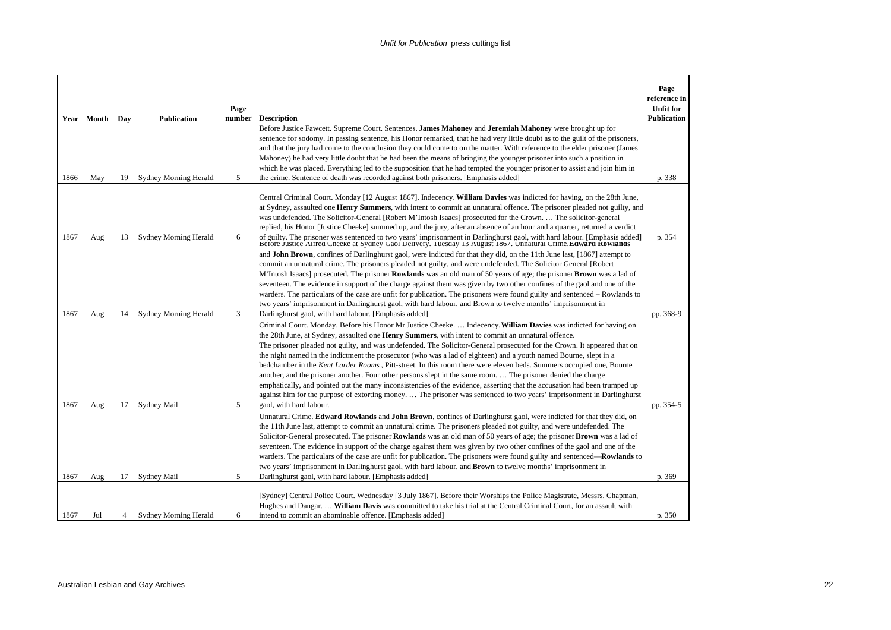|              |            |         |                                      |                |                                                                                                                                                                                                                                                                                                                                                                                                                                                                                                                                                                                                                                                                                                                                                                                                                                                                                                                                                                                                                                      | Page<br>reference in<br><b>Unfit for</b> |
|--------------|------------|---------|--------------------------------------|----------------|--------------------------------------------------------------------------------------------------------------------------------------------------------------------------------------------------------------------------------------------------------------------------------------------------------------------------------------------------------------------------------------------------------------------------------------------------------------------------------------------------------------------------------------------------------------------------------------------------------------------------------------------------------------------------------------------------------------------------------------------------------------------------------------------------------------------------------------------------------------------------------------------------------------------------------------------------------------------------------------------------------------------------------------|------------------------------------------|
| Year         | Month      | Day     | <b>Publication</b>                   | Page<br>number | <b>Description</b>                                                                                                                                                                                                                                                                                                                                                                                                                                                                                                                                                                                                                                                                                                                                                                                                                                                                                                                                                                                                                   | <b>Publication</b>                       |
| 1866         | May        | 19      | <b>Sydney Morning Herald</b>         | 5              | Before Justice Fawcett. Supreme Court. Sentences. James Mahoney and Jeremiah Mahoney were brought up for<br>sentence for sodomy. In passing sentence, his Honor remarked, that he had very little doubt as to the guilt of the prisoners,<br>and that the jury had come to the conclusion they could come to on the matter. With reference to the elder prisoner (James<br>Mahoney) he had very little doubt that he had been the means of bringing the younger prisoner into such a position in<br>which he was placed. Everything led to the supposition that he had tempted the younger prisoner to assist and join him in<br>the crime. Sentence of death was recorded against both prisoners. [Emphasis added]                                                                                                                                                                                                                                                                                                                  | p. 338                                   |
| 1867         | Aug        | 13      | <b>Sydney Morning Herald</b>         | 6              | Central Criminal Court. Monday [12 August 1867]. Indecency. William Davies was indicted for having, on the 28th June,<br>at Sydney, assaulted one <b>Henry Summers</b> , with intent to commit an unnatural offence. The prisoner pleaded not guilty, and<br>was undefended. The Solicitor-General [Robert M'Intosh Isaacs] prosecuted for the Crown.  The solicitor-general<br>replied, his Honor [Justice Cheeke] summed up, and the jury, after an absence of an hour and a quarter, returned a verdict                                                                                                                                                                                                                                                                                                                                                                                                                                                                                                                           | p. 354                                   |
|              |            |         |                                      |                | of guilty. The prisoner was sentenced to two years' imprisonment in Darlinghurst gaol, with hard labour. [Emphasis added] Before Justice Alfred Cheeke at Sydney Gaol Delivery. Tuesday 13 August 1867. Unnatural Crime. Edwar<br>and <b>John Brown</b> , confines of Darlinghurst gaol, were indicted for that they did, on the 11th June last, [1867] attempt to<br>commit an unnatural crime. The prisoners pleaded not guilty, and were undefended. The Solicitor General [Robert<br>M'Intosh Isaacs] prosecuted. The prisoner Rowlands was an old man of 50 years of age; the prisoner Brown was a lad of<br>seventeen. The evidence in support of the charge against them was given by two other confines of the gaol and one of the<br>warders. The particulars of the case are unfit for publication. The prisoners were found guilty and sentenced – Rowlands to<br>two years' imprisonment in Darlinghurst gaol, with hard labour, and Brown to twelve months' imprisonment in                                             |                                          |
| 1867         | Aug        | 14      | <b>Sydney Morning Herald</b>         | 3              | Darlinghurst gaol, with hard labour. [Emphasis added]<br>Criminal Court. Monday. Before his Honor Mr Justice Cheeke.  Indecency. William Davies was indicted for having on<br>the 28th June, at Sydney, assaulted one <b>Henry Summers</b> , with intent to commit an unnatural offence.<br>The prisoner pleaded not guilty, and was undefended. The Solicitor-General prosecuted for the Crown. It appeared that on<br>the night named in the indictment the prosecutor (who was a lad of eighteen) and a youth named Bourne, slept in a<br>bedchamber in the Kent Larder Rooms, Pitt-street. In this room there were eleven beds. Summers occupied one, Bourne<br>another, and the prisoner another. Four other persons slept in the same room The prisoner denied the charge<br>emphatically, and pointed out the many inconsistencies of the evidence, asserting that the accusation had been trumped up<br>against him for the purpose of extorting money The prisoner was sentenced to two years' imprisonment in Darlinghurst | pp. 368-9                                |
| 1867         | Aug        | 17      | Sydney Mail                          | 5              | gaol, with hard labour.<br>Unnatural Crime. Edward Rowlands and John Brown, confines of Darlinghurst gaol, were indicted for that they did, on<br>the 11th June last, attempt to commit an unnatural crime. The prisoners pleaded not guilty, and were undefended. The<br>Solicitor-General prosecuted. The prisoner <b>Rowlands</b> was an old man of 50 years of age; the prisoner <b>Brown</b> was a lad of<br>seventeen. The evidence in support of the charge against them was given by two other confines of the gaol and one of the<br>warders. The particulars of the case are unfit for publication. The prisoners were found guilty and sentenced—Rowlands to<br>two years' imprisonment in Darlinghurst gaol, with hard labour, and <b>Brown</b> to twelve months' imprisonment in                                                                                                                                                                                                                                        | pp. 354-5                                |
| 1867<br>1867 | Aug<br>Jul | 17<br>4 | Sydney Mail<br>Sydney Morning Herald | 5<br>6         | Darlinghurst gaol, with hard labour. [Emphasis added]<br>[Sydney] Central Police Court. Wednesday [3 July 1867]. Before their Worships the Police Magistrate, Messrs. Chapman,<br>Hughes and Dangar.  William Davis was committed to take his trial at the Central Criminal Court, for an assault with<br>intend to commit an abominable offence. [Emphasis added]                                                                                                                                                                                                                                                                                                                                                                                                                                                                                                                                                                                                                                                                   | p. 369<br>p. 350                         |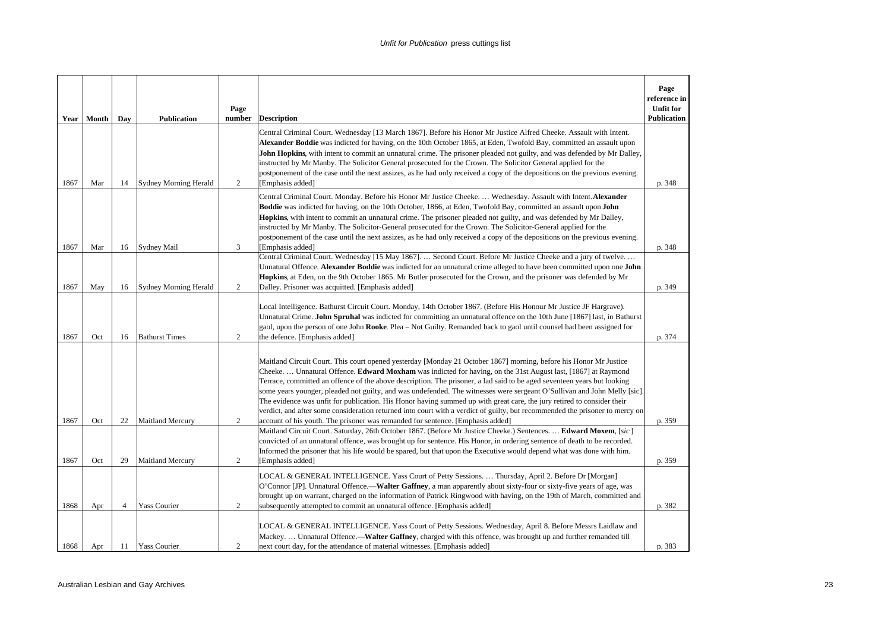|              | Year   Month | Day      | <b>Publication</b>                               | Page<br>number      | <b>Description</b>                                                                                                                                                                                                                                                                                                                                                                                                                                                                                                                                                                                                                                                                                                                                                                                                                                                     | Page<br>reference in<br><b>Unfit for</b><br>Publication |
|--------------|--------------|----------|--------------------------------------------------|---------------------|------------------------------------------------------------------------------------------------------------------------------------------------------------------------------------------------------------------------------------------------------------------------------------------------------------------------------------------------------------------------------------------------------------------------------------------------------------------------------------------------------------------------------------------------------------------------------------------------------------------------------------------------------------------------------------------------------------------------------------------------------------------------------------------------------------------------------------------------------------------------|---------------------------------------------------------|
| 1867         | Mar          | 14       | Sydney Morning Herald                            | 2                   | Central Criminal Court. Wednesday [13 March 1867]. Before his Honor Mr Justice Alfred Cheeke. Assault with Intent.<br>Alexander Boddie was indicted for having, on the 10th October 1865, at Eden, Twofold Bay, committed an assault upon<br><b>John Hopkins</b> , with intent to commit an unnatural crime. The prisoner pleaded not guilty, and was defended by Mr Dalley.<br>instructed by Mr Manby. The Solicitor General prosecuted for the Crown. The Solicitor General applied for the<br>postponement of the case until the next assizes, as he had only received a copy of the depositions on the previous evening.<br>[Emphasis added]                                                                                                                                                                                                                       | p. 348                                                  |
| 1867         | Mar          | 16       | <b>Sydney Mail</b>                               | 3                   | Central Criminal Court. Monday. Before his Honor Mr Justice Cheeke.  Wednesday. Assault with Intent. Alexander<br><b>Boddie</b> was indicted for having, on the 10th October, 1866, at Eden, Twofold Bay, committed an assault upon John<br>Hopkins, with intent to commit an unnatural crime. The prisoner pleaded not guilty, and was defended by Mr Dalley,<br>instructed by Mr Manby. The Solicitor-General prosecuted for the Crown. The Solicitor-General applied for the<br>postponement of the case until the next assizes, as he had only received a copy of the depositions on the previous evening.<br>[Emphasis added]                                                                                                                                                                                                                                     | p. 348                                                  |
|              |              |          |                                                  |                     | Central Criminal Court. Wednesday [15 May 1867].  Second Court. Before Mr Justice Cheeke and a jury of twelve.<br>Unnatural Offence. Alexander Boddie was indicted for an unnatural crime alleged to have been committed upon one John<br>Hopkins, at Eden, on the 9th October 1865. Mr Butler prosecuted for the Crown, and the prisoner was defended by Mr                                                                                                                                                                                                                                                                                                                                                                                                                                                                                                           |                                                         |
| 1867         | May          | 16       | <b>Sydney Morning Herald</b>                     | 2                   | Dalley. Prisoner was acquitted. [Emphasis added]<br>Local Intelligence. Bathurst Circuit Court. Monday, 14th October 1867. (Before His Honour Mr Justice JF Hargrave).<br>Unnatural Crime. John Spruhal was indicted for committing an unnatural offence on the 10th June [1867] last, in Bathurst<br>gaol, upon the person of one John Rooke. Plea – Not Guilty. Remanded back to gaol until counsel had been assigned for                                                                                                                                                                                                                                                                                                                                                                                                                                            | p. 349                                                  |
| 1867<br>1867 | Oct<br>Oct   | 16<br>22 | <b>Bathurst Times</b><br><b>Maitland Mercury</b> | 2<br>$\overline{c}$ | the defence. [Emphasis added]<br>Maitland Circuit Court. This court opened yesterday [Monday 21 October 1867] morning, before his Honor Mr Justice<br>Cheeke.  Unnatural Offence. Edward Moxham was indicted for having, on the 31st August last, [1867] at Raymond<br>Terrace, committed an offence of the above description. The prisoner, a lad said to be aged seventeen years but looking<br>some years younger, pleaded not guilty, and was undefended. The witnesses were sergeant O'Sullivan and John Melly [sic].<br>The evidence was unfit for publication. His Honor having summed up with great care, the jury retired to consider their<br>verdict, and after some consideration returned into court with a verdict of guilty, but recommended the prisoner to mercy on<br>account of his youth. The prisoner was remanded for sentence. [Emphasis added] | p. 374<br>p. 359                                        |
| 1867         | Oct          | 29       | <b>Maitland Mercury</b>                          | 2                   | Maitland Circuit Court. Saturday, 26th October 1867. (Before Mr Justice Cheeke.) Sentences.  Edward Moxem, [sic]<br>convicted of an unnatural offence, was brought up for sentence. His Honor, in ordering sentence of death to be recorded.<br>Informed the prisoner that his life would be spared, but that upon the Executive would depend what was done with him.<br>[Emphasis added]                                                                                                                                                                                                                                                                                                                                                                                                                                                                              | p. 359                                                  |
| 1868         | Apr          | 4        | <b>Yass Courier</b>                              | $\overline{c}$      | LOCAL & GENERAL INTELLIGENCE. Yass Court of Petty Sessions.  Thursday, April 2. Before Dr [Morgan]<br>O'Connor [JP]. Unnatural Offence.—Walter Gaffney, a man apparently about sixty-four or sixty-five years of age, was<br>brought up on warrant, charged on the information of Patrick Ringwood with having, on the 19th of March, committed and<br>subsequently attempted to commit an unnatural offence. [Emphasis added]                                                                                                                                                                                                                                                                                                                                                                                                                                         | p. 382                                                  |
| 1868         | Apr          | 11       | <b>Yass Courier</b>                              | 2                   | LOCAL & GENERAL INTELLIGENCE. Yass Court of Petty Sessions. Wednesday, April 8. Before Messrs Laidlaw and<br>Mackey Unnatural Offence.— <b>Walter Gaffney</b> , charged with this offence, was brought up and further remanded till<br>next court day, for the attendance of material witnesses. [Emphasis added]                                                                                                                                                                                                                                                                                                                                                                                                                                                                                                                                                      | p. 383                                                  |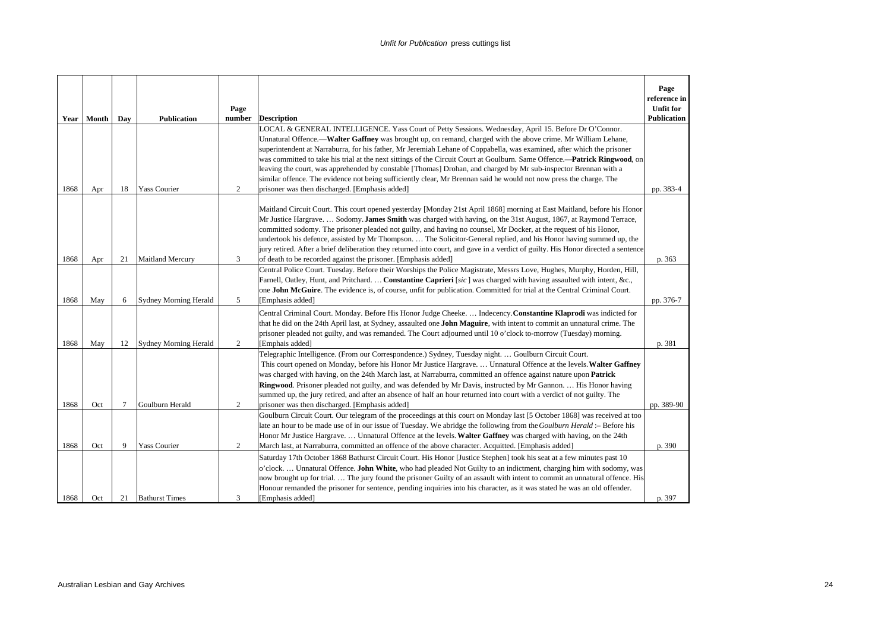|      | Year Month | Dav | <b>Publication</b>           | Page<br>number | <b>Description</b>                                                                                                                                                                                                                                                                                                                                                                                                                                                                                                                                                                                                                                                                                                    | Page<br>reference in<br><b>Unfit for</b><br><b>Publication</b> |
|------|------------|-----|------------------------------|----------------|-----------------------------------------------------------------------------------------------------------------------------------------------------------------------------------------------------------------------------------------------------------------------------------------------------------------------------------------------------------------------------------------------------------------------------------------------------------------------------------------------------------------------------------------------------------------------------------------------------------------------------------------------------------------------------------------------------------------------|----------------------------------------------------------------|
|      |            |     |                              |                | LOCAL & GENERAL INTELLIGENCE. Yass Court of Petty Sessions. Wednesday, April 15. Before Dr O'Connor.<br>Unnatural Offence.—Walter Gaffney was brought up, on remand, charged with the above crime. Mr William Lehane,<br>superintendent at Narraburra, for his father, Mr Jeremiah Lehane of Coppabella, was examined, after which the prisoner<br>was committed to take his trial at the next sittings of the Circuit Court at Goulburn. Same Offence.-Patrick Ringwood, on<br>leaving the court, was apprehended by constable [Thomas] Drohan, and charged by Mr sub-inspector Brennan with a<br>similar offence. The evidence not being sufficiently clear, Mr Brennan said he would not now press the charge. The |                                                                |
| 1868 | Apr        | 18  | <b>Yass Courier</b>          | 2              | prisoner was then discharged. [Emphasis added]<br>Maitland Circuit Court. This court opened yesterday [Monday 21st April 1868] morning at East Maitland, before his Honor<br>Mr Justice Hargrave.  Sodomy. James Smith was charged with having, on the 31st August, 1867, at Raymond Terrace,<br>committed sodomy. The prisoner pleaded not guilty, and having no counsel, Mr Docker, at the request of his Honor,                                                                                                                                                                                                                                                                                                    | pp. 383-4                                                      |
| 1868 | Apr        | 21  | <b>Maitland Mercury</b>      | 3              | undertook his defence, assisted by Mr Thompson.  The Solicitor-General replied, and his Honor having summed up, the<br>jury retired. After a brief deliberation they returned into court, and gave in a verdict of guilty. His Honor directed a sentence<br>of death to be recorded against the prisoner. [Emphasis added]                                                                                                                                                                                                                                                                                                                                                                                            | p. 363                                                         |
| 1868 | May        | 6   | <b>Sydney Morning Herald</b> | 5              | Central Police Court. Tuesday. Before their Worships the Police Magistrate, Messrs Love, Hughes, Murphy, Horden, Hill,<br>Farnell, Oatley, Hunt, and Pritchard.  Constantine Caprieri [sic] was charged with having assaulted with intent, &c.,<br>one John McGuire. The evidence is, of course, unfit for publication. Committed for trial at the Central Criminal Court.<br>[Emphasis added]                                                                                                                                                                                                                                                                                                                        | pp. 376-7                                                      |
| 1868 | May        | 12  | <b>Sydney Morning Herald</b> | 2              | Central Criminal Court. Monday. Before His Honor Judge Cheeke.  Indecency. Constantine Klaprodi was indicted for<br>that he did on the 24th April last, at Sydney, assaulted one <b>John Maguire</b> , with intent to commit an unnatural crime. The<br>prisoner pleaded not guilty, and was remanded. The Court adjourned until 10 o'clock to-morrow (Tuesday) morning.<br>[Emphais added]                                                                                                                                                                                                                                                                                                                           | p. 381                                                         |
| 1868 | Oct        | 7   | Goulburn Herald              | 2              | Telegraphic Intelligence. (From our Correspondence.) Sydney, Tuesday night.  Goulburn Circuit Court.<br>This court opened on Monday, before his Honor Mr Justice Hargrave.  Unnatural Offence at the levels. Walter Gaffney<br>was charged with having, on the 24th March last, at Narraburra, committed an offence against nature upon Patrick<br>Ringwood. Prisoner pleaded not guilty, and was defended by Mr Davis, instructed by Mr Gannon.  His Honor having<br>summed up, the jury retired, and after an absence of half an hour returned into court with a verdict of not guilty. The<br>prisoner was then discharged. [Emphasis added]                                                                       | pp. 389-90                                                     |
| 1868 | Oct        | 9   | <b>Yass Courier</b>          | 2              | Goulburn Circuit Court. Our telegram of the proceedings at this court on Monday last [5 October 1868] was received at too<br>late an hour to be made use of in our issue of Tuesday. We abridge the following from the Goulburn Herald :- Before his<br>Honor Mr Justice Hargrave.  Unnatural Offence at the levels. Walter Gaffney was charged with having, on the 24th<br>March last, at Narraburra, committed an offence of the above character. Acquitted. [Emphasis added]                                                                                                                                                                                                                                       | p. 390                                                         |
| 1868 | Oct        | 21  | <b>Bathurst Times</b>        | 3              | Saturday 17th October 1868 Bathurst Circuit Court. His Honor [Justice Stephen] took his seat at a few minutes past 10<br>o'clock Unnatural Offence. John White, who had pleaded Not Guilty to an indictment, charging him with sodomy, was<br>now brought up for trial.  The jury found the prisoner Guilty of an assault with intent to commit an unnatural offence. His<br>Honour remanded the prisoner for sentence, pending inquiries into his character, as it was stated he was an old offender.<br>[Emphasis added]                                                                                                                                                                                            | p. 397                                                         |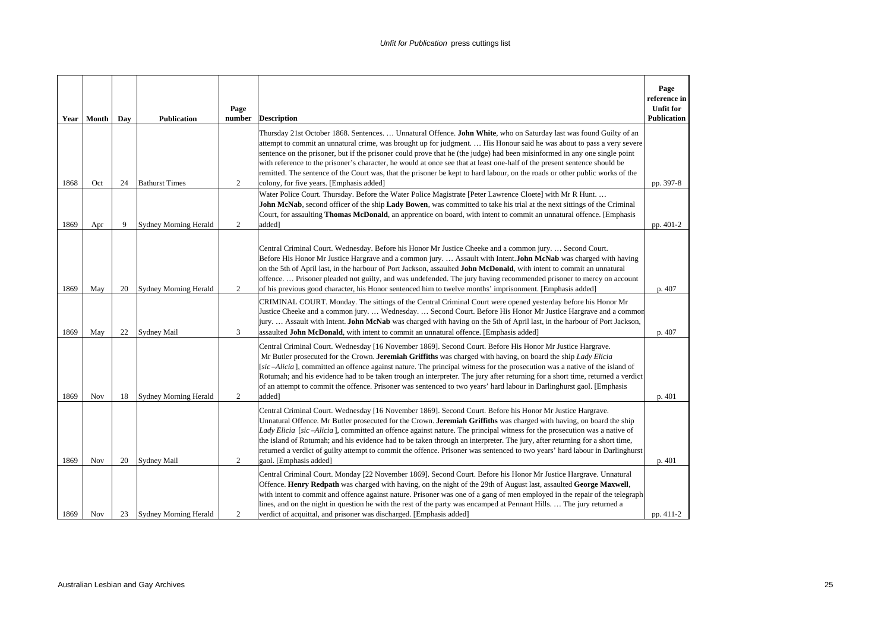| Year | Month      | Day | <b>Publication</b>           | Page<br>number | <b>Description</b>                                                                                                                                                                                                                                                                                                                                                                                                                                                                                                                                                                                                                                                                  | Page<br>reference in<br><b>Unfit for</b><br><b>Publication</b> |
|------|------------|-----|------------------------------|----------------|-------------------------------------------------------------------------------------------------------------------------------------------------------------------------------------------------------------------------------------------------------------------------------------------------------------------------------------------------------------------------------------------------------------------------------------------------------------------------------------------------------------------------------------------------------------------------------------------------------------------------------------------------------------------------------------|----------------------------------------------------------------|
| 1868 | Oct        | 24  | <b>Bathurst Times</b>        | 2              | Thursday 21st October 1868. Sentences.  Unnatural Offence. John White, who on Saturday last was found Guilty of an<br>attempt to commit an unnatural crime, was brought up for judgment.  His Honour said he was about to pass a very severe<br>sentence on the prisoner, but if the prisoner could prove that he (the judge) had been misinformed in any one single point<br>with reference to the prisoner's character, he would at once see that at least one-half of the present sentence should be<br>remitted. The sentence of the Court was, that the prisoner be kept to hard labour, on the roads or other public works of the<br>colony, for five years. [Emphasis added] | pp. 397-8                                                      |
| 1869 | Apr        | 9   | <b>Sydney Morning Herald</b> | 2              | Water Police Court. Thursday. Before the Water Police Magistrate [Peter Lawrence Cloete] with Mr R Hunt.<br>John McNab, second officer of the ship Lady Bowen, was committed to take his trial at the next sittings of the Criminal<br>Court, for assaulting Thomas McDonald, an apprentice on board, with intent to commit an unnatural offence. [Emphasis<br>added]                                                                                                                                                                                                                                                                                                               | pp. 401-2                                                      |
| 1869 | May        | 20  | <b>Sydney Morning Herald</b> | 2              | Central Criminal Court. Wednesday. Before his Honor Mr Justice Cheeke and a common jury Second Court.<br>Before His Honor Mr Justice Hargrave and a common jury.  Assault with Intent. John McNab was charged with having<br>on the 5th of April last, in the harbour of Port Jackson, assaulted John McDonald, with intent to commit an unnatural<br>offence.  Prisoner pleaded not guilty, and was undefended. The jury having recommended prisoner to mercy on account<br>of his previous good character, his Honor sentenced him to twelve months' imprisonment. [Emphasis added]                                                                                               | p. 407                                                         |
| 1869 | May        | 22  | Sydney Mail                  | 3              | CRIMINAL COURT. Monday. The sittings of the Central Criminal Court were opened yesterday before his Honor Mr<br>Justice Cheeke and a common jury.  Wednesday.  Second Court. Before His Honor Mr Justice Hargrave and a common<br>jury Assault with Intent. John McNab was charged with having on the 5th of April last, in the harbour of Port Jackson,<br>assaulted <b>John McDonald</b> , with intent to commit an unnatural offence. [Emphasis added]                                                                                                                                                                                                                           | p. 407                                                         |
| 1869 | Nov        | 18  | <b>Sydney Morning Herald</b> | 2              | Central Criminal Court. Wednesday [16 November 1869]. Second Court. Before His Honor Mr Justice Hargrave.<br>Mr Butler prosecuted for the Crown. Jeremiah Griffiths was charged with having, on board the ship Lady Elicia<br>[sic-Alicia], committed an offence against nature. The principal witness for the prosecution was a native of the island of<br>Rotumah; and his evidence had to be taken trough an interpreter. The jury after returning for a short time, returned a verdict<br>of an attempt to commit the offence. Prisoner was sentenced to two years' hard labour in Darlinghurst gaol. [Emphasis<br>added]                                                       | p. 401                                                         |
| 1869 | Nov        | 20  | Sydney Mail                  | $\overline{c}$ | Central Criminal Court. Wednesday [16 November 1869]. Second Court. Before his Honor Mr Justice Hargrave.<br>Unnatural Offence. Mr Butler prosecuted for the Crown. Jeremiah Griffiths was charged with having, on board the ship<br>Lady Elicia [sic-Alicia], committed an offence against nature. The principal witness for the prosecution was a native of<br>the island of Rotumah; and his evidence had to be taken through an interpreter. The jury, after returning for a short time,<br>returned a verdict of guilty attempt to commit the offence. Prisoner was sentenced to two years' hard labour in Darlinghurst<br>gaol. [Emphasis added]                              | p. 401                                                         |
| 1869 | <b>Nov</b> | 23  | Sydney Morning Herald        | 2              | Central Criminal Court. Monday [22 November 1869]. Second Court. Before his Honor Mr Justice Hargrave. Unnatural<br>Offence. Henry Redpath was charged with having, on the night of the 29th of August last, assaulted George Maxwell,<br>with intent to commit and offence against nature. Prisoner was one of a gang of men employed in the repair of the telegraph<br>lines, and on the night in question he with the rest of the party was encamped at Pennant Hills.  The jury returned a<br>verdict of acquittal, and prisoner was discharged. [Emphasis added]                                                                                                               | pp. 411-2                                                      |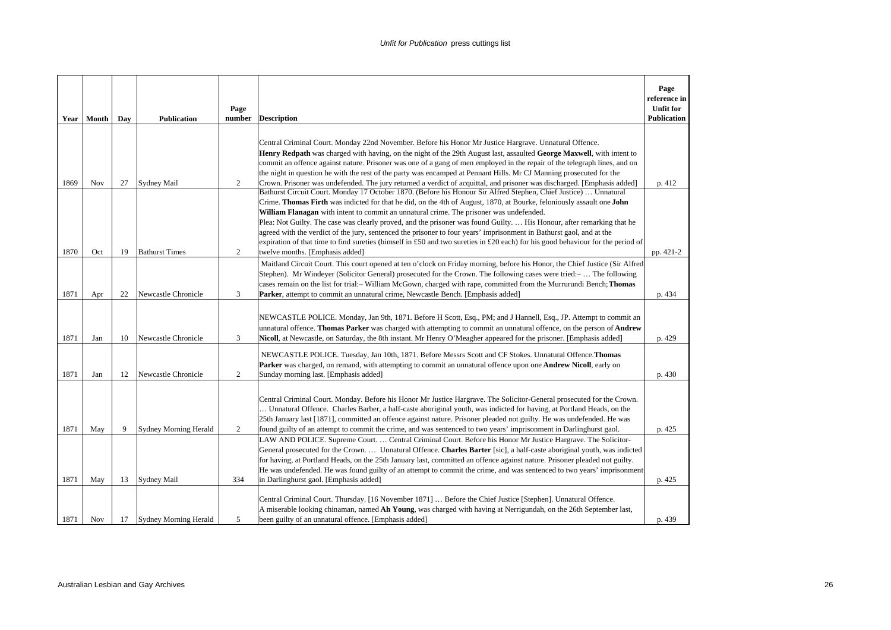| Year | Month | Day | <b>Publication</b>           | Page<br>number | <b>Description</b>                                                                                                                                                                                                                                                                                                                                                                                                                                                                                                                                                                                                                                                                                                                                                                                                                                                                                                                                     | Page<br>reference in<br><b>Unfit for</b><br>Publication |
|------|-------|-----|------------------------------|----------------|--------------------------------------------------------------------------------------------------------------------------------------------------------------------------------------------------------------------------------------------------------------------------------------------------------------------------------------------------------------------------------------------------------------------------------------------------------------------------------------------------------------------------------------------------------------------------------------------------------------------------------------------------------------------------------------------------------------------------------------------------------------------------------------------------------------------------------------------------------------------------------------------------------------------------------------------------------|---------------------------------------------------------|
| 1869 | Nov   | 27  | <b>Sydney Mail</b>           | 2              | Central Criminal Court. Monday 22nd November. Before his Honor Mr Justice Hargrave. Unnatural Offence.<br>Henry Redpath was charged with having, on the night of the 29th August last, assaulted George Maxwell, with intent to<br>commit an offence against nature. Prisoner was one of a gang of men employed in the repair of the telegraph lines, and on<br>the night in question he with the rest of the party was encamped at Pennant Hills. Mr CJ Manning prosecuted for the<br>Crown. Prisoner was undefended. The jury returned a verdict of acquittal, and prisoner was discharged. [Emphasis added]<br>Bathurst Circuit Court. Monday 17 October 1870. (Before his Honour Sir Alfred Stephen, Chief Justice)  Unnatural<br>Crime. Thomas Firth was indicted for that he did, on the 4th of August, 1870, at Bourke, feloniously assault one John<br>William Flanagan with intent to commit an unnatural crime. The prisoner was undefended. | p. 412                                                  |
| 1870 | Oct   | 19  | <b>Bathurst Times</b>        | 2              | Plea: Not Guilty. The case was clearly proved, and the prisoner was found Guilty.  His Honour, after remarking that he<br>agreed with the verdict of the jury, sentenced the prisoner to four years' imprisonment in Bathurst gaol, and at the<br>expiration of that time to find sureties (himself in £50 and two sureties in £20 each) for his good behaviour for the period of<br>twelve months. [Emphasis added]                                                                                                                                                                                                                                                                                                                                                                                                                                                                                                                                   | pp. 421-2                                               |
| 1871 | Apr   | 22  | Newcastle Chronicle          | $\overline{3}$ | Maitland Circuit Court. This court opened at ten o'clock on Friday morning, before his Honor, the Chief Justice (Sir Alfred<br>Stephen). Mr Windever (Solicitor General) prosecuted for the Crown. The following cases were tried:- The following<br>cases remain on the list for trial:- William McGown, charged with rape, committed from the Murrurundi Bench; Thomas<br>Parker, attempt to commit an unnatural crime, Newcastle Bench. [Emphasis added]                                                                                                                                                                                                                                                                                                                                                                                                                                                                                            | p. 434                                                  |
| 1871 | Jan   | 10  | Newcastle Chronicle          | 3              | NEWCASTLE POLICE. Monday, Jan 9th, 1871. Before H Scott, Esq., PM; and J Hannell, Esq., JP. Attempt to commit an<br>unnatural offence. Thomas Parker was charged with attempting to commit an unnatural offence, on the person of Andrew<br>Nicoll, at Newcastle, on Saturday, the 8th instant. Mr Henry O'Meagher appeared for the prisoner. [Emphasis added]                                                                                                                                                                                                                                                                                                                                                                                                                                                                                                                                                                                         | p. 429                                                  |
| 1871 | Jan   | 12  | Newcastle Chronicle          | 2              | NEWCASTLE POLICE. Tuesday, Jan 10th, 1871. Before Messrs Scott and CF Stokes. Unnatural Offence. Thomas<br>Parker was charged, on remand, with attempting to commit an unnatural offence upon one Andrew Nicoll, early on<br>Sunday morning last. [Emphasis added]                                                                                                                                                                                                                                                                                                                                                                                                                                                                                                                                                                                                                                                                                     | p. 430                                                  |
| 1871 | May   | 9   | <b>Sydney Morning Herald</b> | 2              | Central Criminal Court. Monday. Before his Honor Mr Justice Hargrave. The Solicitor-General prosecuted for the Crown.<br>Unnatural Offence. Charles Barber, a half-caste aboriginal youth, was indicted for having, at Portland Heads, on the<br>25th January last [1871], committed an offence against nature. Prisoner pleaded not guilty. He was undefended. He was<br>found guilty of an attempt to commit the crime, and was sentenced to two years' imprisonment in Darlinghurst gaol.                                                                                                                                                                                                                                                                                                                                                                                                                                                           | p. 425                                                  |
| 1871 | May   | 13  | <b>Sydney Mail</b>           | 334            | LAW AND POLICE. Supreme Court.  Central Criminal Court. Before his Honor Mr Justice Hargrave. The Solicitor-<br>General prosecuted for the Crown.  Unnatural Offence. Charles Barter [sic], a half-caste aboriginal youth, was indicted<br>for having, at Portland Heads, on the 25th January last, committed an offence against nature. Prisoner pleaded not guilty.<br>He was undefended. He was found guilty of an attempt to commit the crime, and was sentenced to two years' imprisonment<br>in Darlinghurst gaol. [Emphasis added]                                                                                                                                                                                                                                                                                                                                                                                                              | p. 425                                                  |
| 1871 | Nov   | 17  | Sydney Morning Herald        | 5              | Central Criminal Court. Thursday. [16 November 1871]  Before the Chief Justice [Stephen]. Unnatural Offence.<br>A miserable looking chinaman, named Ah Young, was charged with having at Nerrigundah, on the 26th September last,<br>been guilty of an unnatural offence. [Emphasis added]                                                                                                                                                                                                                                                                                                                                                                                                                                                                                                                                                                                                                                                             | p. 439                                                  |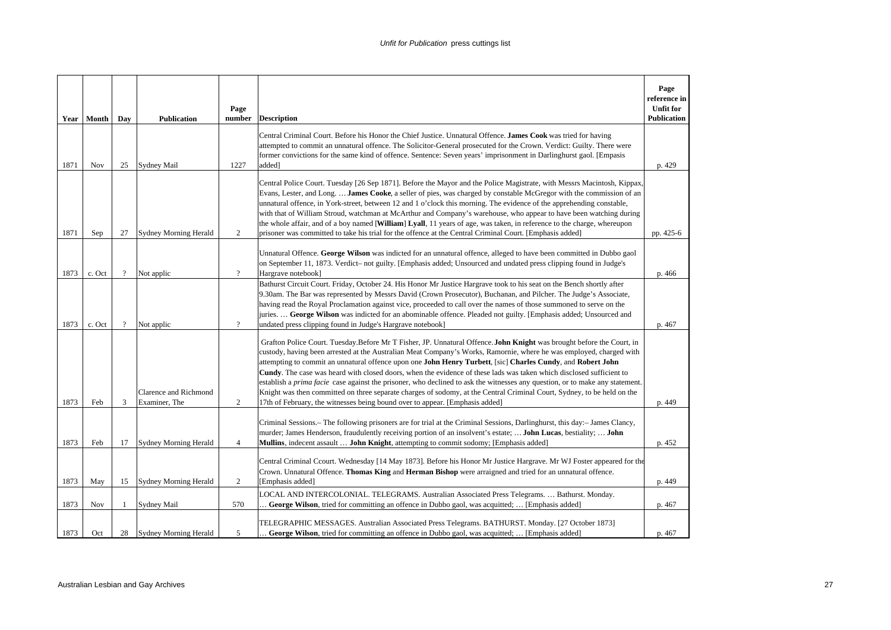|      | Year   Month | Day            | <b>Publication</b>                            | Page<br>number | <b>Description</b>                                                                                                                                                                                                                                                                                                                                                                                                                                                                                                                                                                                                                                                                                                                                                                                                                             | Page<br>reference in<br><b>Unfit for</b><br><b>Publication</b> |
|------|--------------|----------------|-----------------------------------------------|----------------|------------------------------------------------------------------------------------------------------------------------------------------------------------------------------------------------------------------------------------------------------------------------------------------------------------------------------------------------------------------------------------------------------------------------------------------------------------------------------------------------------------------------------------------------------------------------------------------------------------------------------------------------------------------------------------------------------------------------------------------------------------------------------------------------------------------------------------------------|----------------------------------------------------------------|
| 1871 | Nov          | 25             | <b>Sydney Mail</b>                            | 1227           | Central Criminal Court. Before his Honor the Chief Justice. Unnatural Offence. James Cook was tried for having<br>attempted to commit an unnatural offence. The Solicitor-General prosecuted for the Crown. Verdict: Guilty. There were<br>former convictions for the same kind of offence. Sentence: Seven years' imprisonment in Darlinghurst gaol. [Empasis<br>added]                                                                                                                                                                                                                                                                                                                                                                                                                                                                       | p. 429                                                         |
| 1871 | Sep          | 27             | <b>Sydney Morning Herald</b>                  | $\overline{c}$ | Central Police Court. Tuesday [26 Sep 1871]. Before the Mayor and the Police Magistrate, with Messrs Macintosh, Kippax,<br>Evans, Lester, and Long.  James Cooke, a seller of pies, was charged by constable McGregor with the commission of an<br>unnatural offence, in York-street, between 12 and 1 o'clock this morning. The evidence of the apprehending constable,<br>with that of William Stroud, watchman at McArthur and Company's warehouse, who appear to have been watching during<br>the whole affair, and of a boy named [William] Lyall, 11 years of age, was taken, in reference to the charge, whereupon<br>prisoner was committed to take his trial for the offence at the Central Criminal Court. [Emphasis added]                                                                                                          | pp. 425-6                                                      |
| 1873 | c. Oct       | $\overline{?}$ | Not applic                                    | $\overline{?}$ | Unnatural Offence. George Wilson was indicted for an unnatural offence, alleged to have been committed in Dubbo gaol<br>on September 11, 1873. Verdict- not guilty. [Emphasis added; Unsourced and undated press clipping found in Judge's<br>Hargrave notebook]                                                                                                                                                                                                                                                                                                                                                                                                                                                                                                                                                                               | p. 466                                                         |
| 1873 | c. Oct       | $\gamma$       | Not applic                                    | $\gamma$       | Bathurst Circuit Court. Friday, October 24. His Honor Mr Justice Hargrave took to his seat on the Bench shortly after<br>9.30am. The Bar was represented by Messrs David (Crown Prosecutor), Buchanan, and Pilcher. The Judge's Associate,<br>having read the Royal Proclamation against vice, proceeded to call over the names of those summoned to serve on the<br>juries.  George Wilson was indicted for an abominable offence. Pleaded not guilty. [Emphasis added; Unsourced and<br>undated press clipping found in Judge's Hargrave notebook]                                                                                                                                                                                                                                                                                           | p. 467                                                         |
| 1873 | Feb          | 3              | <b>Clarence and Richmond</b><br>Examiner, The | $\overline{c}$ | Grafton Police Court. Tuesday. Before Mr T Fisher, JP. Unnatural Offence. John Knight was brought before the Court, in<br>custody, having been arrested at the Australian Meat Company's Works, Ramornie, where he was employed, charged with<br>attempting to commit an unnatural offence upon one John Henry Turbett, [sic] Charles Cundy, and Robert John<br><b>Cundy</b> . The case was heard with closed doors, when the evidence of these lads was taken which disclosed sufficient to<br>establish a <i>prima facie</i> case against the prisoner, who declined to ask the witnesses any question, or to make any statement.<br>Knight was then committed on three separate charges of sodomy, at the Central Criminal Court, Sydney, to be held on the<br>17th of February, the witnesses being bound over to appear. [Emphasis added] | p. 449                                                         |
| 1873 | Feb          | 17             | <b>Sydney Morning Herald</b>                  | 4              | Criminal Sessions. – The following prisoners are for trial at the Criminal Sessions, Darlinghurst, this day: – James Clancy,<br>murder; James Henderson, fraudulently receiving portion of an insolvent's estate;  John Lucas, bestiality;  John<br><b>Mullins</b> , indecent assault <b>John Knight</b> , attempting to commit sodomy; [Emphasis added]                                                                                                                                                                                                                                                                                                                                                                                                                                                                                       | p. 452                                                         |
| 1873 | May          | 15             | <b>Sydney Morning Herald</b>                  | $\overline{c}$ | Central Criminal Ccourt. Wednesday [14 May 1873]. Before his Honor Mr Justice Hargrave. Mr WJ Foster appeared for the<br>Crown. Unnatural Offence. Thomas King and Herman Bishop were arraigned and tried for an unnatural offence.<br>[Emphasis added]                                                                                                                                                                                                                                                                                                                                                                                                                                                                                                                                                                                        | p. 449                                                         |
| 1873 | Nov          | $\mathbf{1}$   | Sydney Mail                                   | 570            | LOCAL AND INTERCOLONIAL. TELEGRAMS. Australian Associated Press Telegrams.  Bathurst. Monday.<br>George Wilson, tried for committing an offence in Dubbo gaol, was acquitted;  [Emphasis added]                                                                                                                                                                                                                                                                                                                                                                                                                                                                                                                                                                                                                                                | p. 467                                                         |
| 1873 | Oct          | 28             | <b>Sydney Morning Herald</b>                  | 5              | TELEGRAPHIC MESSAGES. Australian Associated Press Telegrams. BATHURST. Monday. [27 October 1873]<br>. George Wilson, tried for committing an offence in Dubbo gaol, was acquitted;  [Emphasis added]                                                                                                                                                                                                                                                                                                                                                                                                                                                                                                                                                                                                                                           | p. 467                                                         |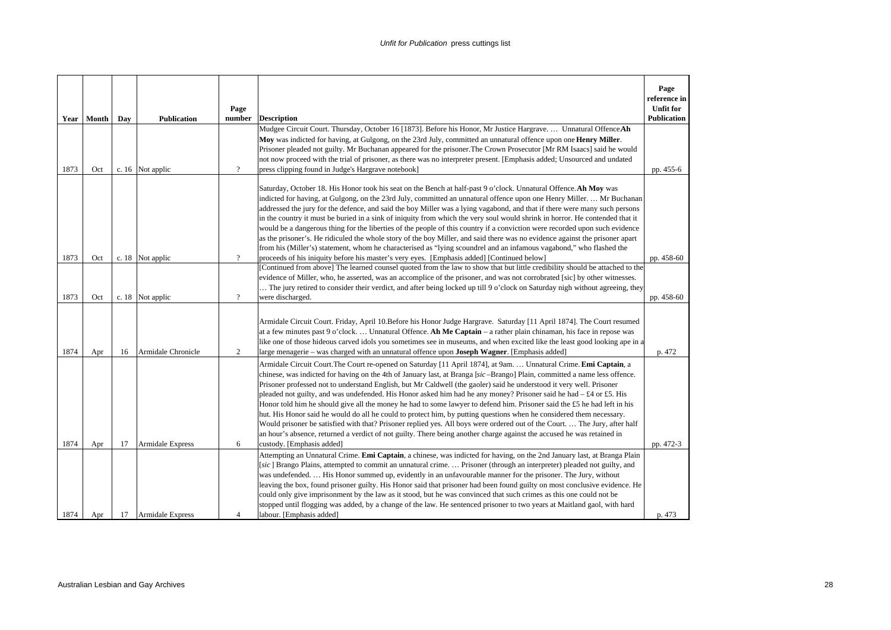|      |       |     |                         | Page           |                                                                                                                                                                                                                                                                                                                                                                                                                                                                                                                                                                                                                                                                                                                                                                                                                                                                                                                                                                                                                                                | Page<br>reference in<br><b>Unfit for</b> |
|------|-------|-----|-------------------------|----------------|------------------------------------------------------------------------------------------------------------------------------------------------------------------------------------------------------------------------------------------------------------------------------------------------------------------------------------------------------------------------------------------------------------------------------------------------------------------------------------------------------------------------------------------------------------------------------------------------------------------------------------------------------------------------------------------------------------------------------------------------------------------------------------------------------------------------------------------------------------------------------------------------------------------------------------------------------------------------------------------------------------------------------------------------|------------------------------------------|
| Year | Month | Day | <b>Publication</b>      | number         | <b>Description</b>                                                                                                                                                                                                                                                                                                                                                                                                                                                                                                                                                                                                                                                                                                                                                                                                                                                                                                                                                                                                                             | <b>Publication</b>                       |
| 1873 | Oct   |     | c. 16 Not applic        | $\overline{?}$ | Mudgee Circuit Court. Thursday, October 16 [1873]. Before his Honor, Mr Justice Hargrave.  Unnatural Offence Ah<br>Moy was indicted for having, at Gulgong, on the 23rd July, committed an unnatural offence upon one <b>Henry Miller</b> .<br>Prisoner pleaded not guilty. Mr Buchanan appeared for the prisoner. The Crown Prosecutor [Mr RM Isaacs] said he would<br>not now proceed with the trial of prisoner, as there was no interpreter present. [Emphasis added; Unsourced and undated<br>press clipping found in Judge's Hargrave notebook]                                                                                                                                                                                                                                                                                                                                                                                                                                                                                          | pp. 455-6                                |
|      |       |     |                         |                | Saturday, October 18. His Honor took his seat on the Bench at half-past 9 o'clock. Unnatural Offence. Ah Moy was<br>indicted for having, at Gulgong, on the 23rd July, committed an unnatural offence upon one Henry Miller.  Mr Buchanan<br>addressed the jury for the defence, and said the boy Miller was a lying vagabond, and that if there were many such persons<br>in the country it must be buried in a sink of iniquity from which the very soul would shrink in horror. He contended that it<br>would be a dangerous thing for the liberties of the people of this country if a conviction were recorded upon such evidence<br>as the prisoner's. He ridiculed the whole story of the boy Miller, and said there was no evidence against the prisoner apart<br>from his (Miller's) statement, whom he characterised as "lying scoundrel and an infamous vagabond," who flashed the                                                                                                                                                  |                                          |
| 1873 | Oct   |     | c. 18 Not applic        | $\gamma$       | proceeds of his iniquity before his master's very eyes. [Emphasis added] [Continued below]                                                                                                                                                                                                                                                                                                                                                                                                                                                                                                                                                                                                                                                                                                                                                                                                                                                                                                                                                     | pp. 458-60                               |
| 1873 | Oct   |     | c. 18 Not applic        | $\overline{?}$ | [Continued from above] The learned counsel quoted from the law to show that but little credibility should be attached to the<br>evidence of Miller, who, he asserted, was an accomplice of the prisoner, and was not corrobrated [sic] by other witnesses.<br>The jury retired to consider their verdict, and after being locked up till 9 o'clock on Saturday nigh without agreeing, they<br>were discharged.                                                                                                                                                                                                                                                                                                                                                                                                                                                                                                                                                                                                                                 | pp. 458-60                               |
| 1874 | Apr   | 16  | Armidale Chronicle      | 2              | Armidale Circuit Court. Friday, April 10.Before his Honor Judge Hargrave. Saturday [11 April 1874]. The Court resumed<br>at a few minutes past 9 o'clock Unnatural Offence. Ah Me Captain - a rather plain chinaman, his face in repose was<br>like one of those hideous carved idols you sometimes see in museums, and when excited like the least good looking ape in a<br>large menagerie – was charged with an unnatural offence upon <b>Joseph Wagner</b> . [Emphasis added]                                                                                                                                                                                                                                                                                                                                                                                                                                                                                                                                                              | p. 472                                   |
| 1874 | Apr   | 17  | <b>Armidale Express</b> | 6              | Armidale Circuit Court. The Court re-opened on Saturday [11 April 1874], at 9am.  Unnatural Crime. Emi Captain, a<br>chinese, was indicted for having on the 4th of January last, at Branga [sic-Brango] Plain, committed a name less offence.<br>Prisoner professed not to understand English, but Mr Caldwell (the gaoler) said he understood it very well. Prisoner<br>pleaded not guilty, and was undefended. His Honor asked him had he any money? Prisoner said he had $- \pounds 4$ or £5. His<br>Honor told him he should give all the money he had to some lawyer to defend him. Prisoner said the £5 he had left in his<br>hut. His Honor said he would do all he could to protect him, by putting questions when he considered them necessary.<br>Would prisoner be satisfied with that? Prisoner replied yes. All boys were ordered out of the Court.  The Jury, after half<br>an hour's absence, returned a verdict of not guilty. There being another charge against the accused he was retained in<br>custody. [Emphasis added] | pp. 472-3                                |
| 1874 | Apr   | 17  | Armidale Express        | $\overline{4}$ | Attempting an Unnatural Crime. Emi Captain, a chinese, was indicted for having, on the 2nd January last, at Branga Plain<br>[sic] Brango Plains, attempted to commit an unnatural crime.  Prisoner (through an interpreter) pleaded not guilty, and<br>was undefended.  His Honor summed up, evidently in an unfavourable manner for the prisoner. The Jury, without<br>leaving the box, found prisoner guilty. His Honor said that prisoner had been found guilty on most conclusive evidence. He<br>could only give imprisonment by the law as it stood, but he was convinced that such crimes as this one could not be<br>stopped until flogging was added, by a change of the law. He sentenced prisoner to two years at Maitland gaol, with hard<br>labour. [Emphasis added]                                                                                                                                                                                                                                                              | p. 473                                   |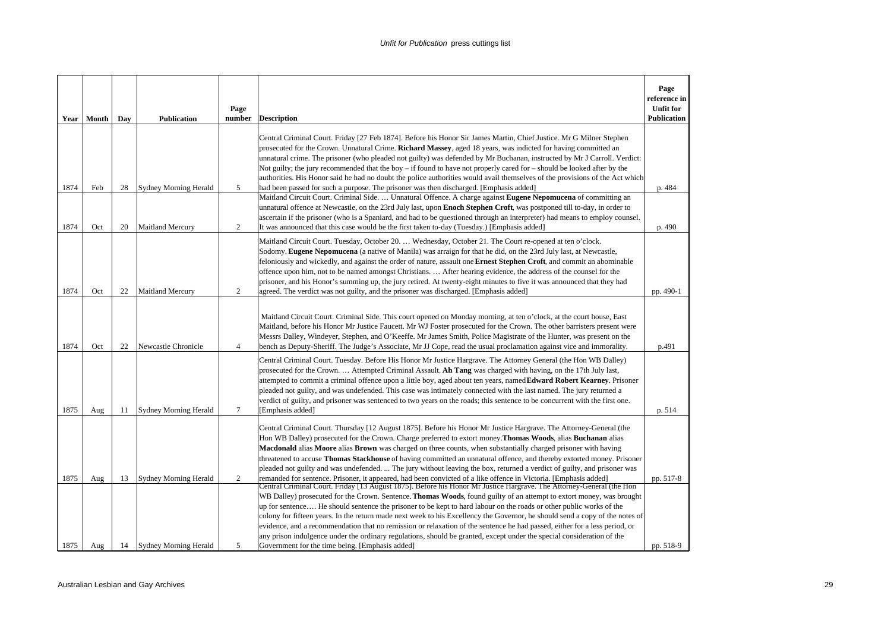| Year         | Month      | Day      | <b>Publication</b>                                 | Page<br>number      | <b>Description</b>                                                                                                                                                                                                                                                                                                                                                                                                                                                                                                                                                                                                                                                                                                                                                                                             | Page<br>reference in<br><b>Unfit for</b><br><b>Publication</b> |
|--------------|------------|----------|----------------------------------------------------|---------------------|----------------------------------------------------------------------------------------------------------------------------------------------------------------------------------------------------------------------------------------------------------------------------------------------------------------------------------------------------------------------------------------------------------------------------------------------------------------------------------------------------------------------------------------------------------------------------------------------------------------------------------------------------------------------------------------------------------------------------------------------------------------------------------------------------------------|----------------------------------------------------------------|
|              |            |          |                                                    |                     | Central Criminal Court. Friday [27 Feb 1874]. Before his Honor Sir James Martin, Chief Justice. Mr G Milner Stephen<br>prosecuted for the Crown. Unnatural Crime. Richard Massey, aged 18 years, was indicted for having committed an<br>unnatural crime. The prisoner (who pleaded not guilty) was defended by Mr Buchanan, instructed by Mr J Carroll. Verdict:<br>Not guilty; the jury recommended that the boy – if found to have not properly cared for – should be looked after by the<br>authorities. His Honor said he had no doubt the police authorities would avail themselves of the provisions of the Act which                                                                                                                                                                                   |                                                                |
| 1874         | Feb        | 28       | <b>Sydney Morning Herald</b>                       | 5                   | had been passed for such a purpose. The prisoner was then discharged. [Emphasis added]<br>Maitland Circuit Court. Criminal Side.  Unnatural Offence. A charge against Eugene Nepomucena of committing an<br>unnatural offence at Newcastle, on the 23rd July last, upon Enoch Stephen Croft, was postponed till to-day, in order to<br>ascertain if the prisoner (who is a Spaniard, and had to be questioned through an interpreter) had means to employ counsel.                                                                                                                                                                                                                                                                                                                                             | p. 484                                                         |
| 1874<br>1874 | Oct<br>Oct | 20<br>22 | <b>Maitland Mercury</b><br><b>Maitland Mercury</b> | 2<br>$\overline{2}$ | It was announced that this case would be the first taken to-day (Tuesday.) [Emphasis added]<br>Maitland Circuit Court. Tuesday, October 20.  Wednesday, October 21. The Court re-opened at ten o'clock.<br>Sodomy. Eugene Nepomucena (a native of Manila) was arraign for that he did, on the 23rd July last, at Newcastle,<br>feloniously and wickedly, and against the order of nature, assault one Ernest Stephen Croft, and commit an abominable<br>offence upon him, not to be named amongst Christians.  After hearing evidence, the address of the counsel for the<br>prisoner, and his Honor's summing up, the jury retired. At twenty-eight minutes to five it was announced that they had<br>agreed. The verdict was not guilty, and the prisoner was discharged. [Emphasis added]                   | p. 490<br>pp. 490-1                                            |
| 1874         | Oct        | 22       | Newcastle Chronicle                                | $\overline{4}$      | Maitland Circuit Court. Criminal Side. This court opened on Monday morning, at ten o'clock, at the court house, East<br>Maitland, before his Honor Mr Justice Faucett. Mr WJ Foster prosecuted for the Crown. The other barristers present were<br>Messrs Dalley, Windeyer, Stephen, and O'Keeffe. Mr James Smith, Police Magistrate of the Hunter, was present on the<br>bench as Deputy-Sheriff. The Judge's Associate, Mr JJ Cope, read the usual proclamation against vice and immorality.                                                                                                                                                                                                                                                                                                                 | p.491                                                          |
| 1875         | Aug        | 11       | <b>Sydney Morning Herald</b>                       | $\tau$              | Central Criminal Court. Tuesday. Before His Honor Mr Justice Hargrave. The Attorney General (the Hon WB Dalley)<br>prosecuted for the Crown.  Attempted Criminal Assault. Ah Tang was charged with having, on the 17th July last,<br>attempted to commit a criminal offence upon a little boy, aged about ten years, named Edward Robert Kearney. Prisoner<br>pleaded not guilty, and was undefended. This case was intimately connected with the last named. The jury returned a<br>verdict of guilty, and prisoner was sentenced to two years on the roads; this sentence to be concurrent with the first one.<br>[Emphasis added]                                                                                                                                                                           | p. 514                                                         |
| 1875         | Aug        | 13       | <b>Sydney Morning Herald</b>                       | 2                   | Central Criminal Court. Thursday [12 August 1875]. Before his Honor Mr Justice Hargrave. The Attorney-General (the<br>Hon WB Dalley) prosecuted for the Crown. Charge preferred to extort money. Thomas Woods, alias Buchanan alias<br>Macdonald alias Moore alias Brown was charged on three counts, when substantially charged prisoner with having<br>threatened to accuse Thomas Stackhouse of having committed an unnatural offence, and thereby extorted money. Prisoner<br>pleaded not guilty and was undefended.  The jury without leaving the box, returned a verdict of guilty, and prisoner was<br>remanded for sentence. Prisoner, it appeared, had been convicted of a like offence in Victoria. [Emphasis added]                                                                                 | pp. 517-8                                                      |
| 1875         | Aug        | 14       | Sydney Morning Herald                              | 5                   | Central Criminal Court. Friday [13 August 1875]. Before his Honor Mr Justice Hargrave. The Attorney-General (the Hon<br>WB Dalley) prosecuted for the Crown. Sentence. Thomas Woods, found guilty of an attempt to extort money, was brought<br>up for sentence He should sentence the prisoner to be kept to hard labour on the roads or other public works of the<br>colony for fifteen years. In the return made next week to his Excellency the Governor, he should send a copy of the notes of<br>evidence, and a recommendation that no remission or relaxation of the sentence he had passed, either for a less period, or<br>any prison indulgence under the ordinary regulations, should be granted, except under the special consideration of the<br>Government for the time being. [Emphasis added] | pp. 518-9                                                      |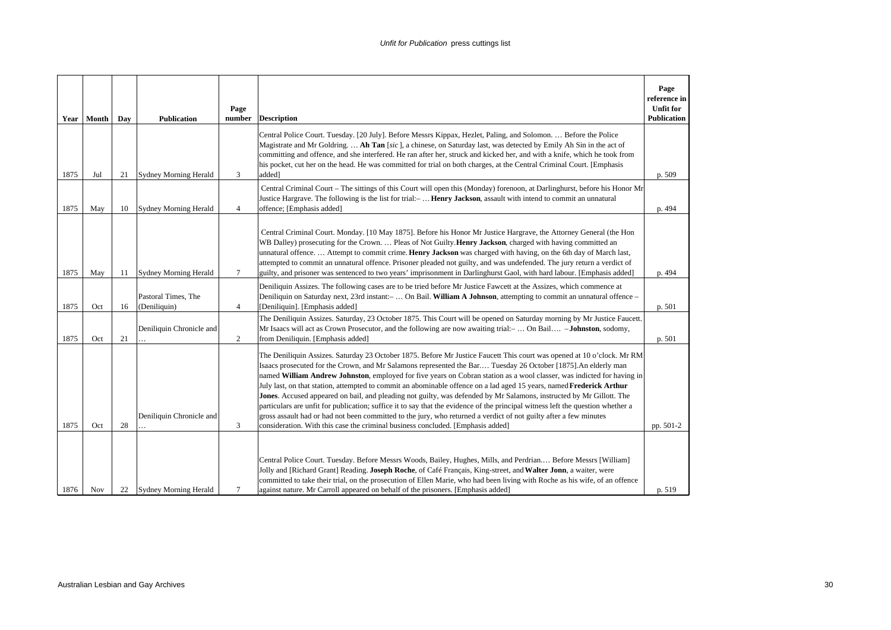|      | Year   Month | Day | <b>Publication</b>                  | Page<br>number | <b>Description</b>                                                                                                                                                                                                                                                                                                                                                                                                                                                                                                                                                                                                                                                                                                                                                                                                                                                                                                                                            | Page<br>reference in<br><b>Unfit for</b><br><b>Publication</b> |
|------|--------------|-----|-------------------------------------|----------------|---------------------------------------------------------------------------------------------------------------------------------------------------------------------------------------------------------------------------------------------------------------------------------------------------------------------------------------------------------------------------------------------------------------------------------------------------------------------------------------------------------------------------------------------------------------------------------------------------------------------------------------------------------------------------------------------------------------------------------------------------------------------------------------------------------------------------------------------------------------------------------------------------------------------------------------------------------------|----------------------------------------------------------------|
| 1875 | Jul          | 21  | <b>Sydney Morning Herald</b>        | 3              | Central Police Court. Tuesday. [20 July]. Before Messrs Kippax, Hezlet, Paling, and Solomon.  Before the Police<br>Magistrate and Mr Goldring.  Ah Tan [sic], a chinese, on Saturday last, was detected by Emily Ah Sin in the act of<br>committing and offence, and she interfered. He ran after her, struck and kicked her, and with a knife, which he took from<br>his pocket, cut her on the head. He was committed for trial on both charges, at the Central Criminal Court. [Emphasis<br>added <sub>1</sub>                                                                                                                                                                                                                                                                                                                                                                                                                                             | p. 509                                                         |
| 1875 | May          | 10  | <b>Sydney Morning Herald</b>        | $\overline{4}$ | Central Criminal Court – The sittings of this Court will open this (Monday) forenoon, at Darlinghurst, before his Honor Mr<br>Justice Hargrave. The following is the list for trial:- Henry Jackson, assault with intend to commit an unnatural<br>offence; [Emphasis added]                                                                                                                                                                                                                                                                                                                                                                                                                                                                                                                                                                                                                                                                                  | p. 494                                                         |
| 1875 | May          | 11  | Sydney Morning Herald               | $\tau$         | Central Criminal Court. Monday. [10 May 1875]. Before his Honor Mr Justice Hargrave, the Attorney General (the Hon<br>WB Dalley) prosecuting for the Crown.  Pleas of Not Guilty. Henry Jackson, charged with having committed an<br>unnatural offence Attempt to commit crime. Henry Jackson was charged with having, on the 6th day of March last,<br>attempted to commit an unnatural offence. Prisoner pleaded not guilty, and was undefended. The jury return a verdict of<br>guilty, and prisoner was sentenced to two years' imprisonment in Darlinghurst Gaol, with hard labour. [Emphasis added]                                                                                                                                                                                                                                                                                                                                                     | p. 494                                                         |
| 1875 | Oct          | 16  | Pastoral Times, The<br>(Deniliquin) | $\overline{4}$ | Deniliquin Assizes. The following cases are to be tried before Mr Justice Fawcett at the Assizes, which commence at<br>Deniliquin on Saturday next, 23rd instant: -  On Bail. William A Johnson, attempting to commit an unnatural offence -<br>[Deniliquin]. [Emphasis added]                                                                                                                                                                                                                                                                                                                                                                                                                                                                                                                                                                                                                                                                                | p. 501                                                         |
| 1875 | Oct          | 21  | Deniliquin Chronicle and            | $\overline{2}$ | The Deniliquin Assizes. Saturday, 23 October 1875. This Court will be opened on Saturday morning by Mr Justice Faucett.<br>Mr Isaacs will act as Crown Prosecutor, and the following are now awaiting trial:- On Bail - <b>Johnston</b> , sodomy,<br>from Deniliquin. [Emphasis added]                                                                                                                                                                                                                                                                                                                                                                                                                                                                                                                                                                                                                                                                        | p. 501                                                         |
| 1875 | Oct          | 28  | Deniliquin Chronicle and            | 3              | The Deniliquin Assizes. Saturday 23 October 1875. Before Mr Justice Faucett This court was opened at 10 o'clock. Mr RM<br>Isaacs prosecuted for the Crown, and Mr Salamons represented the Bar Tuesday 26 October [1875]. An elderly man<br>named William Andrew Johnston, employed for five years on Cobran station as a wool classer, was indicted for having in<br>July last, on that station, attempted to commit an abominable offence on a lad aged 15 years, named Frederick Arthur<br>Jones. Accused appeared on bail, and pleading not guilty, was defended by Mr Salamons, instructed by Mr Gillott. The<br>particulars are unfit for publication; suffice it to say that the evidence of the principal witness left the question whether a<br>gross assault had or had not been committed to the jury, who returned a verdict of not guilty after a few minutes<br>consideration. With this case the criminal business concluded. [Emphasis added] | pp. 501-2                                                      |
| 1876 | Nov          | 22  | <b>Sydney Morning Herald</b>        | 7              | Central Police Court. Tuesday. Before Messrs Woods, Bailey, Hughes, Mills, and Perdrian Before Messrs [William]<br>Jolly and [Richard Grant] Reading. Joseph Roche, of Café Français, King-street, and Walter Jonn, a waiter, were<br>committed to take their trial, on the prosecution of Ellen Marie, who had been living with Roche as his wife, of an offence<br>against nature. Mr Carroll appeared on behalf of the prisoners. [Emphasis added]                                                                                                                                                                                                                                                                                                                                                                                                                                                                                                         | p. 519                                                         |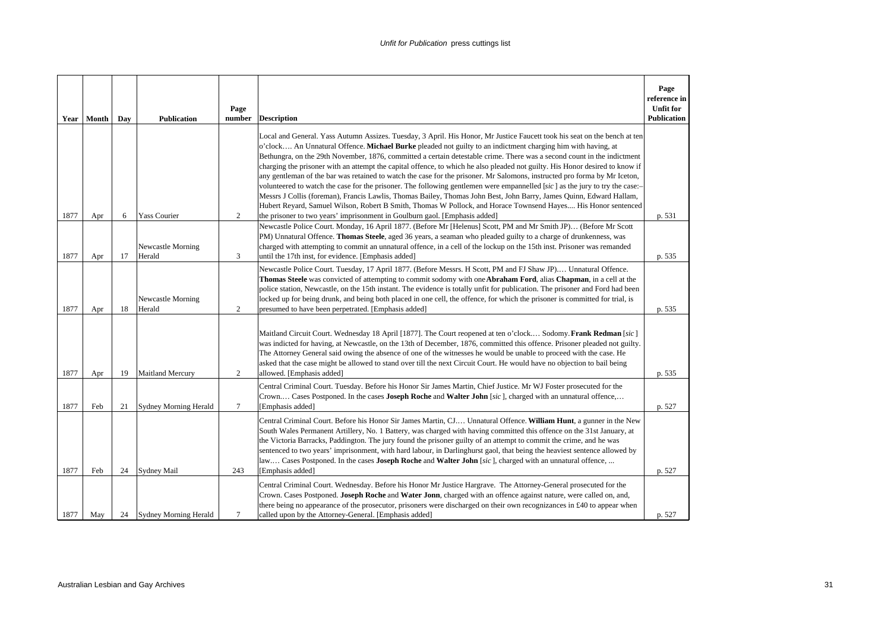| Year | Month | Day | <b>Publication</b>           | Page<br>number | <b>Description</b>                                                                                                                                                                                                                                                                                                                                                                                                                                                                                                                                                                                                                                                                                                                                                                                                                                                                                                                                                                                                                                                                      | Page<br>reference in<br><b>Unfit for</b><br><b>Publication</b> |
|------|-------|-----|------------------------------|----------------|-----------------------------------------------------------------------------------------------------------------------------------------------------------------------------------------------------------------------------------------------------------------------------------------------------------------------------------------------------------------------------------------------------------------------------------------------------------------------------------------------------------------------------------------------------------------------------------------------------------------------------------------------------------------------------------------------------------------------------------------------------------------------------------------------------------------------------------------------------------------------------------------------------------------------------------------------------------------------------------------------------------------------------------------------------------------------------------------|----------------------------------------------------------------|
| 1877 | Apr   | 6   | <b>Yass Courier</b>          | $\overline{2}$ | Local and General. Yass Autumn Assizes. Tuesday, 3 April. His Honor, Mr Justice Faucett took his seat on the bench at ten<br>o'clock An Unnatural Offence. Michael Burke pleaded not guilty to an indictment charging him with having, at<br>Bethungra, on the 29th November, 1876, committed a certain detestable crime. There was a second count in the indictment<br>charging the prisoner with an attempt the capital offence, to which he also pleaded not guilty. His Honor desired to know if<br>any gentleman of the bar was retained to watch the case for the prisoner. Mr Salomons, instructed pro forma by Mr Iceton,<br>volunteered to watch the case for the prisoner. The following gentlemen were empannelled [sic] as the jury to try the case:-<br>Messrs J Collis (foreman), Francis Lawlis, Thomas Bailey, Thomas John Best, John Barry, James Quinn, Edward Hallam,<br>Hubert Reyard, Samuel Wilson, Robert B Smith, Thomas W Pollock, and Horace Townsend Hayes His Honor sentenced<br>the prisoner to two years' imprisonment in Goulburn gaol. [Emphasis added] | p. 531                                                         |
| 1877 | Apr   | 17  | Newcastle Morning<br>Herald  | 3              | Newcastle Police Court. Monday, 16 April 1877. (Before Mr [Helenus] Scott, PM and Mr Smith JP) (Before Mr Scott<br>PM) Unnatural Offence. Thomas Steele, aged 36 years, a seaman who pleaded guilty to a charge of drunkenness, was<br>charged with attempting to commit an unnatural offence, in a cell of the lockup on the 15th inst. Prisoner was remanded<br>until the 17th inst, for evidence. [Emphasis added]                                                                                                                                                                                                                                                                                                                                                                                                                                                                                                                                                                                                                                                                   | p. 535                                                         |
| 1877 | Apr   | 18  | Newcastle Morning<br>Herald  | $\overline{c}$ | Newcastle Police Court. Tuesday, 17 April 1877. (Before Messrs. H Scott, PM and FJ Shaw JP) Unnatural Offence.<br>Thomas Steele was convicted of attempting to commit sodomy with one Abraham Ford, alias Chapman, in a cell at the<br>police station, Newcastle, on the 15th instant. The evidence is totally unfit for publication. The prisoner and Ford had been<br>locked up for being drunk, and being both placed in one cell, the offence, for which the prisoner is committed for trial, is<br>presumed to have been perpetrated. [Emphasis added]                                                                                                                                                                                                                                                                                                                                                                                                                                                                                                                             | p. 535                                                         |
| 1877 | Apr   | 19  | <b>Maitland Mercury</b>      | 2              | Maitland Circuit Court. Wednesday 18 April [1877]. The Court reopened at ten o'clock Sodomy. Frank Redman [sic]<br>was indicted for having, at Newcastle, on the 13th of December, 1876, committed this offence. Prisoner pleaded not guilty.<br>The Attorney General said owing the absence of one of the witnesses he would be unable to proceed with the case. He<br>asked that the case might be allowed to stand over till the next Circuit Court. He would have no objection to bail being<br>allowed. [Emphasis added]                                                                                                                                                                                                                                                                                                                                                                                                                                                                                                                                                           | p. 535                                                         |
| 1877 | Feb   | 21  | Sydney Morning Herald        | 7              | Central Criminal Court. Tuesday. Before his Honor Sir James Martin, Chief Justice. Mr WJ Foster prosecuted for the<br>Crown Cases Postponed. In the cases Joseph Roche and Walter John [sic], charged with an unnatural offence,<br>[Emphasis added]                                                                                                                                                                                                                                                                                                                                                                                                                                                                                                                                                                                                                                                                                                                                                                                                                                    | p. 527                                                         |
| 1877 | Feb   | 24  | <b>Sydney Mail</b>           | 243            | Central Criminal Court. Before his Honor Sir James Martin, CJ Unnatural Offence. William Hunt, a gunner in the New<br>South Wales Permanent Artillery, No. 1 Battery, was charged with having committed this offence on the 31st January, at<br>the Victoria Barracks, Paddington. The jury found the prisoner guilty of an attempt to commit the crime, and he was<br>sentenced to two years' imprisonment, with hard labour, in Darlinghurst gaol, that being the heaviest sentence allowed by<br>law Cases Postponed. In the cases Joseph Roche and Walter John [sic], charged with an unnatural offence,<br>[Emphasis added]                                                                                                                                                                                                                                                                                                                                                                                                                                                        | p. 527                                                         |
| 1877 | May   | 24  | <b>Sydney Morning Herald</b> | $\tau$         | Central Criminal Court. Wednesday. Before his Honor Mr Justice Hargrave. The Attorney-General prosecuted for the<br>Crown. Cases Postponed. Joseph Roche and Water Jonn, charged with an offence against nature, were called on, and,<br>there being no appearance of the prosecutor, prisoners were discharged on their own recognizances in £40 to appear when<br>called upon by the Attorney-General. [Emphasis added]                                                                                                                                                                                                                                                                                                                                                                                                                                                                                                                                                                                                                                                               | p. 527                                                         |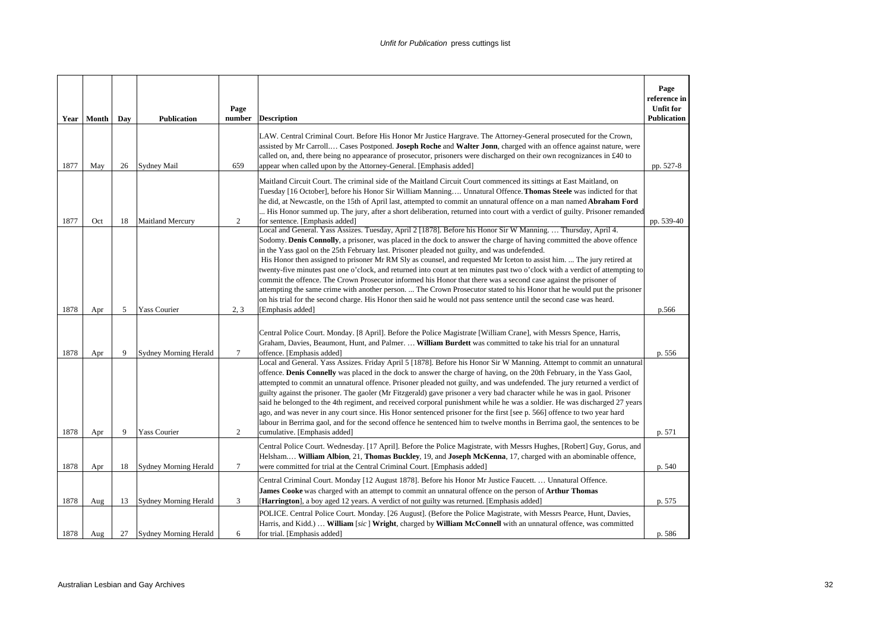|      | Year   Month | Day | <b>Publication</b>           | Page<br>number | <b>Description</b>                                                                                                                                                                                                                                                                                                                                                                                                                                                                                                                                                                                                                                                                                                                                                                                                                                                                                                                                                                         | Page<br>reference in<br><b>Unfit for</b><br><b>Publication</b> |
|------|--------------|-----|------------------------------|----------------|--------------------------------------------------------------------------------------------------------------------------------------------------------------------------------------------------------------------------------------------------------------------------------------------------------------------------------------------------------------------------------------------------------------------------------------------------------------------------------------------------------------------------------------------------------------------------------------------------------------------------------------------------------------------------------------------------------------------------------------------------------------------------------------------------------------------------------------------------------------------------------------------------------------------------------------------------------------------------------------------|----------------------------------------------------------------|
| 1877 | May          | 26  | Sydney Mail                  | 659            | LAW. Central Criminal Court. Before His Honor Mr Justice Hargrave. The Attorney-General prosecuted for the Crown,<br>assisted by Mr Carroll Cases Postponed. Joseph Roche and Walter Jonn, charged with an offence against nature, were<br>called on, and, there being no appearance of prosecutor, prisoners were discharged on their own recognizances in £40 to<br>appear when called upon by the Attorney-General. [Emphasis added]                                                                                                                                                                                                                                                                                                                                                                                                                                                                                                                                                    | pp. 527-8                                                      |
| 1877 | Oct          | 18  | <b>Maitland Mercury</b>      | 2              | Maitland Circuit Court. The criminal side of the Maitland Circuit Court commenced its sittings at East Maitland, on<br>Tuesday [16 October], before his Honor Sir William Manning Unnatural Offence. Thomas Steele was indicted for that<br>he did, at Newcastle, on the 15th of April last, attempted to commit an unnatural offence on a man named Abraham Ford<br>His Honor summed up. The jury, after a short deliberation, returned into court with a verdict of guilty. Prisoner remanded<br>for sentence. [Emphasis added]                                                                                                                                                                                                                                                                                                                                                                                                                                                          | pp. 539-40                                                     |
| 1878 | Apr          | 5   | Yass Courier                 | 2, 3           | Local and General. Yass Assizes. Tuesday, April 2 [1878]. Before his Honor Sir W Manning.  Thursday, April 4.<br>Sodomy. Denis Connolly, a prisoner, was placed in the dock to answer the charge of having committed the above offence<br>in the Yass gaol on the 25th February last. Prisoner pleaded not guilty, and was undefended.<br>His Honor then assigned to prisoner Mr RM Sly as counsel, and requested Mr Iceton to assist him.  The jury retired at<br>twenty-five minutes past one o'clock, and returned into court at ten minutes past two o'clock with a verdict of attempting to<br>commit the offence. The Crown Prosecutor informed his Honor that there was a second case against the prisoner of<br>attempting the same crime with another person.  The Crown Prosecutor stated to his Honor that he would put the prisoner<br>on his trial for the second charge. His Honor then said he would not pass sentence until the second case was heard.<br>[Emphasis added] | p.566                                                          |
| 1878 | Apr          | 9   | <b>Sydney Morning Herald</b> | $\tau$         | Central Police Court. Monday. [8 April]. Before the Police Magistrate [William Crane], with Messrs Spence, Harris,<br>Graham, Davies, Beaumont, Hunt, and Palmer.  William Burdett was committed to take his trial for an unnatural<br>offence. [Emphasis added]                                                                                                                                                                                                                                                                                                                                                                                                                                                                                                                                                                                                                                                                                                                           | p. 556                                                         |
| 1878 | Apr          | 9   | Yass Courier                 | 2              | Local and General. Yass Assizes. Friday April 5 [1878]. Before his Honor Sir W Manning. Attempt to commit an unnatural<br>offence. Denis Connelly was placed in the dock to answer the charge of having, on the 20th February, in the Yass Gaol,<br>attempted to commit an unnatural offence. Prisoner pleaded not guilty, and was undefended. The jury returned a verdict of<br>guilty against the prisoner. The gaoler (Mr Fitzgerald) gave prisoner a very bad character while he was in gaol. Prisoner<br>said he belonged to the 4th regiment, and received corporal punishment while he was a soldier. He was discharged 27 years<br>ago, and was never in any court since. His Honor sentenced prisoner for the first [see p. 566] offence to two year hard<br>labour in Berrima gaol, and for the second offence he sentenced him to twelve months in Berrima gaol, the sentences to be<br>cumulative. [Emphasis added]                                                            | p. 571                                                         |
| 1878 | Apr          | 18  | <b>Sydney Morning Herald</b> | $\tau$         | Central Police Court. Wednesday. [17 April]. Before the Police Magistrate, with Messrs Hughes, [Robert] Guy, Gorus, and<br>Helsham William Albion, 21, Thomas Buckley, 19, and Joseph McKenna, 17, charged with an abominable offence,<br>were committed for trial at the Central Criminal Court. [Emphasis added]                                                                                                                                                                                                                                                                                                                                                                                                                                                                                                                                                                                                                                                                         | p. 540                                                         |
| 1878 | Aug          | 13  | <b>Sydney Morning Herald</b> | 3              | Central Criminal Court. Monday [12 August 1878]. Before his Honor Mr Justice Faucett.  Unnatural Offence.<br>James Cooke was charged with an attempt to commit an unnatural offence on the person of Arthur Thomas<br>[Harrington], a boy aged 12 years. A verdict of not guilty was returned. [Emphasis added]                                                                                                                                                                                                                                                                                                                                                                                                                                                                                                                                                                                                                                                                            | p. 575                                                         |
| 1878 | Aug          | 27  | Sydney Morning Herald        | 6              | POLICE. Central Police Court. Monday. [26 August]. (Before the Police Magistrate, with Messrs Pearce, Hunt, Davies,<br>Harris, and Kidd.)  William [sic] Wright, charged by William McConnell with an unnatural offence, was committed<br>for trial. [Emphasis added]                                                                                                                                                                                                                                                                                                                                                                                                                                                                                                                                                                                                                                                                                                                      | p. 586                                                         |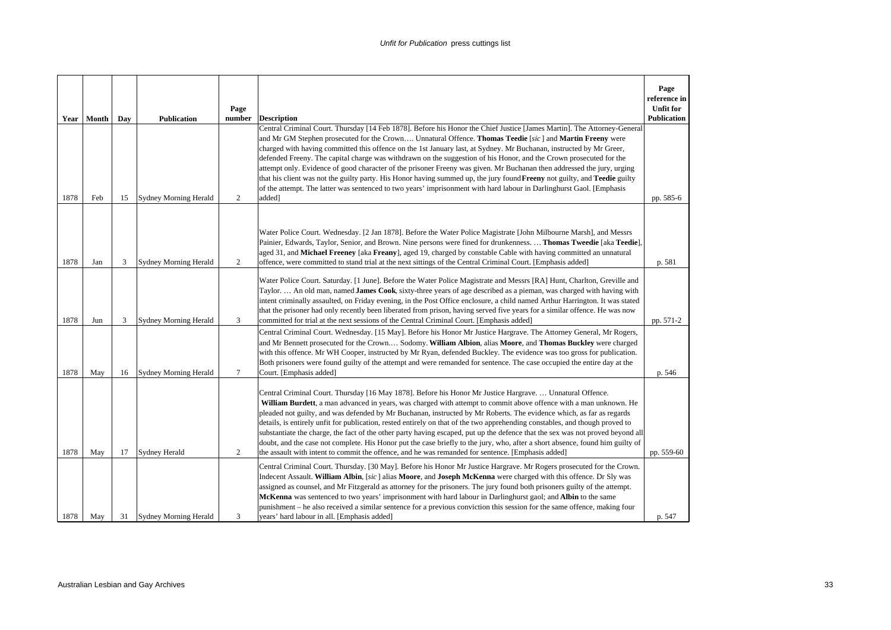|      |       |     |                              | Page   |                                                                                                                                                                                                                                                                                                                                                                                                                                                                                                                                                                                                                                                                                                                                                                                                                                                                | Page<br>reference in<br><b>Unfit for</b> |
|------|-------|-----|------------------------------|--------|----------------------------------------------------------------------------------------------------------------------------------------------------------------------------------------------------------------------------------------------------------------------------------------------------------------------------------------------------------------------------------------------------------------------------------------------------------------------------------------------------------------------------------------------------------------------------------------------------------------------------------------------------------------------------------------------------------------------------------------------------------------------------------------------------------------------------------------------------------------|------------------------------------------|
| Year | Month | Day | <b>Publication</b>           | number | <b>Description</b><br>Central Criminal Court. Thursday [14 Feb 1878]. Before his Honor the Chief Justice [James Martin]. The Attorney-General                                                                                                                                                                                                                                                                                                                                                                                                                                                                                                                                                                                                                                                                                                                  | <b>Publication</b>                       |
| 1878 | Feb   | 15  | <b>Sydney Morning Herald</b> | 2      | and Mr GM Stephen prosecuted for the Crown Unnatural Offence. Thomas Teedie [sic] and Martin Freeny were<br>charged with having committed this offence on the 1st January last, at Sydney. Mr Buchanan, instructed by Mr Greer,<br>defended Freeny. The capital charge was withdrawn on the suggestion of his Honor, and the Crown prosecuted for the<br>attempt only. Evidence of good character of the prisoner Freeny was given. Mr Buchanan then addressed the jury, urging<br>that his client was not the guilty party. His Honor having summed up, the jury found Freeny not guilty, and Teedie guilty<br>of the attempt. The latter was sentenced to two years' imprisonment with hard labour in Darlinghurst Gaol. [Emphasis<br>added]                                                                                                                 | pp. 585-6                                |
| 1878 | Jan   | 3   | <b>Sydney Morning Herald</b> | 2      | Water Police Court. Wednesday. [2 Jan 1878]. Before the Water Police Magistrate [John Milbourne Marsh], and Messrs<br>Painier, Edwards, Taylor, Senior, and Brown. Nine persons were fined for drunkenness.  Thomas Tweedie [aka Teedie],<br>aged 31, and Michael Freeney [aka Freany], aged 19, charged by constable Cable with having committed an unnatural<br>offence, were committed to stand trial at the next sittings of the Central Criminal Court. [Emphasis added]                                                                                                                                                                                                                                                                                                                                                                                  | p. 581                                   |
| 1878 | Jun   | 3   | <b>Sydney Morning Herald</b> | 3      | Water Police Court. Saturday. [1 June]. Before the Water Police Magistrate and Messrs [RA] Hunt, Charlton, Greville and<br>Taylor.  An old man, named James Cook, sixty-three years of age described as a pieman, was charged with having with<br>intent criminally assaulted, on Friday evening, in the Post Office enclosure, a child named Arthur Harrington. It was stated<br>that the prisoner had only recently been liberated from prison, having served five years for a similar offence. He was now<br>committed for trial at the next sessions of the Central Criminal Court. [Emphasis added]                                                                                                                                                                                                                                                       | pp. 571-2                                |
| 1878 | May   | 16  | Sydney Morning Herald        | $\tau$ | Central Criminal Court. Wednesday. [15 May]. Before his Honor Mr Justice Hargrave. The Attorney General, Mr Rogers,<br>and Mr Bennett prosecuted for the Crown Sodomy. William Albion, alias Moore, and Thomas Buckley were charged<br>with this offence. Mr WH Cooper, instructed by Mr Ryan, defended Buckley. The evidence was too gross for publication.<br>Both prisoners were found guilty of the attempt and were remanded for sentence. The case occupied the entire day at the<br>Court. [Emphasis added]                                                                                                                                                                                                                                                                                                                                             | p. 546                                   |
| 1878 | May   | 17  | Sydney Herald                | 2      | Central Criminal Court. Thursday [16 May 1878]. Before his Honor Mr Justice Hargrave.  Unnatural Offence.<br>William Burdett, a man advanced in years, was charged with attempt to commit above offence with a man unknown. He<br>pleaded not guilty, and was defended by Mr Buchanan, instructed by Mr Roberts. The evidence which, as far as regards<br>details, is entirely unfit for publication, rested entirely on that of the two apprehending constables, and though proved to<br>substantiate the charge, the fact of the other party having escaped, put up the defence that the sex was not proved beyond all<br>doubt, and the case not complete. His Honor put the case briefly to the jury, who, after a short absence, found him guilty of<br>the assault with intent to commit the offence, and he was remanded for sentence. [Emphasis added] | pp. 559-60                               |
| 1878 | May   | 31  | Sydney Morning Herald        | 3      | Central Criminal Court. Thursday. [30 May]. Before his Honor Mr Justice Hargrave. Mr Rogers prosecuted for the Crown.<br>Indecent Assault. William Albin, [sic] alias Moore, and Joseph McKenna were charged with this offence. Dr Sly was<br>assigned as counsel, and Mr Fitzgerald as attorney for the prisoners. The jury found both prisoners guilty of the attempt.<br>McKenna was sentenced to two years' imprisonment with hard labour in Darlinghurst gaol; and Albin to the same<br>punishment – he also received a similar sentence for a previous conviction this session for the same offence, making four<br>years' hard labour in all. [Emphasis added]                                                                                                                                                                                          | p. 547                                   |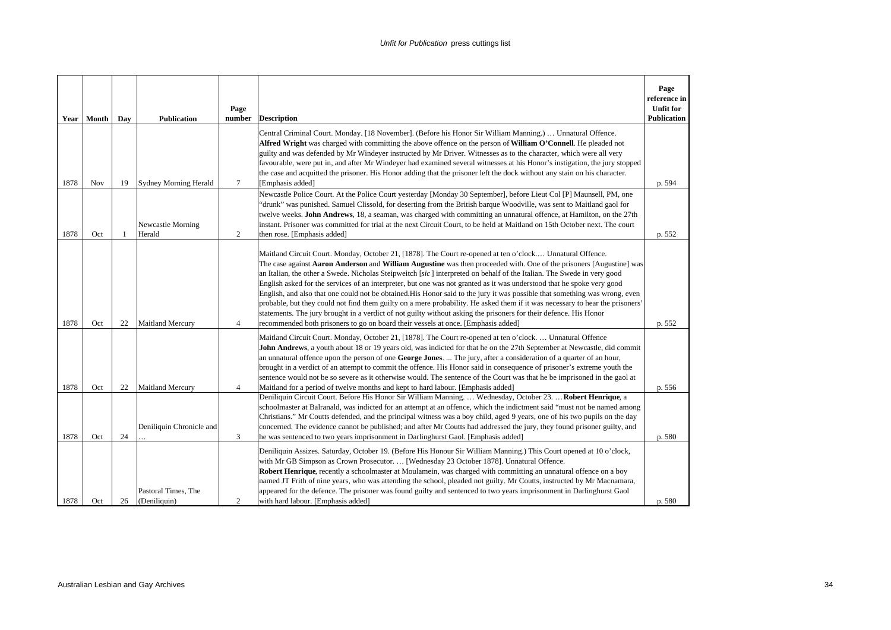| Year | Month | Day | <b>Publication</b>                  | Page<br>number | <b>Description</b>                                                                                                                                                                                                                                                                                                                                                                                                                                                                                                                                                                                                                                                                                                                                                                                                                                                                                                                                             | Page<br>reference in<br><b>Unfit for</b><br>Publication |
|------|-------|-----|-------------------------------------|----------------|----------------------------------------------------------------------------------------------------------------------------------------------------------------------------------------------------------------------------------------------------------------------------------------------------------------------------------------------------------------------------------------------------------------------------------------------------------------------------------------------------------------------------------------------------------------------------------------------------------------------------------------------------------------------------------------------------------------------------------------------------------------------------------------------------------------------------------------------------------------------------------------------------------------------------------------------------------------|---------------------------------------------------------|
| 1878 | Nov   | 19  | <b>Sydney Morning Herald</b>        | $\tau$         | Central Criminal Court. Monday. [18 November]. (Before his Honor Sir William Manning.)  Unnatural Offence.<br>Alfred Wright was charged with committing the above offence on the person of William O'Connell. He pleaded not<br>guilty and was defended by Mr Windeyer instructed by Mr Driver. Witnesses as to the character, which were all very<br>favourable, were put in, and after Mr Windeyer had examined several witnesses at his Honor's instigation, the jury stopped<br>the case and acquitted the prisoner. His Honor adding that the prisoner left the dock without any stain on his character.<br>[Emphasis added]                                                                                                                                                                                                                                                                                                                              | p. 594                                                  |
| 1878 | Oct   | -1  | Newcastle Morning<br>Herald         | 2              | Newcastle Police Court. At the Police Court yesterday [Monday 30 September], before Lieut Col [P] Maunsell, PM, one<br>"drunk" was punished. Samuel Clissold, for deserting from the British barque Woodville, was sent to Maitland gaol for<br>twelve weeks. John Andrews, 18, a seaman, was charged with committing an unnatural offence, at Hamilton, on the 27th<br>instant. Prisoner was committed for trial at the next Circuit Court, to be held at Maitland on 15th October next. The court<br>then rose. [Emphasis added]                                                                                                                                                                                                                                                                                                                                                                                                                             | p. 552                                                  |
| 1878 | Oct   | 22  | <b>Maitland Mercury</b>             | $\overline{4}$ | Maitland Circuit Court. Monday, October 21, [1878]. The Court re-opened at ten o'clock Unnatural Offence.<br>The case against Aaron Anderson and William Augustine was then proceeded with. One of the prisoners [Augustine] was<br>an Italian, the other a Swede. Nicholas Steipweitch [sic] interpreted on behalf of the Italian. The Swede in very good<br>English asked for the services of an interpreter, but one was not granted as it was understood that he spoke very good<br>English, and also that one could not be obtained. His Honor said to the jury it was possible that something was wrong, even<br>probable, but they could not find them guilty on a mere probability. He asked them if it was necessary to hear the prisoners'<br>statements. The jury brought in a verdict of not guilty without asking the prisoners for their defence. His Honor<br>recommended both prisoners to go on board their vessels at once. [Emphasis added] | p. 552                                                  |
| 1878 | Oct   | 22  | <b>Maitland Mercury</b>             | $\overline{4}$ | Maitland Circuit Court. Monday, October 21, [1878]. The Court re-opened at ten o'clock.  Unnatural Offence<br>John Andrews, a youth about 18 or 19 years old, was indicted for that he on the 27th September at Newcastle, did commit<br>an unnatural offence upon the person of one George Jones.  The jury, after a consideration of a quarter of an hour,<br>brought in a verdict of an attempt to commit the offence. His Honor said in consequence of prisoner's extreme youth the<br>sentence would not be so severe as it otherwise would. The sentence of the Court was that he be imprisoned in the gaol at<br>Maitland for a period of twelve months and kept to hard labour. [Emphasis added]                                                                                                                                                                                                                                                       | p. 556                                                  |
| 1878 | Oct   | 24  | Deniliquin Chronicle and            | 3              | Deniliquin Circuit Court. Before His Honor Sir William Manning.  Wednesday, October 23.  Robert Henrique, a<br>schoolmaster at Balranald, was indicted for an attempt at an offence, which the indictment said "must not be named among<br>Christians." Mr Coutts defended, and the principal witness was a boy child, aged 9 years, one of his two pupils on the day<br>concerned. The evidence cannot be published; and after Mr Coutts had addressed the jury, they found prisoner guilty, and<br>he was sentenced to two years imprisonment in Darlinghurst Gaol. [Emphasis added]                                                                                                                                                                                                                                                                                                                                                                         | p. 580                                                  |
| 1878 | Oct   | 26  | Pastoral Times, The<br>(Deniliquin) | 2              | Deniliquin Assizes. Saturday, October 19. (Before His Honour Sir William Manning.) This Court opened at 10 o'clock,<br>with Mr GB Simpson as Crown Prosecutor.  [Wednesday 23 October 1878]. Unnatural Offence.<br>Robert Henrique, recently a schoolmaster at Moulamein, was charged with committing an unnatural offence on a boy<br>named JT Frith of nine years, who was attending the school, pleaded not guilty. Mr Coutts, instructed by Mr Macnamara,<br>appeared for the defence. The prisoner was found guilty and sentenced to two years imprisonment in Darlinghurst Gaol<br>with hard labour. [Emphasis added]                                                                                                                                                                                                                                                                                                                                    | p. 580                                                  |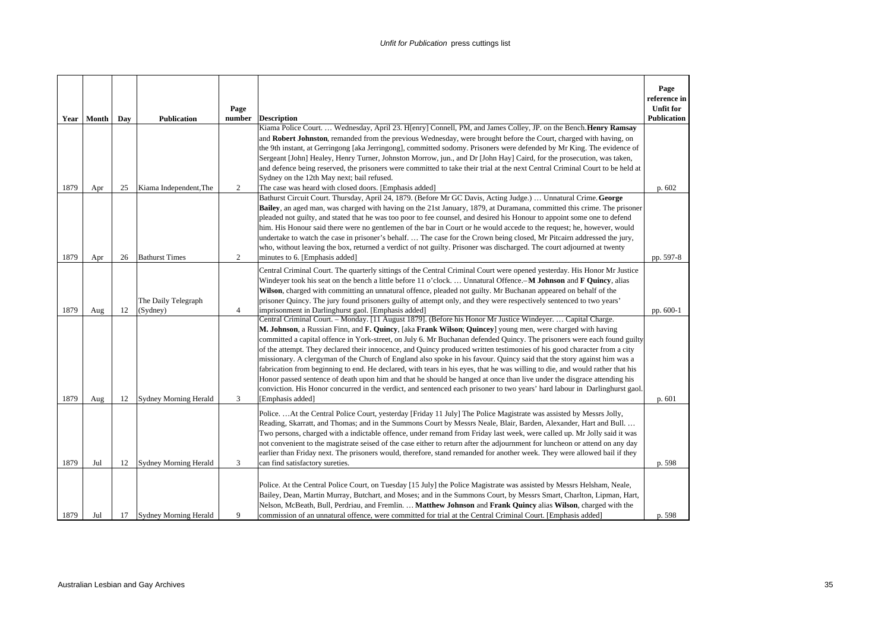|      |       |     |                              |                |                                                                                                                                                                                                                                                                                                                                                                                                                                                                                                                                                                                                                                                                                                                                                                                                                                                                                                                                                                                                                            | Page<br>reference in |
|------|-------|-----|------------------------------|----------------|----------------------------------------------------------------------------------------------------------------------------------------------------------------------------------------------------------------------------------------------------------------------------------------------------------------------------------------------------------------------------------------------------------------------------------------------------------------------------------------------------------------------------------------------------------------------------------------------------------------------------------------------------------------------------------------------------------------------------------------------------------------------------------------------------------------------------------------------------------------------------------------------------------------------------------------------------------------------------------------------------------------------------|----------------------|
|      |       |     |                              | Page           |                                                                                                                                                                                                                                                                                                                                                                                                                                                                                                                                                                                                                                                                                                                                                                                                                                                                                                                                                                                                                            | <b>Unfit for</b>     |
| Year | Month | Day | <b>Publication</b>           | number         | <b>Description</b><br>Kiama Police Court.  Wednesday, April 23. H[enry] Connell, PM, and James Colley, JP. on the Bench. Henry Ramsay                                                                                                                                                                                                                                                                                                                                                                                                                                                                                                                                                                                                                                                                                                                                                                                                                                                                                      | <b>Publication</b>   |
|      |       |     |                              |                | and Robert Johnston, remanded from the previous Wednesday, were brought before the Court, charged with having, on<br>the 9th instant, at Gerringong [aka Jerringong], committed sodomy. Prisoners were defended by Mr King. The evidence of<br>Sergeant [John] Healey, Henry Turner, Johnston Morrow, jun., and Dr [John Hay] Caird, for the prosecution, was taken,<br>and defence being reserved, the prisoners were committed to take their trial at the next Central Criminal Court to be held at                                                                                                                                                                                                                                                                                                                                                                                                                                                                                                                      |                      |
| 1879 | Apr   | 25  | Kiama Independent, The       | 2              | Sydney on the 12th May next; bail refused.<br>The case was heard with closed doors. [Emphasis added]                                                                                                                                                                                                                                                                                                                                                                                                                                                                                                                                                                                                                                                                                                                                                                                                                                                                                                                       | p. 602               |
| 1879 | Apr   | 26  | <b>Bathurst Times</b>        | 2              | Bathurst Circuit Court. Thursday, April 24, 1879. (Before Mr GC Davis, Acting Judge.)  Unnatural Crime. George<br>Bailey, an aged man, was charged with having on the 21st January, 1879, at Duramana, committed this crime. The prisoner<br>pleaded not guilty, and stated that he was too poor to fee counsel, and desired his Honour to appoint some one to defend<br>him. His Honour said there were no gentlemen of the bar in Court or he would accede to the request; he, however, would<br>undertake to watch the case in prisoner's behalf The case for the Crown being closed, Mr Pitcairn addressed the jury,<br>who, without leaving the box, returned a verdict of not guilty. Prisoner was discharged. The court adjourned at twenty<br>minutes to 6. [Emphasis added]                                                                                                                                                                                                                                       | pp. 597-8            |
|      |       |     | The Daily Telegraph          |                | Central Criminal Court. The quarterly sittings of the Central Criminal Court were opened yesterday. His Honor Mr Justice<br>Windever took his seat on the bench a little before 11 o'clock.  Unnatural Offence.-M Johnson and F Quincy, alias<br>Wilson, charged with committing an unnatural offence, pleaded not guilty. Mr Buchanan appeared on behalf of the<br>prisoner Quincy. The jury found prisoners guilty of attempt only, and they were respectively sentenced to two years'                                                                                                                                                                                                                                                                                                                                                                                                                                                                                                                                   |                      |
| 1879 | Aug   | 12  | (Sydney)                     | $\overline{4}$ | imprisonment in Darlinghurst gaol. [Emphasis added]                                                                                                                                                                                                                                                                                                                                                                                                                                                                                                                                                                                                                                                                                                                                                                                                                                                                                                                                                                        | pp. 600-1            |
| 1879 | Aug   | 12  | <b>Sydney Morning Herald</b> | 3              | Central Criminal Court. - Monday. [11 August 1879]. (Before his Honor Mr Justice Windeyer.  Capital Charge.<br>M. Johnson, a Russian Finn, and F. Quincy, [aka Frank Wilson; Quincey] young men, were charged with having<br>committed a capital offence in York-street, on July 6. Mr Buchanan defended Quincy. The prisoners were each found guilty<br>of the attempt. They declared their innocence, and Quincy produced written testimonies of his good character from a city<br>missionary. A clergyman of the Church of England also spoke in his favour. Quincy said that the story against him was a<br>fabrication from beginning to end. He declared, with tears in his eyes, that he was willing to die, and would rather that his<br>Honor passed sentence of death upon him and that he should be hanged at once than live under the disgrace attending his<br>conviction. His Honor concurred in the verdict, and sentenced each prisoner to two years' hard labour in Darlinghurst gaol<br>[Emphasis added] | p. 601               |
| 1879 | Jul   | 12  | <b>Sydney Morning Herald</b> | 3              | PoliceAt the Central Police Court, yesterday [Friday 11 July] The Police Magistrate was assisted by Messrs Jolly,<br>Reading, Skarratt, and Thomas; and in the Summons Court by Messrs Neale, Blair, Barden, Alexander, Hart and Bull.<br>Two persons, charged with a indictable offence, under remand from Friday last week, were called up. Mr Jolly said it was<br>not convenient to the magistrate seised of the case either to return after the adjournment for luncheon or attend on any day<br>earlier than Friday next. The prisoners would, therefore, stand remanded for another week. They were allowed bail if they<br>can find satisfactory sureties.                                                                                                                                                                                                                                                                                                                                                         | p. 598               |
| 1879 | Jul   | 17  | Sydney Morning Herald        | 9              | Police. At the Central Police Court, on Tuesday [15 July] the Police Magistrate was assisted by Messrs Helsham, Neale,<br>Bailey, Dean, Martin Murray, Butchart, and Moses; and in the Summons Court, by Messrs Smart, Charlton, Lipman, Hart,<br>Nelson, McBeath, Bull, Perdriau, and Fremlin.  Matthew Johnson and Frank Quincy alias Wilson, charged with the<br>commission of an unnatural offence, were committed for trial at the Central Criminal Court. [Emphasis added]                                                                                                                                                                                                                                                                                                                                                                                                                                                                                                                                           | p. 598               |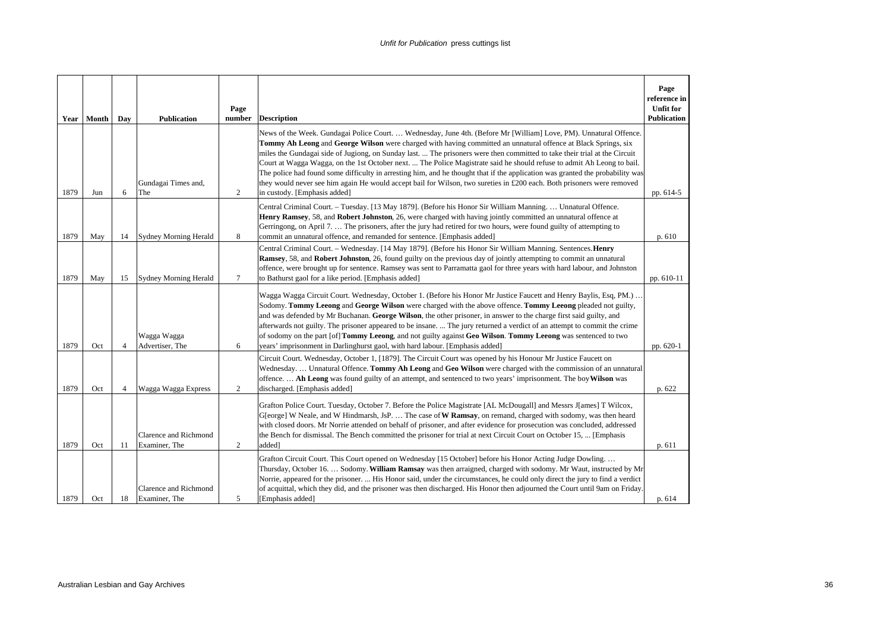|      | Year   Month | Day            | <b>Publication</b>                     | Page<br>number | <b>Description</b>                                                                                                                                                                                                                                                                                                                                                                                                                                                                                                                                                                                                                                                                                                                                                                    | Page<br>reference in<br><b>Unfit for</b><br><b>Publication</b> |
|------|--------------|----------------|----------------------------------------|----------------|---------------------------------------------------------------------------------------------------------------------------------------------------------------------------------------------------------------------------------------------------------------------------------------------------------------------------------------------------------------------------------------------------------------------------------------------------------------------------------------------------------------------------------------------------------------------------------------------------------------------------------------------------------------------------------------------------------------------------------------------------------------------------------------|----------------------------------------------------------------|
| 1879 | Jun          | 6              | Gundagai Times and,<br>The             | 2              | News of the Week. Gundagai Police Court.  Wednesday, June 4th. (Before Mr [William] Love, PM). Unnatural Offence.<br>Tommy Ah Leong and George Wilson were charged with having committed an unnatural offence at Black Springs, six<br>miles the Gundagai side of Jugiong, on Sunday last.  The prisoners were then committed to take their trial at the Circuit<br>Court at Wagga Wagga, on the 1st October next.  The Police Magistrate said he should refuse to admit Ah Leong to bail.<br>The police had found some difficulty in arresting him, and he thought that if the application was granted the probability was<br>they would never see him again He would accept bail for Wilson, two sureties in £200 each. Both prisoners were removed<br>in custody. [Emphasis added] | pp. 614-5                                                      |
| 1879 | May          | 14             | <b>Sydney Morning Herald</b>           | 8              | Central Criminal Court. - Tuesday. [13 May 1879]. (Before his Honor Sir William Manning.  Unnatural Offence.<br>Henry Ramsey, 58, and Robert Johnston, 26, were charged with having jointly committed an unnatural offence at<br>Gerringong, on April 7.  The prisoners, after the jury had retired for two hours, were found guilty of attempting to<br>commit an unnatural offence, and remanded for sentence. [Emphasis added]                                                                                                                                                                                                                                                                                                                                                     | p. 610                                                         |
| 1879 | May          | 15             | <b>Sydney Morning Herald</b>           | $\overline{7}$ | Central Criminal Court. - Wednesday. [14 May 1879]. (Before his Honor Sir William Manning. Sentences. Henry<br><b>Ramsey, 58, and Robert Johnston, 26, found guilty on the previous day of jointly attempting to commit an unnatural</b><br>offence, were brought up for sentence. Ramsey was sent to Parramatta gaol for three years with hard labour, and Johnston<br>to Bathurst gaol for a like period. [Emphasis added]                                                                                                                                                                                                                                                                                                                                                          | pp. 610-11                                                     |
| 1879 | Oct          | $\overline{4}$ | Wagga Wagga<br>Advertiser, The         | 6              | Wagga Wagga Circuit Court. Wednesday, October 1. (Before his Honor Mr Justice Faucett and Henry Baylis, Esq, PM.).<br>Sodomy. Tommy Leeong and George Wilson were charged with the above offence. Tommy Leeong pleaded not guilty,<br>and was defended by Mr Buchanan. George Wilson, the other prisoner, in answer to the charge first said guilty, and<br>afterwards not guilty. The prisoner appeared to be insane.  The jury returned a verdict of an attempt to commit the crime<br>of sodomy on the part [of] <b>Tommy Leeong</b> , and not guilty against Geo Wilson. Tommy Leeong was sentenced to two<br>years' imprisonment in Darlinghurst gaol, with hard labour. [Emphasis added]                                                                                        | pp. 620-1                                                      |
| 1879 | Oct          | $\overline{4}$ | Wagga Wagga Express                    | 2              | Circuit Court. Wednesday, October 1, [1879]. The Circuit Court was opened by his Honour Mr Justice Faucett on<br>Wednesday.  Unnatural Offence. Tommy Ah Leong and Geo Wilson were charged with the commission of an unnatural<br>offence Ah Leong was found guilty of an attempt, and sentenced to two years' imprisonment. The boy Wilson was<br>discharged. [Emphasis added]                                                                                                                                                                                                                                                                                                                                                                                                       | p. 622                                                         |
| 1879 | Oct          | 11             | Clarence and Richmond<br>Examiner, The | $\overline{c}$ | Grafton Police Court. Tuesday, October 7. Before the Police Magistrate [AL McDougall] and Messrs J[ames] T Wilcox,<br>G[eorge] W Neale, and W Hindmarsh, JsP.  The case of W Ramsay, on remand, charged with sodomy, was then heard<br>with closed doors. Mr Norrie attended on behalf of prisoner, and after evidence for prosecution was concluded, addressed<br>the Bench for dismissal. The Bench committed the prisoner for trial at next Circuit Court on October 15,  [Emphasis<br>added <sup>1</sup>                                                                                                                                                                                                                                                                          | p. 611                                                         |
| 1879 | Oct          | 18             | Clarence and Richmond<br>Examiner, The | 5              | Grafton Circuit Court. This Court opened on Wednesday [15 October] before his Honor Acting Judge Dowling<br>Thursday, October 16.  Sodomy. William Ramsay was then arraigned, charged with sodomy. Mr Waut, instructed by Mr<br>Norrie, appeared for the prisoner.  His Honor said, under the circumstances, he could only direct the jury to find a verdict<br>of acquittal, which they did, and the prisoner was then discharged. His Honor then adjourned the Court until 9am on Friday<br>[Emphasis added]                                                                                                                                                                                                                                                                        | p. 614                                                         |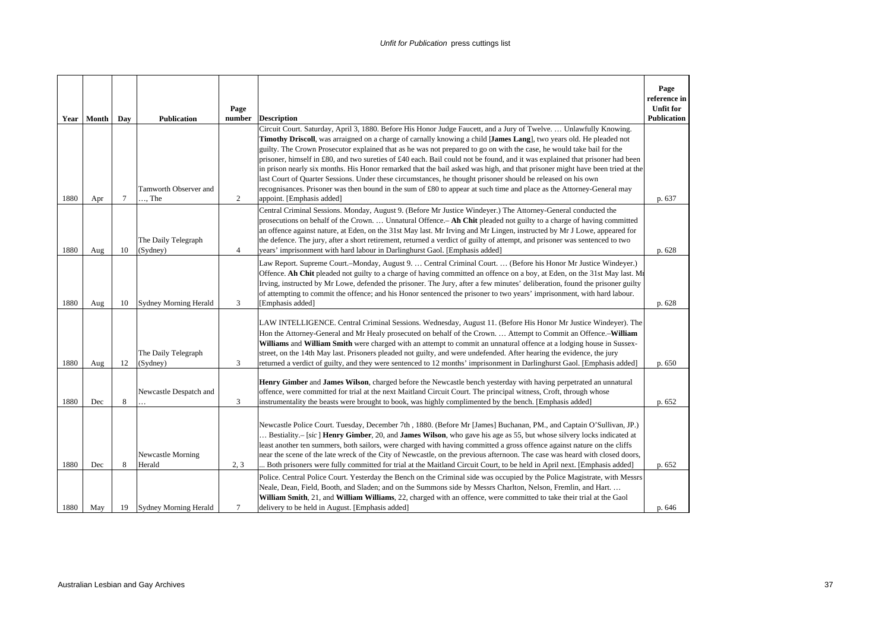| Year | Month | Day    | <b>Publication</b>              | Page<br>number | <b>Description</b>                                                                                                                                                                                                                                                                                                                                                                                                                                                                                                                                                                                                               | Page<br>reference in<br><b>Unfit for</b><br><b>Publication</b> |
|------|-------|--------|---------------------------------|----------------|----------------------------------------------------------------------------------------------------------------------------------------------------------------------------------------------------------------------------------------------------------------------------------------------------------------------------------------------------------------------------------------------------------------------------------------------------------------------------------------------------------------------------------------------------------------------------------------------------------------------------------|----------------------------------------------------------------|
|      |       |        |                                 |                | Circuit Court. Saturday, April 3, 1880. Before His Honor Judge Faucett, and a Jury of Twelve.  Unlawfully Knowing.<br>Timothy Driscoll, was arraigned on a charge of carnally knowing a child [James Lang], two years old. He pleaded not                                                                                                                                                                                                                                                                                                                                                                                        |                                                                |
|      |       |        |                                 |                | guilty. The Crown Prosecutor explained that as he was not prepared to go on with the case, he would take bail for the<br>prisoner, himself in £80, and two sureties of £40 each. Bail could not be found, and it was explained that prisoner had been<br>in prison nearly six months. His Honor remarked that the bail asked was high, and that prisoner might have been tried at the                                                                                                                                                                                                                                            |                                                                |
|      |       |        | Tamworth Observer and           |                | last Court of Quarter Sessions. Under these circumstances, he thought prisoner should be released on his own<br>recognisances. Prisoner was then bound in the sum of £80 to appear at such time and place as the Attorney-General may                                                                                                                                                                                                                                                                                                                                                                                            |                                                                |
| 1880 | Apr   | $\tau$ | $\ldots$ The                    | 2              | appoint. [Emphasis added]                                                                                                                                                                                                                                                                                                                                                                                                                                                                                                                                                                                                        | p. 637                                                         |
| 1880 | Aug   | 10     | The Daily Telegraph<br>(Sydney) | $\overline{4}$ | Central Criminal Sessions. Monday, August 9. (Before Mr Justice Windeyer.) The Attorney-General conducted the<br>prosecutions on behalf of the Crown.  Unnatural Offence. - Ah Chit pleaded not guilty to a charge of having committed<br>an offence against nature, at Eden, on the 31st May last. Mr Irving and Mr Lingen, instructed by Mr J Lowe, appeared for<br>the defence. The jury, after a short retirement, returned a verdict of guilty of attempt, and prisoner was sentenced to two<br>years' imprisonment with hard labour in Darlinghurst Gaol. [Emphasis added]                                                 | p. 628                                                         |
|      |       |        |                                 |                | Law Report. Supreme Court.--Monday, August 9.  Central Criminal Court.  (Before his Honor Mr Justice Windeyer.)                                                                                                                                                                                                                                                                                                                                                                                                                                                                                                                  |                                                                |
|      |       |        |                                 |                | Offence. Ah Chit pleaded not guilty to a charge of having committed an offence on a boy, at Eden, on the 31st May last. Mr<br>Irving, instructed by Mr Lowe, defended the prisoner. The Jury, after a few minutes' deliberation, found the prisoner guilty                                                                                                                                                                                                                                                                                                                                                                       |                                                                |
|      |       |        |                                 |                | of attempting to commit the offence; and his Honor sentenced the prisoner to two years' imprisonment, with hard labour.                                                                                                                                                                                                                                                                                                                                                                                                                                                                                                          |                                                                |
| 1880 | Aug   | 10     | <b>Sydney Morning Herald</b>    | 3              | [Emphasis added]                                                                                                                                                                                                                                                                                                                                                                                                                                                                                                                                                                                                                 | p. 628                                                         |
|      |       |        |                                 |                | LAW INTELLIGENCE. Central Criminal Sessions. Wednesday, August 11. (Before His Honor Mr Justice Windeyer). The<br>Hon the Attorney-General and Mr Healy prosecuted on behalf of the Crown.  Attempt to Commit an Offence.-William<br>Williams and William Smith were charged with an attempt to commit an unnatural offence at a lodging house in Sussex-                                                                                                                                                                                                                                                                        |                                                                |
|      |       |        | The Daily Telegraph             |                | street, on the 14th May last. Prisoners pleaded not guilty, and were undefended. After hearing the evidence, the jury                                                                                                                                                                                                                                                                                                                                                                                                                                                                                                            |                                                                |
| 1880 | Aug   | 12     | (Sydney)                        | 3              | returned a verdict of guilty, and they were sentenced to 12 months' imprisonment in Darlinghurst Gaol. [Emphasis added]                                                                                                                                                                                                                                                                                                                                                                                                                                                                                                          | p. 650                                                         |
|      |       |        |                                 |                | Henry Gimber and James Wilson, charged before the Newcastle bench yesterday with having perpetrated an unnatural<br>offence, were committed for trial at the next Maitland Circuit Court. The principal witness, Croft, through whose                                                                                                                                                                                                                                                                                                                                                                                            |                                                                |
| 1880 | Dec   | 8      | Newcastle Despatch and          | 3              | instrumentality the beasts were brought to book, was highly complimented by the bench. [Emphasis added]                                                                                                                                                                                                                                                                                                                                                                                                                                                                                                                          | p. 652                                                         |
| 1880 | Dec   | 8      | Newcastle Morning<br>Herald     | 2, 3           | Newcastle Police Court. Tuesday, December 7th, 1880. (Before Mr [James] Buchanan, PM., and Captain O'Sullivan, JP.)<br>Bestiality.- [sic] Henry Gimber, 20, and James Wilson, who gave his age as 55, but whose silvery locks indicated at<br>least another ten summers, both sailors, were charged with having committed a gross offence against nature on the cliffs<br>near the scene of the late wreck of the City of Newcastle, on the previous afternoon. The case was heard with closed doors,<br>Both prisoners were fully committed for trial at the Maitland Circuit Court, to be held in April next. [Emphasis added] | p. 652                                                         |
|      |       |        |                                 |                | Police. Central Police Court. Yesterday the Bench on the Criminal side was occupied by the Police Magistrate, with Messrs<br>Neale, Dean, Field, Booth, and Sladen; and on the Summons side by Messrs Charlton, Nelson, Fremlin, and Hart<br>William Smith, 21, and William Williams, 22, charged with an offence, were committed to take their trial at the Gaol                                                                                                                                                                                                                                                                |                                                                |
| 1880 | May   | 19     | Sydney Morning Herald           | $\tau$         | delivery to be held in August. [Emphasis added]                                                                                                                                                                                                                                                                                                                                                                                                                                                                                                                                                                                  | p. 646                                                         |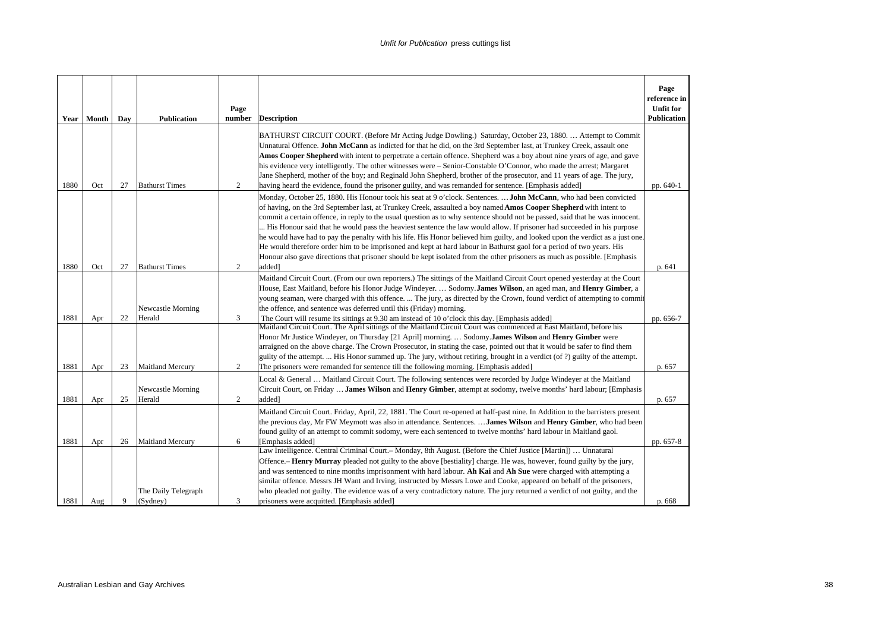|      | Year Month | Day | <b>Publication</b>              | Page<br>number | <b>Description</b>                                                                                                                                                                                                                                                                                                                                                                                                                                                                                                                                                                                                                                                                                                                                                                                                                                                                                      | Page<br>reference in<br><b>Unfit for</b><br><b>Publication</b> |
|------|------------|-----|---------------------------------|----------------|---------------------------------------------------------------------------------------------------------------------------------------------------------------------------------------------------------------------------------------------------------------------------------------------------------------------------------------------------------------------------------------------------------------------------------------------------------------------------------------------------------------------------------------------------------------------------------------------------------------------------------------------------------------------------------------------------------------------------------------------------------------------------------------------------------------------------------------------------------------------------------------------------------|----------------------------------------------------------------|
| 1880 | Oct        | 27  | <b>Bathurst Times</b>           | 2              | BATHURST CIRCUIT COURT. (Before Mr Acting Judge Dowling.) Saturday, October 23, 1880.  Attempt to Commit<br>Unnatural Offence. John McCann as indicted for that he did, on the 3rd September last, at Trunkey Creek, assault one<br>Amos Cooper Shepherd with intent to perpetrate a certain offence. Shepherd was a boy about nine years of age, and gave<br>his evidence very intelligently. The other witnesses were – Senior-Constable O'Connor, who made the arrest; Margaret<br>Jane Shepherd, mother of the boy; and Reginald John Shepherd, brother of the prosecutor, and 11 years of age. The jury,<br>having heard the evidence, found the prisoner guilty, and was remanded for sentence. [Emphasis added]                                                                                                                                                                                  | pp. 640-1                                                      |
| 1880 | Oct        | 27  | <b>Bathurst Times</b>           | 2              | Monday, October 25, 1880. His Honour took his seat at 9 o'clock. Sentences. <b>John McCann</b> , who had been convicted<br>of having, on the 3rd September last, at Trunkey Creek, assaulted a boy named Amos Cooper Shepherd with intent to<br>commit a certain offence, in reply to the usual question as to why sentence should not be passed, said that he was innocent.<br>His Honour said that he would pass the heaviest sentence the law would allow. If prisoner had succeeded in his purpose<br>he would have had to pay the penalty with his life. His Honor believed him guilty, and looked upon the verdict as a just one.<br>He would therefore order him to be imprisoned and kept at hard labour in Bathurst gaol for a period of two years. His<br>Honour also gave directions that prisoner should be kept isolated from the other prisoners as much as possible. [Emphasis<br>added] | p. 641                                                         |
| 1881 | Apr        | 22  | Newcastle Morning<br>Herald     | 3              | Maitland Circuit Court. (From our own reporters.) The sittings of the Maitland Circuit Court opened yesterday at the Court<br>House, East Maitland, before his Honor Judge Windeyer.  Sodomy.James Wilson, an aged man, and Henry Gimber, a<br>young seaman, were charged with this offence.  The jury, as directed by the Crown, found verdict of attempting to commi<br>the offence, and sentence was deferred until this (Friday) morning.<br>The Court will resume its sittings at 9.30 am instead of 10 o'clock this day. [Emphasis added]<br>Maitland Circuit Court. The April sittings of the Maitland Circuit Court was commenced at East Maitland, before his<br>Honor Mr Justice Windever, on Thursday [21 April] morning.  Sodomy. James Wilson and Henry Gimber were                                                                                                                        | pp. 656-7                                                      |
| 1881 | Apr        | 23  | <b>Maitland Mercury</b>         | 2              | arraigned on the above charge. The Crown Prosecutor, in stating the case, pointed out that it would be safer to find them<br>guilty of the attempt.  His Honor summed up. The jury, without retiring, brought in a verdict (of ?) guilty of the attempt.<br>The prisoners were remanded for sentence till the following morning. [Emphasis added]                                                                                                                                                                                                                                                                                                                                                                                                                                                                                                                                                       | p. 657                                                         |
| 1881 | Apr        | 25  | Newcastle Morning<br>Herald     | $\overline{c}$ | Local & General  Maitland Circuit Court. The following sentences were recorded by Judge Windever at the Maitland<br>Circuit Court, on Friday  James Wilson and Henry Gimber, attempt at sodomy, twelve months' hard labour; [Emphasis<br>added]                                                                                                                                                                                                                                                                                                                                                                                                                                                                                                                                                                                                                                                         | p. 657                                                         |
| 1881 | Apr        | 26  | <b>Maitland Mercury</b>         | 6              | Maitland Circuit Court. Friday, April, 22, 1881. The Court re-opened at half-past nine. In Addition to the barristers present<br>the previous day, Mr FW Meymott was also in attendance. Sentences.  James Wilson and Henry Gimber, who had been<br>found guilty of an attempt to commit sodomy, were each sentenced to twelve months' hard labour in Maitland gaol.<br>[Emphasis added]                                                                                                                                                                                                                                                                                                                                                                                                                                                                                                                | pp. 657-8                                                      |
| 1881 | Aug        | 9   | The Daily Telegraph<br>(Sydney) | 3              | Law Intelligence. Central Criminal Court.- Monday, 8th August. (Before the Chief Justice [Martin])  Unnatural<br>Offence.- Henry Murray pleaded not guilty to the above [bestiality] charge. He was, however, found guilty by the jury,<br>and was sentenced to nine months imprisonment with hard labour. Ah Kai and Ah Sue were charged with attempting a<br>similar offence. Messrs JH Want and Irving, instructed by Messrs Lowe and Cooke, appeared on behalf of the prisoners,<br>who pleaded not guilty. The evidence was of a very contradictory nature. The jury returned a verdict of not guilty, and the<br>prisoners were acquitted. [Emphasis added]                                                                                                                                                                                                                                       | p. 668                                                         |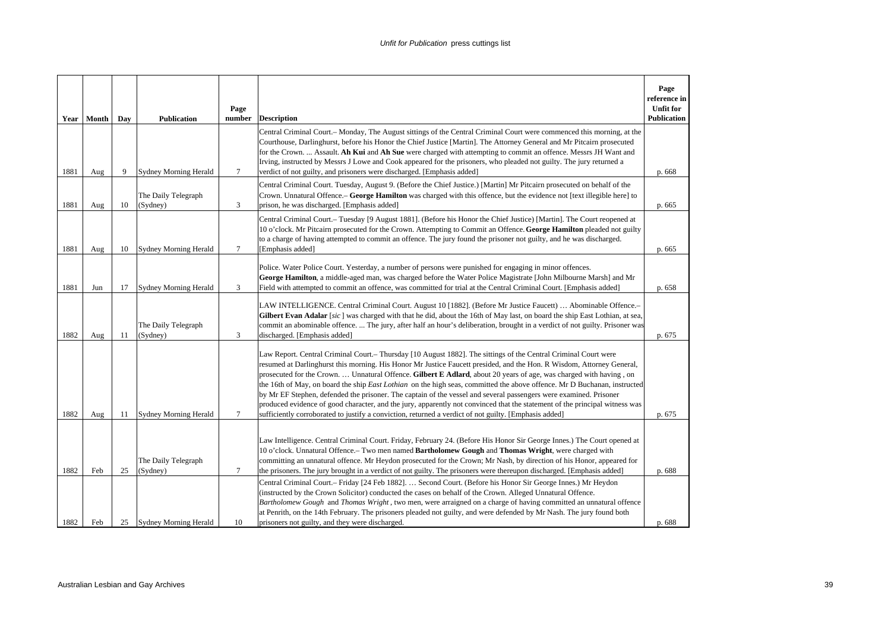| Year | Month | Day | <b>Publication</b>              | Page<br>number | <b>Description</b>                                                                                                                                                                                                                                                                                                                                                                                                                                                                                                                                                                                                                                                                                                                                                                                                                                      | Page<br>reference in<br><b>Unfit for</b><br><b>Publication</b> |
|------|-------|-----|---------------------------------|----------------|---------------------------------------------------------------------------------------------------------------------------------------------------------------------------------------------------------------------------------------------------------------------------------------------------------------------------------------------------------------------------------------------------------------------------------------------------------------------------------------------------------------------------------------------------------------------------------------------------------------------------------------------------------------------------------------------------------------------------------------------------------------------------------------------------------------------------------------------------------|----------------------------------------------------------------|
| 1881 | Aug   | 9   | <b>Sydney Morning Herald</b>    | 7              | Central Criminal Court.- Monday, The August sittings of the Central Criminal Court were commenced this morning, at the<br>Courthouse, Darlinghurst, before his Honor the Chief Justice [Martin]. The Attorney General and Mr Pitcairn prosecuted<br>for the Crown.  Assault. Ah Kui and Ah Sue were charged with attempting to commit an offence. Messrs JH Want and<br>Irving, instructed by Messrs J Lowe and Cook appeared for the prisoners, who pleaded not guilty. The jury returned a<br>verdict of not guilty, and prisoners were discharged. [Emphasis added]                                                                                                                                                                                                                                                                                  | p. 668                                                         |
| 1881 | Aug   | 10  | The Daily Telegraph<br>(Sydney) | 3              | Central Criminal Court. Tuesday, August 9. (Before the Chief Justice.) [Martin] Mr Pitcairn prosecuted on behalf of the<br>Crown. Unnatural Offence. – George Hamilton was charged with this offence, but the evidence not [text illegible here] to<br>prison, he was discharged. [Emphasis added]                                                                                                                                                                                                                                                                                                                                                                                                                                                                                                                                                      | p. 665                                                         |
| 1881 | Aug   | 10  | <b>Sydney Morning Herald</b>    | 7              | Central Criminal Court.- Tuesday [9 August 1881]. (Before his Honor the Chief Justice) [Martin]. The Court reopened at<br>10 o'clock. Mr Pitcairn prosecuted for the Crown. Attempting to Commit an Offence. George Hamilton pleaded not guilty<br>to a charge of having attempted to commit an offence. The jury found the prisoner not guilty, and he was discharged.<br>[Emphasis added]                                                                                                                                                                                                                                                                                                                                                                                                                                                             | p. 665                                                         |
| 1881 | Jun   | 17  | <b>Sydney Morning Herald</b>    | 3              | Police. Water Police Court. Yesterday, a number of persons were punished for engaging in minor offences.<br>George Hamilton, a middle-aged man, was charged before the Water Police Magistrate [John Milbourne Marsh] and Mr<br>Field with attempted to commit an offence, was committed for trial at the Central Criminal Court. [Emphasis added]                                                                                                                                                                                                                                                                                                                                                                                                                                                                                                      | p. 658                                                         |
| 1882 | Aug   | 11  | The Daily Telegraph<br>(Sydney) | 3              | LAW INTELLIGENCE. Central Criminal Court. August 10 [1882]. (Before Mr Justice Faucett)  Abominable Offence.-<br>Gilbert Evan Adalar [sic] was charged with that he did, about the 16th of May last, on board the ship East Lothian, at sea,<br>commit an abominable offence.  The jury, after half an hour's deliberation, brought in a verdict of not guilty. Prisoner was<br>discharged. [Emphasis added]                                                                                                                                                                                                                                                                                                                                                                                                                                            | p. 675                                                         |
| 1882 | Aug   | 11  | Sydney Morning Herald           | 7              | Law Report. Central Criminal Court.– Thursday [10 August 1882]. The sittings of the Central Criminal Court were<br>resumed at Darlinghurst this morning. His Honor Mr Justice Faucett presided, and the Hon. R Wisdom, Attorney General,<br>prosecuted for the Crown.  Unnatural Offence. Gilbert E Adlard, about 20 years of age, was charged with having, on<br>the 16th of May, on board the ship East Lothian on the high seas, committed the above offence. Mr D Buchanan, instructed<br>by Mr EF Stephen, defended the prisoner. The captain of the vessel and several passengers were examined. Prisoner<br>produced evidence of good character, and the jury, apparently not convinced that the statement of the principal witness was<br>sufficiently corroborated to justify a conviction, returned a verdict of not guilty. [Emphasis added] | p. 675                                                         |
| 1882 | Feb   | 25  | The Daily Telegraph<br>(Sydney) | 7              | Law Intelligence. Central Criminal Court. Friday, February 24. (Before His Honor Sir George Innes.) The Court opened at<br>10 o'clock. Unnatural Offence. – Two men named Bartholomew Gough and Thomas Wright, were charged with<br>committing an unnatural offence. Mr Heydon prosecuted for the Crown; Mr Nash, by direction of his Honor, appeared for<br>the prisoners. The jury brought in a verdict of not guilty. The prisoners were thereupon discharged. [Emphasis added]                                                                                                                                                                                                                                                                                                                                                                      | p. 688                                                         |
| 1882 | Feb   | 25  | Sydney Morning Herald           | 10             | Central Criminal Court.- Friday [24 Feb 1882].  Second Court. (Before his Honor Sir George Innes.) Mr Heydon<br>(instructed by the Crown Solicitor) conducted the cases on behalf of the Crown. Alleged Unnatural Offence.<br>Bartholomew Gough and Thomas Wright, two men, were arraigned on a charge of having committed an unnatural offence<br>at Penrith, on the 14th February. The prisoners pleaded not guilty, and were defended by Mr Nash. The jury found both<br>prisoners not guilty, and they were discharged.                                                                                                                                                                                                                                                                                                                             | p. 688                                                         |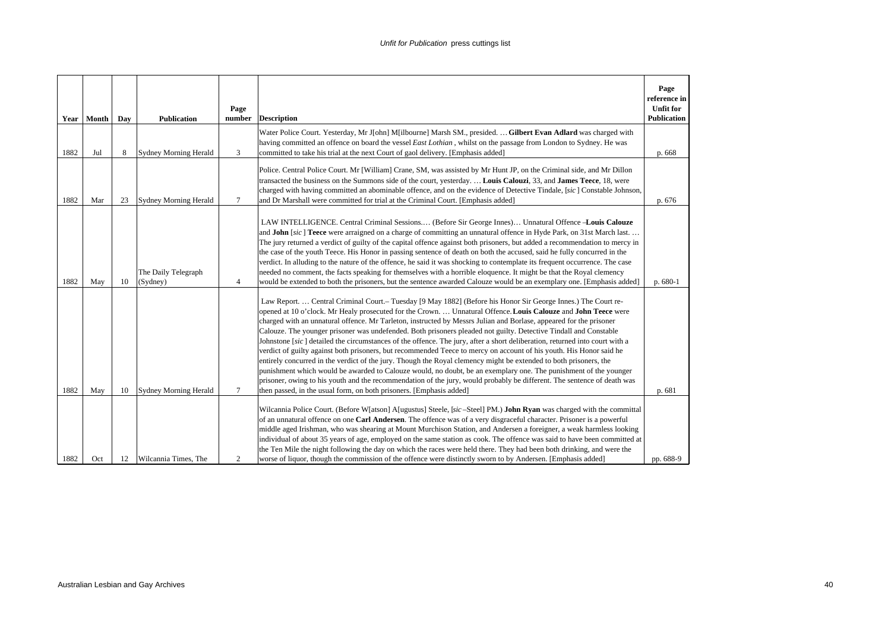| Year | Month | Day | <b>Publication</b>              | Page<br>number | <b>Description</b>                                                                                                                                                                                                                                                                                                                                                                                                                                                                                                                                                                                                                                                                                                                                                                                                                                                                                                                                                                                                                                                                                                                                                         | Page<br>reference in<br><b>Unfit for</b><br>Publication |
|------|-------|-----|---------------------------------|----------------|----------------------------------------------------------------------------------------------------------------------------------------------------------------------------------------------------------------------------------------------------------------------------------------------------------------------------------------------------------------------------------------------------------------------------------------------------------------------------------------------------------------------------------------------------------------------------------------------------------------------------------------------------------------------------------------------------------------------------------------------------------------------------------------------------------------------------------------------------------------------------------------------------------------------------------------------------------------------------------------------------------------------------------------------------------------------------------------------------------------------------------------------------------------------------|---------------------------------------------------------|
| 1882 | Jul   | 8   | Sydney Morning Herald           | 3              | Water Police Court. Yesterday, Mr J[ohn] M[ilbourne] Marsh SM., presided.  Gilbert Evan Adlard was charged with<br>having committed an offence on board the vessel East Lothian, whilst on the passage from London to Sydney. He was<br>committed to take his trial at the next Court of gaol delivery. [Emphasis added]                                                                                                                                                                                                                                                                                                                                                                                                                                                                                                                                                                                                                                                                                                                                                                                                                                                   | p. 668                                                  |
| 1882 | Mar   | 23  | <b>Sydney Morning Herald</b>    | 7              | Police. Central Police Court. Mr [William] Crane, SM, was assisted by Mr Hunt JP, on the Criminal side, and Mr Dillon<br>transacted the business on the Summons side of the court, yesterday.  Louis Calouzi, 33, and James Teece, 18, were<br>charged with having committed an abominable offence, and on the evidence of Detective Tindale, [sic] Constable Johnson,<br>and Dr Marshall were committed for trial at the Criminal Court. [Emphasis added]                                                                                                                                                                                                                                                                                                                                                                                                                                                                                                                                                                                                                                                                                                                 | p. 676                                                  |
| 1882 | May   | 10  | The Daily Telegraph<br>(Sydney) | $\overline{4}$ | LAW INTELLIGENCE. Central Criminal Sessions (Before Sir George Innes) Unnatural Offence -Louis Calouze<br>and John [sic] Teece were arraigned on a charge of committing an unnatural offence in Hyde Park, on 31st March last<br>The jury returned a verdict of guilty of the capital offence against both prisoners, but added a recommendation to mercy in<br>the case of the youth Teece. His Honor in passing sentence of death on both the accused, said he fully concurred in the<br>verdict. In alluding to the nature of the offence, he said it was shocking to contemplate its frequent occurrence. The case<br>needed no comment, the facts speaking for themselves with a horrible eloquence. It might be that the Royal clemency<br>would be extended to both the prisoners, but the sentence awarded Calouze would be an exemplary one. [Emphasis added]                                                                                                                                                                                                                                                                                                     | p. 680-1                                                |
| 1882 | May   | 10  | <b>Sydney Morning Herald</b>    | $\tau$         | Law Report.  Central Criminal Court.- Tuesday [9 May 1882] (Before his Honor Sir George Innes.) The Court re-<br>opened at 10 o'clock. Mr Healy prosecuted for the Crown.  Unnatural Offence. Louis Calouze and John Teece were<br>charged with an unnatural offence. Mr Tarleton, instructed by Messrs Julian and Borlase, appeared for the prisoner<br>Calouze. The younger prisoner was undefended. Both prisoners pleaded not guilty. Detective Tindall and Constable<br>Johnstone [sic] detailed the circumstances of the offence. The jury, after a short deliberation, returned into court with a<br>verdict of guilty against both prisoners, but recommended Teece to mercy on account of his youth. His Honor said he<br>entirely concurred in the verdict of the jury. Though the Royal clemency might be extended to both prisoners, the<br>punishment which would be awarded to Calouze would, no doubt, be an exemplary one. The punishment of the younger<br>prisoner, owing to his youth and the recommendation of the jury, would probably be different. The sentence of death was<br>then passed, in the usual form, on both prisoners. [Emphasis added] | p. 681                                                  |
| 1882 | Oct   | 12  | Wilcannia Times, The            | 2              | Wilcannia Police Court. (Before W[atson] A[ugustus] Steele, [sic-Steel] PM.) John Ryan was charged with the committal<br>of an unnatural offence on one Carl Andersen. The offence was of a very disgraceful character. Prisoner is a powerful<br>middle aged Irishman, who was shearing at Mount Murchison Station, and Andersen a foreigner, a weak harmless looking<br>individual of about 35 years of age, employed on the same station as cook. The offence was said to have been committed at<br>the Ten Mile the night following the day on which the races were held there. They had been both drinking, and were the<br>worse of liquor, though the commission of the offence were distinctly sworn to by Andersen. [Emphasis added]                                                                                                                                                                                                                                                                                                                                                                                                                              | pp. 688-9                                               |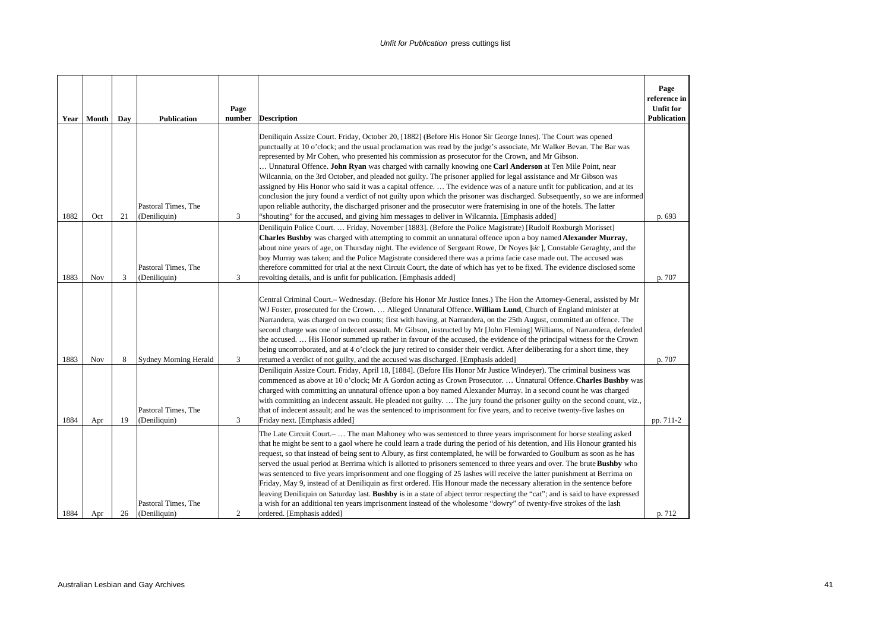| Year | Month      | Day | <b>Publication</b>                  | Page<br>number | <b>Description</b>                                                                                                                                                                                                                                                                                                                                                                                                                                                                                                                                                                                                                                                                                                                                                                                                                                                                                                                                                                                                                                              | Page<br>reference in<br><b>Unfit for</b><br><b>Publication</b> |
|------|------------|-----|-------------------------------------|----------------|-----------------------------------------------------------------------------------------------------------------------------------------------------------------------------------------------------------------------------------------------------------------------------------------------------------------------------------------------------------------------------------------------------------------------------------------------------------------------------------------------------------------------------------------------------------------------------------------------------------------------------------------------------------------------------------------------------------------------------------------------------------------------------------------------------------------------------------------------------------------------------------------------------------------------------------------------------------------------------------------------------------------------------------------------------------------|----------------------------------------------------------------|
| 1882 | Oct        | 21  | Pastoral Times, The<br>(Deniliquin) | 3              | Deniliquin Assize Court. Friday, October 20, [1882] (Before His Honor Sir George Innes). The Court was opened<br>punctually at 10 o'clock; and the usual proclamation was read by the judge's associate, Mr Walker Bevan. The Bar was<br>represented by Mr Cohen, who presented his commission as prosecutor for the Crown, and Mr Gibson.<br>Unnatural Offence. John Ryan was charged with carnally knowing one Carl Anderson at Ten Mile Point, near<br>Wilcannia, on the 3rd October, and pleaded not guilty. The prisoner applied for legal assistance and Mr Gibson was<br>assigned by His Honor who said it was a capital offence The evidence was of a nature unfit for publication, and at its<br>conclusion the jury found a verdict of not guilty upon which the prisoner was discharged. Subsequently, so we are informed<br>upon reliable authority, the discharged prisoner and the prosecutor were fraternising in one of the hotels. The latter<br>"shouting" for the accused, and giving him messages to deliver in Wilcannia. [Emphasis added] | p. 693                                                         |
| 1883 | <b>Nov</b> | 3   | Pastoral Times, The<br>(Deniliquin) | 3              | Deniliquin Police Court Friday, November [1883]. (Before the Police Magistrate) [Rudolf Roxburgh Morisset]<br>Charles Bushby was charged with attempting to commit an unnatural offence upon a boy named Alexander Murray,<br>about nine years of age, on Thursday night. The evidence of Sergeant Rowe, Dr Noyes [sic], Constable Geraghty, and the<br>boy Murray was taken; and the Police Magistrate considered there was a prima facie case made out. The accused was<br>therefore committed for trial at the next Circuit Court, the date of which has yet to be fixed. The evidence disclosed some<br>revolting details, and is unfit for publication. [Emphasis added]                                                                                                                                                                                                                                                                                                                                                                                   | p. 707                                                         |
| 1883 | Nov        | 8   | <b>Sydney Morning Herald</b>        | 3              | Central Criminal Court.- Wednesday. (Before his Honor Mr Justice Innes.) The Hon the Attorney-General, assisted by Mr<br>WJ Foster, prosecuted for the Crown.  Alleged Unnatural Offence. William Lund, Church of England minister at<br>Narrandera, was charged on two counts; first with having, at Narrandera, on the 25th August, committed an offence. The<br>second charge was one of indecent assault. Mr Gibson, instructed by Mr [John Fleming] Williams, of Narrandera, defended<br>the accused His Honor summed up rather in favour of the accused, the evidence of the principal witness for the Crown<br>being uncorroborated, and at 4 o'clock the jury retired to consider their verdict. After deliberating for a short time, they<br>returned a verdict of not guilty, and the accused was discharged. [Emphasis added]                                                                                                                                                                                                                        | p. 707                                                         |
| 1884 | Apr        | 19  | Pastoral Times, The<br>(Deniliquin) | 3              | Deniliquin Assize Court. Friday, April 18, [1884]. (Before His Honor Mr Justice Windeyer). The criminal business was<br>commenced as above at 10 o'clock; Mr A Gordon acting as Crown Prosecutor.  Unnatural Offence. Charles Bushby was<br>charged with committing an unnatural offence upon a boy named Alexander Murray. In a second count he was charged<br>with committing an indecent assault. He pleaded not guilty.  The jury found the prisoner guilty on the second count, viz.,<br>that of indecent assault; and he was the sentenced to imprisonment for five years, and to receive twenty-five lashes on<br>Friday next. [Emphasis added]                                                                                                                                                                                                                                                                                                                                                                                                          | pp. 711-2                                                      |
| 1884 | Apr        | 26  | Pastoral Times, The<br>(Deniliquin) | 2              | The Late Circuit Court.-  The man Mahoney who was sentenced to three years imprisonment for horse stealing asked<br>that he might be sent to a gaol where he could learn a trade during the period of his detention, and His Honour granted his<br>request, so that instead of being sent to Albury, as first contemplated, he will be forwarded to Goulburn as soon as he has<br>served the usual period at Berrima which is allotted to prisoners sentenced to three years and over. The brute Bushby who<br>was sentenced to five years imprisonment and one flogging of 25 lashes will receive the latter punishment at Berrima on<br>Friday, May 9, instead of at Deniliquin as first ordered. His Honour made the necessary alteration in the sentence before<br>leaving Deniliquin on Saturday last. Bushby is in a state of abject terror respecting the "cat"; and is said to have expressed<br>a wish for an additional ten years imprisonment instead of the wholesome "dowry" of twenty-five strokes of the lash<br>ordered. [Emphasis added]       | p. 712                                                         |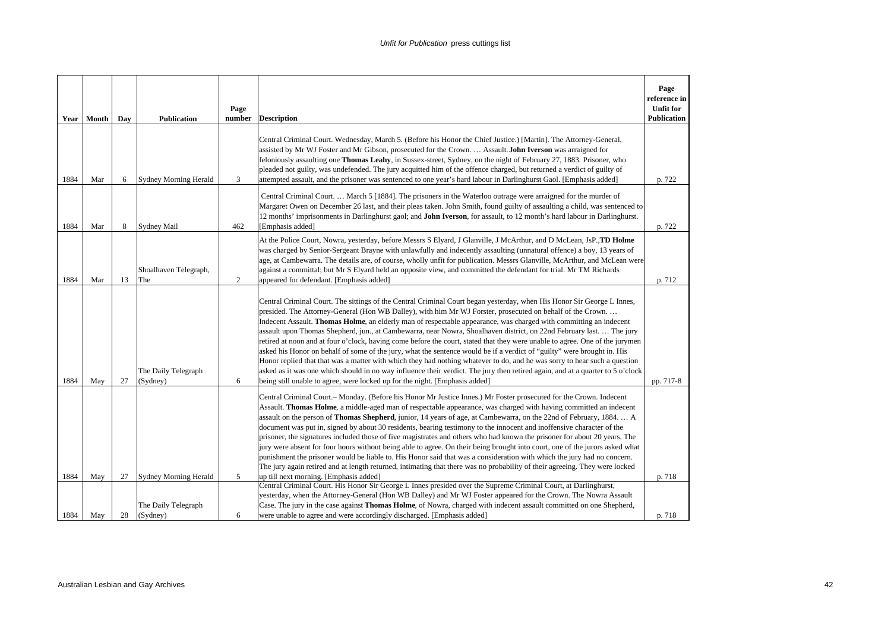| Year         | Month      | Day      | <b>Publication</b>                                       | Page<br>number | <b>Description</b>                                                                                                                                                                                                                                                                                                                                                                                                                                                                                                                                                                                                                                                                                                                                                                                                                                                                                                                                                                                                                                                                        | Page<br>reference in<br><b>Unfit for</b><br><b>Publication</b> |
|--------------|------------|----------|----------------------------------------------------------|----------------|-------------------------------------------------------------------------------------------------------------------------------------------------------------------------------------------------------------------------------------------------------------------------------------------------------------------------------------------------------------------------------------------------------------------------------------------------------------------------------------------------------------------------------------------------------------------------------------------------------------------------------------------------------------------------------------------------------------------------------------------------------------------------------------------------------------------------------------------------------------------------------------------------------------------------------------------------------------------------------------------------------------------------------------------------------------------------------------------|----------------------------------------------------------------|
| 1884         | Mar        | 6        | <b>Sydney Morning Herald</b>                             | 3              | Central Criminal Court. Wednesday, March 5. (Before his Honor the Chief Justice.) [Martin]. The Attorney-General,<br>assisted by Mr WJ Foster and Mr Gibson, prosecuted for the Crown.  Assault. John Iverson was arraigned for<br>feloniously assaulting one Thomas Leahy, in Sussex-street, Sydney, on the night of February 27, 1883. Prisoner, who<br>pleaded not guilty, was undefended. The jury acquitted him of the offence charged, but returned a verdict of guilty of<br>attempted assault, and the prisoner was sentenced to one year's hard labour in Darlinghurst Gaol. [Emphasis added]                                                                                                                                                                                                                                                                                                                                                                                                                                                                                    | p. 722                                                         |
| 1884         | Mar        | 8        | <b>Sydney Mail</b>                                       | 462            | Central Criminal Court.  March 5 [1884]. The prisoners in the Waterloo outrage were arraigned for the murder of<br>Margaret Owen on December 26 last, and their pleas taken. John Smith, found guilty of assaulting a child, was sentenced to<br>12 months' imprisonments in Darlinghurst gaol; and <b>John Iverson</b> , for assault, to 12 month's hard labour in Darlinghurst.<br>[Emphasis added]                                                                                                                                                                                                                                                                                                                                                                                                                                                                                                                                                                                                                                                                                     | p. 722                                                         |
| 1884         | Mar        | 13       | Shoalhaven Telegraph,<br>The                             | 2              | At the Police Court, Nowra, yesterday, before Messrs S Elyard, J Glanville, J McArthur, and D McLean, JsP., TD Holme<br>was charged by Senior-Sergeant Brayne with unlawfully and indecently assaulting (unnatural offence) a boy, 13 years of<br>age, at Cambewarra. The details are, of course, wholly unfit for publication. Messrs Glanville, McArthur, and McLean were<br>against a committal; but Mr S Elyard held an opposite view, and committed the defendant for trial. Mr TM Richards<br>appeared for defendant. [Emphasis added]                                                                                                                                                                                                                                                                                                                                                                                                                                                                                                                                              | p. 712                                                         |
| 1884         | May        | 27       | The Daily Telegraph<br>(Sydney)                          | 6              | Central Criminal Court. The sittings of the Central Criminal Court began yesterday, when His Honor Sir George L Innes,<br>presided. The Attorney-General (Hon WB Dalley), with him Mr WJ Forster, prosecuted on behalf of the Crown<br>Indecent Assault. Thomas Holme, an elderly man of respectable appearance, was charged with committing an indecent<br>assault upon Thomas Shepherd, jun., at Cambewarra, near Nowra, Shoalhaven district, on 22nd February last.  The jury<br>retired at noon and at four o'clock, having come before the court, stated that they were unable to agree. One of the jurymen<br>asked his Honor on behalf of some of the jury, what the sentence would be if a verdict of "guilty" were brought in. His<br>Honor replied that that was a matter with which they had nothing whatever to do, and he was sorry to hear such a question<br>asked as it was one which should in no way influence their verdict. The jury then retired again, and at a quarter to 5 o'clock<br>being still unable to agree, were locked up for the night. [Emphasis added] | pp. 717-8                                                      |
|              |            |          |                                                          |                | Central Criminal Court.– Monday. (Before his Honor Mr Justice Innes.) Mr Foster prosecuted for the Crown. Indecent<br>Assault. Thomas Holme, a middle-aged man of respectable appearance, was charged with having committed an indecent<br>assault on the person of Thomas Shepherd, junior, 14 years of age, at Cambewarra, on the 22nd of February, 1884.  A<br>document was put in, signed by about 30 residents, bearing testimony to the innocent and inoffensive character of the<br>prisoner, the signatures included those of five magistrates and others who had known the prisoner for about 20 years. The<br>jury were absent for four hours without being able to agree. On their being brought into court, one of the jurors asked what<br>punishment the prisoner would be liable to. His Honor said that was a consideration with which the jury had no concern.<br>The jury again retired and at length returned, intimating that there was no probability of their agreeing. They were locked                                                                            |                                                                |
| 1884<br>1884 | May<br>May | 27<br>28 | Sydney Morning Herald<br>The Daily Telegraph<br>(Sydney) | 5<br>6         | up till next morning. [Emphasis added]<br>Central Criminal Court. His Honor Sir George L Innes presided over the Supreme Criminal Court, at Darlinghurst,<br>yesterday, when the Attorney-General (Hon WB Dalley) and Mr WJ Foster appeared for the Crown. The Nowra Assault<br>Case. The jury in the case against Thomas Holme, of Nowra, charged with indecent assault committed on one Shepherd,<br>were unable to agree and were accordingly discharged. [Emphasis added]                                                                                                                                                                                                                                                                                                                                                                                                                                                                                                                                                                                                             | p. 718<br>p. 718                                               |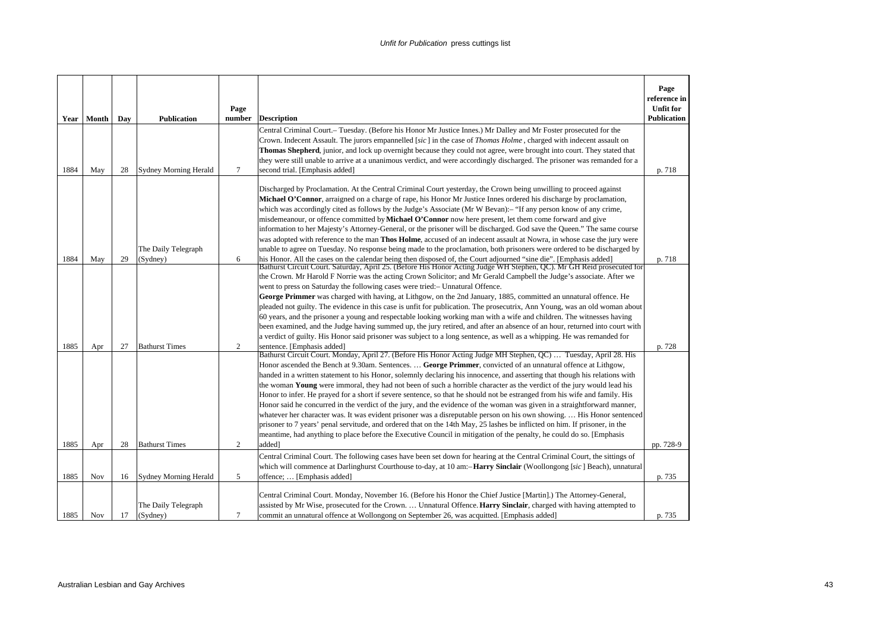| Year | Month | Day | Publication                     | Page<br>number | <b>Description</b>                                                                                                                                                                                                                                                                                                                                                                                                                                                                                                                                                                                                                                                                                                                                                                                                                                                                                                                                                                                                                                                                                                                                                                                                                                                                                                                                                                                                                                                                                                                                                                                                                                                                                                                                                                                                                                                                                                                                                                                            | Page<br>reference in<br><b>Unfit for</b><br><b>Publication</b> |
|------|-------|-----|---------------------------------|----------------|---------------------------------------------------------------------------------------------------------------------------------------------------------------------------------------------------------------------------------------------------------------------------------------------------------------------------------------------------------------------------------------------------------------------------------------------------------------------------------------------------------------------------------------------------------------------------------------------------------------------------------------------------------------------------------------------------------------------------------------------------------------------------------------------------------------------------------------------------------------------------------------------------------------------------------------------------------------------------------------------------------------------------------------------------------------------------------------------------------------------------------------------------------------------------------------------------------------------------------------------------------------------------------------------------------------------------------------------------------------------------------------------------------------------------------------------------------------------------------------------------------------------------------------------------------------------------------------------------------------------------------------------------------------------------------------------------------------------------------------------------------------------------------------------------------------------------------------------------------------------------------------------------------------------------------------------------------------------------------------------------------------|----------------------------------------------------------------|
|      |       |     |                                 |                | Central Criminal Court.– Tuesday. (Before his Honor Mr Justice Innes.) Mr Dalley and Mr Foster prosecuted for the                                                                                                                                                                                                                                                                                                                                                                                                                                                                                                                                                                                                                                                                                                                                                                                                                                                                                                                                                                                                                                                                                                                                                                                                                                                                                                                                                                                                                                                                                                                                                                                                                                                                                                                                                                                                                                                                                             |                                                                |
|      |       |     |                                 |                | Crown. Indecent Assault. The jurors empannelled [sic] in the case of Thomas Holme, charged with indecent assault on                                                                                                                                                                                                                                                                                                                                                                                                                                                                                                                                                                                                                                                                                                                                                                                                                                                                                                                                                                                                                                                                                                                                                                                                                                                                                                                                                                                                                                                                                                                                                                                                                                                                                                                                                                                                                                                                                           |                                                                |
|      |       |     |                                 |                | Thomas Shepherd, junior, and lock up overnight because they could not agree, were brought into court. They stated that<br>they were still unable to arrive at a unanimous verdict, and were accordingly discharged. The prisoner was remanded for a                                                                                                                                                                                                                                                                                                                                                                                                                                                                                                                                                                                                                                                                                                                                                                                                                                                                                                                                                                                                                                                                                                                                                                                                                                                                                                                                                                                                                                                                                                                                                                                                                                                                                                                                                           |                                                                |
| 1884 | May   | 28  | Sydney Morning Herald           | $\tau$         | second trial. [Emphasis added]                                                                                                                                                                                                                                                                                                                                                                                                                                                                                                                                                                                                                                                                                                                                                                                                                                                                                                                                                                                                                                                                                                                                                                                                                                                                                                                                                                                                                                                                                                                                                                                                                                                                                                                                                                                                                                                                                                                                                                                | p. 718                                                         |
|      |       |     |                                 |                | Discharged by Proclamation. At the Central Criminal Court yesterday, the Crown being unwilling to proceed against<br>Michael O'Connor, arraigned on a charge of rape, his Honor Mr Justice Innes ordered his discharge by proclamation,<br>which was accordingly cited as follows by the Judge's Associate (Mr W Bevan):- "If any person know of any crime,<br>misdemeanour, or offence committed by Michael O'Connor now here present, let them come forward and give<br>information to her Majesty's Attorney-General, or the prisoner will be discharged. God save the Queen." The same course                                                                                                                                                                                                                                                                                                                                                                                                                                                                                                                                                                                                                                                                                                                                                                                                                                                                                                                                                                                                                                                                                                                                                                                                                                                                                                                                                                                                             |                                                                |
|      |       |     |                                 |                | was adopted with reference to the man Thos Holme, accused of an indecent assault at Nowra, in whose case the jury were                                                                                                                                                                                                                                                                                                                                                                                                                                                                                                                                                                                                                                                                                                                                                                                                                                                                                                                                                                                                                                                                                                                                                                                                                                                                                                                                                                                                                                                                                                                                                                                                                                                                                                                                                                                                                                                                                        |                                                                |
|      |       |     | The Daily Telegraph             |                | unable to agree on Tuesday. No response being made to the proclamation, both prisoners were ordered to be discharged by                                                                                                                                                                                                                                                                                                                                                                                                                                                                                                                                                                                                                                                                                                                                                                                                                                                                                                                                                                                                                                                                                                                                                                                                                                                                                                                                                                                                                                                                                                                                                                                                                                                                                                                                                                                                                                                                                       |                                                                |
| 1884 | May   | 29  | (Sydney)                        | 6              | his Honor. All the cases on the calendar being then disposed of, the Court adjourned "sine die". [Emphasis added]                                                                                                                                                                                                                                                                                                                                                                                                                                                                                                                                                                                                                                                                                                                                                                                                                                                                                                                                                                                                                                                                                                                                                                                                                                                                                                                                                                                                                                                                                                                                                                                                                                                                                                                                                                                                                                                                                             | p. 718                                                         |
| 1885 | Apr   | 27  | <b>Bathurst Times</b>           | $\overline{c}$ | Bathurst Circuit Court. Saturday, April 25. (Before His Honor Acting Judge WH Stephen, QC). Mr GH Reid prosecuted for<br>the Crown. Mr Harold F Norrie was the acting Crown Solicitor; and Mr Gerald Campbell the Judge's associate. After we<br>went to press on Saturday the following cases were tried:- Unnatural Offence.<br>George Primmer was charged with having, at Lithgow, on the 2nd January, 1885, committed an unnatural offence. He<br>pleaded not guilty. The evidence in this case is unfit for publication. The prosecutrix, Ann Young, was an old woman about<br>60 years, and the prisoner a young and respectable looking working man with a wife and children. The witnesses having<br>been examined, and the Judge having summed up, the jury retired, and after an absence of an hour, returned into court with<br>a verdict of guilty. His Honor said prisoner was subject to a long sentence, as well as a whipping. He was remanded for<br>sentence. [Emphasis added]<br>Bathurst Circuit Court. Monday, April 27. (Before His Honor Acting Judge MH Stephen, QC)  Tuesday, April 28. His<br>Honor ascended the Bench at 9.30am. Sentences.  George Primmer, convicted of an unnatural offence at Lithgow,<br>handed in a written statement to his Honor, solemnly declaring his innocence, and asserting that though his relations with<br>the woman Young were immoral, they had not been of such a horrible character as the verdict of the jury would lead his<br>Honor to infer. He prayed for a short if severe sentence, so that he should not be estranged from his wife and family. His<br>Honor said he concurred in the verdict of the jury, and the evidence of the woman was given in a straightforward manner,<br>whatever her character was. It was evident prisoner was a disreputable person on his own showing His Honor sentenced<br>prisoner to 7 years' penal servitude, and ordered that on the 14th May, 25 lashes be inflicted on him. If prisoner, in the | p. 728                                                         |
| 1885 |       | 28  | <b>Bathurst Times</b>           | $\overline{c}$ | meantime, had anything to place before the Executive Council in mitigation of the penalty, he could do so. [Emphasis<br>added]                                                                                                                                                                                                                                                                                                                                                                                                                                                                                                                                                                                                                                                                                                                                                                                                                                                                                                                                                                                                                                                                                                                                                                                                                                                                                                                                                                                                                                                                                                                                                                                                                                                                                                                                                                                                                                                                                |                                                                |
|      | Apr   |     |                                 |                | Central Criminal Court. The following cases have been set down for hearing at the Central Criminal Court, the sittings of                                                                                                                                                                                                                                                                                                                                                                                                                                                                                                                                                                                                                                                                                                                                                                                                                                                                                                                                                                                                                                                                                                                                                                                                                                                                                                                                                                                                                                                                                                                                                                                                                                                                                                                                                                                                                                                                                     | pp. 728-9                                                      |
| 1885 | Nov   | 16  | Sydney Morning Herald           | 5              | which will commence at Darlinghurst Courthouse to-day, at 10 am:- <b>Harry Sinclair</b> (Woollongong [sic] Beach), unnatural<br>offence;  [Emphasis added]                                                                                                                                                                                                                                                                                                                                                                                                                                                                                                                                                                                                                                                                                                                                                                                                                                                                                                                                                                                                                                                                                                                                                                                                                                                                                                                                                                                                                                                                                                                                                                                                                                                                                                                                                                                                                                                    | p. 735                                                         |
| 1885 | Nov   | 17  | The Daily Telegraph<br>(Sydney) | $\overline{7}$ | Central Criminal Court. Monday, November 16. (Before his Honor the Chief Justice [Martin].) The Attorney-General,<br>assisted by Mr Wise, prosecuted for the Crown.  Unnatural Offence. Harry Sinclair, charged with having attempted to<br>commit an unnatural offence at Wollongong on September 26, was acquitted. [Emphasis added]                                                                                                                                                                                                                                                                                                                                                                                                                                                                                                                                                                                                                                                                                                                                                                                                                                                                                                                                                                                                                                                                                                                                                                                                                                                                                                                                                                                                                                                                                                                                                                                                                                                                        | p. 735                                                         |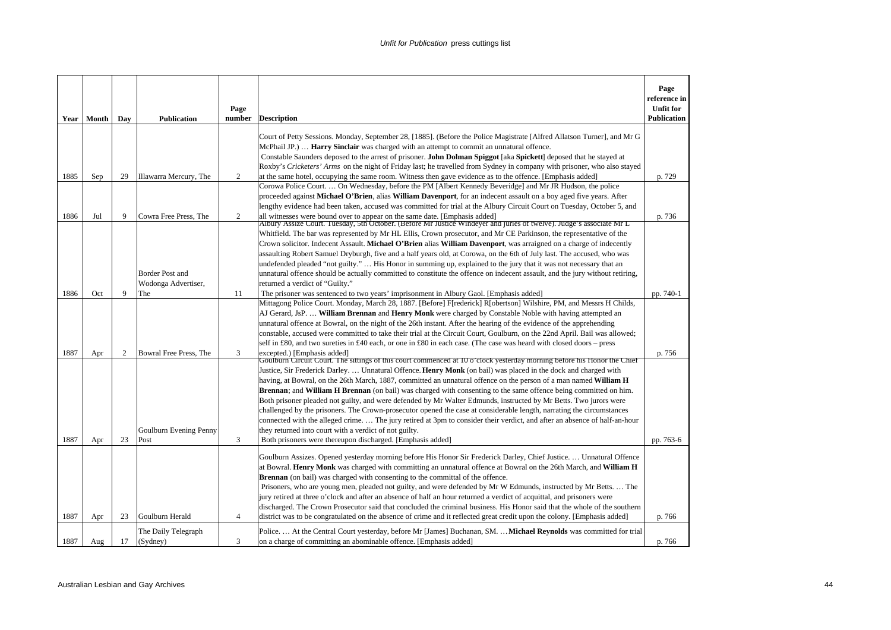|      | Year Month | Day          | <b>Publication</b>                     | Page<br>number | <b>Description</b>                                                                                                                                                                                                                                                                                                                                                                                                                                                                                                                                                                                                                                                                                                                                                                                                                                                        | Page<br>reference in<br><b>Unfit for</b><br><b>Publication</b> |
|------|------------|--------------|----------------------------------------|----------------|---------------------------------------------------------------------------------------------------------------------------------------------------------------------------------------------------------------------------------------------------------------------------------------------------------------------------------------------------------------------------------------------------------------------------------------------------------------------------------------------------------------------------------------------------------------------------------------------------------------------------------------------------------------------------------------------------------------------------------------------------------------------------------------------------------------------------------------------------------------------------|----------------------------------------------------------------|
|      |            |              |                                        |                | Court of Petty Sessions. Monday, September 28, [1885]. (Before the Police Magistrate [Alfred Allatson Turner], and Mr G<br>McPhail JP.) <b>Harry Sinclair</b> was charged with an attempt to commit an unnatural offence.<br>Constable Saunders deposed to the arrest of prisoner. John Dolman Spiggot [aka Spickett] deposed that he stayed at                                                                                                                                                                                                                                                                                                                                                                                                                                                                                                                           |                                                                |
| 1885 | Sep        | 29           | Illawarra Mercury, The                 | 2              | Roxby's Cricketers' Arms on the night of Friday last; he travelled from Sydney in company with prisoner, who also stayed<br>at the same hotel, occupying the same room. Witness then gave evidence as to the offence. [Emphasis added]                                                                                                                                                                                                                                                                                                                                                                                                                                                                                                                                                                                                                                    | p. 729                                                         |
|      |            |              |                                        |                | Corowa Police Court On Wednesday, before the PM [Albert Kennedy Beveridge] and Mr JR Hudson, the police<br>proceeded against Michael O'Brien, alias William Davenport, for an indecent assault on a boy aged five years. After<br>lengthy evidence had been taken, accused was committed for trial at the Albury Circuit Court on Tuesday, October 5, and                                                                                                                                                                                                                                                                                                                                                                                                                                                                                                                 |                                                                |
| 1886 | Jul        | 9            | Cowra Free Press, The                  | 2              | all witnesses were bound over to appear on the same date. [Emphasis added]<br>Albury Assize Court. Tuesday, 5th October. (Before Mr Justice Windeyer and juries of twelve). Judge's associate Mr L<br>Whitfield. The bar was represented by Mr HL Ellis, Crown prosecutor, and Mr CE Parkinson, the representative of the                                                                                                                                                                                                                                                                                                                                                                                                                                                                                                                                                 | p. 736                                                         |
|      |            |              | Border Post and<br>Wodonga Advertiser, |                | Crown solicitor. Indecent Assault. Michael O'Brien alias William Davenport, was arraigned on a charge of indecently<br>assaulting Robert Samuel Dryburgh, five and a half years old, at Corowa, on the 6th of July last. The accused, who was<br>undefended pleaded "not guilty."  His Honor in summing up, explained to the jury that it was not necessary that an<br>unnatural offence should be actually committed to constitute the offence on indecent assault, and the jury without retiring,<br>returned a verdict of "Guilty."                                                                                                                                                                                                                                                                                                                                    |                                                                |
| 1886 | Oct        | $\mathbf{Q}$ | The                                    | 11             | The prisoner was sentenced to two years' imprisonment in Albury Gaol. [Emphasis added]                                                                                                                                                                                                                                                                                                                                                                                                                                                                                                                                                                                                                                                                                                                                                                                    | pp. 740-1                                                      |
|      |            |              |                                        |                | Mittagong Police Court. Monday, March 28, 1887. [Before] F[rederick] R[obertson] Wilshire, PM, and Messrs H Childs,<br>AJ Gerard, JsP.  William Brennan and Henry Monk were charged by Constable Noble with having attempted an<br>unnatural offence at Bowral, on the night of the 26th instant. After the hearing of the evidence of the apprehending<br>constable, accused were committed to take their trial at the Circuit Court, Goulburn, on the 22nd April. Bail was allowed;<br>self in £80, and two sureties in £40 each, or one in £80 in each case. (The case was heard with closed doors – press                                                                                                                                                                                                                                                             |                                                                |
| 1887 | Apr        | 2            | Bowral Free Press, The                 | 3              | excepted.) [Emphasis added]<br>Goulburn Circuit Court. The sittings of this court commenced at 10 o'clock yesterday morning before his Honor the Chief                                                                                                                                                                                                                                                                                                                                                                                                                                                                                                                                                                                                                                                                                                                    | p. 756                                                         |
| 1887 | Apr        | 23           | Goulburn Evening Penny<br>Post         | 3              | Justice, Sir Frederick Darley.  Unnatural Offence. Henry Monk (on bail) was placed in the dock and charged with<br>having, at Bowral, on the 26th March, 1887, committed an unnatural offence on the person of a man named William H<br><b>Brennan</b> ; and <b>William H Brennan</b> (on bail) was charged with consenting to the same offence being committed on him.<br>Both prisoner pleaded not guilty, and were defended by Mr Walter Edmunds, instructed by Mr Betts. Two jurors were<br>challenged by the prisoners. The Crown-prosecutor opened the case at considerable length, narrating the circumstances<br>connected with the alleged crime The jury retired at 3pm to consider their verdict, and after an absence of half-an-hour<br>they returned into court with a verdict of not guilty.<br>Both prisoners were thereupon discharged. [Emphasis added] | pp. 763-6                                                      |
| 1887 | Apr        | 23           | Goulburn Herald                        | $\overline{4}$ | Goulburn Assizes. Opened yesterday morning before His Honor Sir Frederick Darley, Chief Justice.  Unnatural Offence<br>at Bowral. Henry Monk was charged with committing an unnatural offence at Bowral on the 26th March, and William H<br><b>Brennan</b> (on bail) was charged with consenting to the committal of the offence.<br>Prisoners, who are young men, pleaded not guilty, and were defended by Mr W Edmunds, instructed by Mr Betts The<br>jury retired at three o'clock and after an absence of half an hour returned a verdict of acquittal, and prisoners were<br>discharged. The Crown Prosecutor said that concluded the criminal business. His Honor said that the whole of the southern<br>district was to be congratulated on the absence of crime and it reflected great credit upon the colony. [Emphasis added]                                   | p. 766                                                         |
| 1887 | Aug        | 17           | The Daily Telegraph<br>(Sydney)        | 3              | Police.  At the Central Court yesterday, before Mr [James] Buchanan, SM. <b>Michael Reynolds</b> was committed for trial<br>on a charge of committing an abominable offence. [Emphasis added]                                                                                                                                                                                                                                                                                                                                                                                                                                                                                                                                                                                                                                                                             | p. 766                                                         |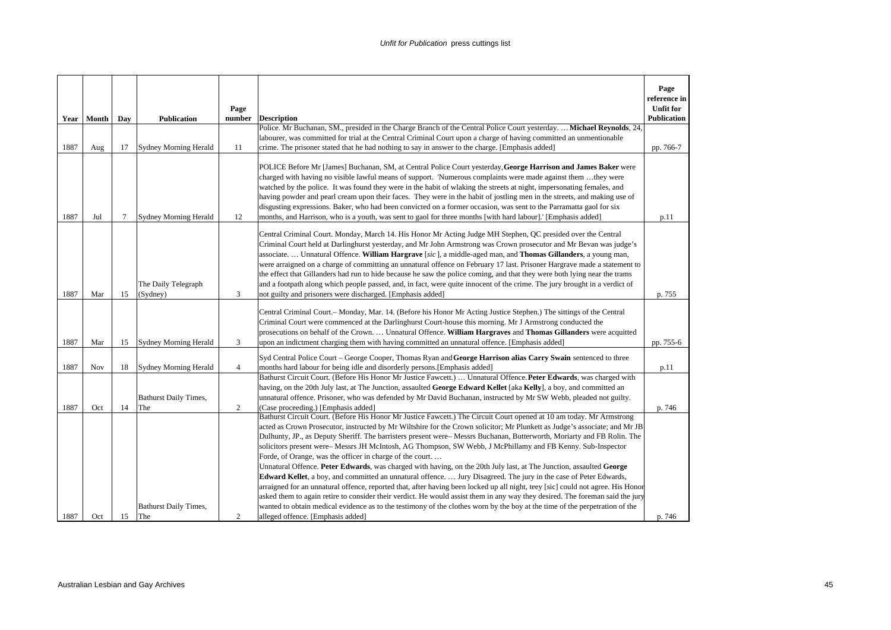|      |       |     |                                     | Page           |                                                                                                                                                                                                                                                                                                                                                                                                                                                                                                                                                                                                                                                                                                                                                                                                                                                                                                                                                                                                                                                                                                                     | Page<br>reference in<br><b>Unfit for</b> |
|------|-------|-----|-------------------------------------|----------------|---------------------------------------------------------------------------------------------------------------------------------------------------------------------------------------------------------------------------------------------------------------------------------------------------------------------------------------------------------------------------------------------------------------------------------------------------------------------------------------------------------------------------------------------------------------------------------------------------------------------------------------------------------------------------------------------------------------------------------------------------------------------------------------------------------------------------------------------------------------------------------------------------------------------------------------------------------------------------------------------------------------------------------------------------------------------------------------------------------------------|------------------------------------------|
| Year | Month | Day | <b>Publication</b>                  | number         | <b>Description</b>                                                                                                                                                                                                                                                                                                                                                                                                                                                                                                                                                                                                                                                                                                                                                                                                                                                                                                                                                                                                                                                                                                  | Publication                              |
| 1887 | Aug   | 17  | <b>Sydney Morning Herald</b>        | 11             | Police. Mr Buchanan, SM., presided in the Charge Branch of the Central Police Court yesterday.  Michael Reynolds, 24,<br>labourer, was committed for trial at the Central Criminal Court upon a charge of having committed an unmentionable<br>crime. The prisoner stated that he had nothing to say in answer to the charge. [Emphasis added]                                                                                                                                                                                                                                                                                                                                                                                                                                                                                                                                                                                                                                                                                                                                                                      | pp. 766-7                                |
| 1887 | Jul   | 7   | <b>Sydney Morning Herald</b>        | 12             | POLICE Before Mr [James] Buchanan, SM, at Central Police Court yesterday, George Harrison and James Baker were<br>charged with having no visible lawful means of support. 'Numerous complaints were made against them they were<br>watched by the police. It was found they were in the habit of wlaking the streets at night, impersonating females, and<br>having powder and pearl cream upon their faces. They were in the habit of jostling men in the streets, and making use of<br>disgusting expressions. Baker, who had been convicted on a former occasion, was sent to the Parramatta gaol for six<br>months, and Harrison, who is a youth, was sent to gaol for three months [with hard labour].' [Emphasis added]                                                                                                                                                                                                                                                                                                                                                                                       | p.11                                     |
| 1887 | Mar   | 15  | The Daily Telegraph<br>(Sydney)     | 3              | Central Criminal Court. Monday, March 14. His Honor Mr Acting Judge MH Stephen, QC presided over the Central<br>Criminal Court held at Darlinghurst yesterday, and Mr John Armstrong was Crown prosecutor and Mr Bevan was judge's<br>associate.  Unnatural Offence. William Hargrave [sic], a middle-aged man, and Thomas Gillanders, a young man,<br>were arraigned on a charge of committing an unnatural offence on February 17 last. Prisoner Hargrave made a statement to<br>the effect that Gillanders had run to hide because he saw the police coming, and that they were both lying near the trams<br>and a footpath along which people passed, and, in fact, were quite innocent of the crime. The jury brought in a verdict of<br>not guilty and prisoners were discharged. [Emphasis added]                                                                                                                                                                                                                                                                                                            | p. 755                                   |
| 1887 | Mar   | 15  | Sydney Morning Herald               | 3              | Central Criminal Court.- Monday, Mar. 14. (Before his Honor Mr Acting Justice Stephen.) The sittings of the Central<br>Criminal Court were commenced at the Darlinghurst Court-house this morning. Mr J Armstrong conducted the<br>prosecutions on behalf of the Crown.  Unnatural Offence. William Hargraves and Thomas Gillanders were acquitted<br>upon an indictment charging them with having committed an unnatural offence. [Emphasis added]                                                                                                                                                                                                                                                                                                                                                                                                                                                                                                                                                                                                                                                                 | pp. 755-6                                |
| 1887 | Nov   | 18  | <b>Sydney Morning Herald</b>        | $\overline{4}$ | Syd Central Police Court – George Cooper, Thomas Ryan and George Harrison alias Carry Swain sentenced to three<br>months hard labour for being idle and disorderly persons.[Emphasis added]                                                                                                                                                                                                                                                                                                                                                                                                                                                                                                                                                                                                                                                                                                                                                                                                                                                                                                                         | p.11                                     |
| 1887 | Oct   | 14  | <b>Bathurst Daily Times,</b><br>The | 2              | Bathurst Circuit Court. (Before His Honor Mr Justice Fawcett.)  Unnatural Offence. Peter Edwards, was charged with<br>having, on the 20th July last, at The Junction, assaulted George Edward Kellet [aka Kelly], a boy, and committed an<br>unnatural offence. Prisoner, who was defended by Mr David Buchanan, instructed by Mr SW Webb, pleaded not guilty.<br>(Case proceeding.) [Emphasis added]<br>Bathurst Circuit Court. (Before His Honor Mr Justice Fawcett.) The Circuit Court opened at 10 am today. Mr Armstrong                                                                                                                                                                                                                                                                                                                                                                                                                                                                                                                                                                                       | p. 746                                   |
| 1887 | Oct   | 15  | <b>Bathurst Daily Times,</b><br>The | 2              | acted as Crown Prosecutor, instructed by Mr Wiltshire for the Crown solicitor; Mr Plunkett as Judge's associate; and Mr JB<br>Dulhunty, JP., as Deputy Sheriff. The barristers present were-Messrs Buchanan, Butterworth, Moriarty and FB Rolin. The<br>solicitors present were- Messrs JH McIntosh, AG Thompson, SW Webb, J McPhillamy and FB Kenny. Sub-Inspector<br>Forde, of Orange, was the officer in charge of the court<br>Unnatural Offence. Peter Edwards, was charged with having, on the 20th July last, at The Junction, assaulted George<br>Edward Kellet, a boy, and committed an unnatural offence.  Jury Disagreed. The jury in the case of Peter Edwards,<br>arraigned for an unnatural offence, reported that, after having been locked up all night, teey [sic] could not agree. His Honor<br>asked them to again retire to consider their verdict. He would assist them in any way they desired. The foreman said the jury<br>wanted to obtain medical evidence as to the testimony of the clothes worn by the boy at the time of the perpetration of the<br>alleged offence. [Emphasis added] | p. 746                                   |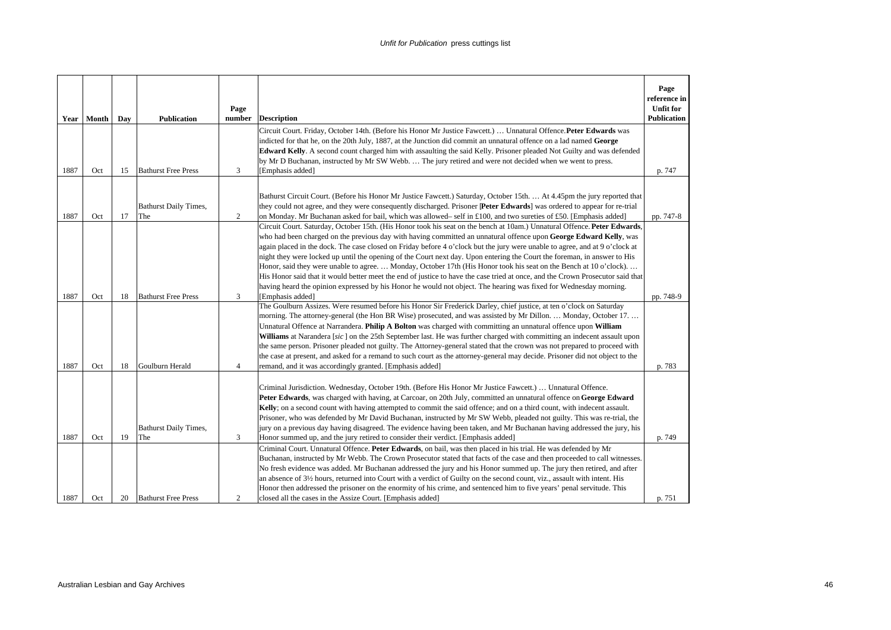|      | Year   Month | Day | <b>Publication</b>                  | Page<br>number | <b>Description</b>                                                                                                                                                                                                                                                                                                                                                                                                                                                                                                                                                                                                                                                                                                                                                                                                                                                                    | Page<br>reference in<br><b>Unfit for</b><br><b>Publication</b> |
|------|--------------|-----|-------------------------------------|----------------|---------------------------------------------------------------------------------------------------------------------------------------------------------------------------------------------------------------------------------------------------------------------------------------------------------------------------------------------------------------------------------------------------------------------------------------------------------------------------------------------------------------------------------------------------------------------------------------------------------------------------------------------------------------------------------------------------------------------------------------------------------------------------------------------------------------------------------------------------------------------------------------|----------------------------------------------------------------|
|      |              |     |                                     |                | Circuit Court. Friday, October 14th. (Before his Honor Mr Justice Fawcett.)  Unnatural Offence. Peter Edwards was<br>indicted for that he, on the 20th July, 1887, at the Junction did commit an unnatural offence on a lad named George<br>Edward Kelly. A second count charged him with assaulting the said Kelly. Prisoner pleaded Not Guilty and was defended<br>by Mr D Buchanan, instructed by Mr SW Webb.  The jury retired and were not decided when we went to press.                                                                                                                                                                                                                                                                                                                                                                                                        |                                                                |
| 1887 | Oct          | 15  | <b>Bathurst Free Press</b>          | 3              | [Emphasis added]                                                                                                                                                                                                                                                                                                                                                                                                                                                                                                                                                                                                                                                                                                                                                                                                                                                                      | p. 747                                                         |
| 1887 | Oct          | 17  | <b>Bathurst Daily Times,</b><br>The | 2              | Bathurst Circuit Court. (Before his Honor Mr Justice Fawcett.) Saturday, October 15th.  At 4.45pm the jury reported that<br>they could not agree, and they were consequently discharged. Prisoner [Peter Edwards] was ordered to appear for re-trial<br>on Monday. Mr Buchanan asked for bail, which was allowed-self in £100, and two sureties of £50. [Emphasis added]                                                                                                                                                                                                                                                                                                                                                                                                                                                                                                              | pp. 747-8                                                      |
|      |              |     |                                     |                | Circuit Court. Saturday, October 15th. (His Honor took his seat on the bench at 10am.) Unnatural Offence. Peter Edwards,<br>who had been charged on the previous day with having committed an unnatural offence upon George Edward Kelly, was<br>again placed in the dock. The case closed on Friday before 4 o'clock but the jury were unable to agree, and at 9 o'clock at<br>night they were locked up until the opening of the Court next day. Upon entering the Court the foreman, in answer to His<br>Honor, said they were unable to agree.  Monday, October 17th (His Honor took his seat on the Bench at 10 o'clock).<br>His Honor said that it would better meet the end of justice to have the case tried at once, and the Crown Prosecutor said that<br>having heard the opinion expressed by his Honor he would not object. The hearing was fixed for Wednesday morning. |                                                                |
| 1887 | Oct          | 18  | <b>Bathurst Free Press</b>          | 3              | [Emphasis added]<br>The Goulburn Assizes. Were resumed before his Honor Sir Frederick Darley, chief justice, at ten o'clock on Saturday                                                                                                                                                                                                                                                                                                                                                                                                                                                                                                                                                                                                                                                                                                                                               | pp. 748-9                                                      |
| 1887 | Oct          | 18  | Goulburn Herald                     | $\overline{4}$ | morning. The attorney-general (the Hon BR Wise) prosecuted, and was assisted by Mr Dillon.  Monday, October 17.<br>Unnatural Offence at Narrandera. Philip A Bolton was charged with committing an unnatural offence upon William<br>Williams at Narandera [sic] on the 25th September last. He was further charged with committing an indecent assault upon<br>the same person. Prisoner pleaded not guilty. The Attorney-general stated that the crown was not prepared to proceed with<br>the case at present, and asked for a remand to such court as the attorney-general may decide. Prisoner did not object to the<br>remand, and it was accordingly granted. [Emphasis added]                                                                                                                                                                                                 | p. 783                                                         |
| 1887 | Oct          | 19  | <b>Bathurst Daily Times,</b><br>The | 3              | Criminal Jurisdiction. Wednesday, October 19th. (Before His Honor Mr Justice Fawcett.)  Unnatural Offence.<br>Peter Edwards, was charged with having, at Carcoar, on 20th July, committed an unnatural offence on George Edward<br>Kelly; on a second count with having attempted to commit the said offence; and on a third count, with indecent assault.<br>Prisoner, who was defended by Mr David Buchanan, instructed by Mr SW Webb, pleaded not guilty. This was re-trial, the<br>jury on a previous day having disagreed. The evidence having been taken, and Mr Buchanan having addressed the jury, his<br>Honor summed up, and the jury retired to consider their verdict. [Emphasis added]                                                                                                                                                                                   | p. 749                                                         |
| 1887 | Oct          | 20  | <b>Bathurst Free Press</b>          | 2              | Criminal Court. Unnatural Offence. Peter Edwards, on bail, was then placed in his trial. He was defended by Mr<br>Buchanan, instructed by Mr Webb. The Crown Prosecutor stated that facts of the case and then proceeded to call witnesses.<br>No fresh evidence was added. Mr Buchanan addressed the jury and his Honor summed up. The jury then retired, and after<br>an absence of 3½ hours, returned into Court with a verdict of Guilty on the second count, viz., assault with intent. His<br>Honor then addressed the prisoner on the enormity of his crime, and sentenced him to five years' penal servitude. This<br>closed all the cases in the Assize Court. [Emphasis added]                                                                                                                                                                                              | p. 751                                                         |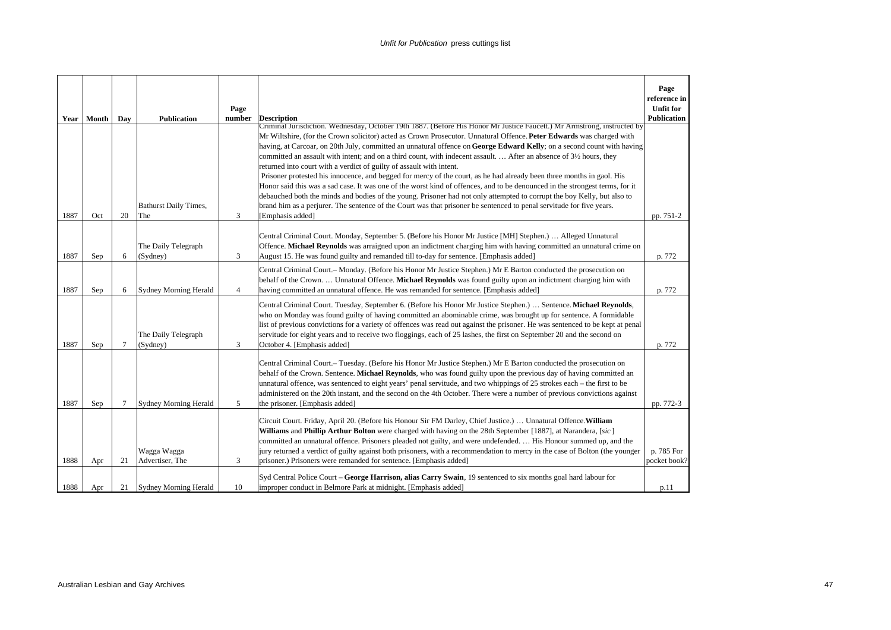|      |              |                |                              | Page           |                                                                                                                                                                                                                                                     | Page<br>reference in<br><b>Unfit for</b> |
|------|--------------|----------------|------------------------------|----------------|-----------------------------------------------------------------------------------------------------------------------------------------------------------------------------------------------------------------------------------------------------|------------------------------------------|
|      | Year   Month | Day            | <b>Publication</b>           | number         | <b>Description</b>                                                                                                                                                                                                                                  | <b>Publication</b>                       |
|      |              |                |                              |                | Criminal Jurisdiction. Wednesday, October 19th 1887. (Before His Honor Mr Justice Faucett.) Mr Armstrong, instructed by                                                                                                                             |                                          |
|      |              |                |                              |                | Mr Wiltshire, (for the Crown solicitor) acted as Crown Prosecutor. Unnatural Offence. Peter Edwards was charged with<br>having, at Carcoar, on 20th July, committed an unnatural offence on George Edward Kelly; on a second count with having      |                                          |
|      |              |                |                              |                | committed an assault with intent; and on a third count, with indecent assault.  After an absence of 31/2 hours, they                                                                                                                                |                                          |
|      |              |                |                              |                | returned into court with a verdict of guilty of assault with intent.                                                                                                                                                                                |                                          |
|      |              |                |                              |                | Prisoner protested his innocence, and begged for mercy of the court, as he had already been three months in gaol. His                                                                                                                               |                                          |
|      |              |                |                              |                | Honor said this was a sad case. It was one of the worst kind of offences, and to be denounced in the strongest terms, for it                                                                                                                        |                                          |
|      |              |                | <b>Bathurst Daily Times,</b> |                | debauched both the minds and bodies of the young. Prisoner had not only attempted to corrupt the boy Kelly, but also to<br>brand him as a perjurer. The sentence of the Court was that prisoner be sentenced to penal servitude for five years.     |                                          |
| 1887 | Oct          | 20             | The                          | 3              | [Emphasis added]                                                                                                                                                                                                                                    | pp. 751-2                                |
|      |              |                |                              |                |                                                                                                                                                                                                                                                     |                                          |
|      |              |                |                              |                | Central Criminal Court. Monday, September 5. (Before his Honor Mr Justice [MH] Stephen.)  Alleged Unnatural                                                                                                                                         |                                          |
|      |              |                | The Daily Telegraph          |                | Offence. Michael Reynolds was arraigned upon an indictment charging him with having committed an unnatural crime on                                                                                                                                 |                                          |
| 1887 | Sep          | 6              | (Sydney)                     | 3              | August 15. He was found guilty and remanded till to-day for sentence. [Emphasis added]                                                                                                                                                              | p. 772                                   |
|      |              |                |                              |                | Central Criminal Court.– Monday. (Before his Honor Mr Justice Stephen.) Mr E Barton conducted the prosecution on                                                                                                                                    |                                          |
|      |              |                |                              |                | behalf of the Crown.  Unnatural Offence. Michael Reynolds was found guilty upon an indictment charging him with                                                                                                                                     |                                          |
| 1887 | Sep          | 6              | Sydney Morning Herald        | $\overline{4}$ | having committed an unnatural offence. He was remanded for sentence. [Emphasis added]                                                                                                                                                               | p. 772                                   |
|      |              |                |                              |                | Central Criminal Court. Tuesday, September 6. (Before his Honor Mr Justice Stephen.)  Sentence. Michael Reynolds,                                                                                                                                   |                                          |
|      |              |                |                              |                | who on Monday was found guilty of having committed an abominable crime, was brought up for sentence. A formidable<br>list of previous convictions for a variety of offences was read out against the prisoner. He was sentenced to be kept at penal |                                          |
|      |              |                | The Daily Telegraph          |                | servitude for eight years and to receive two floggings, each of 25 lashes, the first on September 20 and the second on                                                                                                                              |                                          |
| 1887 | Sep          | $\overline{7}$ | (Sydney)                     | 3              | October 4. [Emphasis added]                                                                                                                                                                                                                         | p. 772                                   |
|      |              |                |                              |                |                                                                                                                                                                                                                                                     |                                          |
|      |              |                |                              |                | Central Criminal Court.- Tuesday. (Before his Honor Mr Justice Stephen.) Mr E Barton conducted the prosecution on                                                                                                                                   |                                          |
|      |              |                |                              |                | behalf of the Crown. Sentence. Michael Reynolds, who was found guilty upon the previous day of having committed an<br>unnatural offence, was sentenced to eight years' penal servitude, and two whippings of 25 strokes each – the first to be      |                                          |
|      |              |                |                              |                | administered on the 20th instant, and the second on the 4th October. There were a number of previous convictions against                                                                                                                            |                                          |
| 1887 | Sep          | 7              | Sydney Morning Herald        | 5              | the prisoner. [Emphasis added]                                                                                                                                                                                                                      | pp. 772-3                                |
|      |              |                |                              |                |                                                                                                                                                                                                                                                     |                                          |
|      |              |                |                              |                | Circuit Court. Friday, April 20. (Before his Honour Sir FM Darley, Chief Justice.)  Unnatural Offence. William<br>Williams and Phillip Arthur Bolton were charged with having on the 28th September [1887], at Narandera, [sic]                     |                                          |
|      |              |                |                              |                | committed an unnatural offence. Prisoners pleaded not guilty, and were undefended.  His Honour summed up, and the                                                                                                                                   |                                          |
|      |              |                | Wagga Wagga                  |                | jury returned a verdict of guilty against both prisoners, with a recommendation to mercy in the case of Bolton (the younger                                                                                                                         | p. 785 For                               |
| 1888 | Apr          | 21             | Advertiser, The              | 3              | prisoner.) Prisoners were remanded for sentence. [Emphasis added]                                                                                                                                                                                   | pocket book?                             |
|      |              |                |                              |                | Syd Central Police Court – George Harrison, alias Carry Swain, 19 sentenced to six months goal hard labour for                                                                                                                                      |                                          |
| 1888 | Apr          | 21             | Sydney Morning Herald        | 10             | improper conduct in Belmore Park at midnight. [Emphasis added]                                                                                                                                                                                      | p.11                                     |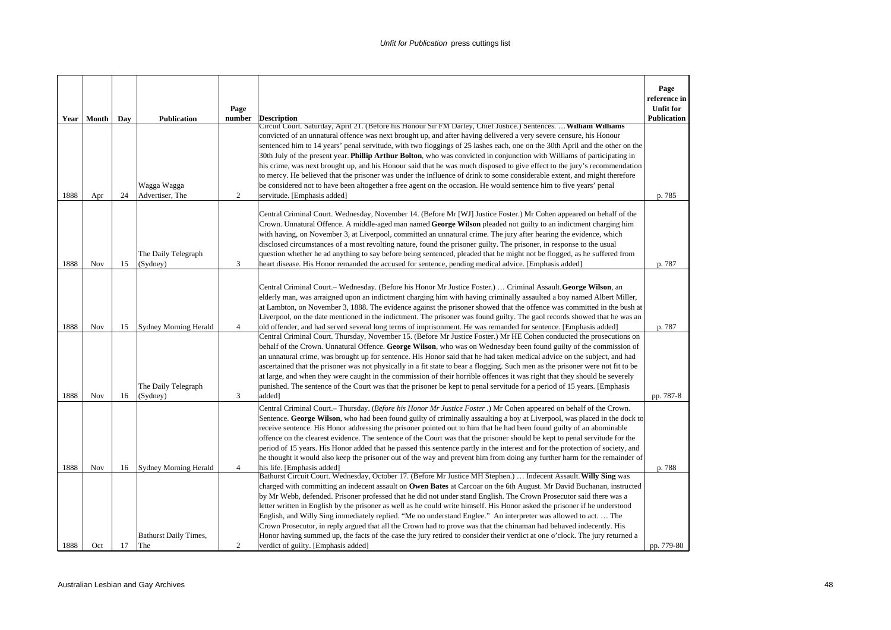|      | Year   Month | Day | <b>Publication</b>                  | Page<br>number | <b>Description</b>                                                                                                                                                                                                                                                                                                                                                                                                                                                                                                                                                                                                                                                                                                                                                                                                                                                                                                  | Page<br>reference in<br><b>Unfit for</b><br>Publication |
|------|--------------|-----|-------------------------------------|----------------|---------------------------------------------------------------------------------------------------------------------------------------------------------------------------------------------------------------------------------------------------------------------------------------------------------------------------------------------------------------------------------------------------------------------------------------------------------------------------------------------------------------------------------------------------------------------------------------------------------------------------------------------------------------------------------------------------------------------------------------------------------------------------------------------------------------------------------------------------------------------------------------------------------------------|---------------------------------------------------------|
| 1888 | Apr          | 24  | Wagga Wagga<br>Advertiser, The      | 2              | Circuit Court. Saturday, April 21. (Before his Honour Sir FM Darley, Chief Justice.) Sentences.  William Williams<br>convicted of an unnatural offence was next brought up, and after having delivered a very severe censure, his Honour<br>sentenced him to 14 years' penal servitude, with two floggings of 25 lashes each, one on the 30th April and the other on the<br>30th July of the present year. Phillip Arthur Bolton, who was convicted in conjunction with Williams of participating in<br>his crime, was next brought up, and his Honour said that he was much disposed to give effect to the jury's recommendation<br>to mercy. He believed that the prisoner was under the influence of drink to some considerable extent, and might therefore<br>be considered not to have been altogether a free agent on the occasion. He would sentence him to five years' penal<br>servitude. [Emphasis added] | p. 785                                                  |
| 1888 | Nov          | 15  | The Daily Telegraph<br>(Sydney)     | 3              | Central Criminal Court. Wednesday, November 14. (Before Mr [WJ] Justice Foster.) Mr Cohen appeared on behalf of the<br>Crown. Unnatural Offence. A middle-aged man named George Wilson pleaded not guilty to an indictment charging him<br>with having, on November 3, at Liverpool, committed an unnatural crime. The jury after hearing the evidence, which<br>disclosed circumstances of a most revolting nature, found the prisoner guilty. The prisoner, in response to the usual<br>question whether he ad anything to say before being sentenced, pleaded that he might not be flogged, as he suffered from<br>heart disease. His Honor remanded the accused for sentence, pending medical advice. [Emphasis added]                                                                                                                                                                                          | p. 787                                                  |
| 1888 | Nov          | 15  | Sydney Morning Herald               | $\overline{4}$ | Central Criminal Court.– Wednesday. (Before his Honor Mr Justice Foster.)  Criminal Assault. George Wilson, an<br>elderly man, was arraigned upon an indictment charging him with having criminally assaulted a boy named Albert Miller,<br>at Lambton, on November 3, 1888. The evidence against the prisoner showed that the offence was committed in the bush at<br>Liverpool, on the date mentioned in the indictment. The prisoner was found guilty. The gaol records showed that he was an<br>old offender, and had served several long terms of imprisonment. He was remanded for sentence. [Emphasis added]                                                                                                                                                                                                                                                                                                 | p. 787                                                  |
| 1888 | Nov          | 16  | The Daily Telegraph<br>(Sydney)     | 3              | Central Criminal Court. Thursday, November 15. (Before Mr Justice Foster.) Mr HE Cohen conducted the prosecutions on<br>behalf of the Crown. Unnatural Offence. George Wilson, who was on Wednesday been found guilty of the commission of<br>an unnatural crime, was brought up for sentence. His Honor said that he had taken medical advice on the subject, and had<br>ascertained that the prisoner was not physically in a fit state to bear a flogging. Such men as the prisoner were not fit to be<br>at large, and when they were caught in the commission of their horrible offences it was right that they should be severely<br>punished. The sentence of the Court was that the prisoner be kept to penal servitude for a period of 15 years. [Emphasis<br>added]                                                                                                                                       | pp. 787-8                                               |
| 1888 | <b>Nov</b>   | 16  | <b>Sydney Morning Herald</b>        | $\overline{4}$ | Central Criminal Court.- Thursday. (Before his Honor Mr Justice Foster.) Mr Cohen appeared on behalf of the Crown.<br>Sentence. George Wilson, who had been found guilty of criminally assaulting a boy at Liverpool, was placed in the dock to<br>receive sentence. His Honor addressing the prisoner pointed out to him that he had been found guilty of an abominable<br>offence on the clearest evidence. The sentence of the Court was that the prisoner should be kept to penal servitude for the<br>period of 15 years. His Honor added that he passed this sentence partly in the interest and for the protection of society, and<br>he thought it would also keep the prisoner out of the way and prevent him from doing any further harm for the remainder of<br>his life. [Emphasis added]                                                                                                               | p. 788                                                  |
| 1888 | Oct          | 17  | <b>Bathurst Daily Times,</b><br>The | 2              | Bathurst Circuit Court. Wednesday, October 17. (Before Mr Justice MH Stephen.)  Indecent Assault. Willy Sing was<br>charged with committing an indecent assault on Owen Bates at Carcoar on the 6th August. Mr David Buchanan, instructed<br>by Mr Webb, defended. Prisoner professed that he did not under stand English. The Crown Prosecutor said there was a<br>letter written in English by the prisoner as well as he could write himself. His Honor asked the prisoner if he understood<br>English, and Willy Sing immediately replied. "Me no understand Englee." An interpreter was allowed to act The<br>Crown Prosecutor, in reply argued that all the Crown had to prove was that the chinaman had behaved indecently. His<br>Honor having summed up, the facts of the case the jury retired to consider their verdict at one o'clock. The jury returned a<br>verdict of guilty. [Emphasis added]       | pp. 779-80                                              |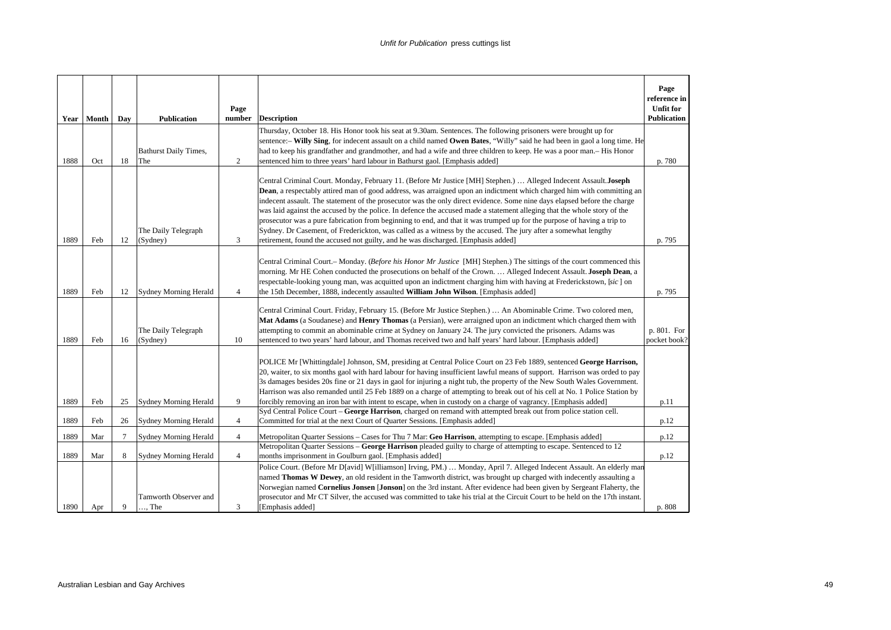| Year | Month | Day | <b>Publication</b>                                    | Page<br>number | <b>Description</b>                                                                                                                                                                                                                                                                                                                                                                                                                                                                                                                                                                                                                                                                                                                                                                                                                            | Page<br>reference in<br><b>Unfit for</b><br><b>Publication</b> |
|------|-------|-----|-------------------------------------------------------|----------------|-----------------------------------------------------------------------------------------------------------------------------------------------------------------------------------------------------------------------------------------------------------------------------------------------------------------------------------------------------------------------------------------------------------------------------------------------------------------------------------------------------------------------------------------------------------------------------------------------------------------------------------------------------------------------------------------------------------------------------------------------------------------------------------------------------------------------------------------------|----------------------------------------------------------------|
| 1888 | Oct   | 18  | <b>Bathurst Daily Times,</b><br>The                   | 2              | Thursday, October 18. His Honor took his seat at 9.30am. Sentences. The following prisoners were brought up for<br>sentence:- Willy Sing, for indecent assault on a child named Owen Bates, "Willy" said he had been in gaol a long time. He<br>had to keep his grandfather and grandmother, and had a wife and three children to keep. He was a poor man.–His Honor<br>sentenced him to three years' hard labour in Bathurst gaol. [Emphasis added]                                                                                                                                                                                                                                                                                                                                                                                          | p. 780                                                         |
| 1889 | Feb   | 12  | The Daily Telegraph<br>(Sydney)                       | 3              | Central Criminal Court. Monday, February 11. (Before Mr Justice [MH] Stephen.)  Alleged Indecent Assault. Joseph<br><b>Dean</b> , a respectably attired man of good address, was arraigned upon an indictment which charged him with committing an<br>indecent assault. The statement of the prosecutor was the only direct evidence. Some nine days elapsed before the charge<br>was laid against the accused by the police. In defence the accused made a statement alleging that the whole story of the<br>prosecutor was a pure fabrication from beginning to end, and that it was trumped up for the purpose of having a trip to<br>Sydney. Dr Casement, of Frederickton, was called as a witness by the accused. The jury after a somewhat lengthy<br>retirement, found the accused not guilty, and he was discharged. [Emphasis added] | p. 795                                                         |
| 1889 | Feb   | 12  | <b>Sydney Morning Herald</b>                          | $\overline{4}$ | Central Criminal Court.- Monday. (Before his Honor Mr Justice [MH] Stephen.) The sittings of the court commenced this<br>morning. Mr HE Cohen conducted the prosecutions on behalf of the Crown.  Alleged Indecent Assault. Joseph Dean, a<br>respectable-looking young man, was acquitted upon an indictment charging him with having at Frederickstown, [sic] on<br>the 15th December, 1888, indecently assaulted William John Wilson. [Emphasis added]                                                                                                                                                                                                                                                                                                                                                                                     | p. 795                                                         |
| 1889 | Feb   | 16  | The Daily Telegraph<br>(Sydney)                       | 10             | Central Criminal Court. Friday, February 15. (Before Mr Justice Stephen.)  An Abominable Crime. Two colored men,<br>Mat Adams (a Soudanese) and Henry Thomas (a Persian), were arraigned upon an indictment which charged them with<br>attempting to commit an abominable crime at Sydney on January 24. The jury convicted the prisoners. Adams was<br>sentenced to two years' hard labour, and Thomas received two and half years' hard labour. [Emphasis added]                                                                                                                                                                                                                                                                                                                                                                            | p. 801. For<br>pocket book?                                    |
| 1889 | Feb   | 25  | <b>Sydney Morning Herald</b>                          | 9              | POLICE Mr [Whittingdale] Johnson, SM, presiding at Central Police Court on 23 Feb 1889, sentenced George Harrison,<br>20, waiter, to six months gaol with hard labour for having insufficient lawful means of support. Harrison was orded to pay<br>3s damages besides 20s fine or 21 days in gaol for injuring a night tub, the property of the New South Wales Government.<br>Harrison was also remanded until 25 Feb 1889 on a charge of attempting to break out of his cell at No. 1 Police Station by<br>forcibly removing an iron bar with intent to escape, when in custody on a charge of vagrancy. [Emphasis added]                                                                                                                                                                                                                  | p.11                                                           |
| 1889 | Feb   | 26  | <b>Sydney Morning Herald</b>                          | $\overline{4}$ | Syd Central Police Court - George Harrison, charged on remand with attempted break out from police station cell.<br>Committed for trial at the next Court of Quarter Sessions. [Emphasis added]                                                                                                                                                                                                                                                                                                                                                                                                                                                                                                                                                                                                                                               | p.12                                                           |
| 1889 | Mar   | 7   | <b>Sydney Morning Herald</b>                          | $\overline{4}$ | Metropolitan Quarter Sessions – Cases for Thu 7 Mar: Geo Harrison, attempting to escape. [Emphasis added]                                                                                                                                                                                                                                                                                                                                                                                                                                                                                                                                                                                                                                                                                                                                     | p.12                                                           |
| 1889 | Mar   | 8   | <b>Sydney Morning Herald</b><br>Tamworth Observer and | $\overline{4}$ | Metropolitan Quarter Sessions – George Harrison pleaded guilty to charge of attempting to escape. Sentenced to 12<br>months imprisonment in Goulburn gaol. [Emphasis added]<br>Police Court. (Before Mr D[avid] W[illiamson] Irving, PM.)  Monday, April 7. Alleged Indecent Assault. An elderly man<br>named Thomas W Dewey, an old resident in the Tamworth district, was brought up charged with indecently assaulting a<br>Norwegian named Cornelius Jonsen [Jonson] on the 3rd instant. After evidence had been given by Sergeant Flaherty, the<br>prosecutor and Mr CT Silver, the accused was committed to take his trial at the Circuit Court to be held on the 17th instant.                                                                                                                                                         | p.12                                                           |
| 1890 | Apr   | 9   | $\ldots$ The                                          | 3              | [Emphasis added]                                                                                                                                                                                                                                                                                                                                                                                                                                                                                                                                                                                                                                                                                                                                                                                                                              | p. 808                                                         |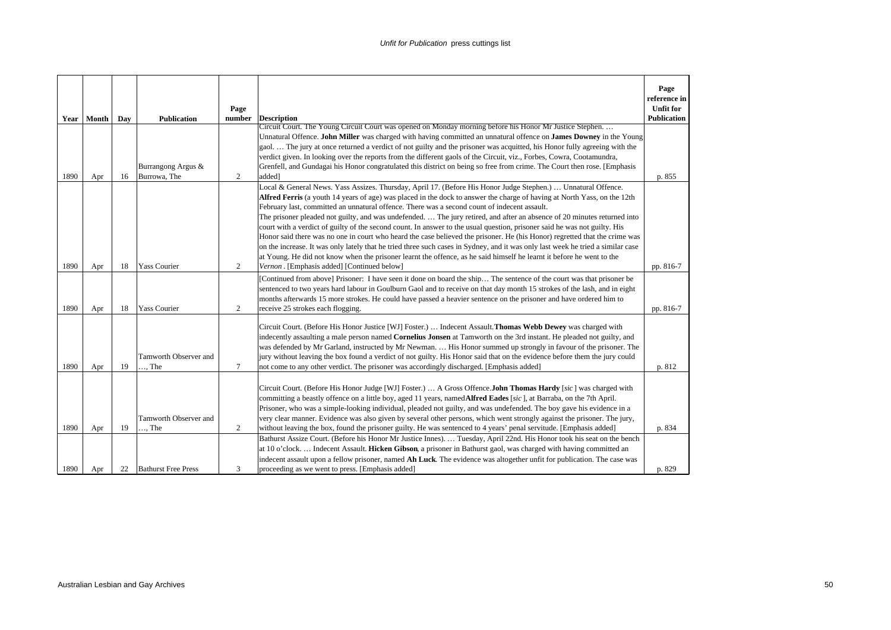|      | Year Month | Day | <b>Publication</b>           | Page<br>number | <b>Description</b>                                                                                                                                                                                                                                                                                                                                                                                                                                                                                                                                                                   | Page<br>reference in<br><b>Unfit for</b><br>Publication |
|------|------------|-----|------------------------------|----------------|--------------------------------------------------------------------------------------------------------------------------------------------------------------------------------------------------------------------------------------------------------------------------------------------------------------------------------------------------------------------------------------------------------------------------------------------------------------------------------------------------------------------------------------------------------------------------------------|---------------------------------------------------------|
|      |            |     |                              |                | Circuit Court. The Young Circuit Court was opened on Monday morning before his Honor Mr Justice Stephen.                                                                                                                                                                                                                                                                                                                                                                                                                                                                             |                                                         |
|      |            |     |                              |                | Unnatural Offence. John Miller was charged with having committed an unnatural offence on James Downey in the Young<br>gaol The jury at once returned a verdict of not guilty and the prisoner was acquitted, his Honor fully agreeing with the                                                                                                                                                                                                                                                                                                                                       |                                                         |
|      |            |     |                              |                | verdict given. In looking over the reports from the different gaols of the Circuit, viz., Forbes, Cowra, Cootamundra,                                                                                                                                                                                                                                                                                                                                                                                                                                                                |                                                         |
|      |            |     | Burrangong Argus &           |                | Grenfell, and Gundagai his Honor congratulated this district on being so free from crime. The Court then rose. [Emphasis                                                                                                                                                                                                                                                                                                                                                                                                                                                             |                                                         |
| 1890 | Apr        | 16  | Burrowa, The                 | $\overline{2}$ | added]                                                                                                                                                                                                                                                                                                                                                                                                                                                                                                                                                                               | p. 855                                                  |
|      |            |     |                              |                | Local & General News. Yass Assizes. Thursday, April 17. (Before His Honor Judge Stephen.)  Unnatural Offence.                                                                                                                                                                                                                                                                                                                                                                                                                                                                        |                                                         |
|      |            |     |                              |                | Alfred Ferris (a youth 14 years of age) was placed in the dock to answer the charge of having at North Yass, on the 12th                                                                                                                                                                                                                                                                                                                                                                                                                                                             |                                                         |
|      |            |     |                              |                | February last, committed an unnatural offence. There was a second count of indecent assault.                                                                                                                                                                                                                                                                                                                                                                                                                                                                                         |                                                         |
|      |            |     |                              |                | The prisoner pleaded not guilty, and was undefended The jury retired, and after an absence of 20 minutes returned into                                                                                                                                                                                                                                                                                                                                                                                                                                                               |                                                         |
|      |            |     |                              |                | court with a verdict of guilty of the second count. In answer to the usual question, prisoner said he was not guilty. His<br>Honor said there was no one in court who heard the case believed the prisoner. He (his Honor) regretted that the crime was                                                                                                                                                                                                                                                                                                                              |                                                         |
|      |            |     |                              |                | on the increase. It was only lately that he tried three such cases in Sydney, and it was only last week he tried a similar case                                                                                                                                                                                                                                                                                                                                                                                                                                                      |                                                         |
|      |            |     |                              |                | at Young. He did not know when the prisoner learnt the offence, as he said himself he learnt it before he went to the                                                                                                                                                                                                                                                                                                                                                                                                                                                                |                                                         |
| 1890 | Apr        | 18  | <b>Yass Courier</b>          | 2              | Vernon. [Emphasis added] [Continued below]                                                                                                                                                                                                                                                                                                                                                                                                                                                                                                                                           | pp. 816-7                                               |
| 1890 | Apr        | 18  | <b>Yass Courier</b>          | 2              | [Continued from above] Prisoner: I have seen it done on board the ship The sentence of the court was that prisoner be<br>sentenced to two years hard labour in Goulburn Gaol and to receive on that day month 15 strokes of the lash, and in eight<br>months afterwards 15 more strokes. He could have passed a heavier sentence on the prisoner and have ordered him to<br>receive 25 strokes each flogging.                                                                                                                                                                        | pp. 816-7                                               |
|      |            |     |                              |                |                                                                                                                                                                                                                                                                                                                                                                                                                                                                                                                                                                                      |                                                         |
| 1890 | Apr        | 19  | Tamworth Observer and<br>The | 7              | Circuit Court. (Before His Honor Justice [WJ] Foster.)  Indecent Assault. Thomas Webb Dewey was charged with<br>indecently assaulting a male person named Cornelius Jonsen at Tamworth on the 3rd instant. He pleaded not guilty, and<br>was defended by Mr Garland, instructed by Mr Newman.  His Honor summed up strongly in favour of the prisoner. The<br>jury without leaving the box found a verdict of not guilty. His Honor said that on the evidence before them the jury could<br>not come to any other verdict. The prisoner was accordingly discharged. [Emphasis added] | p. 812                                                  |
|      |            |     |                              |                |                                                                                                                                                                                                                                                                                                                                                                                                                                                                                                                                                                                      |                                                         |
|      |            |     | Tamworth Observer and        |                | Circuit Court. (Before His Honor Judge [WJ] Foster.)  A Gross Offence.John Thomas Hardy [sic] was charged with<br>committing a beastly offence on a little boy, aged 11 years, named <b>Alfred Eades</b> [sic], at Barraba, on the 7th April.<br>Prisoner, who was a simple-looking individual, pleaded not guilty, and was undefended. The boy gave his evidence in a<br>very clear manner. Evidence was also given by several other persons, which went strongly against the prisoner. The jury,                                                                                   |                                                         |
| 1890 | Apr        | 19  | , The                        | 2              | without leaving the box, found the prisoner guilty. He was sentenced to 4 years' penal servitude. [Emphasis added]                                                                                                                                                                                                                                                                                                                                                                                                                                                                   | p. 834                                                  |
|      |            |     |                              |                | Bathurst Assize Court. (Before his Honor Mr Justice Innes).  Tuesday, April 22nd. His Honor took his seat on the bench                                                                                                                                                                                                                                                                                                                                                                                                                                                               |                                                         |
|      |            |     |                              |                | at 10 o'clock Indecent Assault. Hicken Gibson, a prisoner in Bathurst gaol, was charged with having committed an                                                                                                                                                                                                                                                                                                                                                                                                                                                                     |                                                         |
|      |            |     |                              |                | indecent assault upon a fellow prisoner, named Ah Luck. The evidence was altogether unfit for publication. The case was                                                                                                                                                                                                                                                                                                                                                                                                                                                              |                                                         |
| 1890 | Apr        | 22  | <b>Bathurst Free Press</b>   | 3              | proceeding as we went to press. [Emphasis added]                                                                                                                                                                                                                                                                                                                                                                                                                                                                                                                                     | p. 829                                                  |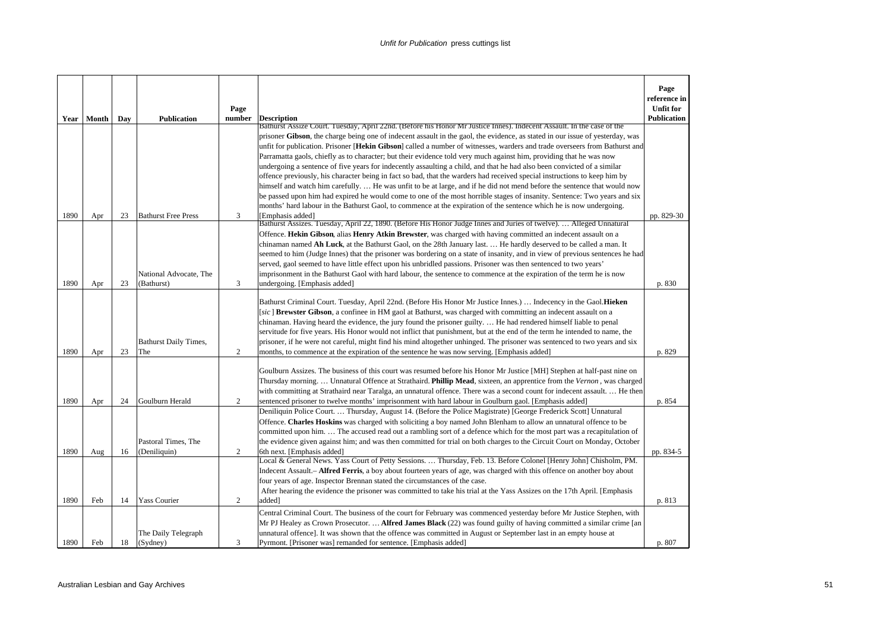|      |              |     |                                     | Page           |                                                                                                                                                                                                                                                    | Page<br>reference in<br><b>Unfit for</b> |
|------|--------------|-----|-------------------------------------|----------------|----------------------------------------------------------------------------------------------------------------------------------------------------------------------------------------------------------------------------------------------------|------------------------------------------|
|      | Year   Month | Day | <b>Publication</b>                  | number         | <b>Description</b><br>Bathurst Assize Court. Tuesday, April 22nd. (Before his Honor Mr Justice Innes). Indecent Assault. In the case of the                                                                                                        | <b>Publication</b>                       |
|      |              |     |                                     |                | prisoner Gibson, the charge being one of indecent assault in the gaol, the evidence, as stated in our issue of yesterday, was                                                                                                                      |                                          |
|      |              |     |                                     |                | unfit for publication. Prisoner [Hekin Gibson] called a number of witnesses, warders and trade overseers from Bathurst and<br>Parramatta gaols, chiefly as to character; but their evidence told very much against him, providing that he was now  |                                          |
|      |              |     |                                     |                | undergoing a sentence of five years for indecently assaulting a child, and that he had also been convicted of a similar                                                                                                                            |                                          |
|      |              |     |                                     |                | offence previously, his character being in fact so bad, that the warders had received special instructions to keep him by                                                                                                                          |                                          |
|      |              |     |                                     |                | himself and watch him carefully He was unfit to be at large, and if he did not mend before the sentence that would now                                                                                                                             |                                          |
|      |              |     |                                     |                | be passed upon him had expired he would come to one of the most horrible stages of insanity. Sentence: Two years and six<br>months' hard labour in the Bathurst Gaol, to commence at the expiration of the sentence which he is now undergoing.    |                                          |
| 1890 | Apr          | 23  | <b>Bathurst Free Press</b>          | 3              | [Emphasis added]                                                                                                                                                                                                                                   | pp. 829-30                               |
|      |              |     |                                     |                | Bathurst Assizes. Tuesday, April 22, 1890. (Before His Honor Judge Innes and Juries of twelve).  Alleged Unnatural                                                                                                                                 |                                          |
|      |              |     |                                     |                | Offence. Hekin Gibson, alias Henry Atkin Brewster, was charged with having committed an indecent assault on a                                                                                                                                      |                                          |
|      |              |     |                                     |                | chinaman named Ah Luck, at the Bathurst Gaol, on the 28th January last.  He hardly deserved to be called a man. It<br>seemed to him (Judge Innes) that the prisoner was bordering on a state of insanity, and in view of previous sentences he had |                                          |
|      |              |     |                                     |                | served, gaol seemed to have little effect upon his unbridled passions. Prisoner was then sentenced to two years'                                                                                                                                   |                                          |
|      |              |     | National Advocate, The              |                | imprisonment in the Bathurst Gaol with hard labour, the sentence to commence at the expiration of the term he is now                                                                                                                               |                                          |
| 1890 | Apr          | 23  | (Bathurst)                          | 3              | undergoing. [Emphasis added]                                                                                                                                                                                                                       | p. 830                                   |
|      |              |     |                                     |                | Bathurst Criminal Court. Tuesday, April 22nd. (Before His Honor Mr Justice Innes.)  Indecency in the Gaol. Hieken                                                                                                                                  |                                          |
|      |              |     |                                     |                | [sic] Brewster Gibson, a confinee in HM gaol at Bathurst, was charged with committing an indecent assault on a                                                                                                                                     |                                          |
|      |              |     |                                     |                | chinaman. Having heard the evidence, the jury found the prisoner guilty.  He had rendered himself liable to penal                                                                                                                                  |                                          |
|      |              |     |                                     |                | servitude for five years. His Honor would not inflict that punishment, but at the end of the term he intended to name, the                                                                                                                         |                                          |
| 1890 | Apr          | 23  | <b>Bathurst Daily Times,</b><br>The | $\overline{c}$ | prisoner, if he were not careful, might find his mind altogether unhinged. The prisoner was sentenced to two years and six<br>months, to commence at the expiration of the sentence he was now serving. [Emphasis added]                           | p. 829                                   |
|      |              |     |                                     |                |                                                                                                                                                                                                                                                    |                                          |
|      |              |     |                                     |                | Goulburn Assizes. The business of this court was resumed before his Honor Mr Justice [MH] Stephen at half-past nine on                                                                                                                             |                                          |
|      |              |     |                                     |                | Thursday morning Unnatural Offence at Strathaird. <b>Phillip Mead</b> , sixteen, an apprentice from the Vernon, was charged                                                                                                                        |                                          |
| 1890 | Apr          | 24  | Goulburn Herald                     | 2              | with committing at Strathaird near Taralga, an unnatural offence. There was a second count for indecent assault.  He then<br>sentenced prisoner to twelve months' imprisonment with hard labour in Goulburn gaol. [Emphasis added]                 | p. 854                                   |
|      |              |     |                                     |                | Deniliquin Police Court Thursday, August 14. (Before the Police Magistrate) [George Frederick Scott] Unnatural                                                                                                                                     |                                          |
|      |              |     |                                     |                | Offence. Charles Hoskins was charged with soliciting a boy named John Blenham to allow an unnatural offence to be                                                                                                                                  |                                          |
|      |              |     |                                     |                | committed upon him The accused read out a rambling sort of a defence which for the most part was a recapitulation of                                                                                                                               |                                          |
|      |              |     | Pastoral Times, The                 |                | the evidence given against him; and was then committed for trial on both charges to the Circuit Court on Monday, October                                                                                                                           |                                          |
| 1890 | Aug          | 16  | (Deniliquin)                        | $\overline{2}$ | 6th next. [Emphasis added]<br>Local & General News. Yass Court of Petty Sessions.  Thursday, Feb. 13. Before Colonel [Henry John] Chisholm, PM.                                                                                                    | pp. 834-5                                |
|      |              |     |                                     |                | Indecent Assault.- <b>Alfred Ferris</b> , a boy about fourteen years of age, was charged with this offence on another boy about                                                                                                                    |                                          |
|      |              |     |                                     |                | four years of age. Inspector Brennan stated the circumstances of the case.                                                                                                                                                                         |                                          |
|      |              |     |                                     |                | After hearing the evidence the prisoner was committed to take his trial at the Yass Assizes on the 17th April. [Emphasis                                                                                                                           |                                          |
| 1890 | Feb          | 14  | <b>Yass Courier</b>                 | 2              | added]                                                                                                                                                                                                                                             | p. 813                                   |
|      |              |     |                                     |                | Central Criminal Court. The business of the court for February was commenced yesterday before Mr Justice Stephen, with                                                                                                                             |                                          |
|      |              |     | The Daily Telegraph                 |                | Mr PJ Healey as Crown Prosecutor.  Alfred James Black (22) was found guilty of having committed a similar crime [an<br>unnatural offence]. It was shown that the offence was committed in August or September last in an empty house at            |                                          |
| 1890 | Feb          | 18  | (Sydney)                            | 3              | Pyrmont. [Prisoner was] remanded for sentence. [Emphasis added]                                                                                                                                                                                    | p. 807                                   |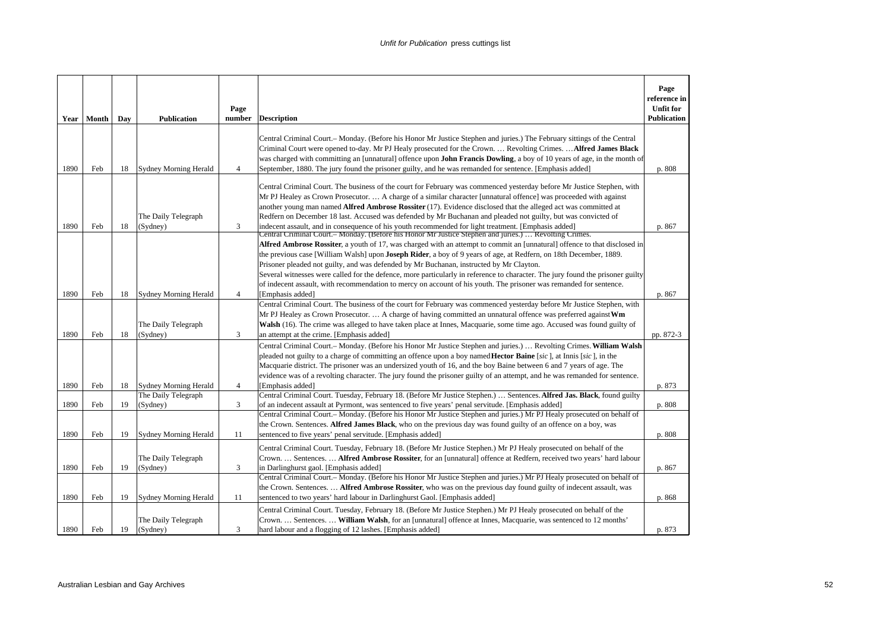|      | Year   Month | Day | <b>Publication</b>              | Page<br>number | <b>Description</b>                                                                                                                                                                                                                                                                                                                                                                                                                                                                                                                                                                                                                                                                                                 | Page<br>reference in<br><b>Unfit for</b><br><b>Publication</b> |
|------|--------------|-----|---------------------------------|----------------|--------------------------------------------------------------------------------------------------------------------------------------------------------------------------------------------------------------------------------------------------------------------------------------------------------------------------------------------------------------------------------------------------------------------------------------------------------------------------------------------------------------------------------------------------------------------------------------------------------------------------------------------------------------------------------------------------------------------|----------------------------------------------------------------|
| 1890 | Feb          | 18  | <b>Sydney Morning Herald</b>    | $\overline{4}$ | Central Criminal Court.- Monday. (Before his Honor Mr Justice Stephen and juries.) The February sittings of the Central<br>Criminal Court were opened to-day. Mr PJ Healy prosecuted for the Crown.  Revolting Crimes.  Alfred James Black<br>was charged with committing an [unnatural] offence upon <b>John Francis Dowling</b> , a boy of 10 years of age, in the month of<br>September, 1880. The jury found the prisoner guilty, and he was remanded for sentence. [Emphasis added]                                                                                                                                                                                                                           | p. 808                                                         |
| 1890 | Feb          | 18  | The Daily Telegraph<br>(Sydney) | 3              | Central Criminal Court. The business of the court for February was commenced yesterday before Mr Justice Stephen, with<br>Mr PJ Healey as Crown Prosecutor.  A charge of a similar character [unnatural offence] was proceeded with against<br>another young man named <b>Alfred Ambrose Rossiter</b> (17). Evidence disclosed that the alleged act was committed at<br>Redfern on December 18 last. Accused was defended by Mr Buchanan and pleaded not guilty, but was convicted of<br>indecent assault, and in consequence of his youth recommended for light treatment. [Emphasis added]                                                                                                                       | p. 867                                                         |
|      |              |     |                                 |                | Central Criminal Court.– Monday. (Before his Honor Mr Justice Stephen and juries.)  Revolting Crimes.<br>Alfred Ambrose Rossiter, a youth of 17, was charged with an attempt to commit an [unnatural] offence to that disclosed in<br>the previous case [William Walsh] upon <b>Joseph Rider</b> , a boy of 9 years of age, at Redfern, on 18th December, 1889.<br>Prisoner pleaded not guilty, and was defended by Mr Buchanan, instructed by Mr Clayton.<br>Several witnesses were called for the defence, more particularly in reference to character. The jury found the prisoner guilty<br>of indecent assault, with recommendation to mercy on account of his youth. The prisoner was remanded for sentence. |                                                                |
| 1890 | Feb          | 18  | <b>Sydney Morning Herald</b>    | $\overline{4}$ | [Emphasis added]<br>Central Criminal Court. The business of the court for February was commenced yesterday before Mr Justice Stephen, with                                                                                                                                                                                                                                                                                                                                                                                                                                                                                                                                                                         | p. 867                                                         |
| 1890 | Feb          | 18  | The Daily Telegraph<br>(Sydney) | 3              | Mr PJ Healey as Crown Prosecutor.  A charge of having committed an unnatural offence was preferred against Wm<br>Walsh (16). The crime was alleged to have taken place at Innes, Macquarie, some time ago. Accused was found guilty of<br>an attempt at the crime. [Emphasis added]                                                                                                                                                                                                                                                                                                                                                                                                                                | pp. 872-3                                                      |
| 1890 | Feb          | 18  | Sydney Morning Herald           | 4              | Central Criminal Court.- Monday. (Before his Honor Mr Justice Stephen and juries.)  Revolting Crimes. William Walsh<br>pleaded not guilty to a charge of committing an offence upon a boy named <b>Hector Baine</b> [sic], at Innis [sic], in the<br>Macquarie district. The prisoner was an undersized youth of 16, and the boy Baine between 6 and 7 years of age. The<br>evidence was of a revolting character. The jury found the prisoner guilty of an attempt, and he was remanded for sentence.<br>[Emphasis added]                                                                                                                                                                                         | p. 873                                                         |
|      |              |     | The Daily Telegraph             |                | Central Criminal Court. Tuesday, February 18. (Before Mr Justice Stephen.)  Sentences. Alfred Jas. Black, found guilty                                                                                                                                                                                                                                                                                                                                                                                                                                                                                                                                                                                             |                                                                |
| 1890 | Feb          | 19  | (Sydney)                        | 3              | of an indecent assault at Pyrmont, was sentenced to five years' penal servitude. [Emphasis added]<br>Central Criminal Court.- Monday. (Before his Honor Mr Justice Stephen and juries.) Mr PJ Healy prosecuted on behalf of                                                                                                                                                                                                                                                                                                                                                                                                                                                                                        | p. 808                                                         |
| 1890 | Feb          | 19  | <b>Sydney Morning Herald</b>    | 11             | the Crown. Sentences. Alfred James Black, who on the previous day was found guilty of an offence on a boy, was<br>sentenced to five years' penal servitude. [Emphasis added]                                                                                                                                                                                                                                                                                                                                                                                                                                                                                                                                       | p. 808                                                         |
| 1890 | Feb          | 19  | The Daily Telegraph<br>(Sydney) | 3              | Central Criminal Court. Tuesday, February 18. (Before Mr Justice Stephen.) Mr PJ Healy prosecuted on behalf of the<br>Crown.  Sentences.  Alfred Ambrose Rossiter, for an [unnatural] offence at Redfern, received two years' hard labour<br>in Darlinghurst gaol. [Emphasis added]                                                                                                                                                                                                                                                                                                                                                                                                                                | p. 867                                                         |
| 1890 | Feb          | 19  | <b>Sydney Morning Herald</b>    | 11             | Central Criminal Court.- Monday. (Before his Honor Mr Justice Stephen and juries.) Mr PJ Healy prosecuted on behalf of<br>the Crown. Sentences.  Alfred Ambrose Rossiter, who was on the previous day found guilty of indecent assault, was<br>sentenced to two years' hard labour in Darlinghurst Gaol. [Emphasis added]                                                                                                                                                                                                                                                                                                                                                                                          | p. 868                                                         |
| 1890 | Feb          | 19  | The Daily Telegraph<br>(Sydney) | 3              | Central Criminal Court. Tuesday, February 18. (Before Mr Justice Stephen.) Mr PJ Healy prosecuted on behalf of the<br>Crown.  Sentences.  William Walsh, for an [unnatural] offence at Innes, Macquarie, was sentenced to 12 months'<br>hard labour and a flogging of 12 lashes. [Emphasis added]                                                                                                                                                                                                                                                                                                                                                                                                                  | p. 873                                                         |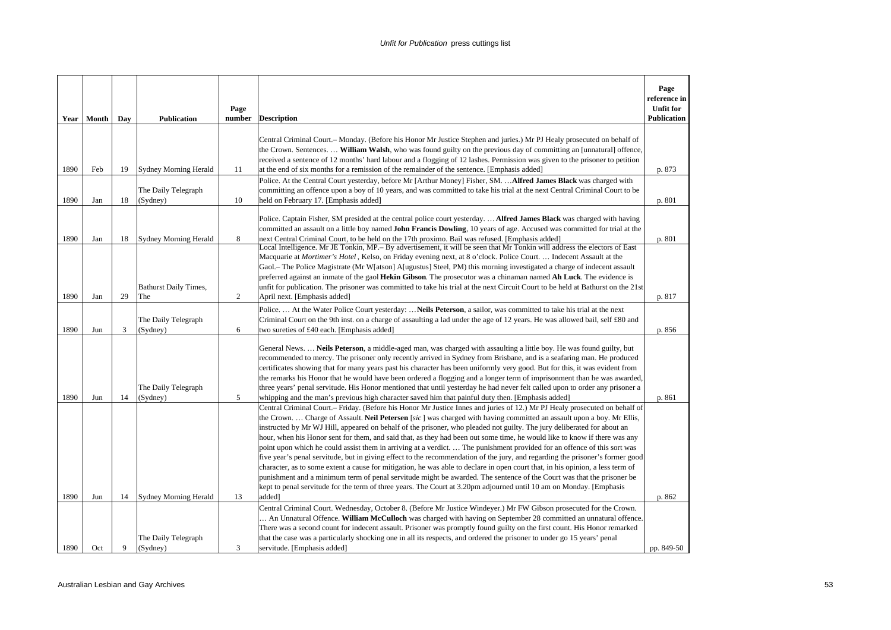| Central Criminal Court.– Monday. (Before his Honor Mr Justice Stephen and juries.) Mr PJ Healy prosecuted on behalf of<br>the Crown. Sentences.  William Walsh, who was found guilty on the previous day of committing an [unnatural] offence,<br>received a sentence of 12 months' hard labour and a flogging of 12 lashes. Permission was given to the prisoner to petition<br>1890<br><b>Sydney Morning Herald</b><br>Feb<br>19<br>11<br>at the end of six months for a remission of the remainder of the sentence. [Emphasis added]<br>p. 873<br>Police. At the Central Court yesterday, before Mr [Arthur Money] Fisher, SM.  Alfred James Black was charged with<br>The Daily Telegraph<br>committing an offence upon a boy of 10 years, and was committed to take his trial at the next Central Criminal Court to be<br>1890<br>10<br>held on February 17. [Emphasis added]<br>p. 801<br>Jan<br>18<br>(Sydney)<br>Police. Captain Fisher, SM presided at the central police court yesterday.  Alfred James Black was charged with having<br>committed an assault on a little boy named John Francis Dowling, 10 years of age. Accused was committed for trial at the<br>1890<br>8<br>next Central Criminal Court, to be held on the 17th proximo. Bail was refused. [Emphasis added]<br>p. 801<br>Jan<br>18<br>Sydney Morning Herald<br>Local Intelligence. Mr JE Tonkin, MP.– By advertisement, it will be seen that Mr Tonkin will address the electors of East<br>Macquarie at Mortimer's Hotel, Kelso, on Friday evening next, at 8 o'clock. Police Court.  Indecent Assault at the<br>Gaol.– The Police Magistrate (Mr W[atson] A[ugustus] Steel, PM) this morning investigated a charge of indecent assault<br>preferred against an inmate of the gaol Hekin Gibson. The prosecutor was a chinaman named Ah Luck. The evidence is<br><b>Bathurst Daily Times,</b><br>unfit for publication. The prisoner was committed to take his trial at the next Circuit Court to be held at Bathurst on the 21st<br>1890<br>29<br>2<br>April next. [Emphasis added]<br>Jan<br>The<br>p. 817<br>Police.  At the Water Police Court yesterday:  Neils Peterson, a sailor, was committed to take his trial at the next<br>The Daily Telegraph<br>Criminal Court on the 9th inst. on a charge of assaulting a lad under the age of 12 years. He was allowed bail, self £80 and<br>1890<br>6<br>3<br>p. 856<br>Jun<br>(Sydney)<br>two sureties of £40 each. [Emphasis added]<br>General News.  Neils Peterson, a middle-aged man, was charged with assaulting a little boy. He was found guilty, but<br>recommended to mercy. The prisoner only recently arrived in Sydney from Brisbane, and is a seafaring man. He produced<br>certificates showing that for many years past his character has been uniformly very good. But for this, it was evident from<br>the remarks his Honor that he would have been ordered a flogging and a longer term of imprisonment than he was awarded,<br>The Daily Telegraph<br>three years' penal servitude. His Honor mentioned that until yesterday he had never felt called upon to order any prisoner a<br>1890<br>14<br>(Sydney)<br>5<br>Jun<br>whipping and the man's previous high character saved him that painful duty then. [Emphasis added]<br>p. 861<br>Central Criminal Court.– Friday. (Before his Honor Mr Justice Innes and juries of 12.) Mr PJ Healy prosecuted on behalf of<br>the Crown.  Charge of Assault. Neil Petersen [sic] was charged with having committed an assault upon a boy. Mr Ellis,<br>instructed by Mr WJ Hill, appeared on behalf of the prisoner, who pleaded not guilty. The jury deliberated for about an<br>hour, when his Honor sent for them, and said that, as they had been out some time, he would like to know if there was any |
|-----------------------------------------------------------------------------------------------------------------------------------------------------------------------------------------------------------------------------------------------------------------------------------------------------------------------------------------------------------------------------------------------------------------------------------------------------------------------------------------------------------------------------------------------------------------------------------------------------------------------------------------------------------------------------------------------------------------------------------------------------------------------------------------------------------------------------------------------------------------------------------------------------------------------------------------------------------------------------------------------------------------------------------------------------------------------------------------------------------------------------------------------------------------------------------------------------------------------------------------------------------------------------------------------------------------------------------------------------------------------------------------------------------------------------------------------------------------------------------------------------------------------------------------------------------------------------------------------------------------------------------------------------------------------------------------------------------------------------------------------------------------------------------------------------------------------------------------------------------------------------------------------------------------------------------------------------------------------------------------------------------------------------------------------------------------------------------------------------------------------------------------------------------------------------------------------------------------------------------------------------------------------------------------------------------------------------------------------------------------------------------------------------------------------------------------------------------------------------------------------------------------------------------------------------------------------------------------------------------------------------------------------------------------------------------------------------------------------------------------------------------------------------------------------------------------------------------------------------------------------------------------------------------------------------------------------------------------------------------------------------------------------------------------------------------------------------------------------------------------------------------------------------------------------------------------------------------------------------------------------------------------------------------------------------------------------------------------------------------------------------------------------------------------------------------------------------------------------------------------------------------------------------------------------------------------------------------------------------------------------------------------------------------------------------------------------------------------------------------------------------------------------------------------------------------------|
|                                                                                                                                                                                                                                                                                                                                                                                                                                                                                                                                                                                                                                                                                                                                                                                                                                                                                                                                                                                                                                                                                                                                                                                                                                                                                                                                                                                                                                                                                                                                                                                                                                                                                                                                                                                                                                                                                                                                                                                                                                                                                                                                                                                                                                                                                                                                                                                                                                                                                                                                                                                                                                                                                                                                                                                                                                                                                                                                                                                                                                                                                                                                                                                                                                                                                                                                                                                                                                                                                                                                                                                                                                                                                                                                                                                                                 |
|                                                                                                                                                                                                                                                                                                                                                                                                                                                                                                                                                                                                                                                                                                                                                                                                                                                                                                                                                                                                                                                                                                                                                                                                                                                                                                                                                                                                                                                                                                                                                                                                                                                                                                                                                                                                                                                                                                                                                                                                                                                                                                                                                                                                                                                                                                                                                                                                                                                                                                                                                                                                                                                                                                                                                                                                                                                                                                                                                                                                                                                                                                                                                                                                                                                                                                                                                                                                                                                                                                                                                                                                                                                                                                                                                                                                                 |
|                                                                                                                                                                                                                                                                                                                                                                                                                                                                                                                                                                                                                                                                                                                                                                                                                                                                                                                                                                                                                                                                                                                                                                                                                                                                                                                                                                                                                                                                                                                                                                                                                                                                                                                                                                                                                                                                                                                                                                                                                                                                                                                                                                                                                                                                                                                                                                                                                                                                                                                                                                                                                                                                                                                                                                                                                                                                                                                                                                                                                                                                                                                                                                                                                                                                                                                                                                                                                                                                                                                                                                                                                                                                                                                                                                                                                 |
|                                                                                                                                                                                                                                                                                                                                                                                                                                                                                                                                                                                                                                                                                                                                                                                                                                                                                                                                                                                                                                                                                                                                                                                                                                                                                                                                                                                                                                                                                                                                                                                                                                                                                                                                                                                                                                                                                                                                                                                                                                                                                                                                                                                                                                                                                                                                                                                                                                                                                                                                                                                                                                                                                                                                                                                                                                                                                                                                                                                                                                                                                                                                                                                                                                                                                                                                                                                                                                                                                                                                                                                                                                                                                                                                                                                                                 |
|                                                                                                                                                                                                                                                                                                                                                                                                                                                                                                                                                                                                                                                                                                                                                                                                                                                                                                                                                                                                                                                                                                                                                                                                                                                                                                                                                                                                                                                                                                                                                                                                                                                                                                                                                                                                                                                                                                                                                                                                                                                                                                                                                                                                                                                                                                                                                                                                                                                                                                                                                                                                                                                                                                                                                                                                                                                                                                                                                                                                                                                                                                                                                                                                                                                                                                                                                                                                                                                                                                                                                                                                                                                                                                                                                                                                                 |
|                                                                                                                                                                                                                                                                                                                                                                                                                                                                                                                                                                                                                                                                                                                                                                                                                                                                                                                                                                                                                                                                                                                                                                                                                                                                                                                                                                                                                                                                                                                                                                                                                                                                                                                                                                                                                                                                                                                                                                                                                                                                                                                                                                                                                                                                                                                                                                                                                                                                                                                                                                                                                                                                                                                                                                                                                                                                                                                                                                                                                                                                                                                                                                                                                                                                                                                                                                                                                                                                                                                                                                                                                                                                                                                                                                                                                 |
|                                                                                                                                                                                                                                                                                                                                                                                                                                                                                                                                                                                                                                                                                                                                                                                                                                                                                                                                                                                                                                                                                                                                                                                                                                                                                                                                                                                                                                                                                                                                                                                                                                                                                                                                                                                                                                                                                                                                                                                                                                                                                                                                                                                                                                                                                                                                                                                                                                                                                                                                                                                                                                                                                                                                                                                                                                                                                                                                                                                                                                                                                                                                                                                                                                                                                                                                                                                                                                                                                                                                                                                                                                                                                                                                                                                                                 |
|                                                                                                                                                                                                                                                                                                                                                                                                                                                                                                                                                                                                                                                                                                                                                                                                                                                                                                                                                                                                                                                                                                                                                                                                                                                                                                                                                                                                                                                                                                                                                                                                                                                                                                                                                                                                                                                                                                                                                                                                                                                                                                                                                                                                                                                                                                                                                                                                                                                                                                                                                                                                                                                                                                                                                                                                                                                                                                                                                                                                                                                                                                                                                                                                                                                                                                                                                                                                                                                                                                                                                                                                                                                                                                                                                                                                                 |
| point upon which he could assist them in arriving at a verdict The punishment provided for an offence of this sort was<br>five year's penal servitude, but in giving effect to the recommendation of the jury, and regarding the prisoner's former good<br>character, as to some extent a cause for mitigation, he was able to declare in open court that, in his opinion, a less term of<br>punishment and a minimum term of penal servitude might be awarded. The sentence of the Court was that the prisoner be<br>kept to penal servitude for the term of three years. The Court at 3.20pm adjourned until 10 am on Monday. [Emphasis<br>1890<br>14<br>13<br>added]<br>Jun<br>Sydney Morning Herald<br>p. 862                                                                                                                                                                                                                                                                                                                                                                                                                                                                                                                                                                                                                                                                                                                                                                                                                                                                                                                                                                                                                                                                                                                                                                                                                                                                                                                                                                                                                                                                                                                                                                                                                                                                                                                                                                                                                                                                                                                                                                                                                                                                                                                                                                                                                                                                                                                                                                                                                                                                                                                                                                                                                                                                                                                                                                                                                                                                                                                                                                                                                                                                                               |
| Central Criminal Court. Wednesday, October 8. (Before Mr Justice Windeyer.) Mr FW Gibson prosecuted for the Crown.<br>An Unnatural Offence. William McCulloch was charged with having on September 28 committed an unnatural offence.<br>There was a second count for indecent assault. Prisoner was promptly found guilty on the first count. His Honor remarked                                                                                                                                                                                                                                                                                                                                                                                                                                                                                                                                                                                                                                                                                                                                                                                                                                                                                                                                                                                                                                                                                                                                                                                                                                                                                                                                                                                                                                                                                                                                                                                                                                                                                                                                                                                                                                                                                                                                                                                                                                                                                                                                                                                                                                                                                                                                                                                                                                                                                                                                                                                                                                                                                                                                                                                                                                                                                                                                                                                                                                                                                                                                                                                                                                                                                                                                                                                                                                               |
| The Daily Telegraph<br>that the case was a particularly shocking one in all its respects, and ordered the prisoner to under go 15 years' penal<br>pp. 849-50<br>1890<br>Oct<br>9<br>(Sydney)<br>3<br>servitude. [Emphasis added]                                                                                                                                                                                                                                                                                                                                                                                                                                                                                                                                                                                                                                                                                                                                                                                                                                                                                                                                                                                                                                                                                                                                                                                                                                                                                                                                                                                                                                                                                                                                                                                                                                                                                                                                                                                                                                                                                                                                                                                                                                                                                                                                                                                                                                                                                                                                                                                                                                                                                                                                                                                                                                                                                                                                                                                                                                                                                                                                                                                                                                                                                                                                                                                                                                                                                                                                                                                                                                                                                                                                                                                |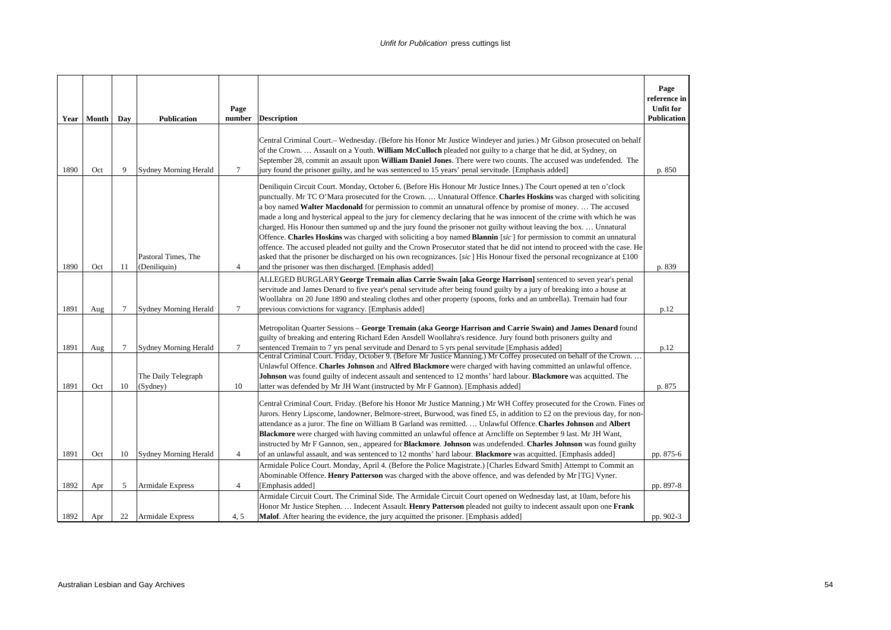| Year | Month | Day | <b>Publication</b>                  | Page<br>number | <b>Description</b>                                                                                                                                                                                                                                                                                                                                                                                                                                                                                                                                                                                                                                                                                                                                                                                                                                                                                                                                                                                                                                   | Page<br>reference in<br><b>Unfit for</b><br><b>Publication</b> |
|------|-------|-----|-------------------------------------|----------------|------------------------------------------------------------------------------------------------------------------------------------------------------------------------------------------------------------------------------------------------------------------------------------------------------------------------------------------------------------------------------------------------------------------------------------------------------------------------------------------------------------------------------------------------------------------------------------------------------------------------------------------------------------------------------------------------------------------------------------------------------------------------------------------------------------------------------------------------------------------------------------------------------------------------------------------------------------------------------------------------------------------------------------------------------|----------------------------------------------------------------|
| 1890 | Oct   | 9   | <b>Sydney Morning Herald</b>        | 7              | Central Criminal Court.– Wednesday. (Before his Honor Mr Justice Windever and juries.) Mr Gibson prosecuted on behalf<br>of the Crown.  Assault on a Youth. William McCulloch pleaded not guilty to a charge that he did, at Sydney, on<br>September 28, commit an assault upon William Daniel Jones. There were two counts. The accused was undefended. The<br>jury found the prisoner guilty, and he was sentenced to 15 years' penal servitude. [Emphasis added]                                                                                                                                                                                                                                                                                                                                                                                                                                                                                                                                                                                  | p. 850                                                         |
| 1890 | Oct   | 11  | Pastoral Times, The<br>(Deniliquin) | $\overline{4}$ | Deniliquin Circuit Court. Monday, October 6. (Before His Honour Mr Justice Innes.) The Court opened at ten o'clock<br>punctually. Mr TC O'Mara prosecuted for the Crown.  Unnatural Offence. Charles Hoskins was charged with soliciting<br>a boy named Walter Macdonald for permission to commit an unnatural offence by promise of money The accused<br>made a long and hysterical appeal to the jury for clemency declaring that he was innocent of the crime with which he was<br>charged. His Honour then summed up and the jury found the prisoner not guilty without leaving the box.  Unnatural<br>Offence. Charles Hoskins was charged with soliciting a boy named Blannin [sic] for permission to commit an unnatural<br>offence. The accused pleaded not guilty and the Crown Prosecutor stated that he did not intend to proceed with the case. He<br>asked that the prisoner be discharged on his own recognizances. [sic] His Honour fixed the personal recognizance at £100<br>and the prisoner was then discharged. [Emphasis added] | p. 839                                                         |
|      |       |     |                                     |                | ALLEGED BURGLARY George Tremain alias Carrie Swain [aka George Harrison] sentenced to seven year's penal<br>servitude and James Denard to five year's penal servitude after being found guilty by a jury of breaking into a house at                                                                                                                                                                                                                                                                                                                                                                                                                                                                                                                                                                                                                                                                                                                                                                                                                 |                                                                |
| 1891 | Aug   | 7   | <b>Sydney Morning Herald</b>        | 7              | Woollahra on 20 June 1890 and stealing clothes and other property (spoons, forks and an umbrella). Tremain had four<br>previous convictions for vagrancy. [Emphasis added]                                                                                                                                                                                                                                                                                                                                                                                                                                                                                                                                                                                                                                                                                                                                                                                                                                                                           | p.12                                                           |
| 1891 | Aug   | 7   | <b>Sydney Morning Herald</b>        | $\tau$         | Metropolitan Quarter Sessions - George Tremain (aka George Harrison and Carrie Swain) and James Denard found<br>guilty of breaking and entering Richard Eden Ansdell Woollahra's residence. Jury found both prisoners guilty and<br>sentenced Tremain to 7 yrs penal servitude and Denard to 5 yrs penal servitude [Emphasis added]                                                                                                                                                                                                                                                                                                                                                                                                                                                                                                                                                                                                                                                                                                                  | p.12                                                           |
|      |       |     | The Daily Telegraph                 |                | Central Criminal Court. Friday, October 9. (Before Mr Justice Manning.) Mr Coffey prosecuted on behalf of the Crown<br>Unlawful Offence. Charles Johnson and Alfred Blackmore were charged with having committed an unlawful offence.<br>Johnson was found guilty of indecent assault and sentenced to 12 months' hard labour. Blackmore was acquitted. The                                                                                                                                                                                                                                                                                                                                                                                                                                                                                                                                                                                                                                                                                          |                                                                |
| 1891 | Oct   | 10  | (Sydney)                            | 10             | latter was defended by Mr JH Want (instructed by Mr F Gannon). [Emphasis added]<br>Central Criminal Court. Friday. (Before his Honor Mr Justice Manning.) Mr WH Coffey prosecuted for the Crown. Fines on<br>Jurors. Henry Lipscome, landowner, Belmore-street, Burwood, was fined £5, in addition to £2 on the previous day, for non-<br>attendance as a juror. The fine on William B Garland was remitted.  Unlawful Offence. Charles Johnson and Albert<br>Blackmore were charged with having committed an unlawful offence at Arncliffe on September 9 last. Mr JH Want,<br>instructed by Mr F Gannon, sen., appeared for Blackmore. Johnson was undefended. Charles Johnson was found guilty                                                                                                                                                                                                                                                                                                                                                    | p. 875                                                         |
| 1891 | Oct   | 10  | <b>Sydney Morning Herald</b>        | $\overline{4}$ | of an unlawful assault, and was sentenced to 12 months' hard labour. <b>Blackmore</b> was acquitted. [Emphasis added]<br>Armidale Police Court. Monday, April 4. (Before the Police Magistrate.) [Charles Edward Smith] Attempt to Commit an                                                                                                                                                                                                                                                                                                                                                                                                                                                                                                                                                                                                                                                                                                                                                                                                         | pp. 875-6                                                      |
| 1892 | Apr   | 5   | Armidale Express                    | $\overline{4}$ | Abominable Offence. Henry Patterson was charged with the above offence, and was defended by Mr [TG] Vyner.<br>[Emphasis added]<br>Armidale Circuit Court. The Criminal Side. The Armidale Circuit Court opened on Wednesday last, at 10am, before his<br>Honor Mr Justice Stephen.  Indecent Assault. Henry Patterson pleaded not guilty to indecent assault upon one Frank                                                                                                                                                                                                                                                                                                                                                                                                                                                                                                                                                                                                                                                                          | pp. 897-8                                                      |
| 1892 | Apr   | 22  | <b>Armidale Express</b>             | 4.5            | <b>Malof.</b> After hearing the evidence, the jury acquitted the prisoner. [Emphasis added]                                                                                                                                                                                                                                                                                                                                                                                                                                                                                                                                                                                                                                                                                                                                                                                                                                                                                                                                                          | pp. 902-3                                                      |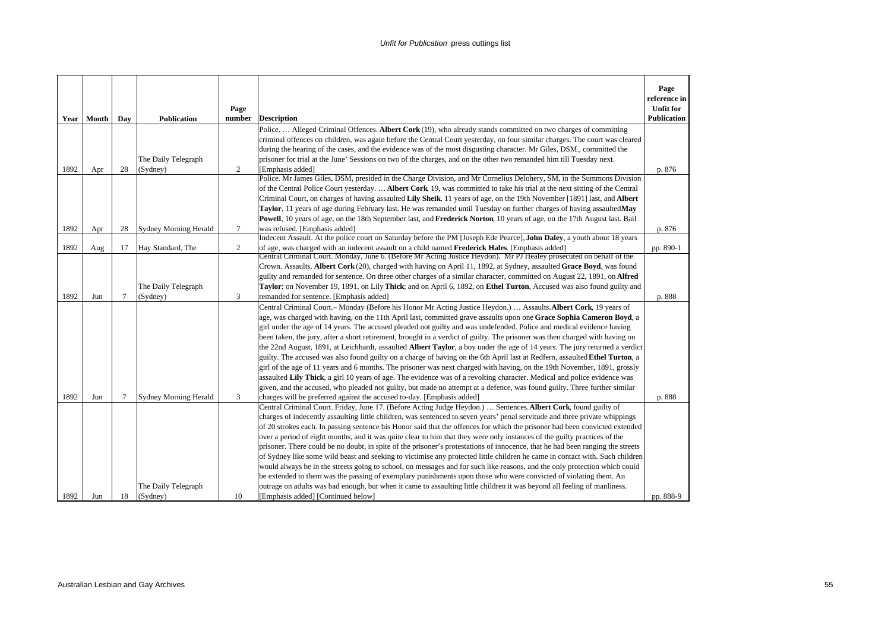|             |       |        |                              |                |                                                                                                                                                                                                                                                                | Page<br>reference in                   |
|-------------|-------|--------|------------------------------|----------------|----------------------------------------------------------------------------------------------------------------------------------------------------------------------------------------------------------------------------------------------------------------|----------------------------------------|
| <b>Year</b> | Month | Day    | <b>Publication</b>           | Page<br>number | <b>Description</b>                                                                                                                                                                                                                                             | <b>Unfit for</b><br><b>Publication</b> |
|             |       |        |                              |                | Police.  Alleged Criminal Offences. Albert Cork (19), who already stands committed on two charges of committing                                                                                                                                                |                                        |
|             |       |        |                              |                | criminal offences on children, was again before the Central Court yesterday, on four similar charges. The court was cleared                                                                                                                                    |                                        |
|             |       |        |                              |                | during the hearing of the cases, and the evidence was of the most disgusting character. Mr Giles, DSM., committed the                                                                                                                                          |                                        |
|             |       |        | The Daily Telegraph          |                | prisoner for trial at the June' Sessions on two of the charges, and on the other two remanded him till Tuesday next.                                                                                                                                           |                                        |
| 1892        | Apr   | 28     | (Sydney)                     | $\overline{c}$ | [Emphasis added]                                                                                                                                                                                                                                               | p. 876                                 |
|             |       |        |                              |                | Police. Mr James Giles, DSM, presided in the Charge Division, and Mr Cornelius Delohery, SM, in the Summons Division                                                                                                                                           |                                        |
|             |       |        |                              |                | of the Central Police Court yesterday.  Albert Cork, 19, was committed to take his trial at the next sitting of the Central                                                                                                                                    |                                        |
|             |       |        |                              |                | Criminal Court, on charges of having assaulted Lily Sheik, 11 years of age, on the 19th November [1891] last, and Albert                                                                                                                                       |                                        |
|             |       |        |                              |                | Taylor, 11 years of age during February last. He was remanded until Tuesday on further charges of having assaultedMay                                                                                                                                          |                                        |
|             |       |        |                              |                | <b>Powell</b> , 10 years of age, on the 18th September last, and <b>Frederick Norton</b> , 10 years of age, on the 17th August last. Bail                                                                                                                      |                                        |
| 1892        | Apr   | 28     | <b>Sydney Morning Herald</b> | $\tau$         | was refused. [Emphasis added]                                                                                                                                                                                                                                  | p. 876                                 |
|             |       |        |                              |                | Indecent Assault. At the police court on Saturday before the PM [Joseph Ede Pearce], John Daley, a youth about 18 years                                                                                                                                        |                                        |
| 1892        | Aug   | 17     | Hay Standard, The            | $\overline{c}$ | of age, was charged with an indecent assault on a child named Frederick Hales. [Emphasis added]<br>Central Criminal Court. Monday, June 6. (Before Mr Acting Justice Heydon). Mr PJ Healey prosecuted on behalf of the                                         | pp. 890-1                              |
|             |       |        |                              |                | Crown. Assaults. Albert Cork (20), charged with having on April 11, 1892, at Sydney, assaulted Grace Boyd, was found                                                                                                                                           |                                        |
|             |       |        |                              |                | guilty and remanded for sentence. On three other charges of a similar character, committed on August 22, 1891, on Alfred                                                                                                                                       |                                        |
|             |       |        | The Daily Telegraph          |                | Taylor; on November 19, 1891, on Lily Thick; and on April 6, 1892, on Ethel Turton, Accused was also found guilty and                                                                                                                                          |                                        |
| 1892        | Jun   | $\tau$ | (Sydney)                     | 3              | remanded for sentence. [Emphasis added]                                                                                                                                                                                                                        | p. 888                                 |
|             |       |        |                              |                | Central Criminal Court.- Monday (Before his Honor Mr Acting Justice Heydon.)  Assaults. Albert Cork, 19 years of                                                                                                                                               |                                        |
|             |       |        |                              |                | age, was charged with having, on the 11th April last, committed grave assaults upon one Grace Sophia Cameron Boyd, a                                                                                                                                           |                                        |
|             |       |        |                              |                | girl under the age of 14 years. The accused pleaded not guilty and was undefended. Police and medical evidence having                                                                                                                                          |                                        |
|             |       |        |                              |                | been taken, the jury, after a short retirement, brought in a verdict of guilty. The prisoner was then charged with having on                                                                                                                                   |                                        |
|             |       |        |                              |                | the 22nd August, 1891, at Leichhardt, assaulted Albert Taylor, a boy under the age of 14 years. The jury returned a verdict                                                                                                                                    |                                        |
|             |       |        |                              |                | guilty. The accused was also found guilty on a charge of having on the 6th April last at Redfern, assaulted Ethel Turton, a                                                                                                                                    |                                        |
|             |       |        |                              |                | girl of the age of 11 years and 6 months. The prisoner was next charged with having, on the 19th November, 1891, grossly                                                                                                                                       |                                        |
|             |       |        |                              |                | assaulted Lily Thick, a girl 10 years of age. The evidence was of a revolting character. Medical and police evidence was                                                                                                                                       |                                        |
|             |       |        |                              |                | given, and the accused, who pleaded not guilty, but made no attempt at a defence, was found guilty. Three further similar                                                                                                                                      |                                        |
| 1892        | Jun   | 7      | <b>Sydney Morning Herald</b> | 3              | charges will be preferred against the accused to-day. [Emphasis added]                                                                                                                                                                                         | p. 888                                 |
|             |       |        |                              |                | Central Criminal Court. Friday, June 17. (Before Acting Judge Heydon.)  Sentences. Albert Cork, found guilty of                                                                                                                                                |                                        |
|             |       |        |                              |                | charges of indecently assaulting little children, was sentenced to seven years' penal servitude and three private whippings                                                                                                                                    |                                        |
|             |       |        |                              |                | of 20 strokes each. In passing sentence his Honor said that the offences for which the prisoner had been convicted extended                                                                                                                                    |                                        |
|             |       |        |                              |                | over a period of eight months, and it was quite clear to him that they were only instances of the guilty practices of the                                                                                                                                      |                                        |
|             |       |        |                              |                | prisoner. There could be no doubt, in spite of the prisoner's protestations of innocence, that he had been ranging the streets<br>of Sydney like some wild beast and seeking to victimise any protected little children he came in contact with. Such children |                                        |
|             |       |        |                              |                | would always be in the streets going to school, on messages and for such like reasons, and the only protection which could                                                                                                                                     |                                        |
|             |       |        |                              |                | be extended to them was the passing of exemplary punishments upon those who were convicted of violating them. An                                                                                                                                               |                                        |
|             |       |        | The Daily Telegraph          |                | outrage on adults was bad enough, but when it came to assaulting little children it was beyond all feeling of manliness.                                                                                                                                       |                                        |
| 1892        | Jun   | 18     | (Sydney)                     | 10             | [Emphasis added] [Continued below]                                                                                                                                                                                                                             | pp. 888-9                              |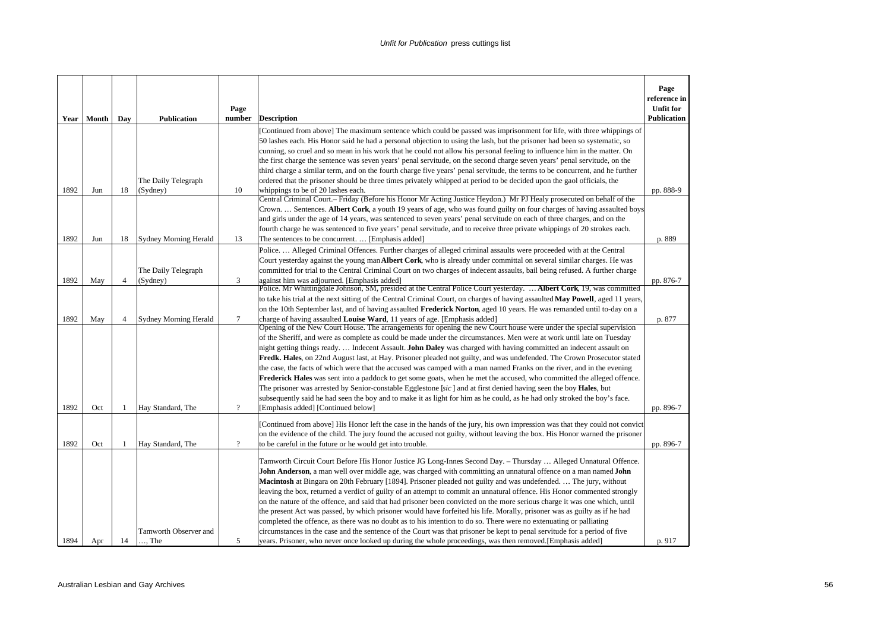| Year | Month | Day            | <b>Publication</b>                    | Page<br>number | <b>Description</b>                                                                                                                                                                                                                                                                                                                                                                                                                                                                                                                                                                                                                                                                                                                                                                                                                                                                                                                                                                                                                                                                                              | Page<br>reference in<br><b>Unfit for</b><br><b>Publication</b> |
|------|-------|----------------|---------------------------------------|----------------|-----------------------------------------------------------------------------------------------------------------------------------------------------------------------------------------------------------------------------------------------------------------------------------------------------------------------------------------------------------------------------------------------------------------------------------------------------------------------------------------------------------------------------------------------------------------------------------------------------------------------------------------------------------------------------------------------------------------------------------------------------------------------------------------------------------------------------------------------------------------------------------------------------------------------------------------------------------------------------------------------------------------------------------------------------------------------------------------------------------------|----------------------------------------------------------------|
| 1892 | Jun   | 18             | The Daily Telegraph<br>(Sydney)       | 10             | [Continued from above] The maximum sentence which could be passed was imprisonment for life, with three whippings of<br>50 lashes each. His Honor said he had a personal objection to using the lash, but the prisoner had been so systematic, so<br>cunning, so cruel and so mean in his work that he could not allow his personal feeling to influence him in the matter. On<br>the first charge the sentence was seven years' penal servitude, on the second charge seven years' penal servitude, on the<br>third charge a similar term, and on the fourth charge five years' penal servitude, the terms to be concurrent, and he further<br>ordered that the prisoner should be three times privately whipped at period to be decided upon the gaol officials, the<br>whippings to be of 20 lashes each.                                                                                                                                                                                                                                                                                                    | pp. 888-9                                                      |
| 1892 | Jun   | 18             | <b>Sydney Morning Herald</b>          | 13             | Central Criminal Court.- Friday (Before his Honor Mr Acting Justice Heydon.) Mr PJ Healy prosecuted on behalf of the<br>Crown.  Sentences. Albert Cork, a youth 19 years of age, who was found guilty on four charges of having assaulted boys<br>and girls under the age of 14 years, was sentenced to seven years' penal servitude on each of three charges, and on the<br>fourth charge he was sentenced to five years' penal servitude, and to receive three private whippings of 20 strokes each.<br>The sentences to be concurrent.  [Emphasis added]                                                                                                                                                                                                                                                                                                                                                                                                                                                                                                                                                     | p. 889                                                         |
| 1892 | May   | $\overline{4}$ | The Daily Telegraph<br>(Sydney)       | 3              | Police.  Alleged Criminal Offences. Further charges of alleged criminal assaults were proceeded with at the Central<br>Court yesterday against the young man Albert Cork, who is already under committal on several similar charges. He was<br>committed for trial to the Central Criminal Court on two charges of indecent assaults, bail being refused. A further charge<br>against him was adjourned. [Emphasis added]<br>Police. Mr Whittingdale Johnson, SM, presided at the Central Police Court yesterday.  Albert Cork, 19, was committed                                                                                                                                                                                                                                                                                                                                                                                                                                                                                                                                                               | pp. 876-7                                                      |
| 1892 | May   | $\overline{4}$ | Sydney Morning Herald                 | $\tau$         | to take his trial at the next sitting of the Central Criminal Court, on charges of having assaulted May Powell, aged 11 years,<br>on the 10th September last, and of having assaulted Frederick Norton, aged 10 years. He was remanded until to-day on a<br>charge of having assaulted Louise Ward, 11 years of age. [Emphasis added]<br>Opening of the New Court House. The arrangements for opening the new Court house were under the special supervision<br>of the Sheriff, and were as complete as could be made under the circumstances. Men were at work until late on Tuesday                                                                                                                                                                                                                                                                                                                                                                                                                                                                                                                           | p. 877                                                         |
| 1892 | Oct   | -1             | Hay Standard, The                     | $\gamma$       | night getting things ready Indecent Assault. John Daley was charged with having committed an indecent assault on<br>Fredk. Hales, on 22nd August last, at Hay. Prisoner pleaded not guilty, and was undefended. The Crown Prosecutor stated<br>the case, the facts of which were that the accused was camped with a man named Franks on the river, and in the evening<br>Frederick Hales was sent into a paddock to get some goats, when he met the accused, who committed the alleged offence.<br>The prisoner was arrested by Senior-constable Egglestone [sic] and at first denied having seen the boy Hales, but<br>subsequently said he had seen the boy and to make it as light for him as he could, as he had only stroked the boy's face.<br>[Emphasis added] [Continued below]                                                                                                                                                                                                                                                                                                                         | pp. 896-7                                                      |
| 1892 | Oct   | -1             | Hay Standard, The                     | $\overline{?}$ | [Continued from above] His Honor left the case in the hands of the jury, his own impression was that they could not convict<br>on the evidence of the child. The jury found the accused not guilty, without leaving the box. His Honor warned the prisoner<br>to be careful in the future or he would get into trouble.                                                                                                                                                                                                                                                                                                                                                                                                                                                                                                                                                                                                                                                                                                                                                                                         | pp. 896-7                                                      |
| 1894 | Apr   | 14             | Tamworth Observer and<br>$\ldots$ The | 5              | Tamworth Circuit Court Before His Honor Justice JG Long-Innes Second Day. - Thursday  Alleged Unnatural Offence.<br>John Anderson, a man well over middle age, was charged with committing an unnatural offence on a man named John<br>Macintosh at Bingara on 20th February [1894]. Prisoner pleaded not guilty and was undefended.  The jury, without<br>leaving the box, returned a verdict of guilty of an attempt to commit an unnatural offence. His Honor commented strongly<br>on the nature of the offence, and said that had prisoner been convicted on the more serious charge it was one which, until<br>the present Act was passed, by which prisoner would have forfeited his life. Morally, prisoner was as guilty as if he had<br>completed the offence, as there was no doubt as to his intention to do so. There were no extenuating or palliating<br>circumstances in the case and the sentence of the Court was that prisoner be kept to penal servitude for a period of five<br>years. Prisoner, who never once looked up during the whole proceedings, was then removed. [Emphasis added] | p. 917                                                         |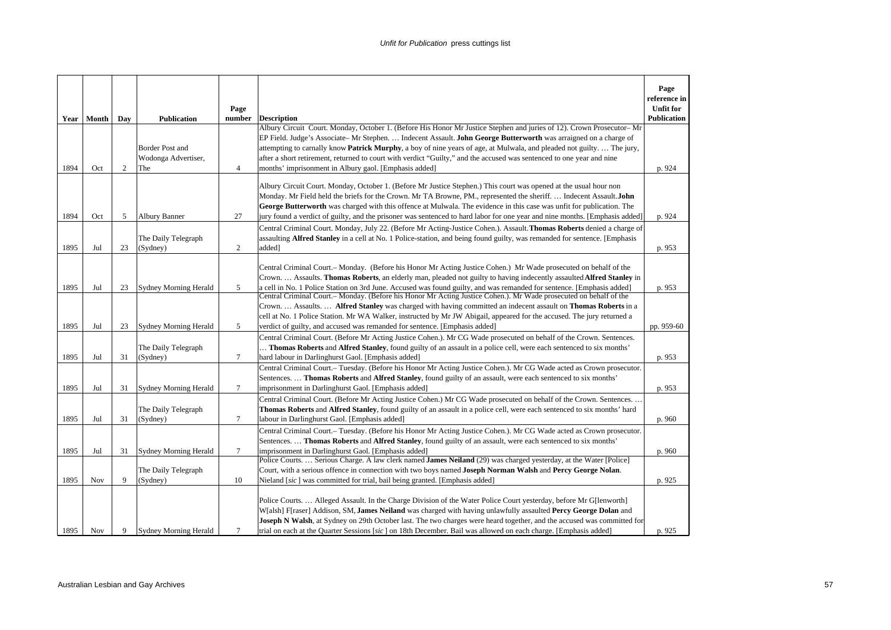|      | Year Month | Day            | <b>Publication</b>                                   | Page<br>number | <b>Description</b>                                                                                                                                                                                                                                                                                                                                                                                                                                                                                                                                                                                        | Page<br>reference in<br><b>Unfit for</b><br><b>Publication</b> |
|------|------------|----------------|------------------------------------------------------|----------------|-----------------------------------------------------------------------------------------------------------------------------------------------------------------------------------------------------------------------------------------------------------------------------------------------------------------------------------------------------------------------------------------------------------------------------------------------------------------------------------------------------------------------------------------------------------------------------------------------------------|----------------------------------------------------------------|
| 1894 | Oct        | $\overline{c}$ | <b>Border Post and</b><br>Wodonga Advertiser,<br>The | 4              | Albury Circuit Court. Monday, October 1. (Before His Honor Mr Justice Stephen and juries of 12). Crown Prosecutor-Mr<br>EP Field. Judge's Associate– Mr Stephen.  Indecent Assault. John George Butterworth was arraigned on a charge of<br>attempting to carnally know <b>Patrick Murphy</b> , a boy of nine years of age, at Mulwala, and pleaded not guilty.  The jury,<br>after a short retirement, returned to court with verdict "Guilty," and the accused was sentenced to one year and nine<br>months' imprisonment in Albury gaol. [Emphasis added]                                              | p. 924                                                         |
| 1894 | Oct        | 5              | Albury Banner                                        | 27             | Albury Circuit Court. Monday, October 1. (Before Mr Justice Stephen.) This court was opened at the usual hour non<br>Monday. Mr Field held the briefs for the Crown. Mr TA Browne, PM., represented the sheriff.  Indecent Assault. John<br>George Butterworth was charged with this offence at Mulwala. The evidence in this case was unfit for publication. The<br>jury found a verdict of guilty, and the prisoner was sentenced to hard labor for one year and nine months. [Emphasis added]                                                                                                          | p. 924                                                         |
| 1895 | Jul        | 23             | The Daily Telegraph<br>(Sydney)                      | $\overline{c}$ | Central Criminal Court. Monday, July 22. (Before Mr Acting-Justice Cohen.). Assault. Thomas Roberts denied a charge of<br>assaulting <b>Alfred Stanley</b> in a cell at No. 1 Police-station, and being found guilty, was remanded for sentence. [Emphasis<br>added]                                                                                                                                                                                                                                                                                                                                      | p. 953                                                         |
| 1895 | Jul        | 23             | <b>Sydney Morning Herald</b>                         | 5              | Central Criminal Court.– Monday. (Before his Honor Mr Acting Justice Cohen.) Mr Wade prosecuted on behalf of the<br>Crown.  Assaults. Thomas Roberts, an elderly man, pleaded not guilty to having indecently assaulted Alfred Stanley in<br>a cell in No. 1 Police Station on 3rd June. Accused was found guilty, and was remanded for sentence. [Emphasis added]<br>Central Criminal Court.- Monday. (Before his Honor Mr Acting Justice Cohen.). Mr Wade prosecuted on behalf of the<br>Crown.  Assaults.  Alfred Stanley was charged with having committed an indecent assault on Thomas Roberts in a | p. 953                                                         |
| 1895 | Jul        | 23             | <b>Sydney Morning Herald</b>                         | 5              | cell at No. 1 Police Station. Mr WA Walker, instructed by Mr JW Abigail, appeared for the accused. The jury returned a<br>verdict of guilty, and accused was remanded for sentence. [Emphasis added]                                                                                                                                                                                                                                                                                                                                                                                                      | pp. 959-60                                                     |
| 1895 | Jul        | 31             | The Daily Telegraph<br>(Sydney)                      | 7              | Central Criminal Court. (Before Mr Acting Justice Cohen.). Mr CG Wade prosecuted on behalf of the Crown. Sentences.<br>Thomas Roberts and Alfred Stanley, found guilty of an assault in a police cell, were each sentenced to six months'<br>hard labour in Darlinghurst Gaol. [Emphasis added]                                                                                                                                                                                                                                                                                                           | p. 953                                                         |
| 1895 | Jul        | 31             | <b>Sydney Morning Herald</b>                         | 7              | Central Criminal Court.- Tuesday. (Before his Honor Mr Acting Justice Cohen.). Mr CG Wade acted as Crown prosecutor.<br>Sentences.  Thomas Roberts and Alfred Stanley, found guilty of an assault, were each sentenced to six months'<br>imprisonment in Darlinghurst Gaol. [Emphasis added]                                                                                                                                                                                                                                                                                                              | p. 953                                                         |
| 1895 | Jul        | 31             | The Daily Telegraph<br>(Sydney)                      | 7              | Central Criminal Court. (Before Mr Acting Justice Cohen.) Mr CG Wade prosecuted on behalf of the Crown. Sentences. .<br><b>Thomas Roberts and Alfred Stanley, found guilty of an assault in a police cell, were each sentenced to six months' hard</b><br>labour in Darlinghurst Gaol. [Emphasis added]                                                                                                                                                                                                                                                                                                   | p. 960                                                         |
| 1895 | Jul        | 31             | <b>Sydney Morning Herald</b>                         | $\tau$         | Central Criminal Court.- Tuesday. (Before his Honor Mr Acting Justice Cohen.). Mr CG Wade acted as Crown prosecutor.<br>Sentences.  Thomas Roberts and Alfred Stanley, found guilty of an assault, were each sentenced to six months'<br>imprisonment in Darlinghurst Gaol. [Emphasis added]                                                                                                                                                                                                                                                                                                              | p. 960                                                         |
| 1895 | <b>Nov</b> | 9              | The Daily Telegraph<br>(Sydney)                      | 10             | Police Courts.  Serious Charge. A law clerk named James Neiland (29) was charged yesterday, at the Water [Police]<br>Court, with a serious offence in connection with two boys named Joseph Norman Walsh and Percy George Nolan.<br>Nieland [sic] was committed for trial, bail being granted. [Emphasis added]                                                                                                                                                                                                                                                                                           | p. 925                                                         |
| 1895 | <b>Nov</b> | 9              | Sydney Morning Herald                                | $\tau$         | Police Courts Alleged Assault. In the Charge Division of the Water Police Court yesterday, before Mr G[lenworth]<br>W[alsh] F[raser] Addison, SM, James Neiland was charged with having unlawfully assaulted Percy George Dolan and<br>Joseph N Walsh, at Sydney on 29th October last. The two charges were heard together, and the accused was committed for<br>trial on each at the Quarter Sessions [sic] on 18th December. Bail was allowed on each charge. [Emphasis added]                                                                                                                          | p. 925                                                         |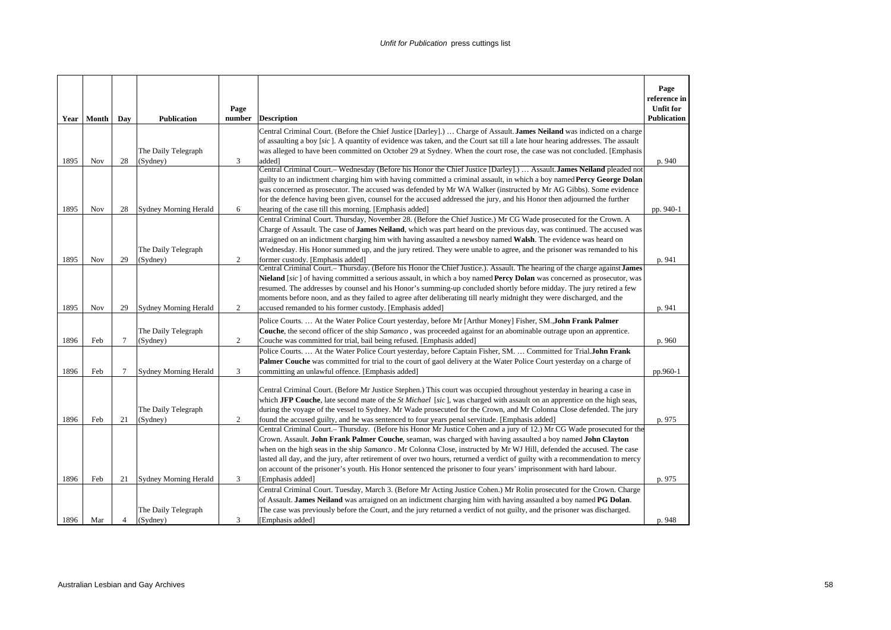| Year | Month      | Day            | <b>Publication</b>              | Page<br>number | <b>Description</b>                                                                                                                                                                                                                                                                                                                                                                                                                                                                                                                                                                                                                         | Page<br>reference in<br><b>Unfit for</b><br><b>Publication</b> |
|------|------------|----------------|---------------------------------|----------------|--------------------------------------------------------------------------------------------------------------------------------------------------------------------------------------------------------------------------------------------------------------------------------------------------------------------------------------------------------------------------------------------------------------------------------------------------------------------------------------------------------------------------------------------------------------------------------------------------------------------------------------------|----------------------------------------------------------------|
| 1895 | <b>Nov</b> | 28             | The Daily Telegraph<br>(Sydney) | 3              | Central Criminal Court. (Before the Chief Justice [Darley].)  Charge of Assault. James Neiland was indicted on a charge<br>of assaulting a boy [sic]. A quantity of evidence was taken, and the Court sat till a late hour hearing addresses. The assault<br>was alleged to have been committed on October 29 at Sydney. When the court rose, the case was not concluded. [Emphasis<br>addedl                                                                                                                                                                                                                                              | p. 940                                                         |
| 1895 | Nov        | 28             | <b>Sydney Morning Herald</b>    | 6              | Central Criminal Court.- Wednesday (Before his Honor the Chief Justice [Darley].)  Assault. James Neiland pleaded not<br>guilty to an indictment charging him with having committed a criminal assault, in which a boy named Percy George Dolan<br>was concerned as prosecutor. The accused was defended by Mr WA Walker (instructed by Mr AG Gibbs). Some evidence<br>for the defence having been given, counsel for the accused addressed the jury, and his Honor then adjourned the further<br>hearing of the case till this morning. [Emphasis added]                                                                                  | pp. 940-1                                                      |
| 1895 | <b>Nov</b> | 29             | The Daily Telegraph<br>(Sydney) | 2              | Central Criminal Court. Thursday, November 28. (Before the Chief Justice.) Mr CG Wade prosecuted for the Crown. A<br>Charge of Assault. The case of <b>James Neiland</b> , which was part heard on the previous day, was continued. The accused was<br>arraigned on an indictment charging him with having assaulted a newsboy named Walsh. The evidence was heard on<br>Wednesday. His Honor summed up, and the jury retired. They were unable to agree, and the prisoner was remanded to his<br>former custody. [Emphasis added]                                                                                                         | p. 941                                                         |
| 1895 | <b>Nov</b> | 29             | <b>Sydney Morning Herald</b>    | $\overline{c}$ | Central Criminal Court.- Thursday. (Before his Honor the Chief Justice.). Assault. The hearing of the charge against James<br>Nieland [sic] of having committed a serious assault, in which a boy named Percy Dolan was concerned as prosecutor, was<br>resumed. The addresses by counsel and his Honor's summing-up concluded shortly before midday. The jury retired a few<br>moments before noon, and as they failed to agree after deliberating till nearly midnight they were discharged, and the<br>accused remanded to his former custody. [Emphasis added]                                                                         | p. 941                                                         |
| 1896 | Feb        | $\tau$         | The Daily Telegraph<br>(Sydney) | $\overline{c}$ | Police Courts.  At the Water Police Court yesterday, before Mr [Arthur Money] Fisher, SM.,John Frank Palmer<br>Couche, the second officer of the ship Samanco, was proceeded against for an abominable outrage upon an apprentice.<br>Couche was committed for trial, bail being refused. [Emphasis added]                                                                                                                                                                                                                                                                                                                                 | p. 960                                                         |
| 1896 | Feb        | 7              | <b>Sydney Morning Herald</b>    | 3              | Police Courts.  At the Water Police Court yesterday, before Captain Fisher, SM.  Committed for Trial.John Frank<br>Palmer Couche was committed for trial to the court of gaol delivery at the Water Police Court yesterday on a charge of<br>committing an unlawful offence. [Emphasis added]                                                                                                                                                                                                                                                                                                                                              | pp.960-1                                                       |
| 1896 | Feb        | 21             | The Daily Telegraph<br>(Sydney) | 2              | Central Criminal Court. (Before Mr Justice Stephen.) This court was occupied throughout yesterday in hearing a case in<br>which JFP Couche, late second mate of the St Michael [sic], was charged with assault on an apprentice on the high seas,<br>during the voyage of the vessel to Sydney. Mr Wade prosecuted for the Crown, and Mr Colonna Close defended. The jury<br>found the accused guilty, and he was sentenced to four years penal servitude. [Emphasis added]                                                                                                                                                                | p. 975                                                         |
| 1896 | Feb        | 21             | <b>Sydney Morning Herald</b>    | 3              | Central Criminal Court.- Thursday. (Before his Honor Mr Justice Cohen and a jury of 12.) Mr CG Wade prosecuted for the<br>Crown. Assault. John Frank Palmer Couche, seaman, was charged with having assaulted a boy named John Clayton<br>when on the high seas in the ship Samanco. Mr Colonna Close, instructed by Mr WJ Hill, defended the accused. The case<br>lasted all day, and the jury, after retirement of over two hours, returned a verdict of guilty with a recommendation to mercy<br>on account of the prisoner's youth. His Honor sentenced the prisoner to four years' imprisonment with hard labour.<br>[Emphasis added] | p. 975                                                         |
| 1896 | Mar        | $\overline{4}$ | The Daily Telegraph<br>(Sydney) | 3              | Central Criminal Court. Tuesday, March 3. (Before Mr Acting Justice Cohen.) Mr Rolin prosecuted for the Crown. Charge<br>of Assault. James Neiland was arraigned on an indictment charging him with having assaulted a boy named PG Dolan.<br>The case was previously before the Court, and the jury returned a verdict of not guilty, and the prisoner was discharged.<br>[Emphasis added]                                                                                                                                                                                                                                                | p. 948                                                         |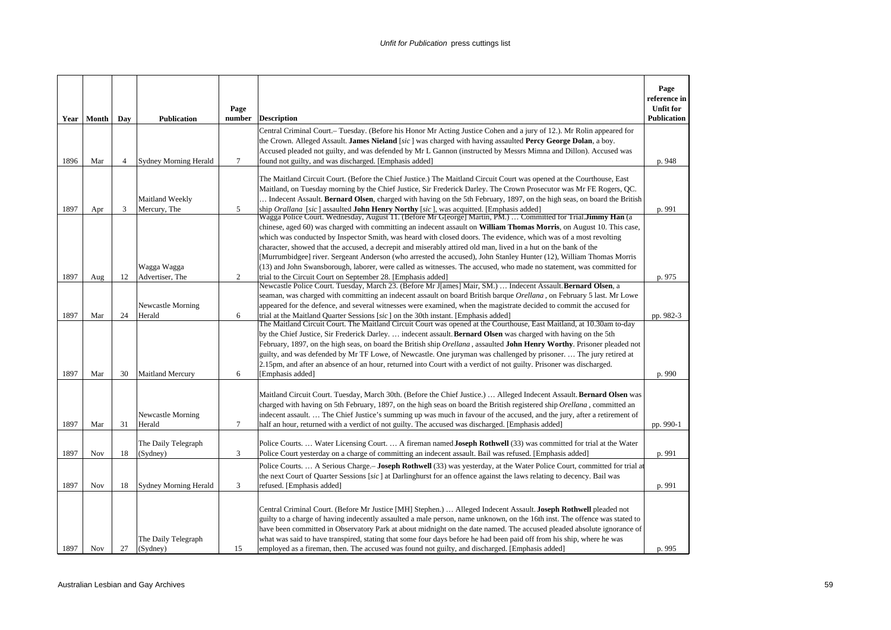| Year | Month      | Day            | <b>Publication</b>              | Page<br>number | <b>Description</b>                                                                                                                                                                                                                                                                                                                                                                                                                                                                                                                                                                                                                                                                                                                                                                                                           | Page<br>reference in<br><b>Unfit for</b><br>Publication |
|------|------------|----------------|---------------------------------|----------------|------------------------------------------------------------------------------------------------------------------------------------------------------------------------------------------------------------------------------------------------------------------------------------------------------------------------------------------------------------------------------------------------------------------------------------------------------------------------------------------------------------------------------------------------------------------------------------------------------------------------------------------------------------------------------------------------------------------------------------------------------------------------------------------------------------------------------|---------------------------------------------------------|
| 1896 | Mar        | $\overline{4}$ | <b>Sydney Morning Herald</b>    | $\overline{7}$ | Central Criminal Court.– Tuesday. (Before his Honor Mr Acting Justice Cohen and a jury of 12.). Mr Rolin appeared for<br>the Crown. Alleged Assault. James Nieland [sic] was charged with having assaulted Percy George Dolan, a boy.<br>Accused pleaded not guilty, and was defended by Mr L Gannon (instructed by Messrs Mimna and Dillon). Accused was<br>found not guilty, and was discharged. [Emphasis added]                                                                                                                                                                                                                                                                                                                                                                                                          |                                                         |
|      |            |                | Maitland Weekly                 |                | The Maitland Circuit Court. (Before the Chief Justice.) The Maitland Circuit Court was opened at the Courthouse, East<br>Maitland, on Tuesday morning by the Chief Justice, Sir Frederick Darley. The Crown Prosecutor was Mr FE Rogers, QC.<br>Indecent Assault. Bernard Olsen, charged with having on the 5th February, 1897, on the high seas, on board the British                                                                                                                                                                                                                                                                                                                                                                                                                                                       | p. 948                                                  |
| 1897 | Apr        | 3              | Mercury, The<br>Wagga Wagga     | 5              | ship Orallana [sic] assaulted John Henry Northy [sic], was acquitted. [Emphasis added]<br>Wagga Police Court. Wednesday, August 11. (Before Mr G[eorge] Martin, PM.)  Committed for Trial.Jimmy Han (a<br>chinese, aged 60) was charged with committing an indecent assault on <b>William Thomas Morris</b> , on August 10. This case,<br>which was conducted by Inspector Smith, was heard with closed doors. The evidence, which was of a most revolting<br>character, showed that the accused, a decrepit and miserably attired old man, lived in a hut on the bank of the<br>[Murrumbidgee] river. Sergeant Anderson (who arrested the accused), John Stanley Hunter (12), William Thomas Morris<br>(13) and John Swansborough, laborer, were called as witnesses. The accused, who made no statement, was committed for | p. 991                                                  |
| 1897 | Aug        | 12             | Advertiser, The                 | 2              | trial to the Circuit Court on September 28. [Emphasis added]                                                                                                                                                                                                                                                                                                                                                                                                                                                                                                                                                                                                                                                                                                                                                                 | p. 975                                                  |
| 1897 | Mar        | 24             | Newcastle Morning<br>Herald     | 6              | Newcastle Police Court. Tuesday, March 23. (Before Mr J[ames] Mair, SM.)  Indecent Assault. Bernard Olsen, a<br>seaman, was charged with committing an indecent assault on board British barque Orellana, on February 5 last. Mr Lowe<br>appeared for the defence, and several witnesses were examined, when the magistrate decided to commit the accused for<br>trial at the Maitland Quarter Sessions [sic] on the 30th instant. [Emphasis added]<br>The Maitland Circuit Court. The Maitland Circuit Court was opened at the Courthouse, East Maitland, at 10.30am to-day                                                                                                                                                                                                                                                 | pp. 982-3                                               |
| 1897 | Mar        | 30             | <b>Maitland Mercury</b>         | 6              | by the Chief Justice, Sir Frederick Darley indecent assault. <b>Bernard Olsen</b> was charged with having on the 5th<br>February, 1897, on the high seas, on board the British ship Orellana, assaulted John Henry Worthy. Prisoner pleaded not<br>guilty, and was defended by Mr TF Lowe, of Newcastle. One juryman was challenged by prisoner.  The jury retired at<br>2.15pm, and after an absence of an hour, returned into Court with a verdict of not guilty. Prisoner was discharged.<br>[Emphasis added]                                                                                                                                                                                                                                                                                                             | p. 990                                                  |
| 1897 | Mar        | 31             | Newcastle Morning<br>Herald     | $\overline{7}$ | Maitland Circuit Court. Tuesday, March 30th. (Before the Chief Justice.)  Alleged Indecent Assault. Bernard Olsen was<br>charged with having on 5th February, 1897, on the high seas on board the British registered ship Orellana, committed an<br>indecent assault The Chief Justice's summing up was much in favour of the accused, and the jury, after a retirement of<br>half an hour, returned with a verdict of not guilty. The accused was discharged. [Emphasis added]                                                                                                                                                                                                                                                                                                                                              | pp. 990-1                                               |
| 1897 | Nov        | 18             | The Daily Telegraph<br>(Sydney) | 3              | Police Courts.  Water Licensing Court.  A fireman named Joseph Rothwell (33) was committed for trial at the Water<br>Police Court yesterday on a charge of committing an indecent assault. Bail was refused. [Emphasis added]                                                                                                                                                                                                                                                                                                                                                                                                                                                                                                                                                                                                | p. 991                                                  |
| 1897 | Nov        | 18             | <b>Sydney Morning Herald</b>    | 3              | Police Courts.  A Serious Charge.- Joseph Rothwell (33) was yesterday, at the Water Police Court, committed for trial at<br>the next Court of Quarter Sessions [sic] at Darlinghurst for an offence against the laws relating to decency. Bail was<br>refused. [Emphasis added]                                                                                                                                                                                                                                                                                                                                                                                                                                                                                                                                              | p. 991                                                  |
| 1897 | <b>Nov</b> | 27             | The Daily Telegraph<br>(Sydney) | 15             | Central Criminal Court. (Before Mr Justice [MH] Stephen.)  Alleged Indecent Assault. Joseph Rothwell pleaded not<br>guilty to a charge of having indecently assaulted a male person, name unknown, on the 16th inst. The offence was stated to<br>have been committed in Observatory Park at about midnight on the date named. The accused pleaded absolute ignorance of<br>what was said to have transpired, stating that some four days before he had been paid off from his ship, where he was<br>employed as a fireman, then. The accused was found not guilty, and discharged. [Emphasis added]                                                                                                                                                                                                                         | p. 995                                                  |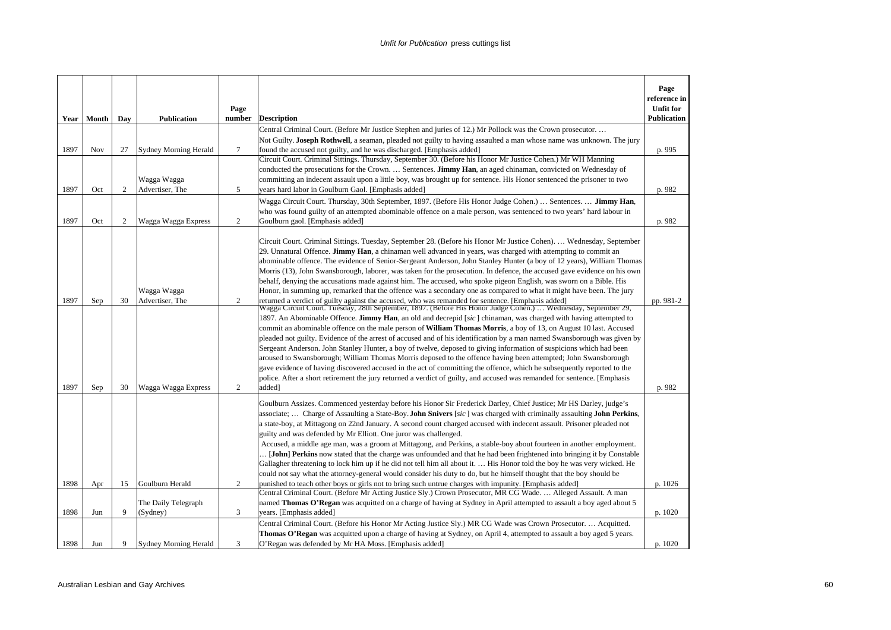|              | Year   Month | Day            | <b>Publication</b>                                    | Page<br>number | <b>Description</b>                                                                                                                                                                                                                                                                                                                                                                                                                                                                                                                                                                                                                                                                                                                                                                                                                                                                                                                                                                                                                                                                                                                                                                                                                                                                                                                                                                                                                                                                                                                                                                                                                                                                                                                                                                                                                                                  | Page<br>reference in<br><b>Unfit for</b><br>Publication |
|--------------|--------------|----------------|-------------------------------------------------------|----------------|---------------------------------------------------------------------------------------------------------------------------------------------------------------------------------------------------------------------------------------------------------------------------------------------------------------------------------------------------------------------------------------------------------------------------------------------------------------------------------------------------------------------------------------------------------------------------------------------------------------------------------------------------------------------------------------------------------------------------------------------------------------------------------------------------------------------------------------------------------------------------------------------------------------------------------------------------------------------------------------------------------------------------------------------------------------------------------------------------------------------------------------------------------------------------------------------------------------------------------------------------------------------------------------------------------------------------------------------------------------------------------------------------------------------------------------------------------------------------------------------------------------------------------------------------------------------------------------------------------------------------------------------------------------------------------------------------------------------------------------------------------------------------------------------------------------------------------------------------------------------|---------------------------------------------------------|
| 1897         | <b>Nov</b>   | 27             | <b>Sydney Morning Herald</b>                          | $\tau$         | Central Criminal Court. (Before Mr Justice Stephen and juries of 12.) Mr Pollock was the Crown prosecutor<br>Not Guilty. Joseph Rothwell, a seaman, pleaded not guilty to having assaulted a man whose name was unknown. The jury<br>found the accused not guilty, and he was discharged. [Emphasis added]                                                                                                                                                                                                                                                                                                                                                                                                                                                                                                                                                                                                                                                                                                                                                                                                                                                                                                                                                                                                                                                                                                                                                                                                                                                                                                                                                                                                                                                                                                                                                          | p. 995                                                  |
| 1897         | Oct          | 2              | Wagga Wagga<br>Advertiser, The                        | 5              | Circuit Court. Criminal Sittings. Thursday, September 30. (Before his Honor Mr Justice Cohen.) Mr WH Manning<br>conducted the prosecutions for the Crown.  Sentences. <b>Jimmy Han</b> , an aged chinaman, convicted on Wednesday of<br>committing an indecent assault upon a little boy, was brought up for sentence. His Honor sentenced the prisoner to two<br>years hard labor in Goulburn Gaol. [Emphasis added]                                                                                                                                                                                                                                                                                                                                                                                                                                                                                                                                                                                                                                                                                                                                                                                                                                                                                                                                                                                                                                                                                                                                                                                                                                                                                                                                                                                                                                               | p. 982                                                  |
| 1897         | Oct          | $\overline{c}$ | Wagga Wagga Express                                   | $\sqrt{2}$     | Wagga Circuit Court. Thursday, 30th September, 1897. (Before His Honor Judge Cohen.)  Sentences.  Jimmy Han,<br>who was found guilty of an attempted abominable offence on a male person, was sentenced to two years' hard labour in<br>Goulburn gaol. [Emphasis added]                                                                                                                                                                                                                                                                                                                                                                                                                                                                                                                                                                                                                                                                                                                                                                                                                                                                                                                                                                                                                                                                                                                                                                                                                                                                                                                                                                                                                                                                                                                                                                                             | p. 982                                                  |
| 1897<br>1897 | Sep<br>Sep   | 30<br>30       | Wagga Wagga<br>Advertiser, The<br>Wagga Wagga Express | 2<br>2         | Circuit Court. Criminal Sittings. Tuesday, September 28. (Before his Honor Mr Justice Cohen).  Wednesday, September<br>29. Unnatural Offence. <b>Jimmy Han</b> , a chinaman well advanced in years, was charged with attempting to commit an<br>abominable offence. The evidence of Senior-Sergeant Anderson, John Stanley Hunter (a boy of 12 years), William Thomas<br>Morris (13), John Swansborough, laborer, was taken for the prosecution. In defence, the accused gave evidence on his own<br>behalf, denying the accusations made against him. The accused, who spoke pigeon English, was sworn on a Bible. His<br>Honor, in summing up, remarked that the offence was a secondary one as compared to what it might have been. The jury<br>returned a verdict of guilty against the accused, who was remanded for sentence. [Emphasis added]<br>Wagga Circuit Court. Tuesday, 28th September, 1897. (Before His Honor Judge Cohen.)  Wednesday, September 29,<br>1897. An Abominable Offence. <b>Jimmy Han</b> , an old and decrepid [sic] chinaman, was charged with having attempted to<br>commit an abominable offence on the male person of <b>William Thomas Morris</b> , a boy of 13, on August 10 last. Accused<br>pleaded not guilty. Evidence of the arrest of accused and of his identification by a man named Swansborough was given by<br>Sergeant Anderson. John Stanley Hunter, a boy of twelve, deposed to giving information of suspicions which had been<br>aroused to Swansborough; William Thomas Morris deposed to the offence having been attempted; John Swansborough<br>gave evidence of having discovered accused in the act of committing the offence, which he subsequently reported to the<br>police. After a short retirement the jury returned a verdict of guilty, and accused was remanded for sentence. [Emphasis<br>added] | pp. 981-2<br>p. 982                                     |
|              |              |                |                                                       |                | Goulburn Assizes. Commenced yesterday before his Honor Sir Frederick Darley, Chief Justice; Mr HS Darley, judge's<br>associate;  Charge of Assaulting a State-Boy. John Snivers [sic] was charged with criminally assaulting John Perkins,<br>a state-boy, at Mittagong on 22nd January. A second count charged accused with indecent assault. Prisoner pleaded not<br>guilty and was defended by Mr Elliott. One juror was challenged.<br>Accused, a middle age man, was a groom at Mittagong, and Perkins, a stable-boy about fourteen in another employment.<br>[John] Perkins now stated that the charge was unfounded and that he had been frightened into bringing it by Constable<br>Gallagher threatening to lock him up if he did not tell him all about it.  His Honor told the boy he was very wicked. He<br>could not say what the attorney-general would consider his duty to do, but he himself thought that the boy should be                                                                                                                                                                                                                                                                                                                                                                                                                                                                                                                                                                                                                                                                                                                                                                                                                                                                                                                        |                                                         |
| 1898         | Apr          | 15             | Goulburn Herald                                       | 2              | punished to teach other boys or girls not to bring such untrue charges with impunity. [Emphasis added]<br>Central Criminal Court. (Before Mr Acting Justice Sly.) Crown Prosecutor, MR CG Wade.  Alleged Assault. A man                                                                                                                                                                                                                                                                                                                                                                                                                                                                                                                                                                                                                                                                                                                                                                                                                                                                                                                                                                                                                                                                                                                                                                                                                                                                                                                                                                                                                                                                                                                                                                                                                                             | p. 1026                                                 |
|              |              |                | The Daily Telegraph                                   |                | named Thomas O'Regan was acquitted on a charge of having at Sydney in April attempted to assault a boy aged about 5                                                                                                                                                                                                                                                                                                                                                                                                                                                                                                                                                                                                                                                                                                                                                                                                                                                                                                                                                                                                                                                                                                                                                                                                                                                                                                                                                                                                                                                                                                                                                                                                                                                                                                                                                 |                                                         |
| 1898         | Jun          | 9              | (Sydney)                                              | 3              | years. [Emphasis added]                                                                                                                                                                                                                                                                                                                                                                                                                                                                                                                                                                                                                                                                                                                                                                                                                                                                                                                                                                                                                                                                                                                                                                                                                                                                                                                                                                                                                                                                                                                                                                                                                                                                                                                                                                                                                                             | p. 1020                                                 |
|              |              |                |                                                       |                | Central Criminal Court. (Before his Honor Mr Acting Justice Sly.) MR CG Wade was Crown Prosecutor Acquitted.                                                                                                                                                                                                                                                                                                                                                                                                                                                                                                                                                                                                                                                                                                                                                                                                                                                                                                                                                                                                                                                                                                                                                                                                                                                                                                                                                                                                                                                                                                                                                                                                                                                                                                                                                        |                                                         |
|              |              |                |                                                       |                | Thomas O'Regan was acquitted upon a charge of having at Sydney, on April 4, attempted to assault a boy aged 5 years.                                                                                                                                                                                                                                                                                                                                                                                                                                                                                                                                                                                                                                                                                                                                                                                                                                                                                                                                                                                                                                                                                                                                                                                                                                                                                                                                                                                                                                                                                                                                                                                                                                                                                                                                                |                                                         |
| 1898         | Jun          | 9              | Sydney Morning Herald                                 | 3              | O'Regan was defended by Mr HA Moss. [Emphasis added]                                                                                                                                                                                                                                                                                                                                                                                                                                                                                                                                                                                                                                                                                                                                                                                                                                                                                                                                                                                                                                                                                                                                                                                                                                                                                                                                                                                                                                                                                                                                                                                                                                                                                                                                                                                                                | p. 1020                                                 |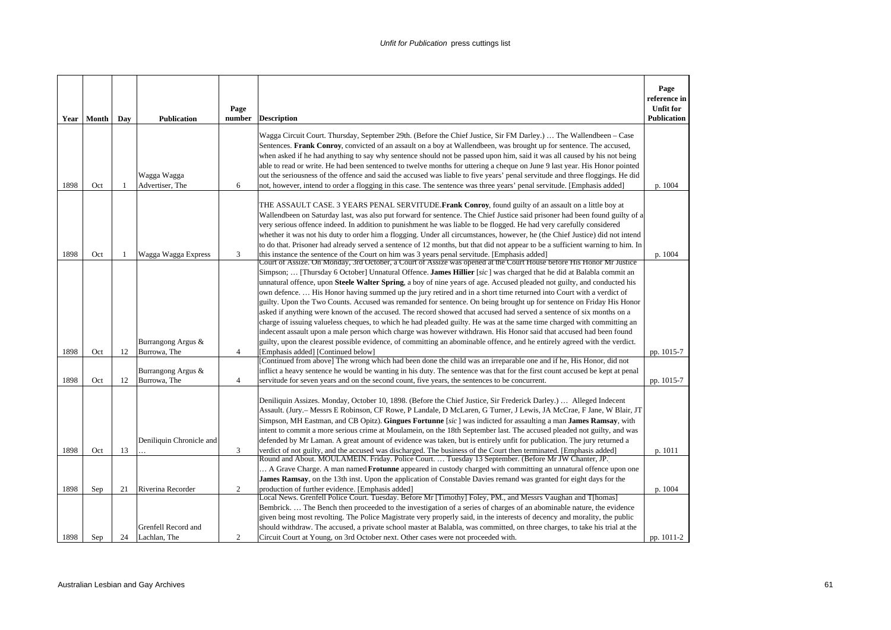|      |            |                |                          | Page           |                                                                                                                                                                                                                                                                                                                                                                                                                                                                                                                                                                                                                                                                                                                                                                                                                                                                                                                                                                                                   | Page<br>reference in<br><b>Unfit for</b> |
|------|------------|----------------|--------------------------|----------------|---------------------------------------------------------------------------------------------------------------------------------------------------------------------------------------------------------------------------------------------------------------------------------------------------------------------------------------------------------------------------------------------------------------------------------------------------------------------------------------------------------------------------------------------------------------------------------------------------------------------------------------------------------------------------------------------------------------------------------------------------------------------------------------------------------------------------------------------------------------------------------------------------------------------------------------------------------------------------------------------------|------------------------------------------|
|      | Year Month | Day            | <b>Publication</b>       | number         | <b>Description</b>                                                                                                                                                                                                                                                                                                                                                                                                                                                                                                                                                                                                                                                                                                                                                                                                                                                                                                                                                                                | <b>Publication</b>                       |
|      |            |                | Wagga Wagga              |                | Wagga Circuit Court. Thursday, September 29th. (Before the Chief Justice, Sir FM Darley.)  The Wallendbeen - Case<br>Sentences. Frank Conroy, convicted of an assault on a boy at Wallendbeen, was brought up for sentence. The accused,<br>when asked if he had anything to say why sentence should not be passed upon him, said it was all caused by his not being<br>able to read or write. He had been sentenced to twelve months for uttering a cheque on June 9 last year. His Honor pointed<br>out the seriousness of the offence and said the accused was liable to five years' penal servitude and three floggings. He did                                                                                                                                                                                                                                                                                                                                                               |                                          |
| 1898 | Oct        | $\overline{1}$ | Advertiser. The          | 6              | not, however, intend to order a flogging in this case. The sentence was three years' penal servitude. [Emphasis added]                                                                                                                                                                                                                                                                                                                                                                                                                                                                                                                                                                                                                                                                                                                                                                                                                                                                            | p. 1004                                  |
| 1898 | Oct        | 1              | Wagga Wagga Express      | 3              | THE ASSAULT CASE. 3 YEARS PENAL SERVITUDE.Frank Conroy, found guilty of an assault on a little boy at<br>Wallendbeen on Saturday last, was also put forward for sentence. The Chief Justice said prisoner had been found guilty of a<br>very serious offence indeed. In addition to punishment he was liable to be flogged. He had very carefully considered<br>whether it was not his duty to order him a flogging. Under all circumstances, however, he (the Chief Justice) did not intend<br>to do that. Prisoner had already served a sentence of 12 months, but that did not appear to be a sufficient warning to him. In<br>this instance the sentence of the Court on him was 3 years penal servitude. [Emphasis added]<br>Court of Assize. On Monday, 3rd October, a Court of Assize was opened at the Court House before His Honor Mr Justice                                                                                                                                            | p. 1004                                  |
|      |            |                | Burrangong Argus &       |                | Simpson;  [Thursday 6 October] Unnatural Offence. James Hillier [sic] was charged that he did at Balabla commit an<br>unnatural offence, upon Steele Walter Spring, a boy of nine years of age. Accused pleaded not guilty, and conducted his<br>own defence His Honor having summed up the jury retired and in a short time returned into Court with a verdict of<br>guilty. Upon the Two Counts. Accused was remanded for sentence. On being brought up for sentence on Friday His Honor<br>asked if anything were known of the accused. The record showed that accused had served a sentence of six months on a<br>charge of issuing valueless cheques, to which he had pleaded guilty. He was at the same time charged with committing an<br>indecent assault upon a male person which charge was however withdrawn. His Honor said that accused had been found<br>guilty, upon the clearest possible evidence, of committing an abominable offence, and he entirely agreed with the verdict. |                                          |
| 1898 | Oct        | 12             | Burrowa, The             | $\overline{4}$ | [Emphasis added] [Continued below]                                                                                                                                                                                                                                                                                                                                                                                                                                                                                                                                                                                                                                                                                                                                                                                                                                                                                                                                                                | pp. 1015-7                               |
|      |            |                | Burrangong Argus &       |                | [Continued from above] The wrong which had been done the child was an irreparable one and if he, His Honor, did not<br>inflict a heavy sentence he would be wanting in his duty. The sentence was that for the first count accused be kept at penal                                                                                                                                                                                                                                                                                                                                                                                                                                                                                                                                                                                                                                                                                                                                               |                                          |
| 1898 | Oct        | 12             | Burrowa, The             | $\overline{4}$ | servitude for seven years and on the second count, five years, the sentences to be concurrent.                                                                                                                                                                                                                                                                                                                                                                                                                                                                                                                                                                                                                                                                                                                                                                                                                                                                                                    | pp. 1015-7                               |
| 1898 | Oct        | 13             | Deniliquin Chronicle and | 3              | Deniliquin Assizes. Monday, October 10, 1898. (Before the Chief Justice, Sir Frederick Darley.)  Alleged Indecent<br>Assault. (Jury.- Messrs E Robinson, CF Rowe, P Landale, D McLaren, G Turner, J Lewis, JA McCrae, F Jane, W Blair, JT<br>Simpson, MH Eastman, and CB Opitz). Gingues Fortunne [ $sic$ ] was indicted for assaulting a man James Ramsay, with<br>intent to commit a more serious crime at Moulamein, on the 18th September last. The accused pleaded not guilty, and was<br>defended by Mr Laman. A great amount of evidence was taken, but is entirely unfit for publication. The jury returned a<br>verdict of not guilty, and the accused was discharged. The business of the Court then terminated. [Emphasis added]                                                                                                                                                                                                                                                       | p. 1011                                  |
|      |            |                |                          |                | Round and About. MOULAMEIN. Friday. Police Court.  Tuesday 13 September. (Before Mr JW Chanter, JP.)                                                                                                                                                                                                                                                                                                                                                                                                                                                                                                                                                                                                                                                                                                                                                                                                                                                                                              |                                          |
|      |            |                |                          |                | A Grave Charge. A man named <b>Frotunne</b> appeared in custody charged with committing an unnatural offence upon one<br>James Ramsay, on the 13th inst. Upon the application of Constable Davies remand was granted for eight days for the                                                                                                                                                                                                                                                                                                                                                                                                                                                                                                                                                                                                                                                                                                                                                       |                                          |
| 1898 | Sep        | 21             | Riverina Recorder        | 2              | production of further evidence. [Emphasis added]<br>Local News. Grenfell Police Court. Tuesday. Before Mr [Timothy] Foley, PM., and Messrs Vaughan and T[homas]                                                                                                                                                                                                                                                                                                                                                                                                                                                                                                                                                                                                                                                                                                                                                                                                                                   | p. 1004                                  |
|      |            |                | Grenfell Record and      |                | Bembrick The Bench then proceeded to the investigation of a series of charges of an abominable nature, the evidence<br>given being most revolting. The Police Magistrate very properly said, in the interests of decency and morality, the public<br>should withdraw. The accused, a private school master at Balabla, was committed, on three charges, to take his trial at the                                                                                                                                                                                                                                                                                                                                                                                                                                                                                                                                                                                                                  |                                          |
| 1898 | Sep        | 24             | Lachlan, The             | 2              | Circuit Court at Young, on 3rd October next. Other cases were not proceeded with.                                                                                                                                                                                                                                                                                                                                                                                                                                                                                                                                                                                                                                                                                                                                                                                                                                                                                                                 | pp. 1011-2                               |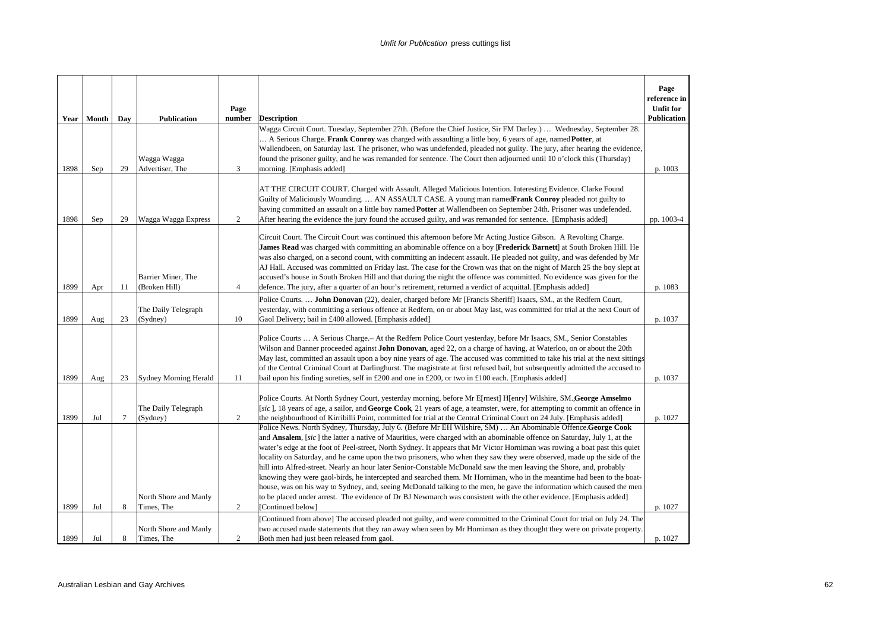|      | Year Month | Day    | <b>Publication</b>                  | Page<br>number | <b>Description</b>                                                                                                                                                                                                                                                                                                                                                                                                                                                                                                                                                                                                                                                                                                                                                                                                                                                                                                                                                                                                                                                                                                                       | Page<br>reference in<br><b>Unfit for</b><br><b>Publication</b> |
|------|------------|--------|-------------------------------------|----------------|------------------------------------------------------------------------------------------------------------------------------------------------------------------------------------------------------------------------------------------------------------------------------------------------------------------------------------------------------------------------------------------------------------------------------------------------------------------------------------------------------------------------------------------------------------------------------------------------------------------------------------------------------------------------------------------------------------------------------------------------------------------------------------------------------------------------------------------------------------------------------------------------------------------------------------------------------------------------------------------------------------------------------------------------------------------------------------------------------------------------------------------|----------------------------------------------------------------|
| 1898 | Sep        | 29     | Wagga Wagga<br>Advertiser, The      | 3              | Wagga Circuit Court. Tuesday, September 27th. (Before the Chief Justice, Sir FM Darley.)  Wednesday, September 28.<br>A Serious Charge. Frank Conroy was charged with assaulting a little boy, 6 years of age, named Potter, at<br>Wallendbeen, on Saturday last. The prisoner, who was undefended, pleaded not guilty. The jury, after hearing the evidence,<br>found the prisoner guilty, and he was remanded for sentence. The Court then adjourned until 10 o'clock this (Thursday)<br>morning. [Emphasis added]                                                                                                                                                                                                                                                                                                                                                                                                                                                                                                                                                                                                                     | p. 1003                                                        |
| 1898 | Sep        | 29     | Wagga Wagga Express                 | $\overline{c}$ | AT THE CIRCUIT COURT. Charged with Assault. Alleged Malicious Intention. Interesting Evidence. Clarke Found<br>Guilty of Maliciously Wounding AN ASSAULT CASE. A young man namedFrank Conroy pleaded not guilty to<br>having committed an assault on a little boy named Potter at Wallendbeen on September 24th. Prisoner was undefended.<br>After hearing the evidence the jury found the accused guilty, and was remanded for sentence. [Emphasis added]                                                                                                                                                                                                                                                                                                                                                                                                                                                                                                                                                                                                                                                                               | pp. 1003-4                                                     |
| 1899 | Apr        | 11     | Barrier Miner, The<br>(Broken Hill) | $\overline{4}$ | Circuit Court. The Circuit Court was continued this afternoon before Mr Acting Justice Gibson. A Revolting Charge.<br>James Read was charged with committing an abominable offence on a boy [Frederick Barnett] at South Broken Hill. He<br>was also charged, on a second count, with committing an indecent assault. He pleaded not guilty, and was defended by Mr<br>AJ Hall. Accused was committed on Friday last. The case for the Crown was that on the night of March 25 the boy slept at<br>accused's house in South Broken Hill and that during the night the offence was committed. No evidence was given for the<br>defence. The jury, after a quarter of an hour's retirement, returned a verdict of acquittal. [Emphasis added]                                                                                                                                                                                                                                                                                                                                                                                              | p. 1083                                                        |
| 1899 | Aug        | 23     | The Daily Telegraph<br>(Sydney)     | 10             | Police Courts.  John Donovan (22), dealer, charged before Mr [Francis Sheriff] Isaacs, SM., at the Redfern Court,<br>yesterday, with committing a serious offence at Redfern, on or about May last, was committed for trial at the next Court of<br>Gaol Delivery; bail in £400 allowed. [Emphasis added]                                                                                                                                                                                                                                                                                                                                                                                                                                                                                                                                                                                                                                                                                                                                                                                                                                | p. 1037                                                        |
| 1899 | Aug        | 23     | <b>Sydney Morning Herald</b>        | 11             | Police Courts  A Serious Charge. - At the Redfern Police Court yesterday, before Mr Isaacs, SM., Senior Constables<br>Wilson and Banner proceeded against <b>John Donovan</b> , aged 22, on a charge of having, at Waterloo, on or about the 20th<br>May last, committed an assault upon a boy nine years of age. The accused was committed to take his trial at the next sittings<br>of the Central Criminal Court at Darlinghurst. The magistrate at first refused bail, but subsequently admitted the accused to<br>bail upon his finding sureties, self in £200 and one in £200, or two in £100 each. [Emphasis added]                                                                                                                                                                                                                                                                                                                                                                                                                                                                                                               | p. 1037                                                        |
| 1899 | Jul        | $\tau$ | The Daily Telegraph<br>(Sydney)     | $\overline{c}$ | Police Courts. At North Sydney Court, yesterday morning, before Mr E[rnest] H[enry] Wilshire, SM. George Amselmo<br>[sic], 18 years of age, a sailor, and George Cook, 21 years of age, a teamster, were, for attempting to commit an offence in<br>the neighbourhood of Kirribilli Point, committed for trial at the Central Criminal Court on 24 July. [Emphasis added]<br>Police News. North Sydney, Thursday, July 6. (Before Mr EH Wilshire, SM)  An Abominable Offence.George Cook<br>and <b>Ansalem</b> , [sic] the latter a native of Mauritius, were charged with an abominable offence on Saturday, July 1, at the<br>water's edge at the foot of Peel-street, North Sydney. It appears that Mr Victor Horniman was rowing a boat past this quiet<br>locality on Saturday, and he came upon the two prisoners, who when they saw they were observed, made up the side of the<br>hill into Alfred-street. Nearly an hour later Senior-Constable McDonald saw the men leaving the Shore, and, probably<br>knowing they were gaol-birds, he intercepted and searched them. Mr Horniman, who in the meantime had been to the boat- | p. 1027                                                        |
| 1899 | Jul        | 8      | North Shore and Manly<br>Times, The | 2              | house, was on his way to Sydney, and, seeing McDonald talking to the men, he gave the information which caused the men<br>to be placed under arrest. The evidence of Dr BJ Newmarch was consistent with the other evidence. [Emphasis added]<br>[Continued below]<br>[Continued from above] The accused pleaded not guilty, and were committed to the Criminal Court for trial on July 24. The                                                                                                                                                                                                                                                                                                                                                                                                                                                                                                                                                                                                                                                                                                                                           | p. 1027                                                        |
| 1899 | Jul        | 8      | North Shore and Manly<br>Times, The | $\overline{c}$ | two accused made statements that they ran away when seen by Mr Horniman as they thought they were on private property.<br>Both men had just been released from gaol.                                                                                                                                                                                                                                                                                                                                                                                                                                                                                                                                                                                                                                                                                                                                                                                                                                                                                                                                                                     | p. 1027                                                        |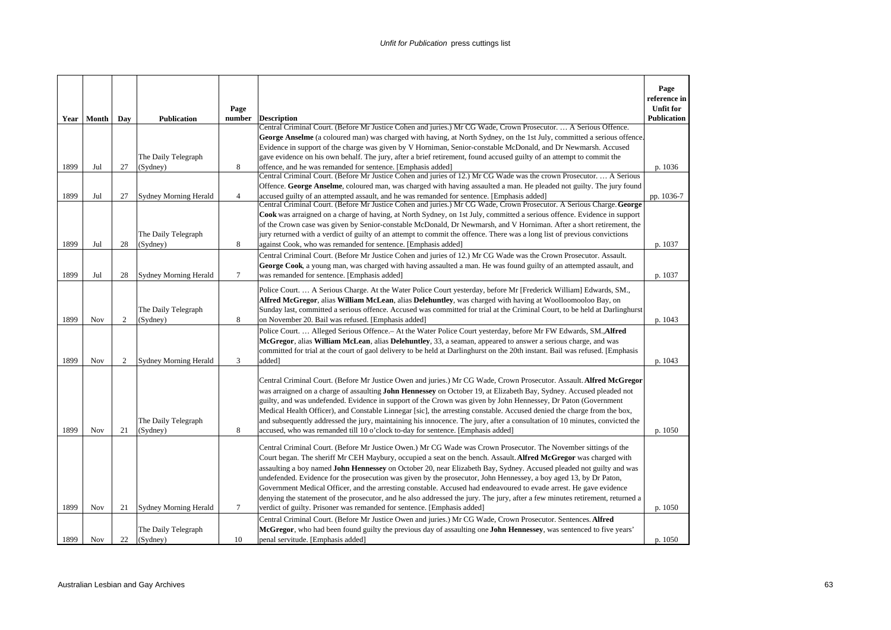|              |            |            |                                              | Page           |                                                                                                                                                                                                                                                                                                                                                                                                                                                                                                                                                                                                                                                                                                                                                                                                                                                                                                                                                                                                                                                                 | Page<br>reference in<br><b>Unfit for</b> |
|--------------|------------|------------|----------------------------------------------|----------------|-----------------------------------------------------------------------------------------------------------------------------------------------------------------------------------------------------------------------------------------------------------------------------------------------------------------------------------------------------------------------------------------------------------------------------------------------------------------------------------------------------------------------------------------------------------------------------------------------------------------------------------------------------------------------------------------------------------------------------------------------------------------------------------------------------------------------------------------------------------------------------------------------------------------------------------------------------------------------------------------------------------------------------------------------------------------|------------------------------------------|
|              | Year Month | Day        | <b>Publication</b>                           | number         | <b>Description</b>                                                                                                                                                                                                                                                                                                                                                                                                                                                                                                                                                                                                                                                                                                                                                                                                                                                                                                                                                                                                                                              | <b>Publication</b>                       |
|              |            |            |                                              |                | Central Criminal Court. (Before Mr Justice Cohen and juries.) Mr CG Wade, Crown Prosecutor.  A Serious Offence.<br>George Anselme (a coloured man) was charged with having, at North Sydney, on the 1st July, committed a serious offence.                                                                                                                                                                                                                                                                                                                                                                                                                                                                                                                                                                                                                                                                                                                                                                                                                      |                                          |
|              |            |            |                                              |                | Evidence in support of the charge was given by V Horniman, Senior-constable McDonald, and Dr Newmarsh. Accused                                                                                                                                                                                                                                                                                                                                                                                                                                                                                                                                                                                                                                                                                                                                                                                                                                                                                                                                                  |                                          |
|              |            |            | The Daily Telegraph                          |                | gave evidence on his own behalf. The jury, after a brief retirement, found accused guilty of an attempt to commit the                                                                                                                                                                                                                                                                                                                                                                                                                                                                                                                                                                                                                                                                                                                                                                                                                                                                                                                                           |                                          |
| 1899         | Jul        | 27         | (Sydney)                                     | 8              | offence, and he was remanded for sentence. [Emphasis added]                                                                                                                                                                                                                                                                                                                                                                                                                                                                                                                                                                                                                                                                                                                                                                                                                                                                                                                                                                                                     | p. 1036                                  |
|              |            |            |                                              |                | Central Criminal Court. (Before Mr Justice Cohen and juries of 12.) Mr CG Wade was the crown Prosecutor.  A Serious                                                                                                                                                                                                                                                                                                                                                                                                                                                                                                                                                                                                                                                                                                                                                                                                                                                                                                                                             |                                          |
|              |            |            |                                              |                | Offence. George Anselme, coloured man, was charged with having assaulted a man. He pleaded not guilty. The jury found                                                                                                                                                                                                                                                                                                                                                                                                                                                                                                                                                                                                                                                                                                                                                                                                                                                                                                                                           |                                          |
| 1899         | Jul        | 27         | <b>Sydney Morning Herald</b>                 | $\overline{4}$ | accused guilty of an attempted assault, and he was remanded for sentence. [Emphasis added]                                                                                                                                                                                                                                                                                                                                                                                                                                                                                                                                                                                                                                                                                                                                                                                                                                                                                                                                                                      | pp. 1036-7                               |
|              |            |            |                                              |                | Central Criminal Court. (Before Mr Justice Cohen and juries.) Mr CG Wade, Crown Prosecutor. A Serious Charge. George                                                                                                                                                                                                                                                                                                                                                                                                                                                                                                                                                                                                                                                                                                                                                                                                                                                                                                                                            |                                          |
|              |            |            |                                              |                | Cook was arraigned on a charge of having, at North Sydney, on 1st July, committed a serious offence. Evidence in support                                                                                                                                                                                                                                                                                                                                                                                                                                                                                                                                                                                                                                                                                                                                                                                                                                                                                                                                        |                                          |
|              |            |            |                                              |                | of the Crown case was given by Senior-constable McDonald, Dr Newmarsh, and V Horniman. After a short retirement, the                                                                                                                                                                                                                                                                                                                                                                                                                                                                                                                                                                                                                                                                                                                                                                                                                                                                                                                                            |                                          |
|              |            |            | The Daily Telegraph                          |                | iury returned with a verdict of guilty of an attempt to commit the offence. There was a long list of previous convictions                                                                                                                                                                                                                                                                                                                                                                                                                                                                                                                                                                                                                                                                                                                                                                                                                                                                                                                                       |                                          |
| 1899         | Jul        | 28         | (Sydney)                                     | 8              | against Cook, who was remanded for sentence. [Emphasis added]                                                                                                                                                                                                                                                                                                                                                                                                                                                                                                                                                                                                                                                                                                                                                                                                                                                                                                                                                                                                   | p. 1037                                  |
|              |            |            |                                              |                | Central Criminal Court. (Before Mr Justice Cohen and juries of 12.) Mr CG Wade was the Crown Prosecutor. Assault.                                                                                                                                                                                                                                                                                                                                                                                                                                                                                                                                                                                                                                                                                                                                                                                                                                                                                                                                               |                                          |
|              |            |            |                                              |                | George Cook, a young man, was charged with having assaulted a man. He was found guilty of an attempted assault, and                                                                                                                                                                                                                                                                                                                                                                                                                                                                                                                                                                                                                                                                                                                                                                                                                                                                                                                                             |                                          |
| 1899         | Jul        | 28         | <b>Sydney Morning Herald</b>                 | 7              | was remanded for sentence. [Emphasis added]                                                                                                                                                                                                                                                                                                                                                                                                                                                                                                                                                                                                                                                                                                                                                                                                                                                                                                                                                                                                                     | p. 1037                                  |
|              |            |            | The Daily Telegraph                          |                | Police Court.  A Serious Charge. At the Water Police Court yesterday, before Mr [Frederick William] Edwards, SM.,<br>Alfred McGregor, alias William McLean, alias Delehuntley, was charged with having at Woolloomooloo Bay, on<br>Sunday last, committed a serious offence. Accused was committed for trial at the Criminal Court, to be held at Darlinghurst                                                                                                                                                                                                                                                                                                                                                                                                                                                                                                                                                                                                                                                                                                  |                                          |
| 1899         | <b>Nov</b> | $\sqrt{2}$ | (Sydney)                                     | 8              | on November 20. Bail was refused. [Emphasis added]                                                                                                                                                                                                                                                                                                                                                                                                                                                                                                                                                                                                                                                                                                                                                                                                                                                                                                                                                                                                              | p. 1043                                  |
| 1899         | Nov        | 2          | <b>Sydney Morning Herald</b>                 | 3              | Police Court.  Alleged Serious Offence.- At the Water Police Court yesterday, before Mr FW Edwards, SM., Alfred<br>McGregor, alias William McLean, alias Delehuntley, 33, a seaman, appeared to answer a serious charge, and was<br>committed for trial at the court of gaol delivery to be held at Darlinghurst on the 20th instant. Bail was refused. [Emphasis<br>added]                                                                                                                                                                                                                                                                                                                                                                                                                                                                                                                                                                                                                                                                                     | p. 1043                                  |
| 1899         | Nov        | 21         | The Daily Telegraph<br>(Sydney)              | 8              | Central Criminal Court. (Before Mr Justice Owen and juries.) Mr CG Wade, Crown Prosecutor. Assault. Alfred McGregor<br>was arraigned on a charge of assaulting <b>John Hennessey</b> on October 19, at Elizabeth Bay, Sydney. Accused pleaded not<br>guilty, and was undefended. Evidence in support of the Crown was given by John Hennessey, Dr Paton (Government<br>Medical Health Officer), and Constable Linnegar [sic], the arresting constable. Accused denied the charge from the box,<br>and subsequently addressed the jury, maintaining his innocence. The jury, after a consultation of 10 minutes, convicted the<br>accused, who was remanded till 10 o'clock to-day for sentence. [Emphasis added]                                                                                                                                                                                                                                                                                                                                                | p. 1050                                  |
| 1899<br>1899 | <b>Nov</b> | 21<br>22   | Sydney Morning Herald<br>The Daily Telegraph | 7<br>10        | Central Criminal Court. (Before Mr Justice Owen.) Mr CG Wade was Crown Prosecutor. The November sittings of the<br>Court began. The sheriff Mr CEH Maybury, occupied a seat on the bench. Assault. Alfred McGregor was charged with<br>assaulting a boy named <b>John Hennessey</b> on October 20, near Elizabeth Bay, Sydney. Accused pleaded not guilty and was<br>undefended. Evidence for the prosecution was given by the prosecutor, John Hennessey, a boy aged 13, by Dr Paton,<br>Government Medical Officer, and the arresting constable. Accused had endeavoured to evade arrest. He gave evidence<br>denying the statement of the prosecutor, and he also addressed the jury. The jury, after a few minutes retirement, returned a<br>verdict of guilty. Prisoner was remanded for sentence. [Emphasis added]<br>Central Criminal Court. (Before Mr Justice Owen and juries.) Mr CG Wade, Crown Prosecutor. Sentences. Alfred<br>McGregor, who had been found guilty the previous day of assaulting one John Hennessey, was sentenced to five years' | p. 1050                                  |
|              | <b>Nov</b> |            | (Sydney)                                     |                | penal servitude. [Emphasis added]                                                                                                                                                                                                                                                                                                                                                                                                                                                                                                                                                                                                                                                                                                                                                                                                                                                                                                                                                                                                                               | p. 1050                                  |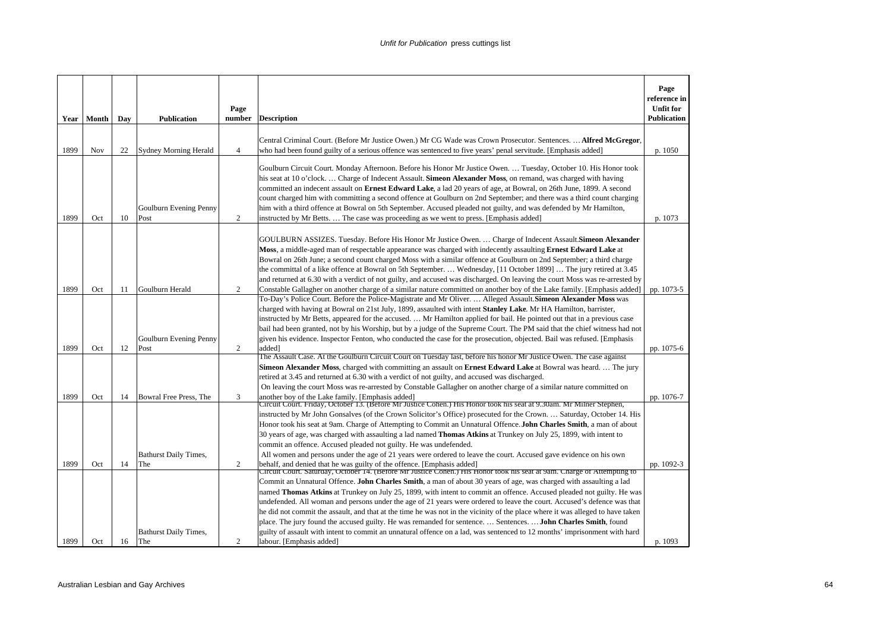| Year | Month | Day | <b>Publication</b>                                     | Page<br>number | <b>Description</b>                                                                                                                                                                                                                                                                                                                                                                                                                                                                                                                                                                                                                                                                                                                                                                                                                                                                                             | Page<br>reference in<br><b>Unfit for</b><br><b>Publication</b> |
|------|-------|-----|--------------------------------------------------------|----------------|----------------------------------------------------------------------------------------------------------------------------------------------------------------------------------------------------------------------------------------------------------------------------------------------------------------------------------------------------------------------------------------------------------------------------------------------------------------------------------------------------------------------------------------------------------------------------------------------------------------------------------------------------------------------------------------------------------------------------------------------------------------------------------------------------------------------------------------------------------------------------------------------------------------|----------------------------------------------------------------|
|      |       |     |                                                        |                | Central Criminal Court. (Before Mr Justice Owen.) Mr CG Wade was Crown Prosecutor. Sentences.  Alfred McGregor,                                                                                                                                                                                                                                                                                                                                                                                                                                                                                                                                                                                                                                                                                                                                                                                                |                                                                |
| 1899 | Nov   | 22  | Sydney Morning Herald                                  | $\overline{4}$ | who had been found guilty of a serious offence was sentenced to five years' penal servitude. [Emphasis added]                                                                                                                                                                                                                                                                                                                                                                                                                                                                                                                                                                                                                                                                                                                                                                                                  | p. 1050                                                        |
| 1899 | Oct   | 10  | Goulburn Evening Penny<br>Post                         | 2              | Goulburn Circuit Court. Monday Afternoon. Before his Honor Mr Justice Owen.  Tuesday, October 10. His Honor took<br>his seat at 10 o'clock Charge of Indecent Assault. Simeon Alexander Moss, on remand, was charged with having<br>committed an indecent assault on <b>Ernest Edward Lake</b> , a lad 20 years of age, at Bowral, on 26th June, 1899. A second<br>count charged him with committing a second offence at Goulburn on 2nd September; and there was a third count charging<br>him with a third offence at Bowral on 5th September. Accused pleaded not guilty, and was defended by Mr Hamilton,<br>instructed by Mr Betts The case was proceeding as we went to press. [Emphasis added]                                                                                                                                                                                                          | p. 1073                                                        |
|      |       |     |                                                        |                | GOULBURN ASSIZES. Tuesday. Before His Honor Mr Justice Owen.  Charge of Indecent Assault. Simeon Alexander<br>Moss, a middle-aged man of respectable appearance was charged with indecently assaulting Ernest Edward Lake at<br>Bowral on 26th June; a second count charged Moss with a similar offence at Goulburn on 2nd September; a third charge<br>the committal of a like offence at Bowral on 5th September.  Wednesday, [11 October 1899]  The jury retired at 3.45<br>and returned at 6.30 with a verdict of not guilty, and accused was discharged. On leaving the court Moss was re-arrested by                                                                                                                                                                                                                                                                                                     |                                                                |
| 1899 | Oct   | 11  | Goulburn Herald                                        | 2              | Constable Gallagher on another charge of a similar nature committed on another boy of the Lake family. [Emphasis added]<br>To-Day's Police Court. Before the Police-Magistrate and Mr Oliver.  Alleged Assault. Simeon Alexander Moss was<br>charged with having at Bowral on 21st July, 1899, assaulted with intent Stanley Lake. Mr HA Hamilton, barrister,<br>instructed by Mr Betts, appeared for the accused.  Mr Hamilton applied for bail. He pointed out that in a previous case<br>bail had been granted, not by his Worship, but by a judge of the Supreme Court. The PM said that the chief witness had not                                                                                                                                                                                                                                                                                         | pp. 1073-5                                                     |
| 1899 | Oct   | 12  | Goulburn Evening Penny<br>Post                         | 2              | given his evidence. Inspector Fenton, who conducted the case for the prosecution, objected. Bail was refused. [Emphasis<br>added]                                                                                                                                                                                                                                                                                                                                                                                                                                                                                                                                                                                                                                                                                                                                                                              | pp. 1075-6                                                     |
|      |       |     |                                                        |                | The Assault Case. At the Goulburn Circuit Court on Tuesday last, before his honor Mr Justice Owen. The case against<br>Simeon Alexander Moss, charged with committing an assault on Ernest Edward Lake at Bowral was heard The jury<br>retired at 3.45 and returned at 6.30 with a verdict of not guilty, and accused was discharged.<br>On leaving the court Moss was re-arrested by Constable Gallagher on another charge of a similar nature committed on                                                                                                                                                                                                                                                                                                                                                                                                                                                   |                                                                |
| 1899 | Oct   | 14  | Bowral Free Press, The<br><b>Bathurst Daily Times,</b> | 3              | another boy of the Lake family. [Emphasis added]<br>Circuit Court. Friday, October 13. (Before Mr Justice Cohen.) His Honor took his seat at 9.30am. Mr Milner Stephen,<br>instructed by Mr John Gonsalves (of the Crown Solicitor's Office) prosecuted for the Crown.  Saturday, October 14. His<br>Honor took his seat at 9am. Charge of Attempting to Commit an Unnatural Offence. John Charles Smith, a man of about<br>30 years of age, was charged with assaulting a lad named Thomas Atkins at Trunkey on July 25, 1899, with intent to<br>commit an offence. Accused pleaded not guilty. He was undefended.<br>All women and persons under the age of 21 years were ordered to leave the court. Accused gave evidence on his own                                                                                                                                                                       | pp. 1076-7                                                     |
| 1899 | Oct   | 14  | The                                                    | 2              | behalf, and denied that he was guilty of the offence. [Emphasis added]                                                                                                                                                                                                                                                                                                                                                                                                                                                                                                                                                                                                                                                                                                                                                                                                                                         | pp. 1092-3                                                     |
| 1899 | Oct   | 16  | <b>Bathurst Daily Times,</b><br>The                    | 2              | Circuit Court. Saturday, October 14. (Before Mr Justice Cohen.) His Honor took his seat at 9am. Charge of Attempting to<br>Commit an Unnatural Offence. John Charles Smith, a man of about 30 years of age, was charged with assaulting a lad<br>named Thomas Atkins at Trunkey on July 25, 1899, with intent to commit an offence. Accused pleaded not guilty. He was<br>undefended. All woman and persons under the age of 21 years were ordered to leave the court. Accused's defence was that<br>he did not commit the assault, and that at the time he was not in the vicinity of the place where it was alleged to have taken<br>place. The jury found the accused guilty. He was remanded for sentence.  Sentences.  John Charles Smith, found<br>guilty of assault with intent to commit an unnatural offence on a lad, was sentenced to 12 months' imprisonment with hard<br>labour. [Emphasis added] | p. 1093                                                        |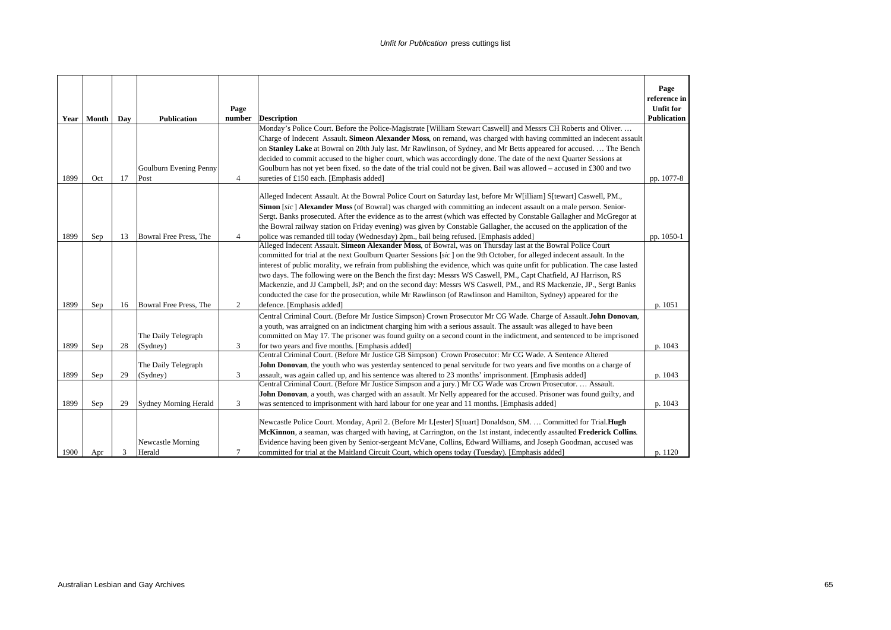|      |              |     |                                 | Page           |                                                                                                                                                                                                                                                                                                                                                                                                                                                                                                                                                                                                                                                                                                                                      | Page<br>reference in<br><b>Unfit for</b> |
|------|--------------|-----|---------------------------------|----------------|--------------------------------------------------------------------------------------------------------------------------------------------------------------------------------------------------------------------------------------------------------------------------------------------------------------------------------------------------------------------------------------------------------------------------------------------------------------------------------------------------------------------------------------------------------------------------------------------------------------------------------------------------------------------------------------------------------------------------------------|------------------------------------------|
|      | Year   Month | Day | <b>Publication</b>              | number         | <b>Description</b>                                                                                                                                                                                                                                                                                                                                                                                                                                                                                                                                                                                                                                                                                                                   | <b>Publication</b>                       |
|      |              |     |                                 |                | Monday's Police Court. Before the Police-Magistrate [William Stewart Caswell] and Messrs CH Roberts and Oliver                                                                                                                                                                                                                                                                                                                                                                                                                                                                                                                                                                                                                       |                                          |
|      |              |     |                                 |                | Charge of Indecent Assault. Simeon Alexander Moss, on remand, was charged with having committed an indecent assault                                                                                                                                                                                                                                                                                                                                                                                                                                                                                                                                                                                                                  |                                          |
|      |              |     |                                 |                | on Stanley Lake at Bowral on 20th July last. Mr Rawlinson, of Sydney, and Mr Betts appeared for accused.  The Bench                                                                                                                                                                                                                                                                                                                                                                                                                                                                                                                                                                                                                  |                                          |
|      |              |     |                                 |                | decided to commit accused to the higher court, which was accordingly done. The date of the next Quarter Sessions at                                                                                                                                                                                                                                                                                                                                                                                                                                                                                                                                                                                                                  |                                          |
|      |              |     | Goulburn Evening Penny          |                | Goulburn has not yet been fixed, so the date of the trial could not be given. Bail was allowed – accused in £300 and two                                                                                                                                                                                                                                                                                                                                                                                                                                                                                                                                                                                                             |                                          |
| 1899 | Oct          | 17  | Post                            | $\overline{4}$ | sureties of £150 each. [Emphasis added]                                                                                                                                                                                                                                                                                                                                                                                                                                                                                                                                                                                                                                                                                              | pp. 1077-8                               |
|      |              |     |                                 |                | Alleged Indecent Assault. At the Bowral Police Court on Saturday last, before Mr W[illiam] S[tewart] Caswell, PM.,<br>Simon [sic] Alexander Moss (of Bowral) was charged with committing an indecent assault on a male person. Senior-<br>Sergt. Banks prosecuted. After the evidence as to the arrest (which was effected by Constable Gallagher and McGregor at<br>the Bowral railway station on Friday evening) was given by Constable Gallagher, the accused on the application of the                                                                                                                                                                                                                                           |                                          |
| 1899 | Sep          | 13  | Bowral Free Press, The          | $\overline{4}$ | police was remanded till today (Wednesday) 2pm., bail being refused. [Emphasis added]                                                                                                                                                                                                                                                                                                                                                                                                                                                                                                                                                                                                                                                | pp. 1050-1                               |
|      |              |     |                                 |                | Alleged Indecent Assault. Simeon Alexander Moss, of Bowral, was on Thursday last at the Bowral Police Court<br>committed for trial at the next Goulburn Quarter Sessions [sic] on the 9th October, for alleged indecent assault. In the<br>interest of public morality, we refrain from publishing the evidence, which was quite unfit for publication. The case lasted<br>two days. The following were on the Bench the first day: Messrs WS Caswell, PM., Capt Chatfield, AJ Harrison, RS<br>Mackenzie, and JJ Campbell, JsP; and on the second day: Messrs WS Caswell, PM., and RS Mackenzie, JP., Sergt Banks<br>conducted the case for the prosecution, while Mr Rawlinson (of Rawlinson and Hamilton, Sydney) appeared for the |                                          |
| 1899 | Sep          | 16  | Bowral Free Press, The          | 2              | defence. [Emphasis added]                                                                                                                                                                                                                                                                                                                                                                                                                                                                                                                                                                                                                                                                                                            | p. 1051                                  |
| 1899 | Sep          | 28  | The Daily Telegraph<br>(Sydney) | 3              | Central Criminal Court. (Before Mr Justice Simpson) Crown Prosecutor Mr CG Wade. Charge of Assault. John Donovan,<br>a youth, was arraigned on an indictment charging him with a serious assault. The assault was alleged to have been<br>committed on May 17. The prisoner was found guilty on a second count in the indictment, and sentenced to be imprisoned<br>for two years and five months. [Emphasis added]                                                                                                                                                                                                                                                                                                                  | p. 1043                                  |
|      |              |     |                                 |                | Central Criminal Court. (Before Mr Justice GB Simpson) Crown Prosecutor: Mr CG Wade. A Sentence Altered                                                                                                                                                                                                                                                                                                                                                                                                                                                                                                                                                                                                                              |                                          |
| 1899 |              |     | The Daily Telegraph             | 3              | John Donovan, the youth who was yesterday sentenced to penal servitude for two years and five months on a charge of                                                                                                                                                                                                                                                                                                                                                                                                                                                                                                                                                                                                                  |                                          |
|      | Sep          | 29  | (Sydney)                        |                | assault, was again called up, and his sentence was altered to 23 months' imprisonment. [Emphasis added]<br>Central Criminal Court. (Before Mr Justice Simpson and a jury.) Mr CG Wade was Crown Prosecutor.  Assault.                                                                                                                                                                                                                                                                                                                                                                                                                                                                                                                | p. 1043                                  |
|      |              |     |                                 |                | John Donovan, a youth, was charged with an assault. Mr Nelly appeared for the accused. Prisoner was found guilty, and                                                                                                                                                                                                                                                                                                                                                                                                                                                                                                                                                                                                                |                                          |
| 1899 | Sep          | 29  | <b>Sydney Morning Herald</b>    | 3              | was sentenced to imprisonment with hard labour for one year and 11 months. [Emphasis added]                                                                                                                                                                                                                                                                                                                                                                                                                                                                                                                                                                                                                                          | p. 1043                                  |
| 1900 | Apr          | 3   | Newcastle Morning<br>Herald     | $\tau$         | Newcastle Police Court. Monday, April 2. (Before Mr L[ester] S[tuart] Donaldson, SM.  Committed for Trial.Hugh<br>McKinnon, a seaman, was charged with having, at Carrington, on the 1st instant, indecently assaulted Frederick Collins.<br>Evidence having been given by Senior-sergeant McVane, Collins, Edward Williams, and Joseph Goodman, accused was<br>committed for trial at the Maitland Circuit Court, which opens today (Tuesday). [Emphasis added]                                                                                                                                                                                                                                                                     | p. 1120                                  |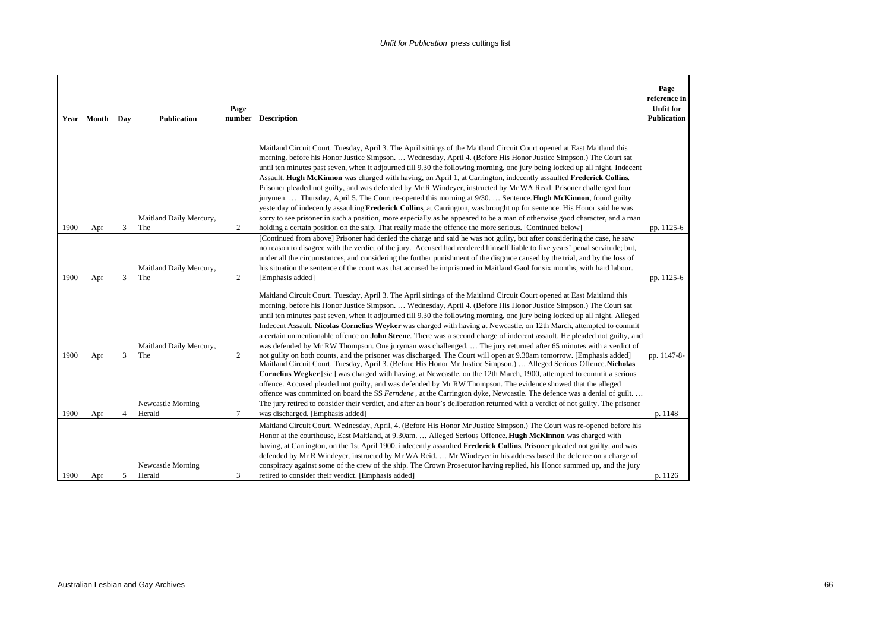|      | Year   Month | Day            | <b>Publication</b>             | Page<br>number | <b>Description</b>                                                                                                                                                                                                                                                                                                                                                                                                                                                                                                                                                                                                                                                                                                                                  | Page<br>reference in<br><b>Unfit for</b><br><b>Publication</b> |
|------|--------------|----------------|--------------------------------|----------------|-----------------------------------------------------------------------------------------------------------------------------------------------------------------------------------------------------------------------------------------------------------------------------------------------------------------------------------------------------------------------------------------------------------------------------------------------------------------------------------------------------------------------------------------------------------------------------------------------------------------------------------------------------------------------------------------------------------------------------------------------------|----------------------------------------------------------------|
|      |              |                |                                |                |                                                                                                                                                                                                                                                                                                                                                                                                                                                                                                                                                                                                                                                                                                                                                     |                                                                |
|      |              |                |                                |                | Maitland Circuit Court. Tuesday, April 3. The April sittings of the Maitland Circuit Court opened at East Maitland this<br>morning, before his Honor Justice Simpson.  Wednesday, April 4. (Before His Honor Justice Simpson.) The Court sat<br>until ten minutes past seven, when it adjourned till 9.30 the following morning, one jury being locked up all night. Indecent<br>Assault. Hugh McKinnon was charged with having, on April 1, at Carrington, indecently assaulted Frederick Collins.<br>Prisoner pleaded not guilty, and was defended by Mr R Windeyer, instructed by Mr WA Read. Prisoner challenged four<br>jurymen.  Thursday, April 5. The Court re-opened this morning at 9/30.  Sentence. Hugh McKinnon, found guilty          |                                                                |
|      |              |                |                                |                | yesterday of indecently assaulting Frederick Collins, at Carrington, was brought up for sentence. His Honor said he was                                                                                                                                                                                                                                                                                                                                                                                                                                                                                                                                                                                                                             |                                                                |
|      |              |                | Maitland Daily Mercury,        |                | sorry to see prisoner in such a position, more especially as he appeared to be a man of otherwise good character, and a man                                                                                                                                                                                                                                                                                                                                                                                                                                                                                                                                                                                                                         |                                                                |
| 1900 | Apr          | 3              | The                            | $\overline{2}$ | holding a certain position on the ship. That really made the offence the more serious. [Continued below]                                                                                                                                                                                                                                                                                                                                                                                                                                                                                                                                                                                                                                            | pp. 1125-6                                                     |
| 1900 | Apr          | 3              | Maitland Daily Mercury,<br>The | $\overline{2}$ | [Continued from above] Prisoner had denied the charge and said he was not guilty, but after considering the case, he saw<br>no reason to disagree with the verdict of the jury. Accused had rendered himself liable to five years' penal servitude; but,<br>under all the circumstances, and considering the further punishment of the disgrace caused by the trial, and by the loss of<br>his situation the sentence of the court was that accused be imprisoned in Maitland Gaol for six months, with hard labour.<br>[Emphasis added]                                                                                                                                                                                                            | pp. 1125-6                                                     |
|      |              |                | Maitland Daily Mercury,        |                | Maitland Circuit Court. Tuesday, April 3. The April sittings of the Maitland Circuit Court opened at East Maitland this<br>morning, before his Honor Justice Simpson Wednesday, April 4. (Before His Honor Justice Simpson.) The Court sat<br>until ten minutes past seven, when it adjourned till 9.30 the following morning, one jury being locked up all night. Alleged<br>Indecent Assault. Nicolas Cornelius Weyker was charged with having at Newcastle, on 12th March, attempted to commit<br>a certain unmentionable offence on John Steene. There was a second charge of indecent assault. He pleaded not guilty, and<br>was defended by Mr RW Thompson. One juryman was challenged.  The jury returned after 65 minutes with a verdict of |                                                                |
| 1900 | Apr          | 3              | The                            | $\overline{2}$ | not guilty on both counts, and the prisoner was discharged. The Court will open at 9.30am tomorrow. [Emphasis added]                                                                                                                                                                                                                                                                                                                                                                                                                                                                                                                                                                                                                                | pp. 1147-8-                                                    |
| 1900 | Apr          | $\overline{4}$ | Newcastle Morning<br>Herald    | $\tau$         | Maitland Circuit Court. Tuesday, April 3. (Before His Honor Mr Justice Simpson.)  Alleged Serious Offence. Nicholas<br><b>Cornelius Wegker</b> [sic] was charged with having, at Newcastle, on the 12th March, 1900, attempted to commit a serious<br>offence. Accused pleaded not guilty, and was defended by Mr RW Thompson. The evidence showed that the alleged<br>offence was committed on board the SS Ferndene, at the Carrington dyke, Newcastle. The defence was a denial of guilt<br>The jury retired to consider their verdict, and after an hour's deliberation returned with a verdict of not guilty. The prisoner<br>was discharged. [Emphasis added]                                                                                 | p. 1148                                                        |
|      |              |                | Newcastle Morning              |                | Maitland Circuit Court. Wednesday, April, 4. (Before His Honor Mr Justice Simpson.) The Court was re-opened before his<br>Honor at the courthouse, East Maitland, at 9.30am.  Alleged Serious Offence. Hugh McKinnon was charged with<br>having, at Carrington, on the 1st April 1900, indecently assaulted Frederick Collins. Prisoner pleaded not guilty, and was<br>defended by Mr R Windeyer, instructed by Mr WA Reid.  Mr Windeyer in his address based the defence on a charge of<br>conspiracy against some of the crew of the ship. The Crown Prosecutor having replied, his Honor summed up, and the jury                                                                                                                                 |                                                                |
| 1900 | Apr          | 5              | Herald                         | 3              | retired to consider their verdict. [Emphasis added]                                                                                                                                                                                                                                                                                                                                                                                                                                                                                                                                                                                                                                                                                                 | p. 1126                                                        |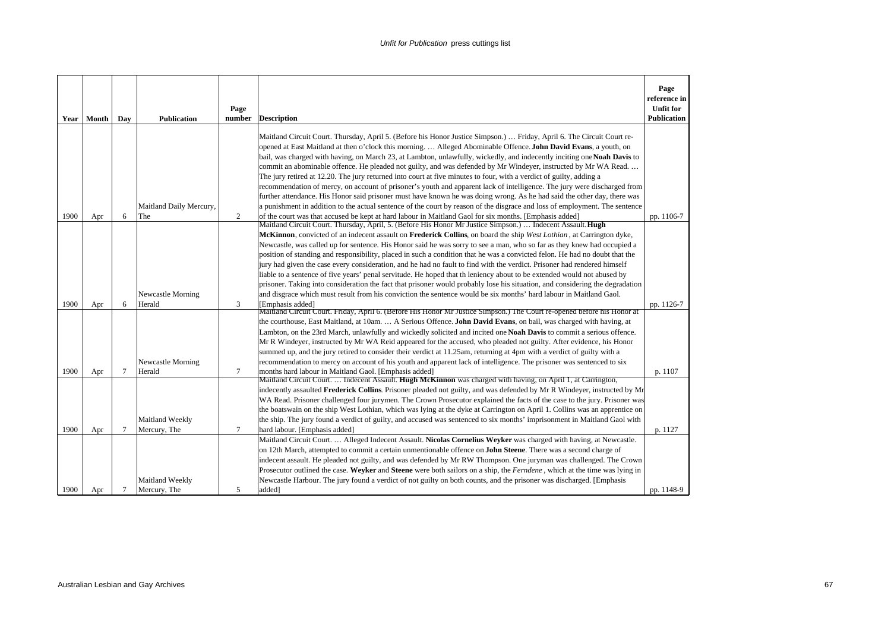| Year | Month | Day            | <b>Publication</b>             | Page<br>number | <b>Description</b>                                                                                                                                                                                                                                                                                                                                                                                                                                                                                                                                                                                                                                                                                                                                                                                                                                                                                                                                                                                                                                                                                           | Page<br>reference in<br><b>Unfit for</b><br><b>Publication</b> |
|------|-------|----------------|--------------------------------|----------------|--------------------------------------------------------------------------------------------------------------------------------------------------------------------------------------------------------------------------------------------------------------------------------------------------------------------------------------------------------------------------------------------------------------------------------------------------------------------------------------------------------------------------------------------------------------------------------------------------------------------------------------------------------------------------------------------------------------------------------------------------------------------------------------------------------------------------------------------------------------------------------------------------------------------------------------------------------------------------------------------------------------------------------------------------------------------------------------------------------------|----------------------------------------------------------------|
| 1900 | Apr   | 6              | Maitland Daily Mercury,<br>The | $\overline{2}$ | Maitland Circuit Court. Thursday, April 5. (Before his Honor Justice Simpson.)  Friday, April 6. The Circuit Court re-<br>opened at East Maitland at then o'clock this morning Alleged Abominable Offence. John David Evans, a youth, on<br>bail, was charged with having, on March 23, at Lambton, unlawfully, wickedly, and indecently inciting one Noah Davis to<br>commit an abominable offence. He pleaded not guilty, and was defended by Mr Windeyer, instructed by Mr WA Read<br>The jury retired at 12.20. The jury returned into court at five minutes to four, with a verdict of guilty, adding a<br>recommendation of mercy, on account of prisoner's youth and apparent lack of intelligence. The jury were discharged from<br>further attendance. His Honor said prisoner must have known he was doing wrong. As he had said the other day, there was<br>a punishment in addition to the actual sentence of the court by reason of the disgrace and loss of employment. The sentence<br>of the court was that accused be kept at hard labour in Maitland Gaol for six months. [Emphasis added] | pp. 1106-7                                                     |
|      |       |                |                                |                | Maitland Circuit Court. Thursday, April, 5. (Before His Honor Mr Justice Simpson.)  Indecent Assault. Hugh<br>McKinnon, convicted of an indecent assault on Frederick Collins, on board the ship West Lothian, at Carrington dyke,<br>Newcastle, was called up for sentence. His Honor said he was sorry to see a man, who so far as they knew had occupied a<br>position of standing and responsibility, placed in such a condition that he was a convicted felon. He had no doubt that the<br>jury had given the case every consideration, and he had no fault to find with the verdict. Prisoner had rendered himself<br>liable to a sentence of five years' penal servitude. He hoped that th leniency about to be extended would not abused by<br>prisoner. Taking into consideration the fact that prisoner would probably lose his situation, and considering the degradation                                                                                                                                                                                                                         |                                                                |
| 1900 | Apr   | 6              | Newcastle Morning<br>Herald    | 3              | and disgrace which must result from his conviction the sentence would be six months' hard labour in Maitland Gaol.<br>[Emphasis added]                                                                                                                                                                                                                                                                                                                                                                                                                                                                                                                                                                                                                                                                                                                                                                                                                                                                                                                                                                       | pp. 1126-7                                                     |
|      |       |                | Newcastle Morning              |                | Maitland Circuit Court. Friday, April 6. (Before His Honor Mr Justice Simpson.) The Court re-opened before his Honor at<br>the courthouse, East Maitland, at 10am.  A Serious Offence. John David Evans, on bail, was charged with having, at<br>Lambton, on the 23rd March, unlawfully and wickedly solicited and incited one Noah Davis to commit a serious offence.<br>Mr R Windeyer, instructed by Mr WA Reid appeared for the accused, who pleaded not guilty. After evidence, his Honor<br>summed up, and the jury retired to consider their verdict at 11.25am, returning at 4pm with a verdict of guilty with a<br>recommendation to mercy on account of his youth and apparent lack of intelligence. The prisoner was sentenced to six                                                                                                                                                                                                                                                                                                                                                              |                                                                |
| 1900 | Apr   | $\tau$         | Herald                         | $\tau$         | months hard labour in Maitland Gaol. [Emphasis added]                                                                                                                                                                                                                                                                                                                                                                                                                                                                                                                                                                                                                                                                                                                                                                                                                                                                                                                                                                                                                                                        | p. 1107                                                        |
|      |       |                | Maitland Weekly                |                | Maitland Circuit Court.  Indecent Assault. Hugh McKinnon was charged with having, on April 1, at Carrington,<br>indecently assaulted Frederick Collins. Prisoner pleaded not guilty, and was defended by Mr R Windeyer, instructed by Mr<br>WA Read. Prisoner challenged four jurymen. The Crown Prosecutor explained the facts of the case to the jury. Prisoner was<br>the boatswain on the ship West Lothian, which was lying at the dyke at Carrington on April 1. Collins was an apprentice on<br>the ship. The jury found a verdict of guilty, and accused was sentenced to six months' imprisonment in Maitland Gaol with                                                                                                                                                                                                                                                                                                                                                                                                                                                                             |                                                                |
| 1900 | Apr   | $\overline{7}$ | Mercury, The                   | $\tau$         | hard labour. [Emphasis added]                                                                                                                                                                                                                                                                                                                                                                                                                                                                                                                                                                                                                                                                                                                                                                                                                                                                                                                                                                                                                                                                                | p. 1127                                                        |
|      |       |                | Maitland Weekly                |                | Maitland Circuit Court.  Alleged Indecent Assault. Nicolas Cornelius Weyker was charged with having, at Newcastle.<br>on 12th March, attempted to commit a certain unmentionable offence on <b>John Steene</b> . There was a second charge of<br>indecent assault. He pleaded not guilty, and was defended by Mr RW Thompson. One juryman was challenged. The Crown<br>Prosecutor outlined the case. Weyker and Steene were both sailors on a ship, the Ferndene, which at the time was lying in<br>Newcastle Harbour. The jury found a verdict of not guilty on both counts, and the prisoner was discharged. [Emphasis                                                                                                                                                                                                                                                                                                                                                                                                                                                                                     |                                                                |
| 1900 | Apr   | 7              | Mercury, The                   | 5              | added]                                                                                                                                                                                                                                                                                                                                                                                                                                                                                                                                                                                                                                                                                                                                                                                                                                                                                                                                                                                                                                                                                                       | pp. 1148-9                                                     |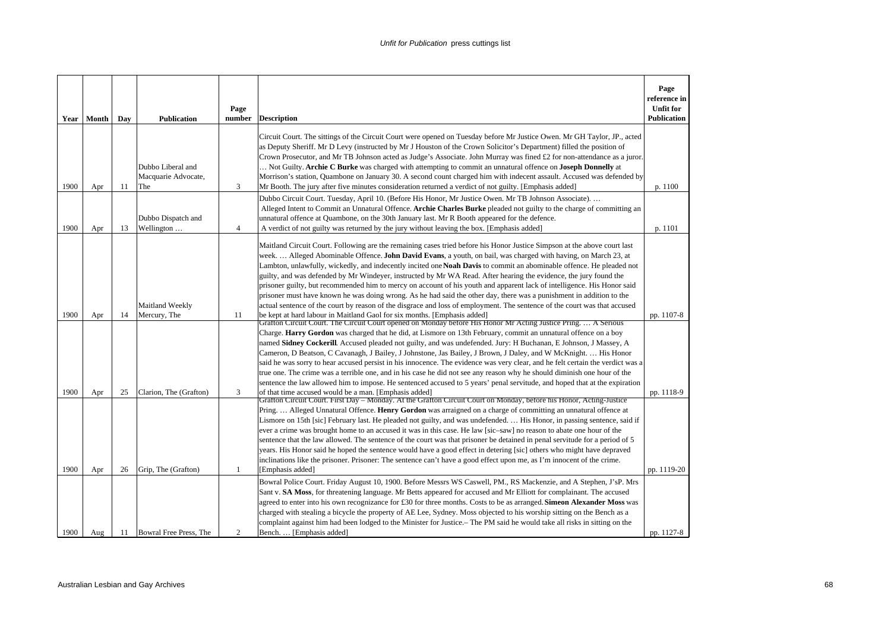|              | Year   Month | Day      | <b>Publication</b>                            | Page<br>number       | <b>Description</b>                                                                                                                                                                                                                                                                                                                                                                                                                                                                                                                                                                                                                                                                                                                                                                                                                                                                                                                                                                                                                                                                                                                                                 | Page<br>reference in<br><b>Unfit for</b><br><b>Publication</b> |
|--------------|--------------|----------|-----------------------------------------------|----------------------|--------------------------------------------------------------------------------------------------------------------------------------------------------------------------------------------------------------------------------------------------------------------------------------------------------------------------------------------------------------------------------------------------------------------------------------------------------------------------------------------------------------------------------------------------------------------------------------------------------------------------------------------------------------------------------------------------------------------------------------------------------------------------------------------------------------------------------------------------------------------------------------------------------------------------------------------------------------------------------------------------------------------------------------------------------------------------------------------------------------------------------------------------------------------|----------------------------------------------------------------|
|              |              |          | Dubbo Liberal and<br>Macquarie Advocate,      |                      | Circuit Court. The sittings of the Circuit Court were opened on Tuesday before Mr Justice Owen. Mr GH Taylor, JP., acted<br>as Deputy Sheriff. Mr D Levy (instructed by Mr J Houston of the Crown Solicitor's Department) filled the position of<br>Crown Prosecutor, and Mr TB Johnson acted as Judge's Associate. John Murray was fined £2 for non-attendance as a juror.<br>Not Guilty. Archie C Burke was charged with attempting to commit an unnatural offence on Joseph Donnelly at<br>Morrison's station, Quambone on January 30. A second count charged him with indecent assault. Accused was defended by                                                                                                                                                                                                                                                                                                                                                                                                                                                                                                                                                |                                                                |
| 1900<br>1900 | Apr          | 11       | The<br>Dubbo Dispatch and                     | 3                    | Mr Booth. The jury after five minutes consideration returned a verdict of not guilty. [Emphasis added]<br>Dubbo Circuit Court. Tuesday, April 10. (Before His Honor, Mr Justice Owen. Mr TB Johnson Associate)<br>Alleged Intent to Commit an Unnatural Offence. Archie Charles Burke pleaded not guilty to the charge of committing an<br>unnatural offence at Quambone, on the 30th January last. Mr R Booth appeared for the defence.                                                                                                                                                                                                                                                                                                                                                                                                                                                                                                                                                                                                                                                                                                                           | p. 1100                                                        |
| 1900         | Apr<br>Apr   | 13<br>14 | Wellington<br>Maitland Weekly<br>Mercury, The | $\overline{4}$<br>11 | A verdict of not guilty was returned by the jury without leaving the box. [Emphasis added]<br>Maitland Circuit Court. Following are the remaining cases tried before his Honor Justice Simpson at the above court last<br>week Alleged Abominable Offence. John David Evans, a youth, on bail, was charged with having, on March 23, at<br>Lambton, unlawfully, wickedly, and indecently incited one Noah Davis to commit an abominable offence. He pleaded not<br>guilty, and was defended by Mr Windeyer, instructed by Mr WA Read. After hearing the evidence, the jury found the<br>prisoner guilty, but recommended him to mercy on account of his youth and apparent lack of intelligence. His Honor said<br>prisoner must have known he was doing wrong. As he had said the other day, there was a punishment in addition to the<br>actual sentence of the court by reason of the disgrace and loss of employment. The sentence of the court was that accused<br>be kept at hard labour in Maitland Gaol for six months. [Emphasis added]<br>Grafton Circuit Court. The Circuit Court opened on Monday before His Honor Mr Acting Justice Pring.  A Serious | p. 1101<br>pp. 1107-8                                          |
| 1900         | Apr          | 25       | Clarion, The (Grafton)                        | 3                    | Charge. Harry Gordon was charged that he did, at Lismore on 13th February, commit an unnatural offence on a boy<br>named Sidney Cockerill. Accused pleaded not guilty, and was undefended. Jury: H Buchanan, E Johnson, J Massey, A<br>Cameron, D Beatson, C Cavanagh, J Bailey, J Johnstone, Jas Bailey, J Brown, J Daley, and W McKnight.  His Honor<br>said he was sorry to hear accused persist in his innocence. The evidence was very clear, and he felt certain the verdict was a<br>true one. The crime was a terrible one, and in his case he did not see any reason why he should diminish one hour of the<br>sentence the law allowed him to impose. He sentenced accused to 5 years' penal servitude, and hoped that at the expiration<br>of that time accused would be a man. [Emphasis added]<br>Grafton Circuit Court. First Day – Monday. At the Grafton Circuit Court on Monday, before his Honor, Acting-Justice                                                                                                                                                                                                                                 | pp. 1118-9                                                     |
| 1900         | Apr          | 26       | Grip, The (Grafton)                           | $\mathbf{1}$         | Pring.  Alleged Unnatural Offence. Henry Gordon was arraigned on a charge of committing an unnatural offence at<br>Lismore on 15th [sic] February last. He pleaded not guilty, and was undefended.  His Honor, in passing sentence, said if<br>ever a crime was brought home to an accused it was in this case. He law [sic-saw] no reason to abate one hour of the<br>sentence that the law allowed. The sentence of the court was that prisoner be detained in penal servitude for a period of 5<br>years. His Honor said he hoped the sentence would have a good effect in detering [sic] others who might have depraved<br>inclinations like the prisoner. Prisoner: The sentence can't have a good effect upon me, as I'm innocent of the crime.<br>[Emphasis added]                                                                                                                                                                                                                                                                                                                                                                                          | pp. 1119-20                                                    |
| 1900         | Aug          | 11       | Bowral Free Press, The                        | 2                    | Bowral Police Court. Friday August 10, 1900. Before Messrs WS Caswell, PM., RS Mackenzie, and A Stephen, J'sP. Mrs<br>Sant v. SA Moss, for threatening language. Mr Betts appeared for accused and Mr Elliott for complainant. The accused<br>agreed to enter into his own recognizance for £30 for three months. Costs to be as arranged. Simeon Alexander Moss was<br>charged with stealing a bicycle the property of AE Lee, Sydney. Moss objected to his worship sitting on the Bench as a<br>complaint against him had been lodged to the Minister for Justice.— The PM said he would take all risks in sitting on the<br>Bench.  [Emphasis added]                                                                                                                                                                                                                                                                                                                                                                                                                                                                                                            | pp. 1127-8                                                     |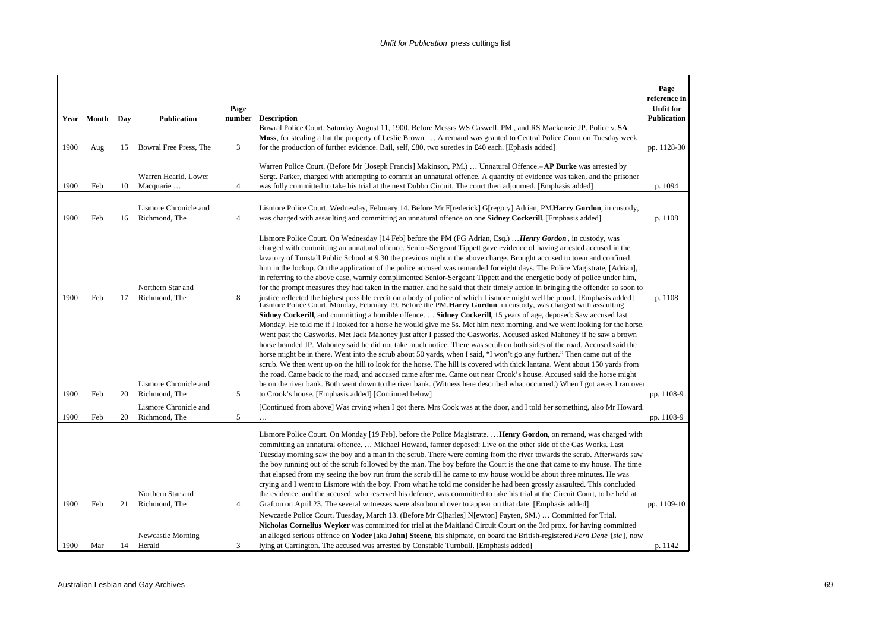|              |            |          |                                                                              | Page                |                                                                                                                                                                                                                                                                                                                                                                                                                                                                                                                                                                                                                                                                                                                                                                                                                                                                                                                                                                                                                                                                                                                                                                                                                                                                                                                                                                                                                                                                                                                                                                                                                                                                                                                                                                                                                                                                                                                                                                                                                                                                                     | Page<br>reference in                   |
|--------------|------------|----------|------------------------------------------------------------------------------|---------------------|-------------------------------------------------------------------------------------------------------------------------------------------------------------------------------------------------------------------------------------------------------------------------------------------------------------------------------------------------------------------------------------------------------------------------------------------------------------------------------------------------------------------------------------------------------------------------------------------------------------------------------------------------------------------------------------------------------------------------------------------------------------------------------------------------------------------------------------------------------------------------------------------------------------------------------------------------------------------------------------------------------------------------------------------------------------------------------------------------------------------------------------------------------------------------------------------------------------------------------------------------------------------------------------------------------------------------------------------------------------------------------------------------------------------------------------------------------------------------------------------------------------------------------------------------------------------------------------------------------------------------------------------------------------------------------------------------------------------------------------------------------------------------------------------------------------------------------------------------------------------------------------------------------------------------------------------------------------------------------------------------------------------------------------------------------------------------------------|----------------------------------------|
|              | Year Month | Day      | <b>Publication</b>                                                           | number              | <b>Description</b>                                                                                                                                                                                                                                                                                                                                                                                                                                                                                                                                                                                                                                                                                                                                                                                                                                                                                                                                                                                                                                                                                                                                                                                                                                                                                                                                                                                                                                                                                                                                                                                                                                                                                                                                                                                                                                                                                                                                                                                                                                                                  | <b>Unfit for</b><br><b>Publication</b> |
|              |            |          |                                                                              |                     | Bowral Police Court. Saturday August 11, 1900. Before Messrs WS Caswell, PM., and RS Mackenzie JP. Police v. SA                                                                                                                                                                                                                                                                                                                                                                                                                                                                                                                                                                                                                                                                                                                                                                                                                                                                                                                                                                                                                                                                                                                                                                                                                                                                                                                                                                                                                                                                                                                                                                                                                                                                                                                                                                                                                                                                                                                                                                     |                                        |
|              |            |          |                                                                              |                     | Moss, for stealing a hat the property of Leslie Brown.  A remand was granted to Central Police Court on Tuesday week                                                                                                                                                                                                                                                                                                                                                                                                                                                                                                                                                                                                                                                                                                                                                                                                                                                                                                                                                                                                                                                                                                                                                                                                                                                                                                                                                                                                                                                                                                                                                                                                                                                                                                                                                                                                                                                                                                                                                                |                                        |
| 1900         | Aug        | 15       | Bowral Free Press, The                                                       | 3                   | for the production of further evidence. Bail, self, £80, two sureties in £40 each. [Ephasis added]                                                                                                                                                                                                                                                                                                                                                                                                                                                                                                                                                                                                                                                                                                                                                                                                                                                                                                                                                                                                                                                                                                                                                                                                                                                                                                                                                                                                                                                                                                                                                                                                                                                                                                                                                                                                                                                                                                                                                                                  | pp. 1128-30                            |
|              |            |          |                                                                              |                     | Warren Police Court. (Before Mr [Joseph Francis] Makinson, PM.)  Unnatural Offence.-AP Burke was arrested by                                                                                                                                                                                                                                                                                                                                                                                                                                                                                                                                                                                                                                                                                                                                                                                                                                                                                                                                                                                                                                                                                                                                                                                                                                                                                                                                                                                                                                                                                                                                                                                                                                                                                                                                                                                                                                                                                                                                                                        |                                        |
|              |            |          | Warren Hearld, Lower                                                         |                     | Sergt. Parker, charged with attempting to commit an unnatural offence. A quantity of evidence was taken, and the prisoner                                                                                                                                                                                                                                                                                                                                                                                                                                                                                                                                                                                                                                                                                                                                                                                                                                                                                                                                                                                                                                                                                                                                                                                                                                                                                                                                                                                                                                                                                                                                                                                                                                                                                                                                                                                                                                                                                                                                                           |                                        |
| 1900         | Feb        | 10       | Macquarie                                                                    | $\overline{4}$      | was fully committed to take his trial at the next Dubbo Circuit. The court then adjourned. [Emphasis added]                                                                                                                                                                                                                                                                                                                                                                                                                                                                                                                                                                                                                                                                                                                                                                                                                                                                                                                                                                                                                                                                                                                                                                                                                                                                                                                                                                                                                                                                                                                                                                                                                                                                                                                                                                                                                                                                                                                                                                         | p. 1094                                |
|              |            |          |                                                                              |                     |                                                                                                                                                                                                                                                                                                                                                                                                                                                                                                                                                                                                                                                                                                                                                                                                                                                                                                                                                                                                                                                                                                                                                                                                                                                                                                                                                                                                                                                                                                                                                                                                                                                                                                                                                                                                                                                                                                                                                                                                                                                                                     |                                        |
|              |            |          | Lismore Chronicle and                                                        |                     | Lismore Police Court. Wednesday, February 14. Before Mr F[rederick] G[regory] Adrian, PM <b>Harry Gordon</b> , in custody,                                                                                                                                                                                                                                                                                                                                                                                                                                                                                                                                                                                                                                                                                                                                                                                                                                                                                                                                                                                                                                                                                                                                                                                                                                                                                                                                                                                                                                                                                                                                                                                                                                                                                                                                                                                                                                                                                                                                                          |                                        |
| 1900         | Feb        | 16       | Richmond, The                                                                | $\overline{4}$      | was charged with assaulting and committing an unnatural offence on one <b>Sidney Cockerill</b> . [Emphasis added]                                                                                                                                                                                                                                                                                                                                                                                                                                                                                                                                                                                                                                                                                                                                                                                                                                                                                                                                                                                                                                                                                                                                                                                                                                                                                                                                                                                                                                                                                                                                                                                                                                                                                                                                                                                                                                                                                                                                                                   | p. 1108                                |
| 1900<br>1900 | Feb<br>Feb | 17<br>20 | Northern Star and<br>Richmond, The<br>Lismore Chronicle and<br>Richmond, The | 8<br>5              | Lismore Police Court. On Wednesday [14 Feb] before the PM (FG Adrian, Esq.)  Henry Gordon, in custody, was<br>charged with committing an unnatural offence. Senior-Sergeant Tippett gave evidence of having arrested accused in the<br>lavatory of Tunstall Public School at 9.30 the previous night n the above charge. Brought accused to town and confined<br>him in the lockup. On the application of the police accused was remanded for eight days. The Police Magistrate, [Adrian],<br>in referring to the above case, warmly complimented Senior-Sergeant Tippett and the energetic body of police under him,<br>for the prompt measures they had taken in the matter, and he said that their timely action in bringing the offender so soon to<br>justice reflected the highest possible credit on a body of police of which Lismore might well be proud. [Emphasis added] Lismore Police Court. Monday, February 19. Before the PM. Harry Gordon, in custody, was charged with<br><b>Sidney Cockerill,</b> and committing a horrible offence. <b>Sidney Cockerill</b> , 15 years of age, deposed: Saw accused last<br>Monday. He told me if I looked for a horse he would give me 5s. Met him next morning, and we went looking for the horse.<br>Went past the Gasworks. Met Jack Mahoney just after I passed the Gasworks. Accused asked Mahoney if he saw a brown<br>horse branded JP. Mahoney said he did not take much notice. There was scrub on both sides of the road. Accused said the<br>horse might be in there. Went into the scrub about 50 yards, when I said, "I won't go any further." Then came out of the<br>scrub. We then went up on the hill to look for the horse. The hill is covered with thick lantana. Went about 150 yards from<br>the road. Came back to the road, and accused came after me. Came out near Crook's house. Accused said the horse might<br>be on the river bank. Both went down to the river bank. (Witness here described what occurred.) When I got away I ran over<br>to Crook's house. [Emphasis added] [Continued below] | p. 1108<br>pp. 1108-9                  |
| 1900         |            |          | Lismore Chronicle and                                                        |                     | [Continued from above] Was crying when I got there. Mrs Cook was at the door, and I told her something, also Mr Howard.                                                                                                                                                                                                                                                                                                                                                                                                                                                                                                                                                                                                                                                                                                                                                                                                                                                                                                                                                                                                                                                                                                                                                                                                                                                                                                                                                                                                                                                                                                                                                                                                                                                                                                                                                                                                                                                                                                                                                             |                                        |
| 1900         | Feb<br>Feb | 20<br>21 | Richmond, The<br>Northern Star and<br>Richmond, The                          | 5<br>$\overline{4}$ | Lismore Police Court. On Monday [19 Feb], before the Police Magistrate.  Henry Gordon, on remand, was charged with<br>committing an unnatural offence Michael Howard, farmer deposed: Live on the other side of the Gas Works. Last<br>Tuesday morning saw the boy and a man in the scrub. There were coming from the river towards the scrub. Afterwards saw<br>the boy running out of the scrub followed by the man. The boy before the Court is the one that came to my house. The time<br>that elapsed from my seeing the boy run from the scrub till he came to my house would be about three minutes. He was<br>crying and I went to Lismore with the boy. From what he told me consider he had been grossly assaulted. This concluded<br>the evidence, and the accused, who reserved his defence, was committed to take his trial at the Circuit Court, to be held at<br>Grafton on April 23. The several witnesses were also bound over to appear on that date. [Emphasis added]                                                                                                                                                                                                                                                                                                                                                                                                                                                                                                                                                                                                                                                                                                                                                                                                                                                                                                                                                                                                                                                                                            | pp. 1108-9<br>pp. 1109-10              |
|              |            |          |                                                                              |                     | Newcastle Police Court. Tuesday, March 13. (Before Mr C[harles] N[ewton] Payten, SM.)  Committed for Trial.                                                                                                                                                                                                                                                                                                                                                                                                                                                                                                                                                                                                                                                                                                                                                                                                                                                                                                                                                                                                                                                                                                                                                                                                                                                                                                                                                                                                                                                                                                                                                                                                                                                                                                                                                                                                                                                                                                                                                                         |                                        |
|              |            |          |                                                                              |                     | Nicholas Cornelius Weyker was committed for trial at the Maitland Circuit Court on the 3rd prox. for having committed                                                                                                                                                                                                                                                                                                                                                                                                                                                                                                                                                                                                                                                                                                                                                                                                                                                                                                                                                                                                                                                                                                                                                                                                                                                                                                                                                                                                                                                                                                                                                                                                                                                                                                                                                                                                                                                                                                                                                               |                                        |
|              |            |          | Newcastle Morning                                                            |                     | an alleged serious offence on Yoder [aka John] Steene, his shipmate, on board the British-registered Fern Dene [sic], now                                                                                                                                                                                                                                                                                                                                                                                                                                                                                                                                                                                                                                                                                                                                                                                                                                                                                                                                                                                                                                                                                                                                                                                                                                                                                                                                                                                                                                                                                                                                                                                                                                                                                                                                                                                                                                                                                                                                                           |                                        |
| 1900         | Mar        | 14       | Herald                                                                       | 3                   | lying at Carrington. The accused was arrested by Constable Turnbull. [Emphasis added]                                                                                                                                                                                                                                                                                                                                                                                                                                                                                                                                                                                                                                                                                                                                                                                                                                                                                                                                                                                                                                                                                                                                                                                                                                                                                                                                                                                                                                                                                                                                                                                                                                                                                                                                                                                                                                                                                                                                                                                               | p. 1142                                |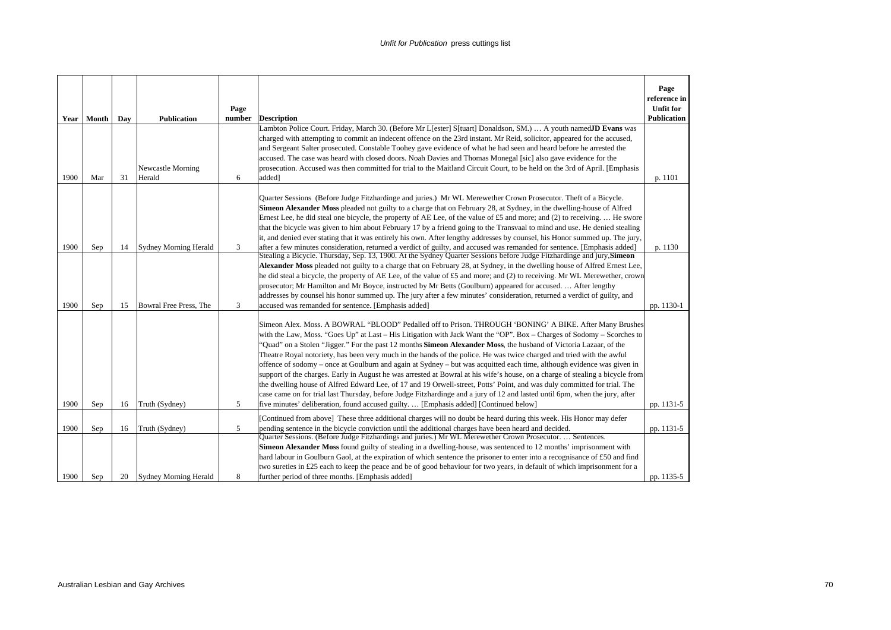|      | Year   Month | Dav | <b>Publication</b>           | Page<br>number | <b>Description</b>                                                                                                                                                                                                                                                                                                                                                                                                                                                                                                                                                                                                                                                                                                                                                                                                                                                                                                                                                                                                                                                                                    | Page<br>reference in<br><b>Unfit for</b><br><b>Publication</b> |
|------|--------------|-----|------------------------------|----------------|-------------------------------------------------------------------------------------------------------------------------------------------------------------------------------------------------------------------------------------------------------------------------------------------------------------------------------------------------------------------------------------------------------------------------------------------------------------------------------------------------------------------------------------------------------------------------------------------------------------------------------------------------------------------------------------------------------------------------------------------------------------------------------------------------------------------------------------------------------------------------------------------------------------------------------------------------------------------------------------------------------------------------------------------------------------------------------------------------------|----------------------------------------------------------------|
|      |              |     |                              |                | Lambton Police Court. Friday, March 30. (Before Mr L[ester] S[tuart] Donaldson, SM.)  A youth namedJD Evans was                                                                                                                                                                                                                                                                                                                                                                                                                                                                                                                                                                                                                                                                                                                                                                                                                                                                                                                                                                                       |                                                                |
|      |              |     |                              |                | charged with attempting to commit an indecent offence on the 23rd instant. Mr Reid, solicitor, appeared for the accused,                                                                                                                                                                                                                                                                                                                                                                                                                                                                                                                                                                                                                                                                                                                                                                                                                                                                                                                                                                              |                                                                |
|      |              |     |                              |                | and Sergeant Salter prosecuted. Constable Toohey gave evidence of what he had seen and heard before he arrested the                                                                                                                                                                                                                                                                                                                                                                                                                                                                                                                                                                                                                                                                                                                                                                                                                                                                                                                                                                                   |                                                                |
|      |              |     |                              |                | accused. The case was heard with closed doors. Noah Davies and Thomas Monegal [sic] also gave evidence for the                                                                                                                                                                                                                                                                                                                                                                                                                                                                                                                                                                                                                                                                                                                                                                                                                                                                                                                                                                                        |                                                                |
|      |              |     | Newcastle Morning            |                | prosecution. Accused was then committed for trial to the Maitland Circuit Court, to be held on the 3rd of April. [Emphasis                                                                                                                                                                                                                                                                                                                                                                                                                                                                                                                                                                                                                                                                                                                                                                                                                                                                                                                                                                            |                                                                |
| 1900 | Mar          | 31  | Herald                       | 6              | added <sup>1</sup>                                                                                                                                                                                                                                                                                                                                                                                                                                                                                                                                                                                                                                                                                                                                                                                                                                                                                                                                                                                                                                                                                    | p. 1101                                                        |
|      |              |     |                              |                | Quarter Sessions (Before Judge Fitzhardinge and juries.) Mr WL Merewether Crown Prosecutor. Theft of a Bicycle.<br>Simeon Alexander Moss pleaded not guilty to a charge that on February 28, at Sydney, in the dwelling-house of Alfred<br>Ernest Lee, he did steal one bicycle, the property of AE Lee, of the value of £5 and more; and (2) to receiving.  He swore<br>that the bicycle was given to him about February 17 by a friend going to the Transvaal to mind and use. He denied stealing<br>it, and denied ever stating that it was entirely his own. After lengthy addresses by counsel, his Honor summed up. The jury,                                                                                                                                                                                                                                                                                                                                                                                                                                                                   |                                                                |
| 1900 | Sep          | 14  | <b>Sydney Morning Herald</b> | 3              | after a few minutes consideration, returned a verdict of guilty, and accused was remanded for sentence. [Emphasis added]<br>Stealing a Bicycle. Thursday, Sep. 13, 1900. At the Sydney Quarter Sessions before Judge Fitzhardinge and jury, Simeon                                                                                                                                                                                                                                                                                                                                                                                                                                                                                                                                                                                                                                                                                                                                                                                                                                                    | p. 1130                                                        |
|      |              |     |                              |                | Alexander Moss pleaded not guilty to a charge that on February 28, at Sydney, in the dwelling house of Alfred Ernest Lee,                                                                                                                                                                                                                                                                                                                                                                                                                                                                                                                                                                                                                                                                                                                                                                                                                                                                                                                                                                             |                                                                |
|      |              |     |                              |                | he did steal a bicycle, the property of AE Lee, of the value of £5 and more; and (2) to receiving. Mr WL Merewether, crown                                                                                                                                                                                                                                                                                                                                                                                                                                                                                                                                                                                                                                                                                                                                                                                                                                                                                                                                                                            |                                                                |
|      |              |     |                              |                | prosecutor; Mr Hamilton and Mr Boyce, instructed by Mr Betts (Goulburn) appeared for accused.  After lengthy                                                                                                                                                                                                                                                                                                                                                                                                                                                                                                                                                                                                                                                                                                                                                                                                                                                                                                                                                                                          |                                                                |
|      |              |     |                              |                | addresses by counsel his honor summed up. The jury after a few minutes' consideration, returned a verdict of guilty, and                                                                                                                                                                                                                                                                                                                                                                                                                                                                                                                                                                                                                                                                                                                                                                                                                                                                                                                                                                              |                                                                |
| 1900 | Sep          | 15  | Bowral Free Press, The       | 3              | accused was remanded for sentence. [Emphasis added]                                                                                                                                                                                                                                                                                                                                                                                                                                                                                                                                                                                                                                                                                                                                                                                                                                                                                                                                                                                                                                                   | pp. 1130-1                                                     |
| 1900 | Sep          | 16  | Truth (Sydney)               | 5              | Simeon Alex. Moss. A BOWRAL "BLOOD" Pedalled off to Prison. THROUGH 'BONING' A BIKE. After Many Brushes<br>with the Law, Moss. "Goes Up" at Last – His Litigation with Jack Want the "OP". Box – Charges of Sodomy – Scorches to<br>'Quad'' on a Stolen "Jigger." For the past 12 months <b>Simeon Alexander Moss</b> , the husband of Victoria Lazaar, of the<br>Theatre Royal notoriety, has been very much in the hands of the police. He was twice charged and tried with the awful<br>offence of sodomy – once at Goulburn and again at Sydney – but was acquited each time, although evidence was given in<br>support of the charges. Early in August he was arrested at Bowral at his wife's house, on a charge of stealing a bicycle from<br>the dwelling house of Alfred Edward Lee, of 17 and 19 Orwell-street, Potts' Point, and was duly committed for trial. The<br>case came on for trial last Thursday, before Judge Fitzhardinge and a jury of 12 and lasted until 6pm, when the jury, after<br>five minutes' deliberation, found accused guilty.  [Emphasis added] [Continued below] | pp. 1131-5                                                     |
|      |              |     |                              |                |                                                                                                                                                                                                                                                                                                                                                                                                                                                                                                                                                                                                                                                                                                                                                                                                                                                                                                                                                                                                                                                                                                       |                                                                |
|      |              |     |                              |                | [Continued from above] These three additional charges will no doubt be heard during this week. His Honor may defer                                                                                                                                                                                                                                                                                                                                                                                                                                                                                                                                                                                                                                                                                                                                                                                                                                                                                                                                                                                    |                                                                |
| 1900 | Sep          | 16  | Truth (Sydney)               | 5              | pending sentence in the bicycle conviction until the additional charges have been heard and decided.<br>Quarter Sessions. (Before Judge Fitzhardings and juries.) Mr WL Merewether Crown Prosecutor Sentences.                                                                                                                                                                                                                                                                                                                                                                                                                                                                                                                                                                                                                                                                                                                                                                                                                                                                                        | pp. 1131-5                                                     |
|      |              |     |                              |                | Simeon Alexander Moss found guilty of stealing in a dwelling-house, was sentenced to 12 months' imprisonment with                                                                                                                                                                                                                                                                                                                                                                                                                                                                                                                                                                                                                                                                                                                                                                                                                                                                                                                                                                                     |                                                                |
|      |              |     |                              |                | hard labour in Goulburn Gaol, at the expiration of which sentence the prisoner to enter into a recognisance of £50 and find                                                                                                                                                                                                                                                                                                                                                                                                                                                                                                                                                                                                                                                                                                                                                                                                                                                                                                                                                                           |                                                                |
|      |              |     |                              |                | two sureties in £25 each to keep the peace and be of good behaviour for two years, in default of which imprisonment for a                                                                                                                                                                                                                                                                                                                                                                                                                                                                                                                                                                                                                                                                                                                                                                                                                                                                                                                                                                             |                                                                |
| 1900 | Sep          | 20  | Sydney Morning Herald        | 8              | further period of three months. [Emphasis added]                                                                                                                                                                                                                                                                                                                                                                                                                                                                                                                                                                                                                                                                                                                                                                                                                                                                                                                                                                                                                                                      | pp. 1135-5                                                     |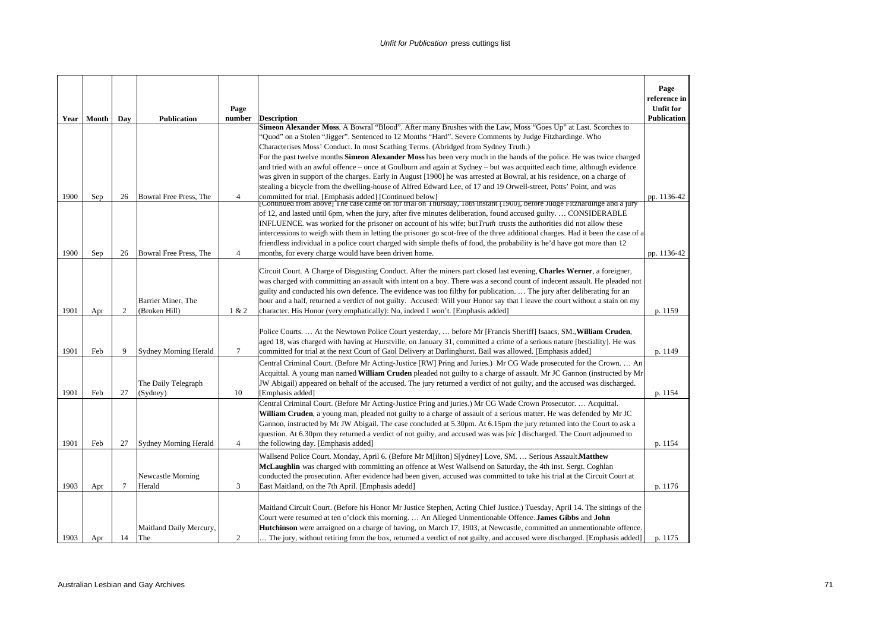|      |              |        |                              | Page           |                                                                                                                                                                                                                                                         | Page<br>reference in<br><b>Unfit for</b> |
|------|--------------|--------|------------------------------|----------------|---------------------------------------------------------------------------------------------------------------------------------------------------------------------------------------------------------------------------------------------------------|------------------------------------------|
|      | Year   Month | Day    | <b>Publication</b>           | number         | <b>Description</b>                                                                                                                                                                                                                                      | <b>Publication</b>                       |
|      |              |        |                              |                | <b>Simeon Alexander Moss.</b> A Bowral "Blood". After many Brushes with the Law, Moss "Goes Up" at Last. Scorches to                                                                                                                                    |                                          |
|      |              |        |                              |                | 'Quod'' on a Stolen "Jigger". Sentenced to 12 Months "Hard". Severe Comments by Judge Fitzhardinge. Who                                                                                                                                                 |                                          |
|      |              |        |                              |                | Characterises Moss' Conduct. In most Scathing Terms. (Abridged from Sydney Truth.)                                                                                                                                                                      |                                          |
|      |              |        |                              |                | For the past twelve months Simeon Alexander Moss has been very much in the hands of the police. He was twice charged                                                                                                                                    |                                          |
|      |              |        |                              |                | and tried with an awful offence - once at Goulburn and again at Sydney - but was acquitted each time, although evidence<br>was given in support of the charges. Early in August [1900] he was arrested at Bowral, at his residence, on a charge of      |                                          |
|      |              |        |                              |                | stealing a bicycle from the dwelling-house of Alfred Edward Lee, of 17 and 19 Orwell-street, Potts' Point, and was                                                                                                                                      |                                          |
| 1900 | Sep          | 26     | Bowral Free Press, The       | $\overline{4}$ | committed for trial. [Emphasis added] [Continued below]                                                                                                                                                                                                 | pp. 1136-42                              |
|      |              |        |                              |                | [Continued from above] The case came on for trial on Thursday, 18th instant [1900], before Judge Fitzhardinge and a jury                                                                                                                                |                                          |
|      |              |        |                              |                | of 12, and lasted until 6pm, when the jury, after five minutes deliberation, found accused guilty CONSIDERABLE                                                                                                                                          |                                          |
|      |              |        |                              |                | INFLUENCE. was worked for the prisoner on account of his wife; but Truth trusts the authorities did not allow these<br>intercessions to weigh with them in letting the prisoner go scot-free of the three additional charges. Had it been the case of a |                                          |
|      |              |        |                              |                | friendless individual in a police court charged with simple thefts of food, the probability is he'd have got more than 12                                                                                                                               |                                          |
| 1900 | Sep          | 26     | Bowral Free Press, The       | $\overline{4}$ | months, for every charge would have been driven home.                                                                                                                                                                                                   | pp. 1136-42                              |
|      |              |        |                              |                |                                                                                                                                                                                                                                                         |                                          |
|      |              |        |                              |                | Circuit Court. A Charge of Disgusting Conduct. After the miners part closed last evening, Charles Werner, a foreigner,                                                                                                                                  |                                          |
|      |              |        |                              |                | was charged with committing an assault with intent on a boy. There was a second count of indecent assault. He pleaded not                                                                                                                               |                                          |
|      |              |        | Barrier Miner, The           |                | guilty and conducted his own defence. The evidence was too filthy for publication.  The jury after deliberating for an                                                                                                                                  |                                          |
| 1901 | Apr          | 2      | (Broken Hill)                | 1 & 2          | hour and a half, returned a verdict of not guilty. Accused: Will your Honor say that I leave the court without a stain on my<br>character. His Honor (very emphatically): No, indeed I won't. [Emphasis added]                                          | p. 1159                                  |
|      |              |        |                              |                |                                                                                                                                                                                                                                                         |                                          |
|      |              |        |                              |                | Police Courts.  At the Newtown Police Court yesterday,  before Mr [Francis Sheriff] Isaacs, SM., William Cruden,                                                                                                                                        |                                          |
|      |              |        |                              |                | aged 18, was charged with having at Hurstville, on January 31, committed a crime of a serious nature [bestiality]. He was                                                                                                                               |                                          |
| 1901 | Feb          | 9      | <b>Sydney Morning Herald</b> | $\tau$         | committed for trial at the next Court of Gaol Delivery at Darlinghurst. Bail was allowed. [Emphasis added]                                                                                                                                              | p. 1149                                  |
|      |              |        |                              |                | Central Criminal Court. (Before Mr Acting-Justice [RW] Pring and Juries.) Mr CG Wade prosecuted for the Crown.  An                                                                                                                                      |                                          |
|      |              |        |                              |                | Acquittal. A young man named William Cruden pleaded not guilty to a charge of assault. Mr JC Gannon (instructed by Mr                                                                                                                                   |                                          |
|      |              |        | The Daily Telegraph          |                | JW Abigail) appeared on behalf of the accused. The jury returned a verdict of not guilty, and the accused was discharged.                                                                                                                               |                                          |
| 1901 | Feb          | 27     | (Sydney)                     | 10             | [Emphasis added]                                                                                                                                                                                                                                        | p. 1154                                  |
|      |              |        |                              |                | Central Criminal Court. (Before Mr Acting-Justice Pring and juries.) Mr CG Wade Crown Prosecutor Acquittal.<br>William Cruden, a young man, pleaded not guilty to a charge of assault of a serious matter. He was defended by Mr JC                     |                                          |
|      |              |        |                              |                | Gannon, instructed by Mr JW Abigail. The case concluded at 5.30pm. At 6.15pm the jury returned into the Court to ask a                                                                                                                                  |                                          |
|      |              |        |                              |                | question. At 6.30pm they returned a verdict of not guilty, and accused was was [sic] discharged. The Court adjourned to                                                                                                                                 |                                          |
| 1901 | Feb          | 27     | <b>Sydney Morning Herald</b> | $\overline{4}$ | the following day. [Emphasis added]                                                                                                                                                                                                                     | p. 1154                                  |
|      |              |        |                              |                | Wallsend Police Court. Monday, April 6. (Before Mr M[ilton] S[ydney] Love, SM.  Serious Assault Matthew                                                                                                                                                 |                                          |
|      |              |        |                              |                | McLaughlin was charged with committing an offence at West Wallsend on Saturday, the 4th inst. Sergt. Coghlan                                                                                                                                            |                                          |
|      |              |        | Newcastle Morning            |                | conducted the prosecution. After evidence had been given, accused was committed to take his trial at the Circuit Court at                                                                                                                               |                                          |
| 1903 | Apr          | $\tau$ | Herald                       | 3              | East Maitland, on the 7th April. [Emphasis adedd]                                                                                                                                                                                                       | p. 1176                                  |
|      |              |        |                              |                |                                                                                                                                                                                                                                                         |                                          |
|      |              |        |                              |                | Maitland Circuit Court. (Before his Honor Mr Justice Stephen, Acting Chief Justice.) Tuesday, April 14. The sittings of the                                                                                                                             |                                          |
|      |              |        | Maitland Daily Mercury,      |                | Court were resumed at ten o'clock this morning.  An Alleged Unmentionable Offence. James Gibbs and John<br>Hutchinson were arraigned on a charge of having, on March 17, 1903, at Newcastle, committed an unmentionable offence.                        |                                          |
| 1903 | Apr          | 14     | The                          | 2              | The jury, without retiring from the box, returned a verdict of not guilty, and accused were discharged. [Emphasis added]                                                                                                                                | p. 1175                                  |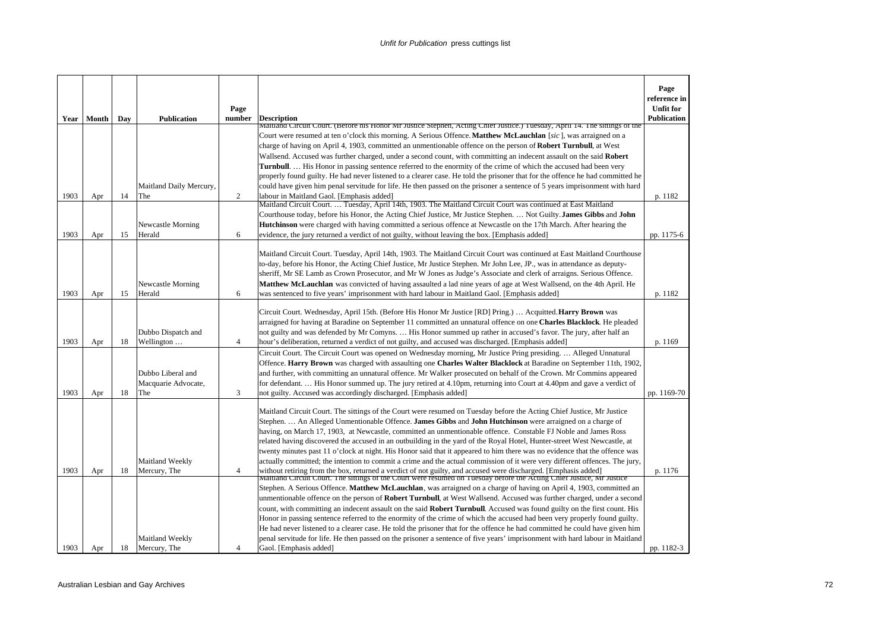|      | Year   Month | Day | <b>Publication</b>             | Page<br>number | <b>Description</b>                                                                                                                                                                                                                                          | Page<br>reference in<br><b>Unfit for</b><br>Publication |
|------|--------------|-----|--------------------------------|----------------|-------------------------------------------------------------------------------------------------------------------------------------------------------------------------------------------------------------------------------------------------------------|---------------------------------------------------------|
|      |              |     |                                |                | Maitland Circuit Court. (Before his Honor Mr Justice Stephen, Acting Chief Justice.) Tuesday, April 14. The sittings of the                                                                                                                                 |                                                         |
|      |              |     |                                |                | Court were resumed at ten o'clock this morning. A Serious Offence. Matthew McLauchlan [sic], was arraigned on a<br>charge of having on April 4, 1903, committed an unmentionable offence on the person of <b>Robert Turnbull</b> , at West                  |                                                         |
|      |              |     |                                |                | Wallsend. Accused was further charged, under a second count, with committing an indecent assault on the said Robert                                                                                                                                         |                                                         |
|      |              |     |                                |                | <b>Turnbull.</b> His Honor in passing sentence referred to the enormity of the crime of which the accused had been very                                                                                                                                     |                                                         |
|      |              |     |                                |                | properly found guilty. He had never listened to a clearer case. He told the prisoner that for the offence he had committed he                                                                                                                               |                                                         |
| 1903 | Apr          | 14  | Maitland Daily Mercury,<br>The | 2              | could have given him penal servitude for life. He then passed on the prisoner a sentence of 5 years imprisonment with hard<br>labour in Maitland Gaol. [Emphasis added]                                                                                     | p. 1182                                                 |
|      |              |     |                                |                | Maitland Circuit Court.  Tuesday, April 14th, 1903. The Maitland Circuit Court was continued at East Maitland                                                                                                                                               |                                                         |
|      |              |     |                                |                | Courthouse today, before his Honor, the Acting Chief Justice, Mr Justice Stephen.  Not Guilty. James Gibbs and John                                                                                                                                         |                                                         |
|      |              |     | Newcastle Morning              |                | <b>Hutchinson</b> were charged with having committed a serious offence at Newcastle on the 17th March. After hearing the                                                                                                                                    |                                                         |
| 1903 | Apr          | 15  | Herald                         | 6              | evidence, the jury returned a verdict of not guilty, without leaving the box. [Emphasis added]                                                                                                                                                              | pp. 1175-6                                              |
|      |              |     |                                |                | Maitland Circuit Court. Tuesday, April 14th, 1903. The Maitland Circuit Court was continued at East Maitland Courthouse                                                                                                                                     |                                                         |
|      |              |     |                                |                | to-day, before his Honor, the Acting Chief Justice, Mr Justice Stephen. Mr John Lee, JP., was in attendance as deputy-                                                                                                                                      |                                                         |
|      |              |     |                                |                | sheriff, Mr SE Lamb as Crown Prosecutor, and Mr W Jones as Judge's Associate and clerk of arraigns. Serious Offence.                                                                                                                                        |                                                         |
|      |              |     | Newcastle Morning              |                | <b>Matthew McLauchlan</b> was convicted of having assaulted a lad nine years of age at West Wallsend, on the 4th April. He                                                                                                                                  |                                                         |
| 1903 | Apr          | 15  | Herald                         | 6              | was sentenced to five years' imprisonment with hard labour in Maitland Gaol. [Emphasis added]                                                                                                                                                               | p. 1182                                                 |
|      |              |     |                                |                | Circuit Court. Wednesday, April 15th. (Before His Honor Mr Justice [RD] Pring.)  Acquitted. <b>Harry Brown</b> was                                                                                                                                          |                                                         |
|      |              |     |                                |                | arraigned for having at Baradine on September 11 committed an unnatural offence on one <b>Charles Blacklock</b> . He pleaded                                                                                                                                |                                                         |
|      |              |     | Dubbo Dispatch and             |                | not guilty and was defended by Mr Comyns.  His Honor summed up rather in accused's favor. The jury, after half an                                                                                                                                           |                                                         |
| 1903 | Apr          | 18  | Wellington                     | $\overline{4}$ | hour's deliberation, returned a verdict of not guilty, and accused was discharged. [Emphasis added]                                                                                                                                                         | p. 1169                                                 |
|      |              |     |                                |                | Circuit Court. The Circuit Court was opened on Wednesday morning, Mr Justice Pring presiding Alleged Unnatural                                                                                                                                              |                                                         |
|      |              |     | Dubbo Liberal and              |                | Offence. Harry Brown was charged with assaulting one Charles Walter Blacklock at Baradine on September 11th, 1902,<br>and further, with committing an unnatural offence. Mr Walker prosecuted on behalf of the Crown. Mr Commins appeared                   |                                                         |
|      |              |     | Macquarie Advocate,            |                | for defendant His Honor summed up. The jury retired at 4.10pm, returning into Court at 4.40pm and gave a verdict of                                                                                                                                         |                                                         |
| 1903 | Apr          | 18  | The                            | 3              | not guilty. Accused was accordingly discharged. [Emphasis added]                                                                                                                                                                                            | pp. 1169-70                                             |
|      |              |     |                                |                |                                                                                                                                                                                                                                                             |                                                         |
|      |              |     |                                |                | Maitland Circuit Court. The sittings of the Court were resumed on Tuesday before the Acting Chief Justice, Mr Justice<br>Stephen.  An Alleged Unmentionable Offence. James Gibbs and John Hutchinson were arraigned on a charge of                          |                                                         |
|      |              |     |                                |                | having, on March 17, 1903, at Newcastle, committed an unmentionable offence. Constable FJ Noble and James Ross                                                                                                                                              |                                                         |
|      |              |     |                                |                | related having discovered the accused in an outbuilding in the yard of the Royal Hotel, Hunter-street West Newcastle, at                                                                                                                                    |                                                         |
|      |              |     |                                |                | twenty minutes past 11 o'clock at night. His Honor said that it appeared to him there was no evidence that the offence was                                                                                                                                  |                                                         |
|      |              |     | Maitland Weekly                |                | actually committed; the intention to commit a crime and the actual commission of it were very different offences. The jury,                                                                                                                                 |                                                         |
| 1903 | Apr          | 18  | Mercury, The                   | $\overline{4}$ | without retiring from the box, returned a verdict of not guilty, and accused were discharged. [Emphasis added]<br>Maitland Circuit Court. The sittings of the Court were resumed on Tuesday before the Acting Chief Justice, Mr Justice                     | p. 1176                                                 |
|      |              |     |                                |                | Stephen. A Serious Offence. Matthew McLauchlan, was arraigned on a charge of having on April 4, 1903, committed an                                                                                                                                          |                                                         |
|      |              |     |                                |                | unmentionable offence on the person of Robert Turnbull, at West Wallsend. Accused was further charged, under a second                                                                                                                                       |                                                         |
|      |              |     |                                |                | count, with committing an indecent assault on the said Robert Turnbull. Accused was found guilty on the first count. His                                                                                                                                    |                                                         |
|      |              |     |                                |                | Honor in passing sentence referred to the enormity of the crime of which the accused had been very properly found guilty.                                                                                                                                   |                                                         |
|      |              |     | Maitland Weekly                |                | He had never listened to a clearer case. He told the prisoner that for the offence he had committed he could have given him<br>penal servitude for life. He then passed on the prisoner a sentence of five years' imprisonment with hard labour in Maitland |                                                         |
| 1903 | Apr          | 18  | Mercury, The                   | 4              | Gaol. [Emphasis added]                                                                                                                                                                                                                                      | pp. 1182-3                                              |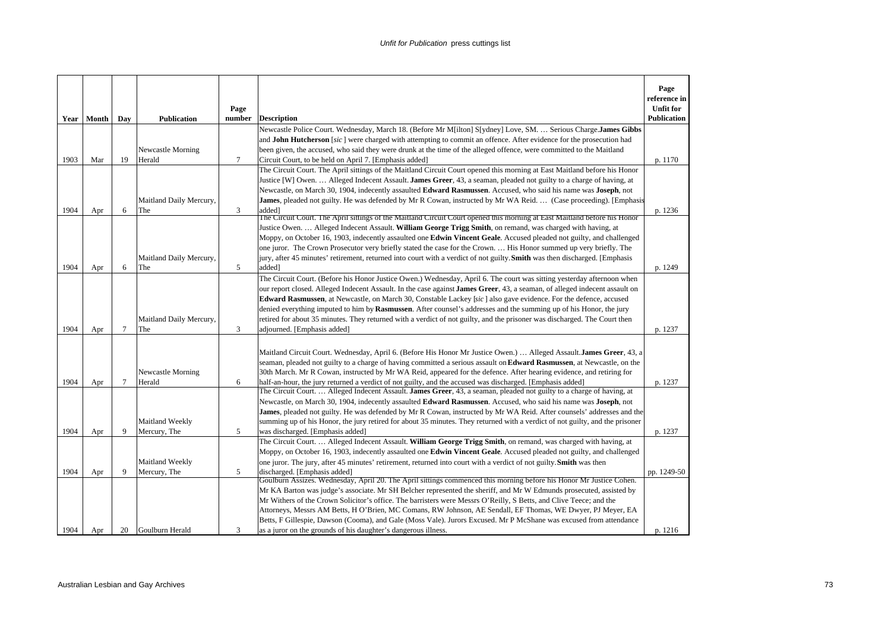|      | Year   Month | Day    | <b>Publication</b>          | Page<br>number | <b>Description</b>                                                                                                                                                                                                                         | Page<br>reference in<br><b>Unfit for</b><br>Publication |
|------|--------------|--------|-----------------------------|----------------|--------------------------------------------------------------------------------------------------------------------------------------------------------------------------------------------------------------------------------------------|---------------------------------------------------------|
|      |              |        |                             |                | Newcastle Police Court. Wednesday, March 18. (Before Mr M[ilton] S[ydney] Love, SM.  Serious Charge James Gibbs                                                                                                                            |                                                         |
|      |              |        |                             |                | and <b>John Hutcherson</b> [sic] were charged with attempting to commit an offence. After evidence for the prosecution had                                                                                                                 |                                                         |
|      |              |        | Newcastle Morning           |                | been given, the accused, who said they were drunk at the time of the alleged offence, were committed to the Maitland                                                                                                                       |                                                         |
| 1903 | Mar          | 19     | Herald                      | $\tau$         | Circuit Court, to be held on April 7. [Emphasis added]                                                                                                                                                                                     | p. 1170                                                 |
|      |              |        |                             |                | The Circuit Court. The April sittings of the Maitland Circuit Court opened this morning at East Maitland before his Honor                                                                                                                  |                                                         |
|      |              |        |                             |                | Justice [W] Owen.  Alleged Indecent Assault. James Greer, 43, a seaman, pleaded not guilty to a charge of having, at                                                                                                                       |                                                         |
|      |              |        |                             |                | Newcastle, on March 30, 1904, indecently assaulted Edward Rasmussen. Accused, who said his name was Joseph, not                                                                                                                            |                                                         |
|      |              |        | Maitland Daily Mercury,     |                | <b>James</b> , pleaded not guilty. He was defended by Mr R Cowan, instructed by Mr WA Reid.  (Case proceeding). [Emphasis                                                                                                                  |                                                         |
| 1904 | Apr          | 6      | The                         | 3              | added <sup>1</sup>                                                                                                                                                                                                                         | p. 1236                                                 |
|      |              |        |                             |                | The Circuit Court. The April sittings of the Maitland Circuit Court opened this morning at East Maitland before his Honor                                                                                                                  |                                                         |
|      |              |        |                             |                | Justice Owen.  Alleged Indecent Assault. William George Trigg Smith, on remand, was charged with having, at                                                                                                                                |                                                         |
|      |              |        |                             |                | Moppy, on October 16, 1903, indecently assaulted one Edwin Vincent Geale. Accused pleaded not guilty, and challenged<br>one juror. The Crown Prosecutor very briefly stated the case for the Crown.  His Honor summed up very briefly. The |                                                         |
|      |              |        | Maitland Daily Mercury,     |                |                                                                                                                                                                                                                                            |                                                         |
| 1904 | Apr          | 6      | The                         | 5              | jury, after 45 minutes' retirement, returned into court with a verdict of not guilty. Smith was then discharged. [Emphasis<br>added]                                                                                                       | p. 1249                                                 |
|      |              |        |                             |                | The Circuit Court. (Before his Honor Justice Owen.) Wednesday, April 6. The court was sitting yesterday afternoon when                                                                                                                     |                                                         |
|      |              |        |                             |                | our report closed. Alleged Indecent Assault. In the case against James Greer, 43, a seaman, of alleged indecent assault on                                                                                                                 |                                                         |
|      |              |        |                             |                | Edward Rasmussen, at Newcastle, on March 30, Constable Lackey [sic] also gave evidence. For the defence, accused                                                                                                                           |                                                         |
|      |              |        |                             |                | denied everything imputed to him by Rasmussen. After counsel's addresses and the summing up of his Honor, the jury                                                                                                                         |                                                         |
|      |              |        | Maitland Daily Mercury,     |                | retired for about 35 minutes. They returned with a verdict of not guilty, and the prisoner was discharged. The Court then                                                                                                                  |                                                         |
| 1904 | Apr          | $\tau$ | The                         | 3              | adjourned. [Emphasis added]                                                                                                                                                                                                                | p. 1237                                                 |
|      |              |        |                             |                |                                                                                                                                                                                                                                            |                                                         |
|      |              |        |                             |                |                                                                                                                                                                                                                                            |                                                         |
|      |              |        |                             |                | Maitland Circuit Court. Wednesday, April 6. (Before His Honor Mr Justice Owen.)  Alleged Assault. James Greer, 43, a                                                                                                                       |                                                         |
|      |              |        |                             |                | seaman, pleaded not guilty to a charge of having committed a serious assault on <b>Edward Rasmussen</b> , at Newcastle, on the                                                                                                             |                                                         |
| 1904 |              | 7      | Newcastle Morning<br>Herald | 6              | 30th March. Mr R Cowan, instructed by Mr WA Reid, appeared for the defence. After hearing evidence, and retiring for                                                                                                                       |                                                         |
|      | Apr          |        |                             |                | half-an-hour, the jury returned a verdict of not guilty, and the accused was discharged. [Emphasis added]<br>The Circuit Court.  Alleged Indecent Assault. James Greer, 43, a seaman, pleaded not guilty to a charge of having, at         | p. 1237                                                 |
|      |              |        |                             |                | Newcastle, on March 30, 1904, indecently assaulted <b>Edward Rasmussen</b> . Accused, who said his name was <b>Joseph</b> , not                                                                                                            |                                                         |
|      |              |        |                             |                | James, pleaded not guilty. He was defended by Mr R Cowan, instructed by Mr WA Reid. After counsels' addresses and the                                                                                                                      |                                                         |
|      |              |        | Maitland Weekly             |                | summing up of his Honor, the jury retired for about 35 minutes. They returned with a verdict of not guilty, and the prisoner                                                                                                               |                                                         |
| 1904 | Apr          | 9      | Mercury, The                | 5              | was discharged. [Emphasis added]                                                                                                                                                                                                           | p. 1237                                                 |
|      |              |        |                             |                | The Circuit Court.  Alleged Indecent Assault. William George Trigg Smith, on remand, was charged with having, at                                                                                                                           |                                                         |
|      |              |        |                             |                | Moppy, on October 16, 1903, indecently assaulted one Edwin Vincent Geale. Accused pleaded not guilty, and challenged                                                                                                                       |                                                         |
|      |              |        | Maitland Weekly             |                | one juror. The jury, after 45 minutes' retirement, returned into court with a verdict of not guilty. Smith was then                                                                                                                        |                                                         |
| 1904 | Apr          | 9      | Mercury, The                | 5              | discharged. [Emphasis added]                                                                                                                                                                                                               | pp. 1249-50                                             |
|      |              |        |                             |                | Goulburn Assizes. Wednesday, April 20. The April sittings commenced this morning before his Honor Mr Justice Cohen.                                                                                                                        |                                                         |
|      |              |        |                             |                | Mr KA Barton was judge's associate. Mr SH Belcher represented the sheriff, and Mr W Edmunds prosecuted, assisted by                                                                                                                        |                                                         |
|      |              |        |                             |                | Mr Withers of the Crown Solicitor's office. The barristers were Messrs O'Reilly, S Betts, and Clive Teece; and the                                                                                                                         |                                                         |
|      |              |        |                             |                | Attorneys, Messrs AM Betts, H O'Brien, MC Comans, RW Johnson, AE Sendall, EF Thomas, WE Dwyer, PJ Meyer, EA                                                                                                                                |                                                         |
|      |              |        |                             |                | Betts, F Gillespie, Dawson (Cooma), and Gale (Moss Vale). Jurors Excused. Mr P McShane was excused from attendance                                                                                                                         |                                                         |
| 1904 | Apr          | 20     | Goulburn Herald             | 3              | as a juror on the grounds of his daughter's dangerous illness.                                                                                                                                                                             | p. 1216                                                 |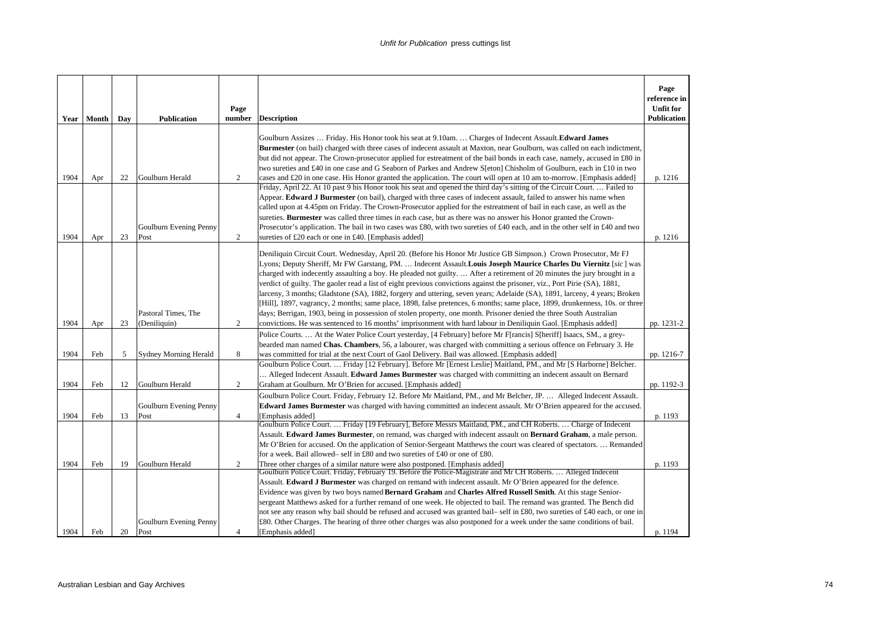|      | Year   Month | Day | <b>Publication</b>             | Page<br>number | <b>Description</b>                                                                                                                                                                                                                                                                                                                                                                                                                                                                                                                                                                                                                                                                                                                                                                                                                                                             | Page<br>reference in<br><b>Unfit for</b><br><b>Publication</b> |
|------|--------------|-----|--------------------------------|----------------|--------------------------------------------------------------------------------------------------------------------------------------------------------------------------------------------------------------------------------------------------------------------------------------------------------------------------------------------------------------------------------------------------------------------------------------------------------------------------------------------------------------------------------------------------------------------------------------------------------------------------------------------------------------------------------------------------------------------------------------------------------------------------------------------------------------------------------------------------------------------------------|----------------------------------------------------------------|
|      |              |     |                                |                |                                                                                                                                                                                                                                                                                                                                                                                                                                                                                                                                                                                                                                                                                                                                                                                                                                                                                |                                                                |
|      |              |     |                                |                | Goulburn Assizes  Friday. His Honor took his seat at 9.10am.  Charges of Indecent Assault. Edward James<br>Burmester (on bail) charged with three cases of indecent assault at Maxton, near Goulburn, was called on each indictment.<br>but did not appear. The Crown-prosecutor applied for estreatment of the bail bonds in each case, namely, accused in £80 in                                                                                                                                                                                                                                                                                                                                                                                                                                                                                                             |                                                                |
|      |              |     |                                |                | two sureties and £40 in one case and G Seaborn of Parkes and Andrew S[eton] Chisholm of Goulburn, each in £10 in two                                                                                                                                                                                                                                                                                                                                                                                                                                                                                                                                                                                                                                                                                                                                                           |                                                                |
| 1904 | Apr          | 22  | Goulburn Herald                | 2              | cases and £20 in one case. His Honor granted the application. The court will open at 10 am to-morrow. [Emphasis added]<br>Friday, April 22. At 10 past 9 his Honor took his seat and opened the third day's sitting of the Circuit Court.  Failed to                                                                                                                                                                                                                                                                                                                                                                                                                                                                                                                                                                                                                           | p. 1216                                                        |
| 1904 | Apr          | 23  | Goulburn Evening Penny<br>Post | $\overline{2}$ | Appear. Edward J Burmester (on bail), charged with three cases of indecent assault, failed to answer his name when<br>called upon at 4.45pm on Friday. The Crown-Prosecutor applied for the estreatment of bail in each case, as well as the<br>sureties. Burmester was called three times in each case, but as there was no answer his Honor granted the Crown-<br>Prosecutor's application. The bail in two cases was £80, with two sureties of £40 each, and in the other self in £40 and two<br>sureties of £20 each or one in £40. [Emphasis added]                                                                                                                                                                                                                                                                                                                       | p. 1216                                                        |
|      |              |     | Pastoral Times, The            |                | Deniliquin Circuit Court. Wednesday, April 20. (Before his Honor Mr Justice GB Simpson.) Crown Prosecutor, Mr FJ<br>Lyons; Deputy Sheriff, Mr FW Garstang, PM.  Indecent Assault.Louis Joseph Maurice Charles Du Viernitz [sic] was<br>charged with indecently assaulting a boy. He pleaded not guilty After a retirement of 20 minutes the jury brought in a<br>verdict of guilty. The gaoler read a list of eight previous convictions against the prisoner, viz., Port Pirie (SA), 1881,<br>larceny, 3 months; Gladstone (SA), 1882, forgery and uttering, seven years; Adelaide (SA), 1891, larceny, 4 years; Broken<br>[Hill], 1897, vagrancy, 2 months; same place, 1898, false pretences, 6 months; same place, 1899, drunkenness, 10s. or three<br>days; Berrigan, 1903, being in possession of stolen property, one month. Prisoner denied the three South Australian |                                                                |
| 1904 | Apr          | 23  | (Deniliquin)                   | 2              | convictions. He was sentenced to 16 months' imprisonment with hard labour in Deniliquin Gaol. [Emphasis added]                                                                                                                                                                                                                                                                                                                                                                                                                                                                                                                                                                                                                                                                                                                                                                 | pp. 1231-2                                                     |
| 1904 | Feb          | 5   | <b>Sydney Morning Herald</b>   | 8              | Police Courts.  At the Water Police Court yesterday, [4 February] before Mr F[rancis] S[heriff] Isaacs, SM., a grey-<br>bearded man named Chas. Chambers, 56, a labourer, was charged with committing a serious offence on February 3. He<br>was committed for trial at the next Court of Gaol Delivery. Bail was allowed. [Emphasis added]                                                                                                                                                                                                                                                                                                                                                                                                                                                                                                                                    | pp. 1216-7                                                     |
| 1904 | Feb          | 12  | Goulburn Herald                | 2              | Goulburn Police Court.  Friday [12 February]. Before Mr [Ernest Leslie] Maitland, PM., and Mr [S Harborne] Belcher.<br>Alleged Indecent Assault. <b>Edward James Burmester</b> was charged with committing an indecent assault on Bernard<br>Graham at Goulburn. Mr O'Brien for accused. [Emphasis added]                                                                                                                                                                                                                                                                                                                                                                                                                                                                                                                                                                      | pp. 1192-3                                                     |
|      |              |     |                                |                | Goulburn Police Court. Friday, February 12. Before Mr Maitland, PM., and Mr Belcher, JP.  Alleged Indecent Assault.                                                                                                                                                                                                                                                                                                                                                                                                                                                                                                                                                                                                                                                                                                                                                            |                                                                |
|      |              |     | Goulburn Evening Penny         |                | Edward James Burmester was charged with having committed an indecent assault. Mr O'Brien appeared for the accused.                                                                                                                                                                                                                                                                                                                                                                                                                                                                                                                                                                                                                                                                                                                                                             |                                                                |
| 1904 | Feb          | 13  | Post                           | $\overline{4}$ | [Emphasis added]                                                                                                                                                                                                                                                                                                                                                                                                                                                                                                                                                                                                                                                                                                                                                                                                                                                               | p. 1193                                                        |
| 1904 | Feb          | 19  | Goulburn Herald                | 2              | Goulburn Police Court.  Friday [19 February], Before Messrs Maitland, PM., and CH Roberts.  Charge of Indecent<br>Assault. Edward James Burmester, on remand, was charged with indecent assault on Bernard Graham, a male person.<br>Mr O'Brien for accused. On the application of Senior-Sergeant Matthews the court was cleared of spectators.  Remanded<br>for a week. Bail allowed– self in £80 and two sureties of £40 or one of £80.<br>Three other charges of a similar nature were also postponed. [Emphasis added]                                                                                                                                                                                                                                                                                                                                                    | p. 1193                                                        |
|      |              |     |                                |                | Goulburn Police Court. Friday, February 19. Before the Police-Magistrate and Mr CH Roberts Alleged Indecent                                                                                                                                                                                                                                                                                                                                                                                                                                                                                                                                                                                                                                                                                                                                                                    |                                                                |
|      |              |     | Goulburn Evening Penny         |                | Assault. Edward J Burmester was charged on remand with indecent assault. Mr O'Brien appeared for the defence.<br>Evidence was given by two boys named Bernard Graham and Charles Alfred Russell Smith. At this stage Senior-<br>sergeant Matthews asked for a further remand of one week. He objected to bail. The remand was granted. The Bench did<br>not see any reason why bail should be refused and accused was granted bail–self in £80, two sureties of £40 each, or one in<br>£80. Other Charges. The hearing of three other charges was also postponed for a week under the same conditions of bail.                                                                                                                                                                                                                                                                 |                                                                |
| 1904 | Feb          | 20  | Post                           | $\overline{4}$ | [Emphasis added]                                                                                                                                                                                                                                                                                                                                                                                                                                                                                                                                                                                                                                                                                                                                                                                                                                                               | p. 1194                                                        |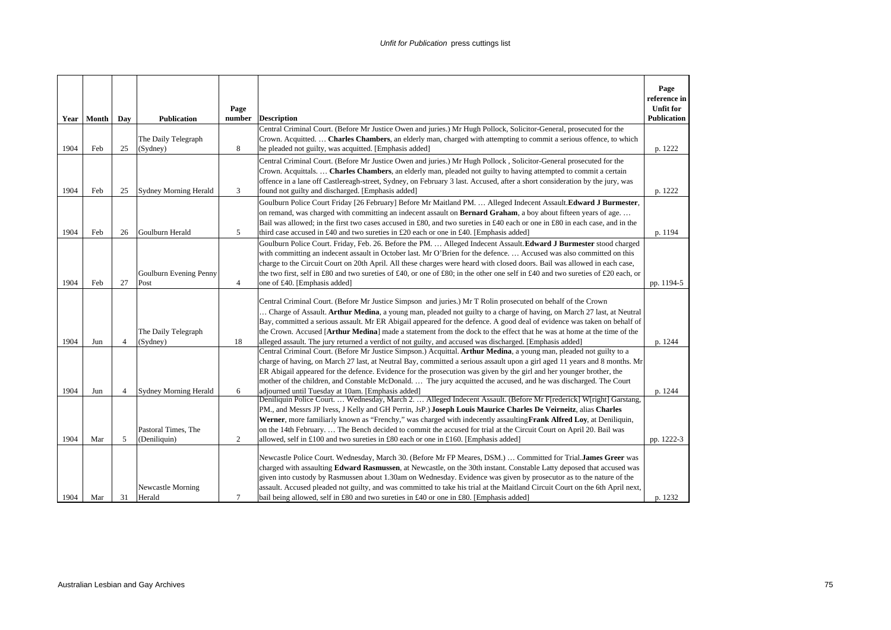|      |            |                |                                 |                |                                                                                                                                                                                                                                                                                                                                                                                                                                                                                                                                                                                                         | Page<br>reference in                   |
|------|------------|----------------|---------------------------------|----------------|---------------------------------------------------------------------------------------------------------------------------------------------------------------------------------------------------------------------------------------------------------------------------------------------------------------------------------------------------------------------------------------------------------------------------------------------------------------------------------------------------------------------------------------------------------------------------------------------------------|----------------------------------------|
|      | Year Month |                | <b>Publication</b>              | Page<br>number | <b>Description</b>                                                                                                                                                                                                                                                                                                                                                                                                                                                                                                                                                                                      | <b>Unfit for</b><br><b>Publication</b> |
|      |            | Day            |                                 |                | Central Criminal Court. (Before Mr Justice Owen and juries.) Mr Hugh Pollock, Solicitor-General, prosecuted for the                                                                                                                                                                                                                                                                                                                                                                                                                                                                                     |                                        |
|      |            |                | The Daily Telegraph             |                | Crown. Acquitted.  Charles Chambers, an elderly man, charged with attempting to commit a serious offence, to which                                                                                                                                                                                                                                                                                                                                                                                                                                                                                      |                                        |
| 1904 | Feb        | 25             | (Sydney)                        | 8              | he pleaded not guilty, was acquitted. [Emphasis added]                                                                                                                                                                                                                                                                                                                                                                                                                                                                                                                                                  | p. 1222                                |
|      |            |                |                                 |                | Central Criminal Court. (Before Mr Justice Owen and juries.) Mr Hugh Pollock, Solicitor-General prosecuted for the                                                                                                                                                                                                                                                                                                                                                                                                                                                                                      |                                        |
|      |            |                |                                 |                | Crown. Acquittals.  Charles Chambers, an elderly man, pleaded not guilty to having attempted to commit a certain                                                                                                                                                                                                                                                                                                                                                                                                                                                                                        |                                        |
|      |            |                |                                 |                | offence in a lane off Castlereagh-street, Sydney, on February 3 last. Accused, after a short consideration by the jury, was                                                                                                                                                                                                                                                                                                                                                                                                                                                                             |                                        |
| 1904 | Feb        | 25             | <b>Sydney Morning Herald</b>    | 3              | found not guilty and discharged. [Emphasis added]                                                                                                                                                                                                                                                                                                                                                                                                                                                                                                                                                       | p. 1222                                |
|      |            |                |                                 |                | Goulburn Police Court Friday [26 February] Before Mr Maitland PM.  Alleged Indecent Assault. Edward J Burmester,                                                                                                                                                                                                                                                                                                                                                                                                                                                                                        |                                        |
|      |            |                |                                 |                | on remand, was charged with committing an indecent assault on <b>Bernard Graham</b> , a boy about fifteen years of age                                                                                                                                                                                                                                                                                                                                                                                                                                                                                  |                                        |
|      |            |                |                                 |                | Bail was allowed; in the first two cases accused in £80, and two sureties in £40 each or one in £80 in each case, and in the                                                                                                                                                                                                                                                                                                                                                                                                                                                                            |                                        |
| 1904 | Feb        | 26             | Goulburn Herald                 | 5              | third case accused in £40 and two sureties in £20 each or one in £40. [Emphasis added]                                                                                                                                                                                                                                                                                                                                                                                                                                                                                                                  | p. 1194                                |
|      |            |                |                                 |                | Goulburn Police Court. Friday, Feb. 26. Before the PM.  Alleged Indecent Assault. Edward J Burmester stood charged                                                                                                                                                                                                                                                                                                                                                                                                                                                                                      |                                        |
|      |            |                |                                 |                | with committing an indecent assault in October last. Mr O'Brien for the defence.  Accused was also committed on this                                                                                                                                                                                                                                                                                                                                                                                                                                                                                    |                                        |
|      |            |                |                                 |                | charge to the Circuit Court on 20th April. All these charges were heard with closed doors. Bail was allowed in each case,                                                                                                                                                                                                                                                                                                                                                                                                                                                                               |                                        |
|      |            |                | Goulburn Evening Penny          |                | the two first, self in £80 and two sureties of £40, or one of £80; in the other one self in £40 and two sureties of £20 each, or                                                                                                                                                                                                                                                                                                                                                                                                                                                                        |                                        |
| 1904 | Feb        | 27             | Post                            | $\overline{4}$ | one of £40. [Emphasis added]                                                                                                                                                                                                                                                                                                                                                                                                                                                                                                                                                                            | pp. 1194-5                             |
| 1904 | Jun        | $\overline{4}$ | The Daily Telegraph<br>(Sydney) | 18             | Central Criminal Court. (Before Mr Justice Simpson and juries.) Mr T Rolin prosecuted on behalf of the Crown<br>Charge of Assault. Arthur Medina, a young man, pleaded not guilty to a charge of having, on March 27 last, at Neutral<br>Bay, committed a serious assault. Mr ER Abigail appeared for the defence. A good deal of evidence was taken on behalf of<br>the Crown. Accused [Arthur Medina] made a statement from the dock to the effect that he was at home at the time of the<br>alleged assault. The jury returned a verdict of not guilty, and accused was discharged. [Emphasis added] | p. 1244                                |
|      |            |                |                                 |                | Central Criminal Court. (Before Mr Justice Simpson.) Acquittal. Arthur Medina, a young man, pleaded not guilty to a<br>charge of having, on March 27 last, at Neutral Bay, committed a serious assault upon a girl aged 11 years and 8 months. Mr<br>ER Abigail appeared for the defence. Evidence for the prosecution was given by the girl and her younger brother, the<br>mother of the children, and Constable McDonald.  The jury acquitted the accused, and he was discharged. The Court                                                                                                          |                                        |
| 1904 | Jun        | $\overline{4}$ | <b>Sydney Morning Herald</b>    | 6              | adjourned until Tuesday at 10am. [Emphasis added]<br>Deniliquin Police Court.  Wednesday, March 2.  Alleged Indecent Assault. (Before Mr F[rederick] W[right] Garstang,                                                                                                                                                                                                                                                                                                                                                                                                                                 | p. 1244                                |
|      |            |                |                                 |                | PM., and Messrs JP Ivess, J Kelly and GH Perrin, JsP.) Joseph Louis Maurice Charles De Veirneitz, alias Charles                                                                                                                                                                                                                                                                                                                                                                                                                                                                                         |                                        |
|      |            |                |                                 |                | Werner, more familiarly known as "Frenchy," was charged with indecently assaulting Frank Alfred Loy, at Deniliquin,                                                                                                                                                                                                                                                                                                                                                                                                                                                                                     |                                        |
|      |            |                | Pastoral Times, The             |                | on the 14th February The Bench decided to commit the accused for trial at the Circuit Court on April 20. Bail was                                                                                                                                                                                                                                                                                                                                                                                                                                                                                       |                                        |
| 1904 | Mar        | 5              | (Deniliquin)                    | 2              | allowed, self in £100 and two sureties in £80 each or one in £160. [Emphasis added]                                                                                                                                                                                                                                                                                                                                                                                                                                                                                                                     | pp. 1222-3                             |
|      |            |                | Newcastle Morning               |                | Newcastle Police Court. Wednesday, March 30. (Before Mr FP Meares, DSM.)  Committed for Trial.James Greer was<br>charged with assaulting Edward Rasmussen, at Newcastle, on the 30th instant. Constable Latty deposed that accused was<br>given into custody by Rasmussen about 1.30am on Wednesday. Evidence was given by prosecutor as to the nature of the<br>assault. Accused pleaded not guilty, and was committed to take his trial at the Maitland Circuit Court on the 6th April next,                                                                                                          |                                        |
| 1904 | Mar        | 31             | Herald                          | $\tau$         | bail being allowed, self in £80 and two sureties in £40 or one in £80. [Emphasis added]                                                                                                                                                                                                                                                                                                                                                                                                                                                                                                                 | p. 1232                                |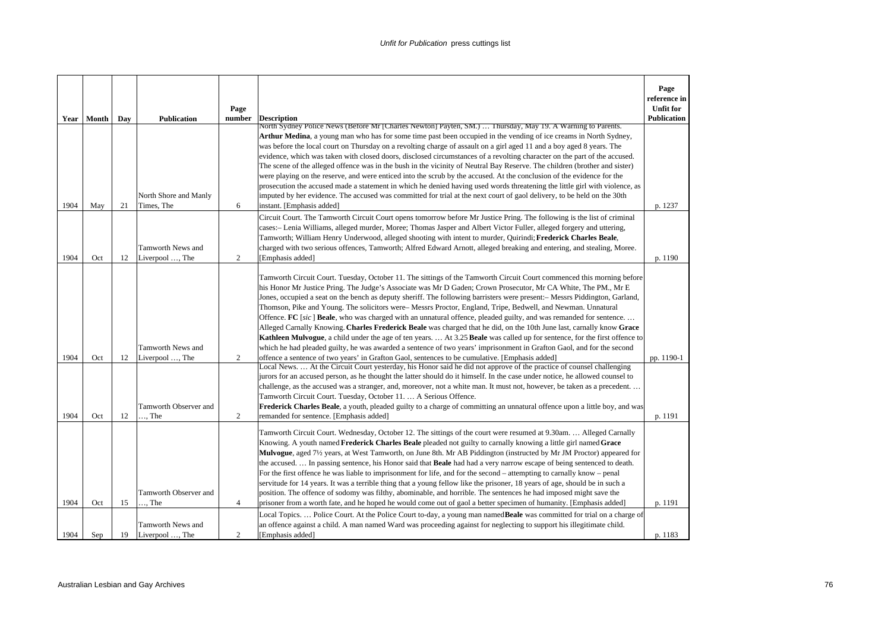|      |            |     |                                       |                |                                                                                                                                                                                                                                                         | Page<br>reference in                   |
|------|------------|-----|---------------------------------------|----------------|---------------------------------------------------------------------------------------------------------------------------------------------------------------------------------------------------------------------------------------------------------|----------------------------------------|
|      | Year Month | Day | <b>Publication</b>                    | Page<br>number | <b>Description</b>                                                                                                                                                                                                                                      | <b>Unfit for</b><br><b>Publication</b> |
|      |            |     |                                       |                | North Sydney Police News (Before Mr [Charles Newton] Payten, SM.)  Thursday, May 19. A Warning to Parents.                                                                                                                                              |                                        |
|      |            |     |                                       |                | <b>Arthur Medina</b> , a young man who has for some time past been occupied in the vending of ice creams in North Sydney,<br>was before the local court on Thursday on a revolting charge of assault on a girl aged 11 and a boy aged 8 years. The      |                                        |
|      |            |     |                                       |                | evidence, which was taken with closed doors, disclosed circumstances of a revolting character on the part of the accused.                                                                                                                               |                                        |
|      |            |     |                                       |                | The scene of the alleged offence was in the bush in the vicinity of Neutral Bay Reserve. The children (brother and sister)<br>were playing on the reserve, and were enticed into the scrub by the accused. At the conclusion of the evidence for the    |                                        |
|      |            |     |                                       |                | prosecution the accused made a statement in which he denied having used words threatening the little girl with violence, as                                                                                                                             |                                        |
|      |            |     | North Shore and Manly                 |                | imputed by her evidence. The accused was committed for trial at the next court of gaol delivery, to be held on the 30th                                                                                                                                 |                                        |
| 1904 | May        | 21  | Times, The                            | 6              | instant. [Emphasis added]                                                                                                                                                                                                                               | p. 1237                                |
|      |            |     |                                       |                | Circuit Court. The Tamworth Circuit Court opens tomorrow before Mr Justice Pring. The following is the list of criminal<br>cases:- Lenia Williams, alleged murder, Moree; Thomas Jasper and Albert Victor Fuller, alleged forgery and uttering,         |                                        |
|      |            |     |                                       |                | Tamworth; William Henry Underwood, alleged shooting with intent to murder, Quirindi; Frederick Charles Beale,                                                                                                                                           |                                        |
|      |            |     | Tamworth News and                     |                | charged with two serious offences, Tamworth; Alfred Edward Arnott, alleged breaking and entering, and stealing, Moree.                                                                                                                                  |                                        |
| 1904 | Oct        | 12  | Liverpool , The                       | 2              | [Emphasis added]                                                                                                                                                                                                                                        | p. 1190                                |
|      |            |     |                                       |                | Tamworth Circuit Court. Tuesday, October 11. The sittings of the Tamworth Circuit Court commenced this morning before                                                                                                                                   |                                        |
|      |            |     |                                       |                | his Honor Mr Justice Pring. The Judge's Associate was Mr D Gaden; Crown Prosecutor, Mr CA White, The PM., Mr E                                                                                                                                          |                                        |
|      |            |     |                                       |                | Jones, occupied a seat on the bench as deputy sheriff. The following barristers were present:- Messrs Piddington, Garland,<br>Thomson, Pike and Young. The solicitors were–Messrs Proctor, England, Tripe, Bedwell, and Newman. Unnatural               |                                        |
|      |            |     |                                       |                | Offence. FC [sic] Beale, who was charged with an unnatural offence, pleaded guilty, and was remanded for sentence                                                                                                                                       |                                        |
|      |            |     |                                       |                | Alleged Carnally Knowing. Charles Frederick Beale was charged that he did, on the 10th June last, carnally know Grace                                                                                                                                   |                                        |
|      |            |     | Tamworth News and                     |                | Kathleen Mulvogue, a child under the age of ten years.  At 3.25 Beale was called up for sentence, for the first offence to<br>which he had pleaded guilty, he was awarded a sentence of two years' imprisonment in Grafton Gaol, and for the second     |                                        |
| 1904 | Oct        | 12  | Liverpool , The                       | 2              | offence a sentence of two years' in Grafton Gaol, sentences to be cumulative. [Emphasis added]                                                                                                                                                          | pp. 1190-1                             |
|      |            |     |                                       |                | Local News.  At the Circuit Court yesterday, his Honor said he did not approve of the practice of counsel challenging                                                                                                                                   |                                        |
|      |            |     |                                       |                | jurors for an accused person, as he thought the latter should do it himself. In the case under notice, he allowed counsel to<br>challenge, as the accused was a stranger, and, moreover, not a white man. It must not, however, be taken as a precedent |                                        |
|      |            |     |                                       |                | Tamworth Circuit Court. Tuesday, October 11.  A Serious Offence.                                                                                                                                                                                        |                                        |
| 1904 | Oct        | 12  | Tamworth Observer and<br>$\ldots$ The | 2              | Frederick Charles Beale, a youth, pleaded guilty to a charge of committing an unnatural offence upon a little boy, and was                                                                                                                              |                                        |
|      |            |     |                                       |                | remanded for sentence. [Emphasis added]                                                                                                                                                                                                                 | p. 1191                                |
|      |            |     |                                       |                | Tamworth Circuit Court. Wednesday, October 12. The sittings of the court were resumed at 9.30am Alleged Carnally<br>Knowing. A youth named Frederick Charles Beale pleaded not guilty to carnally knowing a little girl named Grace                     |                                        |
|      |            |     |                                       |                | Mulvogue, aged 71/2 years, at West Tamworth, on June 8th. Mr AB Piddington (instructed by Mr JM Proctor) appeared for                                                                                                                                   |                                        |
|      |            |     |                                       |                | the accused In passing sentence, his Honor said that <b>Beale</b> had had a very narrow escape of being sentenced to death.                                                                                                                             |                                        |
|      |            |     |                                       |                | For the first offence he was liable to imprisonment for life, and for the second – attempting to carnally know – penal                                                                                                                                  |                                        |
|      |            |     | Tamworth Observer and                 |                | servitude for 14 years. It was a terrible thing that a young fellow like the prisoner, 18 years of age, should be in such a<br>position. The offence of sodomy was filthy, abominable, and horrible. The sentences he had imposed might save the        |                                        |
| 1904 | Oct        | 15  | $\ldots$ The                          | $\overline{4}$ | prisoner from a worth fate, and he hoped he would come out of gaol a better specimen of humanity. [Emphasis added]                                                                                                                                      | p. 1191                                |
|      |            |     |                                       |                | Local Topics.  Police Court. At the Police Court to-day, a young man named <b>Beale</b> was committed for trial on a charge of                                                                                                                          |                                        |
| 1904 |            |     | Tamworth News and                     | $\overline{2}$ | an offence against a child. A man named Ward was proceeding against for neglecting to support his illegitimate child.                                                                                                                                   |                                        |
|      | Sep        | 19  | Liverpool , The                       |                | [Emphasis added]                                                                                                                                                                                                                                        | p. 1183                                |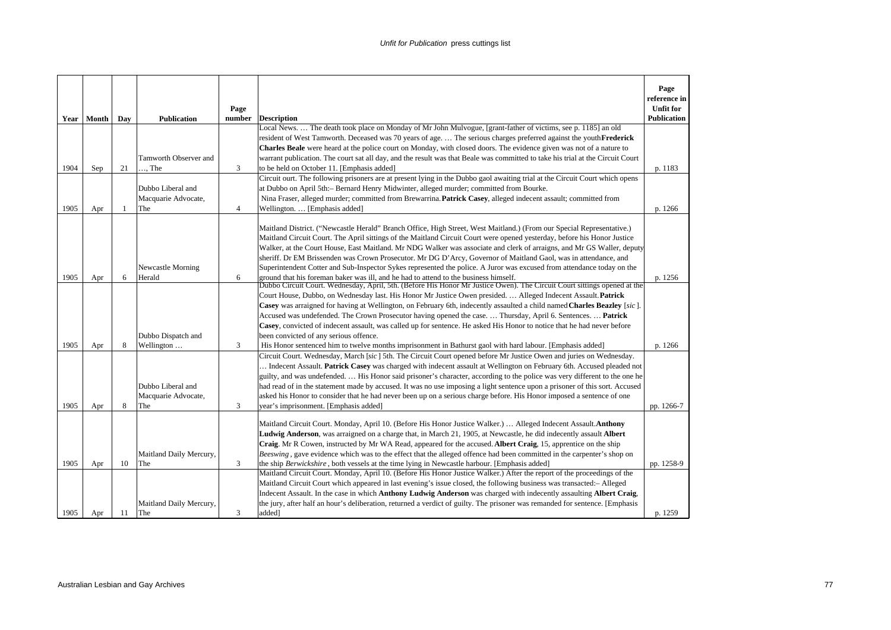| Year | Month | Day | <b>Publication</b>      | Page<br>number | <b>Description</b>                                                                                                                                                                                                                                        | Page<br>reference in<br><b>Unfit for</b><br><b>Publication</b> |
|------|-------|-----|-------------------------|----------------|-----------------------------------------------------------------------------------------------------------------------------------------------------------------------------------------------------------------------------------------------------------|----------------------------------------------------------------|
|      |       |     |                         |                | Local News.  The death took place on Monday of Mr John Mulvogue, [grant-father of victims, see p. 1185] an old                                                                                                                                            |                                                                |
|      |       |     |                         |                | resident of West Tamworth. Deceased was 70 years of age.  The serious charges preferred against the youthFrederick                                                                                                                                        |                                                                |
|      |       |     |                         |                | <b>Charles Beale</b> were heard at the police court on Monday, with closed doors. The evidence given was not of a nature to                                                                                                                               |                                                                |
|      |       |     | Tamworth Observer and   |                | warrant publication. The court sat all day, and the result was that Beale was committed to take his trial at the Circuit Court                                                                                                                            |                                                                |
| 1904 | Sep   | 21  | $\ldots$ The            | 3              | to be held on October 11. [Emphasis added]                                                                                                                                                                                                                | p. 1183                                                        |
|      |       |     |                         |                | Circuit ourt. The following prisoners are at present lying in the Dubbo gaol awaiting trial at the Circuit Court which opens                                                                                                                              |                                                                |
|      |       |     | Dubbo Liberal and       |                | at Dubbo on April 5th:- Bernard Henry Midwinter, alleged murder; committed from Bourke.                                                                                                                                                                   |                                                                |
|      |       |     | Macquarie Advocate,     |                | Nina Fraser, alleged murder; committed from Brewarrina. <b>Patrick Casey</b> , alleged indecent assault; committed from                                                                                                                                   |                                                                |
| 1905 | Apr   | -1  | The                     | $\overline{4}$ | Wellington [Emphasis added]                                                                                                                                                                                                                               | p. 1266                                                        |
|      |       |     |                         |                | Maitland District. ("Newcastle Herald" Branch Office, High Street, West Maitland.) (From our Special Representative.)                                                                                                                                     |                                                                |
|      |       |     |                         |                | Maitland Circuit Court. The April sittings of the Maitland Circuit Court were opened yesterday, before his Honor Justice                                                                                                                                  |                                                                |
|      |       |     |                         |                | Walker, at the Court House, East Maitland. Mr NDG Walker was associate and clerk of arraigns, and Mr GS Waller, deputy                                                                                                                                    |                                                                |
|      |       |     |                         |                | sheriff. Dr EM Brissenden was Crown Prosecutor. Mr DG D'Arcy, Governor of Maitland Gaol, was in attendance, and                                                                                                                                           |                                                                |
|      |       |     | Newcastle Morning       |                | Superintendent Cotter and Sub-Inspector Sykes represented the police. A Juror was excused from attendance today on the                                                                                                                                    |                                                                |
| 1905 | Apr   | 6   | Herald                  | 6              | ground that his foreman baker was ill, and he had to attend to the business himself.                                                                                                                                                                      | p. 1256                                                        |
|      |       |     |                         |                | Dubbo Circuit Court. Wednesday, April, 5th. (Before His Honor Mr Justice Owen). The Circuit Court sittings opened at the                                                                                                                                  |                                                                |
|      |       |     |                         |                | Court House, Dubbo, on Wednesday last. His Honor Mr Justice Owen presided.  Alleged Indecent Assault. Patrick                                                                                                                                             |                                                                |
|      |       |     |                         |                | Casey was arraigned for having at Wellington, on February 6th, indecently assaulted a child named Charles Beazley [sic].                                                                                                                                  |                                                                |
|      |       |     |                         |                | Accused was undefended. The Crown Prosecutor having opened the case.  Thursday, April 6. Sentences.  Patrick                                                                                                                                              |                                                                |
|      |       |     |                         |                | Casey, convicted of indecent assault, was called up for sentence. He asked His Honor to notice that he had never before                                                                                                                                   |                                                                |
|      |       |     | Dubbo Dispatch and      |                | been convicted of any serious offence.                                                                                                                                                                                                                    |                                                                |
| 1905 | Apr   | 8   | Wellington              | 3              | His Honor sentenced him to twelve months imprisonment in Bathurst gaol with hard labour. [Emphasis added]                                                                                                                                                 | p. 1266                                                        |
|      |       |     |                         |                | Circuit Court. Wednesday, March [sic] 5th. The Circuit Court opened before Mr Justice Owen and juries on Wednesday.                                                                                                                                       |                                                                |
|      |       |     |                         |                | Indecent Assault. Patrick Casey was charged with indecent assault at Wellington on February 6th. Accused pleaded not                                                                                                                                      |                                                                |
|      |       |     | Dubbo Liberal and       |                | guilty, and was undefended.  His Honor said prisoner's character, according to the police was very different to the one he<br>had read of in the statement made by accused. It was no use imposing a light sentence upon a prisoner of this sort. Accused |                                                                |
|      |       |     | Macquarie Advocate,     |                | asked his Honor to consider that he had never been up on a serious charge before. His Honor imposed a sentence of one                                                                                                                                     |                                                                |
| 1905 | Apr   | 8   | The                     | 3              | year's imprisonment. [Emphasis added]                                                                                                                                                                                                                     | pp. 1266-7                                                     |
|      |       |     |                         |                |                                                                                                                                                                                                                                                           |                                                                |
|      |       |     |                         |                | Maitland Circuit Court. Monday, April 10. (Before His Honor Justice Walker.)  Alleged Indecent Assault. Anthony                                                                                                                                           |                                                                |
|      |       |     |                         |                | Ludwig Anderson, was arraigned on a charge that, in March 21, 1905, at Newcastle, he did indecently assault Albert                                                                                                                                        |                                                                |
|      |       |     |                         |                | Craig. Mr R Cowen, instructed by Mr WA Read, appeared for the accused. Albert Craig, 15, apprentice on the ship                                                                                                                                           |                                                                |
|      |       |     | Maitland Daily Mercury, |                | Beeswing, gave evidence which was to the effect that the alleged offence had been committed in the carpenter's shop on                                                                                                                                    |                                                                |
| 1905 | Apr   | 10  | The                     | 3              | the ship Berwickshire, both vessels at the time lying in Newcastle harbour. [Emphasis added]                                                                                                                                                              | pp. 1258-9                                                     |
|      |       |     |                         |                | Maitland Circuit Court. Monday, April 10. (Before His Honor Justice Walker.) After the report of the proceedings of the                                                                                                                                   |                                                                |
|      |       |     |                         |                | Maitland Circuit Court which appeared in last evening's issue closed, the following business was transacted: - Alleged                                                                                                                                    |                                                                |
|      |       |     |                         |                | Indecent Assault. In the case in which Anthony Ludwig Anderson was charged with indecently assaulting Albert Craig,                                                                                                                                       |                                                                |
|      |       |     | Maitland Daily Mercury, |                | the jury, after half an hour's deliberation, returned a verdict of guilty. The prisoner was remanded for sentence. [Emphasis                                                                                                                              |                                                                |
| 1905 | Apr   | 11  | The                     | 3              | added]                                                                                                                                                                                                                                                    | p. 1259                                                        |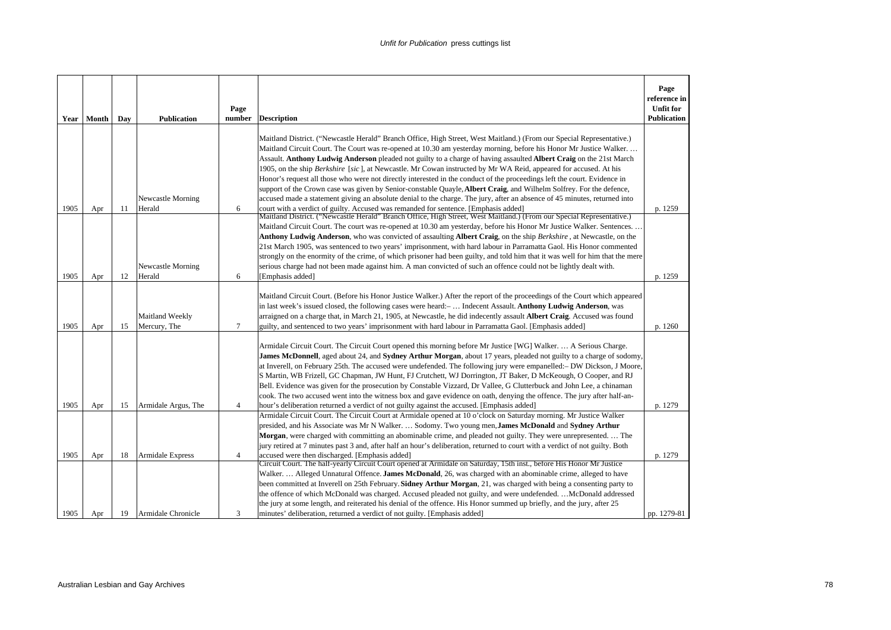| Year         | Month      | Day      | <b>Publication</b>                            | Page<br>number      | <b>Description</b>                                                                                                                                                                                                                                                                                                                                                                                                                                                                                                                                                                                                                                                                                                                                                                                                                                                   | Page<br>reference in<br><b>Unfit for</b><br><b>Publication</b> |
|--------------|------------|----------|-----------------------------------------------|---------------------|----------------------------------------------------------------------------------------------------------------------------------------------------------------------------------------------------------------------------------------------------------------------------------------------------------------------------------------------------------------------------------------------------------------------------------------------------------------------------------------------------------------------------------------------------------------------------------------------------------------------------------------------------------------------------------------------------------------------------------------------------------------------------------------------------------------------------------------------------------------------|----------------------------------------------------------------|
|              |            |          | Newcastle Morning                             |                     | Maitland District. ("Newcastle Herald" Branch Office, High Street, West Maitland.) (From our Special Representative.)<br>Maitland Circuit Court. The Court was re-opened at 10.30 am yesterday morning, before his Honor Mr Justice Walker<br>Assault. Anthony Ludwig Anderson pleaded not guilty to a charge of having assaulted Albert Craig on the 21st March<br>1905, on the ship Berkshire [sic], at Newcastle. Mr Cowan instructed by Mr WA Reid, appeared for accused. At his<br>Honor's request all those who were not directly interested in the conduct of the proceedings left the court. Evidence in<br>support of the Crown case was given by Senior-constable Quayle, Albert Craig, and Wilhelm Solfrey. For the defence,<br>accused made a statement giving an absolute denial to the charge. The jury, after an absence of 45 minutes, returned into |                                                                |
| 1905<br>1905 | Apr<br>Apr | 11<br>12 | Herald<br>Newcastle Morning<br>Herald         | 6<br>6              | court with a verdict of guilty. Accused was remanded for sentence. [Emphasis added]<br>Maitland District. ("Newcastle Herald" Branch Office, High Street, West Maitland.) (From our Special Representative.)<br>Maitland Circuit Court. The court was re-opened at 10.30 am yesterday, before his Honor Mr Justice Walker. Sentences<br>Anthony Ludwig Anderson, who was convicted of assaulting Albert Craig, on the ship Berkshire, at Newcastle, on the<br>21st March 1905, was sentenced to two years' imprisonment, with hard labour in Parramatta Gaol. His Honor commented<br>strongly on the enormity of the crime, of which prisoner had been guilty, and told him that it was well for him that the mere<br>serious charge had not been made against him. A man convicted of such an offence could not be lightly dealt with.<br>[Emphasis added]          | p. 1259<br>p. 1259                                             |
| 1905         | Apr        | 15       | <b>Maitland Weekly</b><br>Mercury, The        | $\tau$              | Maitland Circuit Court. (Before his Honor Justice Walker.) After the report of the proceedings of the Court which appeared<br>in last week's issued closed, the following cases were heard:-  Indecent Assault. Anthony Ludwig Anderson, was<br>arraigned on a charge that, in March 21, 1905, at Newcastle, he did indecently assault <b>Albert Craig</b> . Accused was found<br>guilty, and sentenced to two years' imprisonment with hard labour in Parramatta Gaol. [Emphasis added]                                                                                                                                                                                                                                                                                                                                                                             | p. 1260                                                        |
| 1905         | Apr        | 15       | Armidale Argus, The                           | $\overline{4}$      | Armidale Circuit Court. The Circuit Court opened this morning before Mr Justice [WG] Walker.  A Serious Charge.<br>James McDonnell, aged about 24, and Sydney Arthur Morgan, about 17 years, pleaded not guilty to a charge of sodomy,<br>at Inverell, on February 25th. The accused were undefended. The following jury were empanelled: - DW Dickson, J Moore,<br>S Martin, WB Frizell, GC Chapman, JW Hunt, FJ Crutchett, WJ Dorrington, JT Baker, D McKeough, O Cooper, and RJ<br>Bell. Evidence was given for the prosecution by Constable Vizzard, Dr Vallee, G Clutterbuck and John Lee, a chinaman<br>cook. The two accused went into the witness box and gave evidence on oath, denying the offence. The jury after half-an-<br>hour's deliberation returned a verdict of not guilty against the accused. [Emphasis added]                                  | p. 1279                                                        |
|              |            |          |                                               |                     | Armidale Circuit Court. The Circuit Court at Armidale opened at 10 o'clock on Saturday morning. Mr Justice Walker<br>presided, and his Associate was Mr N Walker.  Sodomy. Two young men, James McDonald and Sydney Arthur<br>Morgan, were charged with committing an abominable crime, and pleaded not guilty. They were unrepresented The<br>jury retired at 7 minutes past 3 and, after half an hour's deliberation, returned to court with a verdict of not guilty. Both                                                                                                                                                                                                                                                                                                                                                                                         |                                                                |
| 1905<br>1905 | Apr<br>Apr | 18<br>19 | <b>Armidale Express</b><br>Armidale Chronicle | $\overline{4}$<br>3 | accused were then discharged. [Emphasis added]<br>Circuit Court. The half-yearly Circuit Court opened at Armidale on Saturday, 15th inst., before His Honor Mr Justice<br>Walker.  Alleged Unnatural Offence. James McDonald, 26, was charged with an abominable crime, alleged to have<br>been committed at Inverell on 25th February. Sidney Arthur Morgan, 21, was charged with being a consenting party to<br>the offence of which McDonald was charged. Accused pleaded not guilty, and were undefended.  McDonald addressed<br>the jury at some length, and reiterated his denial of the offence. His Honor summed up briefly, and the jury, after 25<br>minutes' deliberation, returned a verdict of not guilty. [Emphasis added]                                                                                                                             | p. 1279<br>pp. 1279-81                                         |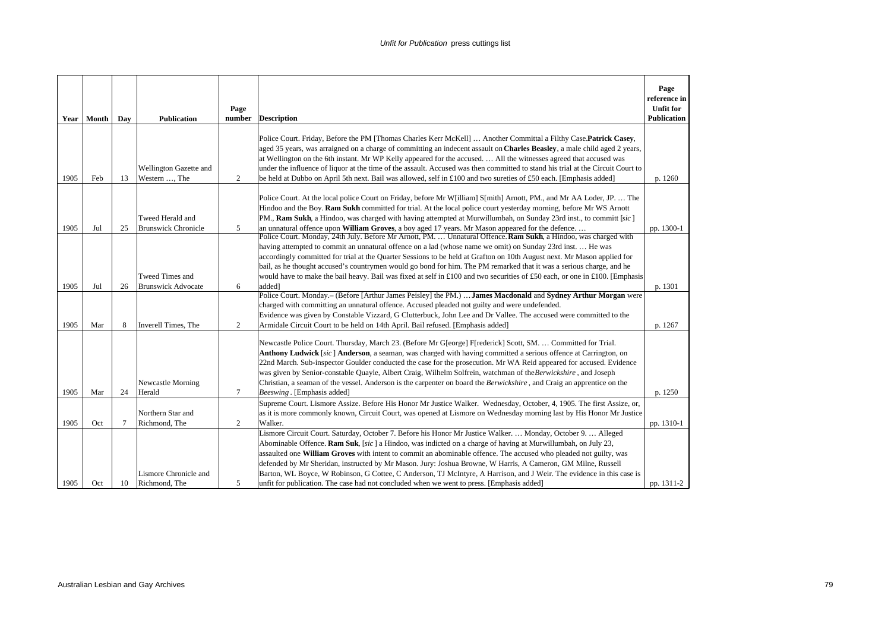|      | Year Month | Day    | <b>Publication</b>                             | Page<br>number | <b>Description</b>                                                                                                                                                                                                                                                                                                                                                                                                                                                                                                                                                                                                                                                                      | Page<br>reference in<br><b>Unfit for</b><br><b>Publication</b> |
|------|------------|--------|------------------------------------------------|----------------|-----------------------------------------------------------------------------------------------------------------------------------------------------------------------------------------------------------------------------------------------------------------------------------------------------------------------------------------------------------------------------------------------------------------------------------------------------------------------------------------------------------------------------------------------------------------------------------------------------------------------------------------------------------------------------------------|----------------------------------------------------------------|
| 1905 | Feb        | 13     | Wellington Gazette and<br>Western , The        | $\overline{c}$ | Police Court. Friday, Before the PM [Thomas Charles Kerr McKell]  Another Committal a Filthy Case.Patrick Casey,<br>aged 35 years, was arraigned on a charge of committing an indecent assault on Charles Beasley, a male child aged 2 years,<br>at Wellington on the 6th instant. Mr WP Kelly appeared for the accused.  All the witnesses agreed that accused was<br>under the influence of liquor at the time of the assault. Accused was then committed to stand his trial at the Circuit Court to<br>be held at Dubbo on April 5th next. Bail was allowed, self in £100 and two sureties of £50 each. [Emphasis added]                                                             | p. 1260                                                        |
| 1905 | Jul        | 25     | Tweed Herald and<br><b>Brunswick Chronicle</b> | 5              | Police Court. At the local police Court on Friday, before Mr W[illiam] S[mith] Arnott, PM., and Mr AA Loder, JP.  The<br>Hindoo and the Boy. Ram Sukh committed for trial. At the local police court yesterday morning, before Mr WS Arnott<br>PM., Ram Sukh, a Hindoo, was charged with having attempted at Murwillumbah, on Sunday 23rd inst., to committ [sic]<br>an unnatural offence upon William Groves, a boy aged 17 years. Mr Mason appeared for the defence                                                                                                                                                                                                                   | pp. 1300-1                                                     |
|      |            |        | Tweed Times and                                |                | Police Court. Monday, 24th July. Before Mr Arnott, PM.  Unnatural Offence. Ram Sukh, a Hindoo, was charged with<br>having attempted to commit an unnatural offence on a lad (whose name we omit) on Sunday 23rd inst.  He was<br>accordingly committed for trial at the Quarter Sessions to be held at Grafton on 10th August next. Mr Mason applied for<br>bail, as he thought accused's countrymen would go bond for him. The PM remarked that it was a serious charge, and he<br>would have to make the bail heavy. Bail was fixed at self in £100 and two securities of £50 each, or one in £100. [Emphasis                                                                         |                                                                |
| 1905 | Jul        | 26     | <b>Brunswick Advocate</b>                      | 6              | added]<br>Police Court. Monday.- (Before [Arthur James Peisley] the PM.)  James Macdonald and Sydney Arthur Morgan were                                                                                                                                                                                                                                                                                                                                                                                                                                                                                                                                                                 | p. 1301                                                        |
| 1905 | Mar        | 8      | Inverell Times, The                            | $\overline{c}$ | charged with committing an unnatural offence. Accused pleaded not guilty and were undefended.<br>Evidence was given by Constable Vizzard, G Clutterbuck, John Lee and Dr Vallee. The accused were committed to the<br>Armidale Circuit Court to be held on 14th April. Bail refused. [Emphasis added]                                                                                                                                                                                                                                                                                                                                                                                   | p. 1267                                                        |
| 1905 | Mar        | 24     | Newcastle Morning<br>Herald                    | $\tau$         | Newcastle Police Court. Thursday, March 23. (Before Mr G[eorge] F[rederick] Scott, SM.  Committed for Trial.<br>Anthony Ludwick [sic] Anderson, a seaman, was charged with having committed a serious offence at Carrington, on<br>22nd March. Sub-inspector Goulder conducted the case for the prosecution. Mr WA Reid appeared for accused. Evidence<br>was given by Senior-constable Quayle, Albert Craig, Wilhelm Solfrein, watchman of the Berwickshire, and Joseph<br>Christian, a seaman of the vessel. Anderson is the carpenter on board the Berwickshire, and Craig an apprentice on the<br>Beeswing . [Emphasis added]                                                       | p. 1250                                                        |
|      |            |        | Northern Star and                              |                | Supreme Court. Lismore Assize. Before His Honor Mr Justice Walker. Wednesday, October, 4, 1905. The first Assize, or,                                                                                                                                                                                                                                                                                                                                                                                                                                                                                                                                                                   |                                                                |
| 1905 | Oct        | $\tau$ | Richmond, The                                  | 2              | as it is more commonly known, Circuit Court, was opened at Lismore on Wednesday morning last by His Honor Mr Justice<br>Walker.                                                                                                                                                                                                                                                                                                                                                                                                                                                                                                                                                         | pp. 1310-1                                                     |
| 1905 | Oct        | 10     | Lismore Chronicle and<br>Richmond. The         | 5              | Lismore Circuit Court. Saturday, October 7. Before his Honor Mr Justice Walker.  Monday, October 9.  Alleged<br>Abominable Offence. Ram Suk, [sic] a Hindoo, was indicted on a charge of having at Murwillumbah, on July 23,<br>assaulted one William Groves with intent to commit an abominable offence. The accused who pleaded not guilty, was<br>defended by Mr Sheridan, instructed by Mr Mason. Jury: Joshua Browne, W Harris, A Cameron, GM Milne, Russell<br>Barton, WL Boyce, W Robinson, G Cottee, C Anderson, TJ McIntyre, A Harrison, and J Weir. The evidence in this case is<br>unfit for publication. The case had not concluded when we went to press. [Emphasis added] | pp. 1311-2                                                     |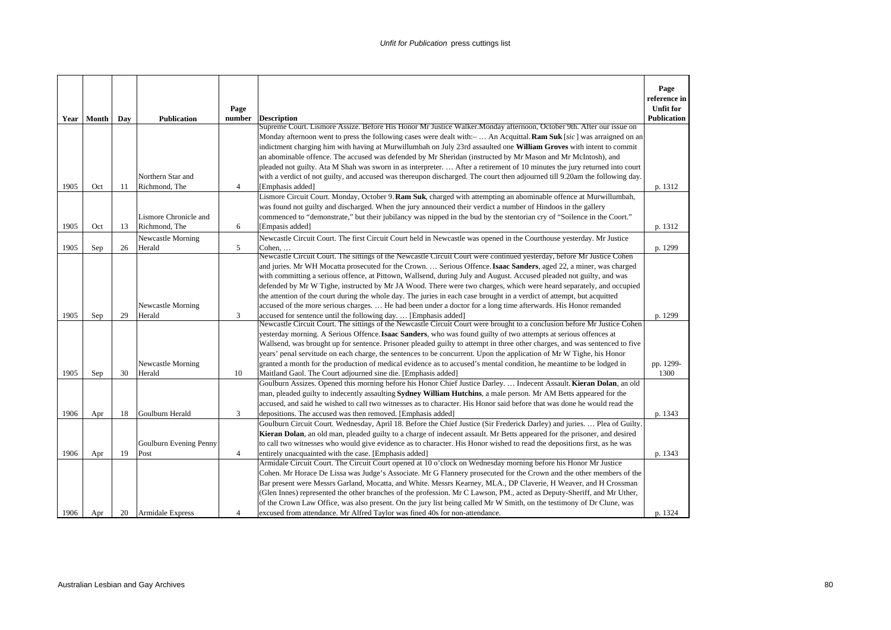| Year | Month | Day | <b>Publication</b>      | Page<br>number | <b>Description</b>                                                                                                                                                                                                                       | Page<br>reference in<br><b>Unfit for</b><br><b>Publication</b> |
|------|-------|-----|-------------------------|----------------|------------------------------------------------------------------------------------------------------------------------------------------------------------------------------------------------------------------------------------------|----------------------------------------------------------------|
|      |       |     |                         |                | Supreme Court. Lismore Assize. Before His Honor Mr Justice Walker. Monday afternoon, October 9th. After our issue on                                                                                                                     |                                                                |
|      |       |     |                         |                | Monday afternoon went to press the following cases were dealt with:-  An Acquittal. <b>Ram Suk</b> [sic] was arraigned on an                                                                                                             |                                                                |
|      |       |     |                         |                | indictment charging him with having at Murwillumbah on July 23rd assaulted one William Groves with intent to commit                                                                                                                      |                                                                |
|      |       |     |                         |                | an abominable offence. The accused was defended by Mr Sheridan (instructed by Mr Mason and Mr McIntosh), and                                                                                                                             |                                                                |
|      |       |     |                         |                | pleaded not guilty. Ata M Shah was sworn in as interpreter.  After a retirement of 10 minutes the jury returned into court                                                                                                               |                                                                |
|      |       |     | Northern Star and       |                | with a verdict of not guilty, and accused was thereupon discharged. The court then adjourned till 9.20am the following day.                                                                                                              |                                                                |
| 1905 | Oct   | 11  | Richmond, The           | $\overline{4}$ | [Emphasis added]                                                                                                                                                                                                                         | p. 1312                                                        |
|      |       |     |                         |                | Lismore Circuit Court. Monday, October 9. Ram Suk, charged with attempting an abominable offence at Murwillumbah,                                                                                                                        |                                                                |
|      |       |     | Lismore Chronicle and   |                | was found not guilty and discharged. When the jury announced their verdict a number of Hindoos in the gallery<br>commenced to "demonstrate," but their jubilancy was nipped in the bud by the stentorian cry of "Soilence in the Coort." |                                                                |
| 1905 | Oct   | 13  | Richmond, The           | 6              | [Empasis added]                                                                                                                                                                                                                          | p. 1312                                                        |
|      |       |     | Newcastle Morning       |                | Newcastle Circuit Court. The first Circuit Court held in Newcastle was opened in the Courthouse yesterday. Mr Justice                                                                                                                    |                                                                |
| 1905 | Sep   | 26  | Herald                  | 5              | Cohen,                                                                                                                                                                                                                                   | p. 1299                                                        |
|      |       |     |                         |                | Newcastle Circuit Court. The sittings of the Newcastle Circuit Court were continued yesterday, before Mr Justice Cohen                                                                                                                   |                                                                |
|      |       |     |                         |                | and juries. Mr WH Mocatta prosecuted for the Crown.  Serious Offence. Isaac Sanders, aged 22, a miner, was charged                                                                                                                       |                                                                |
|      |       |     |                         |                | with committing a serious offence, at Pittown, Wallsend, during July and August. Accused pleaded not guilty, and was                                                                                                                     |                                                                |
|      |       |     |                         |                | defended by Mr W Tighe, instructed by Mr JA Wood. There were two charges, which were heard separately, and occupied                                                                                                                      |                                                                |
|      |       |     |                         |                | the attention of the court during the whole day. The juries in each case brought in a verdict of attempt, but acquitted                                                                                                                  |                                                                |
|      |       |     | Newcastle Morning       |                | accused of the more serious charges.  He had been under a doctor for a long time afterwards. His Honor remanded                                                                                                                          |                                                                |
| 1905 | Sep   | 29  | Herald                  | 3              | accused for sentence until the following day [Emphasis added]<br>Newcastle Circuit Court. The sittings of the Newcastle Circuit Court were brought to a conclusion before Mr Justice Cohen                                               | p. 1299                                                        |
|      |       |     |                         |                | yesterday morning. A Serious Offence. Isaac Sanders, who was found guilty of two attempts at serious offences at                                                                                                                         |                                                                |
|      |       |     |                         |                | Wallsend, was brought up for sentence. Prisoner pleaded guilty to attempt in three other charges, and was sentenced to five                                                                                                              |                                                                |
|      |       |     |                         |                | years' penal servitude on each charge, the sentences to be concurrent. Upon the application of Mr W Tighe, his Honor                                                                                                                     |                                                                |
|      |       |     | Newcastle Morning       |                | granted a month for the production of medical evidence as to accused's mental condition, he meantime to be lodged in                                                                                                                     | pp. 1299-                                                      |
| 1905 | Sep   | 30  | Herald                  | 10             | Maitland Gaol. The Court adjourned sine die. [Emphasis added]                                                                                                                                                                            | 1300                                                           |
|      |       |     |                         |                | Goulburn Assizes. Opened this morning before his Honor Chief Justice Darley.  Indecent Assault. Kieran Dolan, an old                                                                                                                     |                                                                |
|      |       |     |                         |                | man, pleaded guilty to indecently assaulting Sydney William Hutchins, a male person. Mr AM Betts appeared for the                                                                                                                        |                                                                |
|      |       |     |                         |                | accused, and said he wished to call two witnesses as to character. His Honor said before that was done he would read the                                                                                                                 |                                                                |
| 1906 | Apr   | 18  | Goulburn Herald         | 3              | depositions. The accused was then removed. [Emphasis added]                                                                                                                                                                              | p. 1343                                                        |
|      |       |     |                         |                | Goulburn Circuit Court. Wednesday, April 18. Before the Chief Justice (Sir Frederick Darley) and juries.  Plea of Guilty.                                                                                                                |                                                                |
|      |       |     |                         |                | Kieran Dolan, an old man, pleaded guilty to a charge of indecent assault. Mr Betts appeared for the prisoner, and desired                                                                                                                |                                                                |
|      |       |     | Goulburn Evening Penny  |                | to call two witnesses who would give evidence as to character. His Honor wished to read the depositions first, as he was                                                                                                                 |                                                                |
| 1906 | Apr   | 19  | Post                    | $\overline{4}$ | entirely unacquainted with the case. [Emphasis added]<br>Armidale Circuit Court. The Circuit Court opened at 10 o'clock on Wednesday morning before his Honor Mr Justice                                                                 | p. 1343                                                        |
|      |       |     |                         |                | Cohen. Mr Horace De Lissa was Judge's Associate. Mr G Flannery prosecuted for the Crown and the other members of the                                                                                                                     |                                                                |
|      |       |     |                         |                | Bar present were Messrs Garland, Mocatta, and White. Messrs Kearney, MLA., DP Claverie, H Weaver, and H Crossman                                                                                                                         |                                                                |
|      |       |     |                         |                | (Glen Innes) represented the other branches of the profession. Mr C Lawson, PM., acted as Deputy-Sheriff, and Mr Uther,                                                                                                                  |                                                                |
|      |       |     |                         |                | of the Crown Law Office, was also present. On the jury list being called Mr W Smith, on the testimony of Dr Clune, was                                                                                                                   |                                                                |
| 1906 | Apr   | 20  | <b>Armidale Express</b> | 4              | excused from attendance. Mr Alfred Taylor was fined 40s for non-attendance.                                                                                                                                                              | p. 1324                                                        |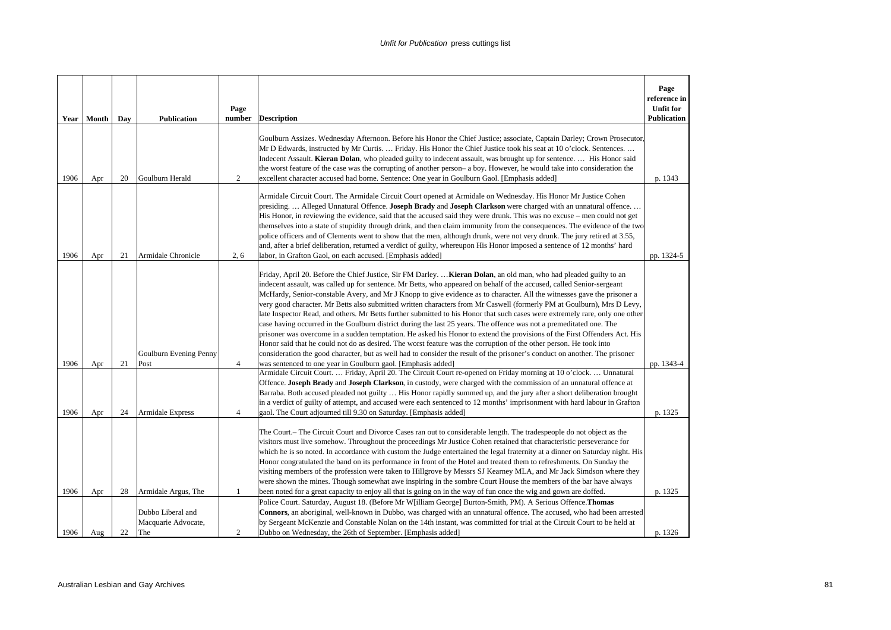|              | Year   Month | Day      | <b>Publication</b>                                                     | Page<br>number                 | <b>Description</b>                                                                                                                                                                                                                                                                                                                                                                                                                                                                                                                                                                                                                                                                                                                                                                                                                                                                                                                                                                                                                                                                                                                                                                                        | Page<br>reference in<br><b>Unfit for</b><br>Publication |
|--------------|--------------|----------|------------------------------------------------------------------------|--------------------------------|-----------------------------------------------------------------------------------------------------------------------------------------------------------------------------------------------------------------------------------------------------------------------------------------------------------------------------------------------------------------------------------------------------------------------------------------------------------------------------------------------------------------------------------------------------------------------------------------------------------------------------------------------------------------------------------------------------------------------------------------------------------------------------------------------------------------------------------------------------------------------------------------------------------------------------------------------------------------------------------------------------------------------------------------------------------------------------------------------------------------------------------------------------------------------------------------------------------|---------------------------------------------------------|
| 1906         | Apr          | 20       | Goulburn Herald                                                        | 2                              | Goulburn Assizes. Wednesday Afternoon. Before his Honor the Chief Justice; associate, Captain Darley; Crown Prosecutor<br>Mr D Edwards, instructed by Mr Curtis.  Friday. His Honor the Chief Justice took his seat at 10 o'clock. Sentences.<br>Indecent Assault. Kieran Dolan, who pleaded guilty to indecent assault, was brought up for sentence.  His Honor said<br>the worst feature of the case was the corrupting of another person- a boy. However, he would take into consideration the<br>excellent character accused had borne. Sentence: One year in Goulburn Gaol. [Emphasis added]                                                                                                                                                                                                                                                                                                                                                                                                                                                                                                                                                                                                         | p. 1343                                                 |
| 1906         | Apr          | 21       | Armidale Chronicle                                                     | 2, 6                           | Armidale Circuit Court. The Armidale Circuit Court opened at Armidale on Wednesday. His Honor Mr Justice Cohen<br>presiding.  Alleged Unnatural Offence. Joseph Brady and Joseph Clarkson were charged with an unnatural offence.<br>His Honor, in reviewing the evidence, said that the accused said they were drunk. This was no excuse - men could not get<br>themselves into a state of stupidity through drink, and then claim immunity from the consequences. The evidence of the two<br>police officers and of Clements went to show that the men, although drunk, were not very drunk. The jury retired at 3.55,<br>and, after a brief deliberation, returned a verdict of guilty, whereupon His Honor imposed a sentence of 12 months' hard<br>labor, in Grafton Gaol, on each accused. [Emphasis added]                                                                                                                                                                                                                                                                                                                                                                                         | pp. 1324-5                                              |
| 1906         | Apr          | 21       | Goulburn Evening Penny<br>Post                                         | $\overline{4}$                 | Friday, April 20. Before the Chief Justice, Sir FM Darley.  Kieran Dolan, an old man, who had pleaded guilty to an<br>indecent assault, was called up for sentence. Mr Betts, who appeared on behalf of the accused, called Senior-sergeant<br>McHardy, Senior-constable Avery, and Mr J Knopp to give evidence as to character. All the witnesses gave the prisoner a<br>very good character. Mr Betts also submitted written characters from Mr Caswell (formerly PM at Goulburn), Mrs D Levy,<br>late Inspector Read, and others. Mr Betts further submitted to his Honor that such cases were extremely rare, only one other<br>case having occurred in the Goulburn district during the last 25 years. The offence was not a premeditated one. The<br>prisoner was overcome in a sudden temptation. He asked his Honor to extend the provisions of the First Offenders Act. His<br>Honor said that he could not do as desired. The worst feature was the corruption of the other person. He took into<br>consideration the good character, but as well had to consider the result of the prisoner's conduct on another. The prisoner<br>was sentenced to one year in Goulburn gaol. [Emphasis added] | pp. 1343-4                                              |
| 1906         | Apr          | 24       | Armidale Express                                                       | $\overline{4}$                 | Armidale Circuit Court.  Friday, April 20. The Circuit Court re-opened on Friday morning at 10 o'clock.  Unnatural<br>Offence. Joseph Brady and Joseph Clarkson, in custody, were charged with the commission of an unnatural offence at<br>Barraba. Both accused pleaded not guilty  His Honor rapidly summed up, and the jury after a short deliberation brought<br>in a verdict of guilty of attempt, and accused were each sentenced to 12 months' imprisonment with hard labour in Grafton<br>gaol. The Court adjourned till 9.30 on Saturday. [Emphasis added]                                                                                                                                                                                                                                                                                                                                                                                                                                                                                                                                                                                                                                      | p. 1325                                                 |
|              |              |          |                                                                        |                                | The Court.– The Circuit Court and Divorce Cases ran out to considerable length. The tradespeople do not object as the<br>visitors must live somehow. Throughout the proceedings Mr Justice Cohen retained that characteristic perseverance for<br>which he is so noted. In accordance with custom the Judge entertained the legal fraternity at a dinner on Saturday night. His<br>Honor congratulated the band on its performance in front of the Hotel and treated them to refreshments. On Sunday the<br>visiting members of the profession were taken to Hillgrove by Messrs SJ Kearney MLA, and Mr Jack Simdson where they<br>were shown the mines. Though somewhat awe inspiring in the sombre Court House the members of the bar have always                                                                                                                                                                                                                                                                                                                                                                                                                                                       |                                                         |
| 1906<br>1906 | Apr<br>Aug   | 28<br>22 | Armidale Argus, The<br>Dubbo Liberal and<br>Macquarie Advocate,<br>The | $\mathbf{1}$<br>$\overline{c}$ | been noted for a great capacity to enjoy all that is going on in the way of fun once the wig and gown are doffed.<br>Police Court. Saturday, August 18. (Before Mr W illiam George) Burton-Smith, PM). A Serious Offence. Thomas<br>Connors, an aboriginal, well-known in Dubbo, was charged with an unnatural offence. The accused, who had been arrested<br>by Sergeant McKenzie and Constable Nolan on the 14th instant, was committed for trial at the Circuit Court to be held at<br>Dubbo on Wednesday, the 26th of September. [Emphasis added]                                                                                                                                                                                                                                                                                                                                                                                                                                                                                                                                                                                                                                                     | p. 1325<br>p. 1326                                      |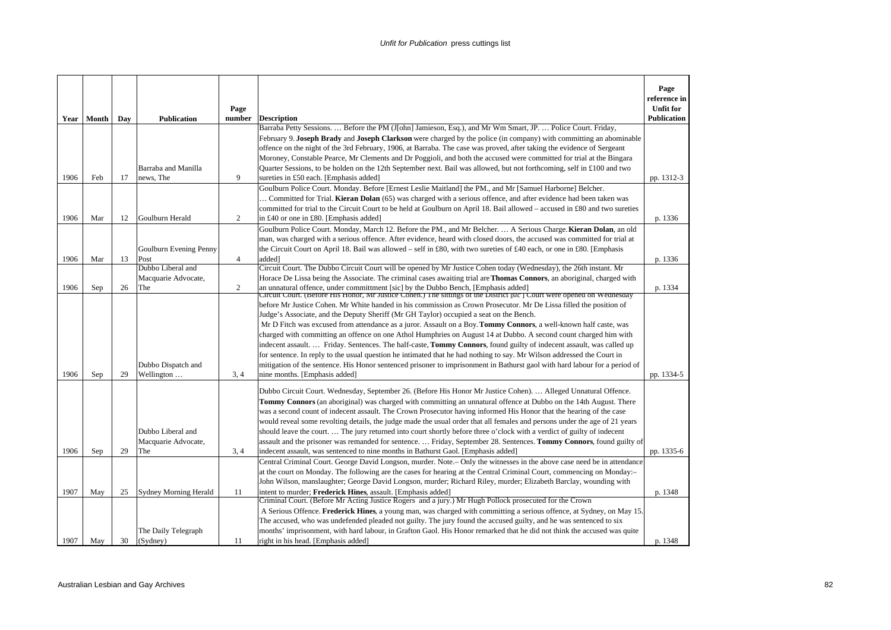|      |       |     |                              | Page           |                                                                                                                                                                                                              | Page<br>reference in<br><b>Unfit for</b> |
|------|-------|-----|------------------------------|----------------|--------------------------------------------------------------------------------------------------------------------------------------------------------------------------------------------------------------|------------------------------------------|
| Year | Month | Day | <b>Publication</b>           | number         | <b>Description</b><br>Barraba Petty Sessions.  Before the PM (J[ohn] Jamieson, Esq.), and Mr Wm Smart, JP.  Police Court. Friday,                                                                            | Publication                              |
|      |       |     |                              |                | February 9. Joseph Brady and Joseph Clarkson were charged by the police (in company) with committing an abominable                                                                                           |                                          |
|      |       |     |                              |                | offence on the night of the 3rd February, 1906, at Barraba. The case was proved, after taking the evidence of Sergeant                                                                                       |                                          |
|      |       |     |                              |                | Moroney, Constable Pearce, Mr Clements and Dr Poggioli, and both the accused were committed for trial at the Bingara                                                                                         |                                          |
|      |       |     | Barraba and Manilla          |                | Quarter Sessions, to be holden on the 12th September next. Bail was allowed, but not forthcoming, self in £100 and two                                                                                       |                                          |
| 1906 | Feb   | 17  | news, The                    | $\mathbf{Q}$   | sureties in £50 each. [Emphasis added]                                                                                                                                                                       | pp. 1312-3                               |
|      |       |     |                              |                | Goulburn Police Court. Monday. Before [Ernest Leslie Maitland] the PM., and Mr [Samuel Harborne] Belcher.                                                                                                    |                                          |
|      |       |     |                              |                | Committed for Trial. Kieran Dolan (65) was charged with a serious offence, and after evidence had been taken was                                                                                             |                                          |
|      |       |     |                              |                | committed for trial to the Circuit Court to be held at Goulburn on April 18. Bail allowed – accused in £80 and two sureties                                                                                  |                                          |
| 1906 | Mar   | 12  | Goulburn Herald              | 2              | in £40 or one in £80. [Emphasis added]                                                                                                                                                                       | p. 1336                                  |
|      |       |     |                              |                | Goulburn Police Court. Monday, March 12. Before the PM., and Mr Belcher.  A Serious Charge. Kieran Dolan, an old                                                                                             |                                          |
|      |       |     |                              |                | man, was charged with a serious offence. After evidence, heard with closed doors, the accused was committed for trial at                                                                                     |                                          |
|      |       |     | Goulburn Evening Penny       |                | the Circuit Court on April 18. Bail was allowed – self in £80, with two sureties of £40 each, or one in £80. [Emphasis                                                                                       |                                          |
| 1906 | Mar   | 13  | Post                         | $\overline{4}$ | added]                                                                                                                                                                                                       | p. 1336                                  |
|      |       |     | Dubbo Liberal and            |                | Circuit Court. The Dubbo Circuit Court will be opened by Mr Justice Cohen today (Wednesday), the 26th instant. Mr                                                                                            |                                          |
|      |       |     | Macquarie Advocate,          |                | Horace De Lissa being the Associate. The criminal cases awaiting trial are <b>Thomas Connors</b> , an aboriginal, charged with                                                                               |                                          |
| 1906 | Sep   | 26  | The                          | 2              | an unnatural offence, under committment [sic] by the Dubbo Bench, [Emphasis added]<br>Circuit Court. (Before His Honor, Mr Justice Cohen.) The sittings of the District [sic] Court were opened on Wednesday | p. 1334                                  |
|      |       |     |                              |                | before Mr Justice Cohen. Mr White handed in his commission as Crown Prosecutor. Mr De Lissa filled the position of                                                                                           |                                          |
|      |       |     |                              |                | Judge's Associate, and the Deputy Sheriff (Mr GH Taylor) occupied a seat on the Bench.                                                                                                                       |                                          |
|      |       |     |                              |                | Mr D Fitch was excused from attendance as a juror. Assault on a Boy. <b>Tommy Connors</b> , a well-known half caste, was                                                                                     |                                          |
|      |       |     |                              |                | charged with committing an offence on one Athol Humphries on August 14 at Dubbo. A second count charged him with                                                                                             |                                          |
|      |       |     |                              |                | indecent assault Friday. Sentences. The half-caste, <b>Tommy Connors</b> , found guilty of indecent assault, was called up                                                                                   |                                          |
|      |       |     |                              |                | for sentence. In reply to the usual question he intimated that he had nothing to say. Mr Wilson addressed the Court in                                                                                       |                                          |
|      |       |     | Dubbo Dispatch and           |                | mitigation of the sentence. His Honor sentenced prisoner to imprisonment in Bathurst gaol with hard labour for a period of                                                                                   |                                          |
| 1906 | Sep   | 29  | Wellington                   | 3, 4           | nine months. [Emphasis added]                                                                                                                                                                                | pp. 1334-5                               |
|      |       |     |                              |                | Dubbo Circuit Court. Wednesday, September 26. (Before His Honor Mr Justice Cohen).  Alleged Unnatural Offence.                                                                                               |                                          |
|      |       |     |                              |                | Tommy Connors (an aboriginal) was charged with committing an unnatural offence at Dubbo on the 14th August. There                                                                                            |                                          |
|      |       |     |                              |                | was a second count of indecent assault. The Crown Prosecutor having informed His Honor that the hearing of the case                                                                                          |                                          |
|      |       |     |                              |                | would reveal some revolting details, the judge made the usual order that all females and persons under the age of 21 years                                                                                   |                                          |
|      |       |     | Dubbo Liberal and            |                | should leave the court The jury returned into court shortly before three o'clock with a verdict of guilty of indecent                                                                                        |                                          |
|      |       |     | Macquarie Advocate,          |                | assault and the prisoner was remanded for sentence.  Friday, September 28. Sentences. Tommy Connors, found guilty of                                                                                         |                                          |
| 1906 | Sep   | 29  | The                          | 3.4            | indecent assault, was sentenced to nine months in Bathurst Gaol. [Emphasis added]                                                                                                                            | pp. 1335-6                               |
|      |       |     |                              |                | Central Criminal Court. George David Longson, murder. Note.– Only the witnesses in the above case need be in attendance                                                                                      |                                          |
|      |       |     |                              |                | at the court on Monday. The following are the cases for hearing at the Central Criminal Court, commencing on Monday:-                                                                                        |                                          |
|      |       |     |                              |                | John Wilson, manslaughter; George David Longson, murder; Richard Riley, murder; Elizabeth Barclay, wounding with                                                                                             |                                          |
| 1907 | May   | 25  | <b>Sydney Morning Herald</b> | 11             | intent to murder; Frederick Hines, assault. [Emphasis added]                                                                                                                                                 | p. 1348                                  |
|      |       |     |                              |                | Criminal Court. (Before Mr Acting Justice Rogers and a jury.) Mr Hugh Pollock prosecuted for the Crown                                                                                                       |                                          |
|      |       |     |                              |                | A Serious Offence. Frederick Hines, a young man, was charged with committing a serious offence, at Sydney, on May 15.                                                                                        |                                          |
|      |       |     |                              |                | The accused, who was undefended pleaded not guilty. The jury found the accused guilty, and he was sentenced to six                                                                                           |                                          |
|      |       |     | The Daily Telegraph          |                | months' imprisonment, with hard labour, in Grafton Gaol. His Honor remarked that he did not think the accused was quite                                                                                      |                                          |
| 1907 | May   | 30  | (Sydney)                     | 11             | right in his head. [Emphasis added]                                                                                                                                                                          | p. 1348                                  |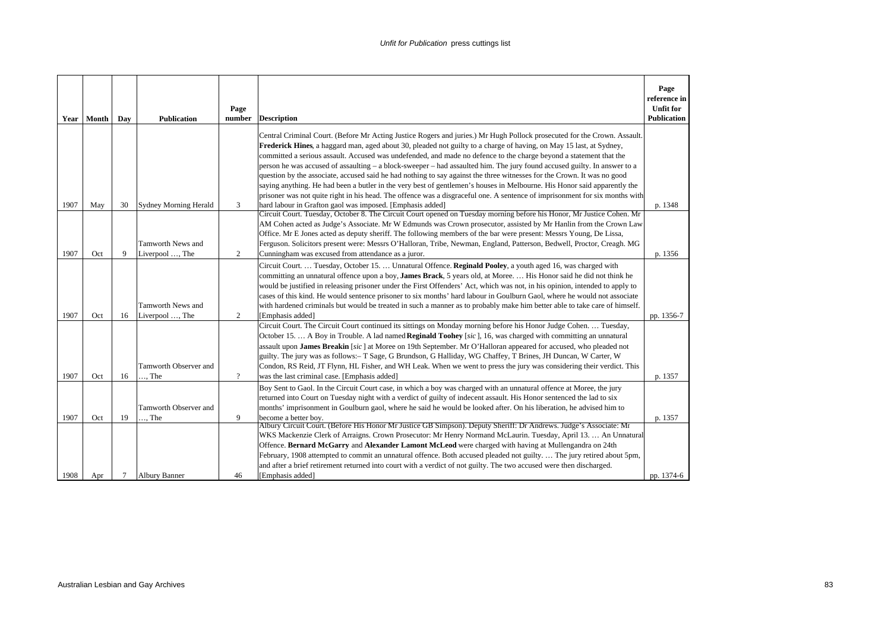|      | Year   Month | Day | <b>Publication</b>           | Page<br>number | <b>Description</b>                                                                                                                                                                                                                                     | Page<br>reference in<br><b>Unfit for</b><br><b>Publication</b> |
|------|--------------|-----|------------------------------|----------------|--------------------------------------------------------------------------------------------------------------------------------------------------------------------------------------------------------------------------------------------------------|----------------------------------------------------------------|
|      |              |     |                              |                | Central Criminal Court. (Before Mr Acting Justice Rogers and juries.) Mr Hugh Pollock prosecuted for the Crown. Assault.<br>Frederick Hines, a haggard man, aged about 30, pleaded not guilty to a charge of having, on May 15 last, at Sydney,        |                                                                |
|      |              |     |                              |                | committed a serious assault. Accused was undefended, and made no defence to the charge beyond a statement that the                                                                                                                                     |                                                                |
|      |              |     |                              |                | person he was accused of assaulting - a block-sweeper - had assaulted him. The jury found accused guilty. In answer to a<br>question by the associate, accused said he had nothing to say against the three witnesses for the Crown. It was no good    |                                                                |
|      |              |     |                              |                | saying anything. He had been a butler in the very best of gentlemen's houses in Melbourne. His Honor said apparently the                                                                                                                               |                                                                |
|      |              |     |                              |                | prisoner was not quite right in his head. The offence was a disgraceful one. A sentence of imprisonment for six months with                                                                                                                            |                                                                |
| 1907 | May          | 30  | <b>Sydney Morning Herald</b> | 3              | hard labour in Grafton gaol was imposed. [Emphasis added]                                                                                                                                                                                              | p. 1348                                                        |
|      |              |     |                              |                | Circuit Court. Tuesday, October 8. The Circuit Court opened on Tuesday morning before his Honor, Mr Justice Cohen. Mr<br>AM Cohen acted as Judge's Associate. Mr W Edmunds was Crown prosecutor, assisted by Mr Hanlin from the Crown Law              |                                                                |
|      |              |     |                              |                | Office. Mr E Jones acted as deputy sheriff. The following members of the bar were present: Messrs Young, De Lissa,                                                                                                                                     |                                                                |
|      |              |     | Tamworth News and            |                | Ferguson. Solicitors present were: Messrs O'Halloran, Tribe, Newman, England, Patterson, Bedwell, Proctor, Creagh. MG                                                                                                                                  |                                                                |
| 1907 | Oct          | 9   | Liverpool , The              | 2              | Cunningham was excused from attendance as a juror.                                                                                                                                                                                                     | p. 1356                                                        |
|      |              |     |                              |                | Circuit Court.  Tuesday, October 15.  Unnatural Offence. Reginald Pooley, a youth aged 16, was charged with                                                                                                                                            |                                                                |
|      |              |     |                              |                | committing an unnatural offence upon a boy, James Brack, 5 years old, at Moree.  His Honor said he did not think he                                                                                                                                    |                                                                |
|      |              |     |                              |                | would be justified in releasing prisoner under the First Offenders' Act, which was not, in his opinion, intended to apply to                                                                                                                           |                                                                |
|      |              |     | Tamworth News and            |                | cases of this kind. He would sentence prisoner to six months' hard labour in Goulburn Gaol, where he would not associate<br>with hardened criminals but would be treated in such a manner as to probably make him better able to take care of himself. |                                                                |
| 1907 | Oct          | 16  | Liverpool , The              | 2              | [Emphasis added]                                                                                                                                                                                                                                       | pp. 1356-7                                                     |
|      |              |     |                              |                | Circuit Court. The Circuit Court continued its sittings on Monday morning before his Honor Judge Cohen.  Tuesday,                                                                                                                                      |                                                                |
|      |              |     |                              |                | October 15.  A Boy in Trouble. A lad named Reginald Toohey [sic], 16, was charged with committing an unnatural                                                                                                                                         |                                                                |
|      |              |     |                              |                | assault upon James Breakin [sic] at Moree on 19th September. Mr O'Halloran appeared for accused, who pleaded not                                                                                                                                       |                                                                |
|      |              |     |                              |                | guilty. The jury was as follows:- T Sage, G Brundson, G Halliday, WG Chaffey, T Brines, JH Duncan, W Carter, W                                                                                                                                         |                                                                |
|      |              |     | Tamworth Observer and        |                | Condon, RS Reid, JT Flynn, HL Fisher, and WH Leak. When we went to press the jury was considering their verdict. This                                                                                                                                  |                                                                |
| 1907 | Oct          | 16  | $\ldots$ The                 | $\gamma$       | was the last criminal case. [Emphasis added]                                                                                                                                                                                                           | p. 1357                                                        |
|      |              |     |                              |                | Boy Sent to Gaol. In the Circuit Court case, in which a boy was charged with an unnatural offence at Moree, the jury<br>returned into Court on Tuesday night with a verdict of guilty of indecent assault. His Honor sentenced the lad to six          |                                                                |
|      |              |     | Tamworth Observer and        |                | months' imprisonment in Goulburn gaol, where he said he would be looked after. On his liberation, he advised him to                                                                                                                                    |                                                                |
| 1907 | Oct          | 19  | $\ldots$ The                 | 9              | become a better boy.                                                                                                                                                                                                                                   | p. 1357                                                        |
|      |              |     |                              |                | Albury Circuit Court. (Before His Honor Mr Justice GB Simpson). Deputy Sheriff: Dr Andrews. Judge's Associate: Mr                                                                                                                                      |                                                                |
|      |              |     |                              |                | WKS Mackenzie Clerk of Arraigns. Crown Prosecutor: Mr Henry Normand McLaurin. Tuesday, April 13.  An Unnatural                                                                                                                                         |                                                                |
|      |              |     |                              |                | Offence. Bernard McGarry and Alexander Lamont McLeod were charged with having at Mullengandra on 24th<br>February, 1908 attempted to commit an unnatural offence. Both accused pleaded not guilty The jury retired about 5pm,                          |                                                                |
|      |              |     |                              |                | and after a brief retirement returned into court with a verdict of not guilty. The two accused were then discharged.                                                                                                                                   |                                                                |
| 1908 | Apr          | 7   | <b>Albury Banner</b>         | 46             | [Emphasis added]                                                                                                                                                                                                                                       | pp. 1374-6                                                     |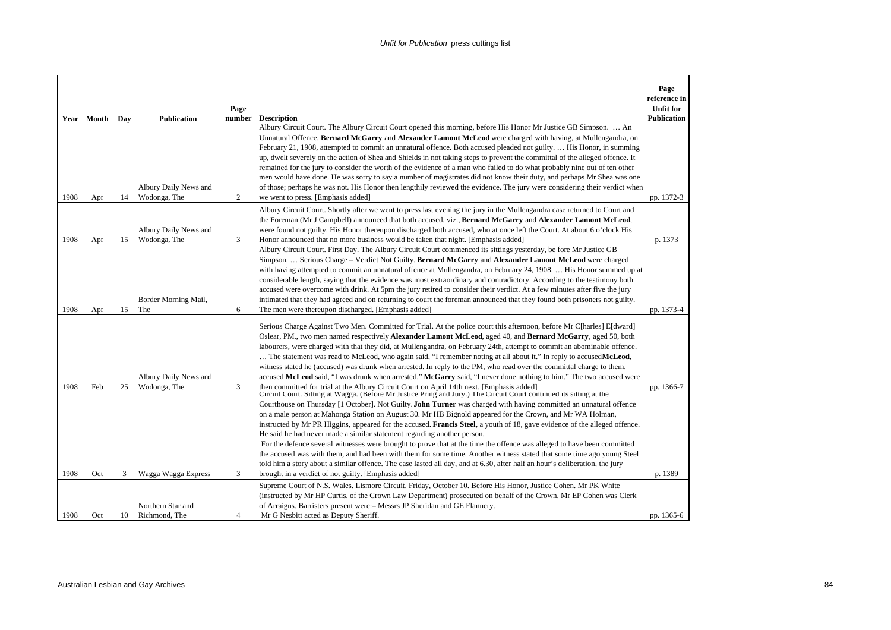|      |       |     |                       |                |                                                                                                                                                                                                                                 | Page<br>reference in |
|------|-------|-----|-----------------------|----------------|---------------------------------------------------------------------------------------------------------------------------------------------------------------------------------------------------------------------------------|----------------------|
|      |       |     |                       | Page           |                                                                                                                                                                                                                                 | <b>Unfit for</b>     |
| Year | Month | Day | <b>Publication</b>    | number         | <b>Description</b><br>Albury Circuit Court. The Albury Circuit Court opened this morning, before His Honor Mr Justice GB Simpson.  An                                                                                           | <b>Publication</b>   |
|      |       |     |                       |                | Unnatural Offence. Bernard McGarry and Alexander Lamont McLeod were charged with having, at Mullengandra, on                                                                                                                    |                      |
|      |       |     |                       |                | February 21, 1908, attempted to commit an unnatural offence. Both accused pleaded not guilty.  His Honor, in summing                                                                                                            |                      |
|      |       |     |                       |                | up, dwelt severely on the action of Shea and Shields in not taking steps to prevent the committal of the alleged offence. It                                                                                                    |                      |
|      |       |     |                       |                | remained for the jury to consider the worth of the evidence of a man who failed to do what probably nine out of ten other                                                                                                       |                      |
|      |       |     |                       |                | men would have done. He was sorry to say a number of magistrates did not know their duty, and perhaps Mr Shea was one                                                                                                           |                      |
|      |       |     | Albury Daily News and |                | of those; perhaps he was not. His Honor then lengthily reviewed the evidence. The jury were considering their verdict when                                                                                                      |                      |
| 1908 | Apr   | 14  | Wodonga, The          | $\overline{c}$ | we went to press. [Emphasis added]                                                                                                                                                                                              | pp. 1372-3           |
|      |       |     |                       |                | Albury Circuit Court. Shortly after we went to press last evening the jury in the Mullengandra case returned to Court and                                                                                                       |                      |
|      |       |     |                       |                | the Foreman (Mr J Campbell) announced that both accused, viz., Bernard McGarry and Alexander Lamont McLeod,                                                                                                                     |                      |
|      |       |     | Albury Daily News and |                | were found not guilty. His Honor thereupon discharged both accused, who at once left the Court. At about 6 o'clock His                                                                                                          |                      |
| 1908 | Apr   | 15  | Wodonga, The          | 3              | Honor announced that no more business would be taken that night. [Emphasis added]                                                                                                                                               | p. 1373              |
|      |       |     |                       |                | Albury Circuit Court. First Day. The Albury Circuit Court commenced its sittings yesterday, be fore Mr Justice GB                                                                                                               |                      |
|      |       |     |                       |                | Simpson.  Serious Charge - Verdict Not Guilty. Bernard McGarry and Alexander Lamont McLeod were charged                                                                                                                         |                      |
|      |       |     |                       |                | with having attempted to commit an unnatural offence at Mullengandra, on February 24, 1908.  His Honor summed up at                                                                                                             |                      |
|      |       |     |                       |                | considerable length, saying that the evidence was most extraordinary and contradictory. According to the testimony both                                                                                                         |                      |
|      |       |     |                       |                | accused were overcome with drink. At 5pm the jury retired to consider their verdict. At a few minutes after five the jury                                                                                                       |                      |
|      |       |     | Border Morning Mail,  |                | intimated that they had agreed and on returning to court the foreman announced that they found both prisoners not guilty.                                                                                                       |                      |
| 1908 | Apr   | 15  | The                   | 6              | The men were thereupon discharged. [Emphasis added]                                                                                                                                                                             | pp. 1373-4           |
|      |       |     |                       |                | Serious Charge Against Two Men. Committed for Trial. At the police court this afternoon, before Mr C[harles] E[dward]                                                                                                           |                      |
|      |       |     |                       |                | Oslear, PM., two men named respectively Alexander Lamont McLeod, aged 40, and Bernard McGarry, aged 50, both                                                                                                                    |                      |
|      |       |     |                       |                | labourers, were charged with that they did, at Mullengandra, on February 24th, attempt to commit an abominable offence.                                                                                                         |                      |
|      |       |     |                       |                | The statement was read to McLeod, who again said, "I remember noting at all about it." In reply to accused McLeod,                                                                                                              |                      |
|      |       |     |                       |                | witness stated he (accused) was drunk when arrested. In reply to the PM, who read over the committal charge to them,                                                                                                            |                      |
|      |       |     | Albury Daily News and |                | accused McLeod said, "I was drunk when arrested." McGarry said, "I never done nothing to him." The two accused were                                                                                                             |                      |
| 1908 | Feb   | 25  | Wodonga, The          | 3              | then committed for trial at the Albury Circuit Court on April 14th next. [Emphasis added]                                                                                                                                       | pp. 1366-7           |
|      |       |     |                       |                | Circuit Court. Sitting at Wagga. (Before Mr Justice Pring and Jury.) The Circuit Court continued its sitting at the                                                                                                             |                      |
|      |       |     |                       |                | Courthouse on Thursday [1 October]. Not Guilty. John Turner was charged with having committed an unnatural offence<br>on a male person at Mahonga Station on August 30. Mr HB Bignold appeared for the Crown, and Mr WA Holman, |                      |
|      |       |     |                       |                | instructed by Mr PR Higgins, appeared for the accused. <b>Francis Steel</b> , a youth of 18, gave evidence of the alleged offence.                                                                                              |                      |
|      |       |     |                       |                | He said he had never made a similar statement regarding another person.                                                                                                                                                         |                      |
|      |       |     |                       |                | For the defence several witnesses were brought to prove that at the time the offence was alleged to have been committed                                                                                                         |                      |
|      |       |     |                       |                | the accused was with them, and had been with them for some time. Another witness stated that some time ago young Steel                                                                                                          |                      |
|      |       |     |                       |                | told him a story about a similar offence. The case lasted all day, and at 6.30, after half an hour's deliberation, the jury                                                                                                     |                      |
| 1908 | Oct   | 3   | Wagga Wagga Express   | 3              | brought in a verdict of not guilty. [Emphasis added]                                                                                                                                                                            | p. 1389              |
|      |       |     |                       |                | Supreme Court of N.S. Wales. Lismore Circuit. Friday, October 10. Before His Honor, Justice Cohen. Mr PK White                                                                                                                  |                      |
|      |       |     |                       |                | (instructed by Mr HP Curtis, of the Crown Law Department) prosecuted on behalf of the Crown. Mr EP Cohen was Clerk                                                                                                              |                      |
|      |       |     | Northern Star and     |                | of Arraigns. Barristers present were: - Messrs JP Sheridan and GE Flannery.                                                                                                                                                     |                      |
| 1908 | Oct   | 10  | Richmond, The         | $\overline{4}$ | Mr G Nesbitt acted as Deputy Sheriff.                                                                                                                                                                                           | pp. 1365-6           |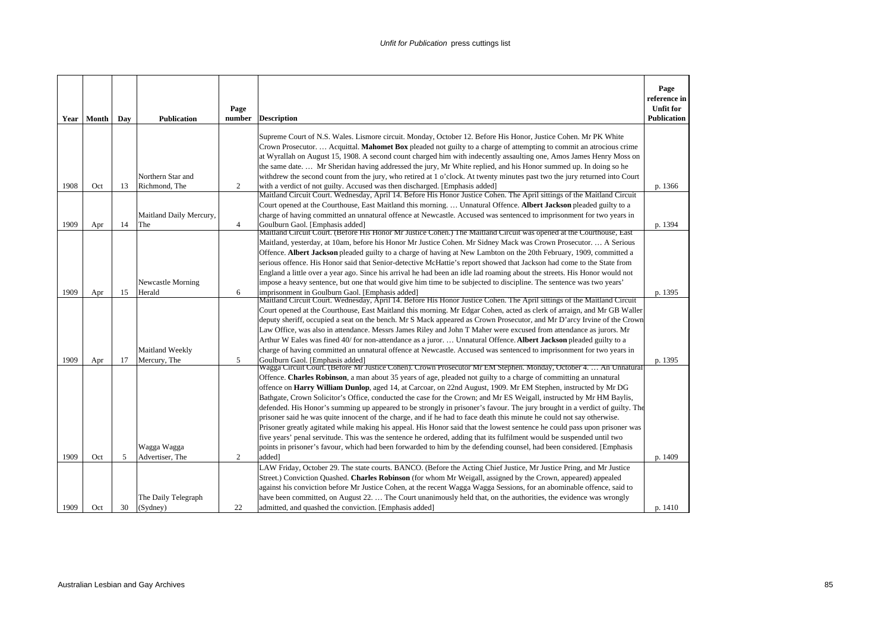|             |       |     |                                 | Page           |                                                                                                                                                                                                                                                                                                                                                                                                                                                                                                                                                                                                                                                                                                                                                                                                                                                                                                                                                                                                                                                                                                                           | Page<br>reference in<br><b>Unfit for</b> |
|-------------|-------|-----|---------------------------------|----------------|---------------------------------------------------------------------------------------------------------------------------------------------------------------------------------------------------------------------------------------------------------------------------------------------------------------------------------------------------------------------------------------------------------------------------------------------------------------------------------------------------------------------------------------------------------------------------------------------------------------------------------------------------------------------------------------------------------------------------------------------------------------------------------------------------------------------------------------------------------------------------------------------------------------------------------------------------------------------------------------------------------------------------------------------------------------------------------------------------------------------------|------------------------------------------|
| <b>Year</b> | Month | Day | <b>Publication</b>              | number         | <b>Description</b>                                                                                                                                                                                                                                                                                                                                                                                                                                                                                                                                                                                                                                                                                                                                                                                                                                                                                                                                                                                                                                                                                                        | <b>Publication</b>                       |
|             |       |     | Northern Star and               |                | Supreme Court of N.S. Wales. Lismore circuit. Monday, October 12. Before His Honor, Justice Cohen. Mr PK White<br>Crown Prosecutor.  Acquittal. Mahomet Box pleaded not guilty to a charge of attempting to commit an atrocious crime<br>at Wyrallah on August 15, 1908. A second count charged him with indecently assaulting one, Amos James Henry Moss on<br>the same date Mr Sheridan having addressed the jury, Mr White replied, and his Honor summed up. In doing so he<br>withdrew the second count from the jury, who retired at 1 o'clock. At twenty minutes past two the jury returned into Court                                                                                                                                                                                                                                                                                                                                                                                                                                                                                                              |                                          |
| 1908        | Oct   | 13  | Richmond, The                   | 2              | with a verdict of not guilty. Accused was then discharged. [Emphasis added]                                                                                                                                                                                                                                                                                                                                                                                                                                                                                                                                                                                                                                                                                                                                                                                                                                                                                                                                                                                                                                               | p. 1366                                  |
| 1909        |       | 14  | Maitland Daily Mercury,<br>The  | $\overline{4}$ | Maitland Circuit Court. Wednesday, April 14. Before His Honor Justice Cohen. The April sittings of the Maitland Circuit<br>Court opened at the Courthouse, East Maitland this morning.  Unnatural Offence. Albert Jackson pleaded guilty to a<br>charge of having committed an unnatural offence at Newcastle. Accused was sentenced to imprisonment for two years in<br>Goulburn Gaol. [Emphasis added]                                                                                                                                                                                                                                                                                                                                                                                                                                                                                                                                                                                                                                                                                                                  | p. 1394                                  |
|             | Apr   |     |                                 |                | Maitland Circuit Court. (Before His Honor Mr Justice Cohen.) The Maitland Circuit was opened at the Courthouse, East                                                                                                                                                                                                                                                                                                                                                                                                                                                                                                                                                                                                                                                                                                                                                                                                                                                                                                                                                                                                      |                                          |
|             |       |     |                                 |                | Maitland, yesterday, at 10am, before his Honor Mr Justice Cohen. Mr Sidney Mack was Crown Prosecutor.  A Serious<br>Offence. Albert Jackson pleaded guilty to a charge of having at New Lambton on the 20th February, 1909, committed a<br>serious offence. His Honor said that Senior-detective McHattie's report showed that Jackson had come to the State from<br>England a little over a year ago. Since his arrival he had been an idle lad roaming about the streets. His Honor would not                                                                                                                                                                                                                                                                                                                                                                                                                                                                                                                                                                                                                           |                                          |
|             |       |     | Newcastle Morning               |                | impose a heavy sentence, but one that would give him time to be subjected to discipline. The sentence was two years'                                                                                                                                                                                                                                                                                                                                                                                                                                                                                                                                                                                                                                                                                                                                                                                                                                                                                                                                                                                                      |                                          |
| 1909        | Apr   | 15  | Herald                          | 6              | imprisonment in Goulburn Gaol. [Emphasis added]                                                                                                                                                                                                                                                                                                                                                                                                                                                                                                                                                                                                                                                                                                                                                                                                                                                                                                                                                                                                                                                                           | p. 1395                                  |
|             |       |     | Maitland Weekly                 |                | Maitland Circuit Court. Wednesday, April 14. Before His Honor Justice Cohen. The April sittings of the Maitland Circuit<br>Court opened at the Courthouse, East Maitland this morning. Mr Edgar Cohen, acted as clerk of arraign, and Mr GB Waller<br>deputy sheriff, occupied a seat on the bench. Mr S Mack appeared as Crown Prosecutor, and Mr D'arcy Irvine of the Crown<br>Law Office, was also in attendance. Messrs James Riley and John T Maher were excused from attendance as jurors. Mr<br>Arthur W Eales was fined 40/ for non-attendance as a juror.  Unnatural Offence. Albert Jackson pleaded guilty to a<br>charge of having committed an unnatural offence at Newcastle. Accused was sentenced to imprisonment for two years in                                                                                                                                                                                                                                                                                                                                                                         |                                          |
| 1909        | Apr   | 17  | Mercury, The                    | 5              | Goulburn Gaol. [Emphasis added]                                                                                                                                                                                                                                                                                                                                                                                                                                                                                                                                                                                                                                                                                                                                                                                                                                                                                                                                                                                                                                                                                           | p. 1395                                  |
|             |       |     | Wagga Wagga                     |                | Wagga Circuit Court. (Before Mr Justice Cohen). Crown Prosecutor Mr EM Stephen. Monday, October 4.  An Unnatural<br>Offence. Charles Robinson, a man about 35 years of age, pleaded not guilty to a charge of committing an unnatural<br>offence on Harry William Dunlop, aged 14, at Carcoar, on 22nd August, 1909. Mr EM Stephen, instructed by Mr DG<br>Bathgate, Crown Solicitor's Office, conducted the case for the Crown; and Mr ES Weigall, instructed by Mr HM Baylis,<br>defended. His Honor's summing up appeared to be strongly in prisoner's favour. The jury brought in a verdict of guilty. The<br>prisoner said he was quite innocent of the charge, and if he had to face death this minute he could not say otherwise.<br>Prisoner greatly agitated while making his appeal. His Honor said that the lowest sentence he could pass upon prisoner was<br>five years' penal servitude. This was the sentence he ordered, adding that its fulfilment would be suspended until two<br>points in prisoner's favour, which had been forwarded to him by the defending counsel, had been considered. [Emphasis |                                          |
| 1909        | Oct   | 5   | Advertiser, The                 | 2              | added]                                                                                                                                                                                                                                                                                                                                                                                                                                                                                                                                                                                                                                                                                                                                                                                                                                                                                                                                                                                                                                                                                                                    | p. 1409                                  |
| 1909        | Oct   | 30  | The Daily Telegraph<br>(Sydney) | 22             | LAW Friday, October 29. The state courts. BANCO. (Before the Acting Chief Justice, Mr Justice Pring, and Mr Justice<br>Street.) Conviction Quashed. Charles Robinson (for whom Mr Weigall, assigned by the Crown, appeared) appealed<br>against his conviction before Mr Justice Cohen, at the recent Wagga Wagga Sessions, for an abominable offence, said to<br>have been committed, on August 22.  The Court unanimously held that, on the authorities, the evidence was wrongly<br>admitted, and quashed the conviction. [Emphasis added]                                                                                                                                                                                                                                                                                                                                                                                                                                                                                                                                                                             | p. 1410                                  |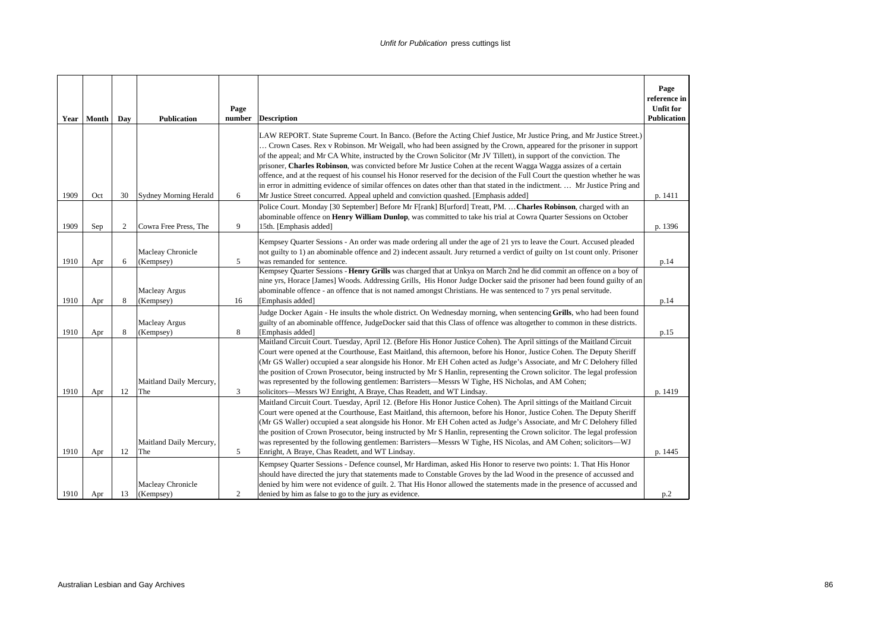|      | Year   Month | Day | <b>Publication</b>                | Page<br>number | <b>Description</b>                                                                                                                                                                                                                                                                                                                                                                                                                                                                                                                                                                                                                                                                                                                                     | Page<br>reference in<br><b>Unfit for</b><br><b>Publication</b> |
|------|--------------|-----|-----------------------------------|----------------|--------------------------------------------------------------------------------------------------------------------------------------------------------------------------------------------------------------------------------------------------------------------------------------------------------------------------------------------------------------------------------------------------------------------------------------------------------------------------------------------------------------------------------------------------------------------------------------------------------------------------------------------------------------------------------------------------------------------------------------------------------|----------------------------------------------------------------|
|      |              |     |                                   |                | LAW REPORT. State Supreme Court. In Banco. (Before the Acting Chief Justice, Mr Justice Pring, and Mr Justice Street.)<br>Crown Cases. Rex v Robinson. Mr Weigall, who had been assigned by the Crown, appeared for the prisoner in support<br>of the appeal; and Mr CA White, instructed by the Crown Solicitor (Mr JV Tillett), in support of the conviction. The<br>prisoner, Charles Robinson, was convicted before Mr Justice Cohen at the recent Wagga Wagga assizes of a certain<br>offence, and at the request of his counsel his Honor reserved for the decision of the Full Court the question whether he was<br>in error in admitting evidence of similar offences on dates other than that stated in the indictment.  Mr Justice Pring and |                                                                |
| 1909 | Oct          | 30  | Sydney Morning Herald             | 6              | Mr Justice Street concurred. Appeal upheld and conviction quashed. [Emphasis added]                                                                                                                                                                                                                                                                                                                                                                                                                                                                                                                                                                                                                                                                    | p. 1411                                                        |
| 1909 | Sep          | 2   | Cowra Free Press, The             | 9              | Police Court. Monday [30 September] Before Mr F[rank] B[urford] Treatt, PM.  Charles Robinson, charged with an<br>abominable offence on Henry William Dunlop, was committed to take his trial at Cowra Quarter Sessions on October<br>15th. [Emphasis added]                                                                                                                                                                                                                                                                                                                                                                                                                                                                                           | p. 1396                                                        |
| 1910 | Apr          | 6   | Macleay Chronicle<br>(Kempsey)    | 5              | Kempsey Quarter Sessions - An order was made ordering all under the age of 21 yrs to leave the Court. Accused pleaded<br>not guilty to 1) an abominable offence and 2) indecent assault. Jury returned a verdict of guilty on 1st count only. Prisoner<br>was remanded for sentence.                                                                                                                                                                                                                                                                                                                                                                                                                                                                   | p.14                                                           |
| 1910 | Apr          | 8   | <b>Macleay Argus</b><br>(Kempsey) | 16             | Kempsey Quarter Sessions - Henry Grills was charged that at Unkya on March 2nd he did commit an offence on a boy of<br>nine yrs, Horace [James] Woods. Addressing Grills, His Honor Judge Docker said the prisoner had been found guilty of an<br>abominable offence - an offence that is not named amongst Christians. He was sentenced to 7 yrs penal servitude.<br>[Emphasis added]                                                                                                                                                                                                                                                                                                                                                                 | p.14                                                           |
| 1910 | Apr          | 8   | <b>Macleay Argus</b><br>(Kempsey) | 8              | Judge Docker Again - He insults the whole district. On Wednesday morning, when sentencing Grills, who had been found<br>guilty of an abominable offfence, JudgeDocker said that this Class of offence was altogether to common in these districts.<br>[Emphasis added]                                                                                                                                                                                                                                                                                                                                                                                                                                                                                 | p.15                                                           |
| 1910 | Apr          | 12  | Maitland Daily Mercury,<br>The    | 3              | Maitland Circuit Court. Tuesday, April 12. (Before His Honor Justice Cohen). The April sittings of the Maitland Circuit<br>Court were opened at the Courthouse, East Maitland, this afternoon, before his Honor, Justice Cohen. The Deputy Sheriff<br>(Mr GS Waller) occupied a sear alongside his Honor. Mr EH Cohen acted as Judge's Associate, and Mr C Delohery filled<br>the position of Crown Prosecutor, being instructed by Mr S Hanlin, representing the Crown solicitor. The legal profession<br>was represented by the following gentlemen: Barristers-Messrs W Tighe, HS Nicholas, and AM Cohen;<br>solicitors—Messrs WJ Enright, A Braye, Chas Readett, and WT Lindsay.                                                                   | p. 1419                                                        |
| 1910 | Apr          | 12  | Maitland Daily Mercury,<br>The    | 5              | Maitland Circuit Court. Tuesday, April 12. (Before His Honor Justice Cohen). The April sittings of the Maitland Circuit<br>Court were opened at the Courthouse, East Maitland, this afternoon, before his Honor, Justice Cohen. The Deputy Sheriff<br>(Mr GS Waller) occupied a seat alongside his Honor. Mr EH Cohen acted as Judge's Associate, and Mr C Delohery filled<br>the position of Crown Prosecutor, being instructed by Mr S Hanlin, representing the Crown solicitor. The legal profession<br>was represented by the following gentlemen: Barristers—Messrs W Tighe, HS Nicolas, and AM Cohen; solicitors—WJ<br>Enright, A Braye, Chas Readett, and WT Lindsay.                                                                           | p. 1445                                                        |
| 1910 | Apr          | 13  | Macleay Chronicle<br>(Kempsey)    | $\overline{c}$ | Kempsey Quarter Sessions - Defence counsel, Mr Hardiman, asked His Honor to reserve two points: 1. That His Honor<br>should have directed the jury that statements made to Constable Groves by the lad Wood in the presence of accussed and<br>denied by him were not evidence of guilt. 2. That His Honor allowed the statements made in the presence of accussed and<br>denied by him as false to go to the jury as evidence.                                                                                                                                                                                                                                                                                                                        | p.2                                                            |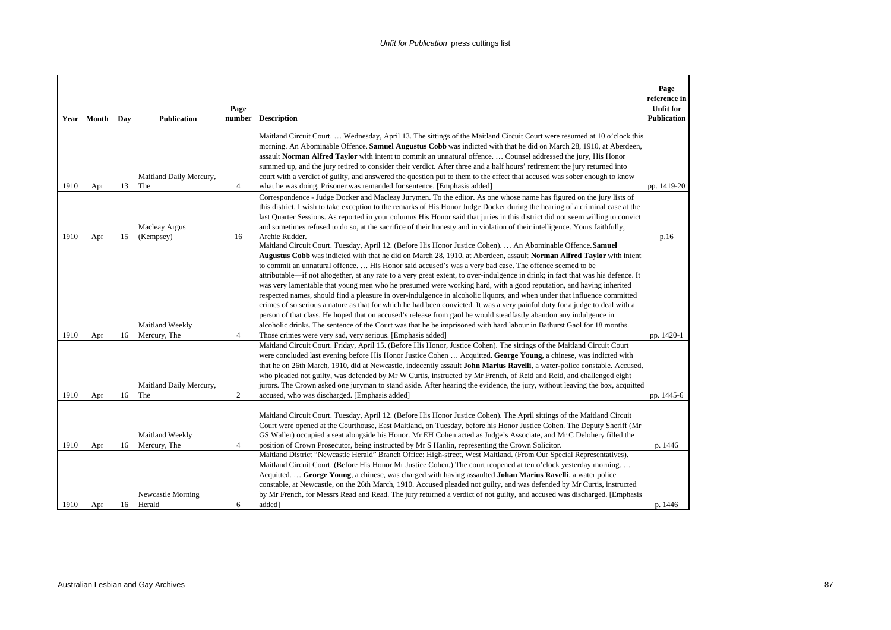| Year | Month | Day | <b>Publication</b>                | Page<br>number | <b>Description</b>                                                                                                                                                                                                                                                                                                                                                                                                                                                                                                                                                                                                         | Page<br>reference in<br><b>Unfit for</b><br><b>Publication</b> |
|------|-------|-----|-----------------------------------|----------------|----------------------------------------------------------------------------------------------------------------------------------------------------------------------------------------------------------------------------------------------------------------------------------------------------------------------------------------------------------------------------------------------------------------------------------------------------------------------------------------------------------------------------------------------------------------------------------------------------------------------------|----------------------------------------------------------------|
|      |       |     | Maitland Daily Mercury,           |                | Maitland Circuit Court Wednesday, April 13. The sittings of the Maitland Circuit Court were resumed at 10 o'clock this<br>morning. An Abominable Offence. Samuel Augustus Cobb was indicted with that he did on March 28, 1910, at Aberdeen,<br>assault Norman Alfred Taylor with intent to commit an unnatural offence.  Counsel addressed the jury, His Honor<br>summed up, and the jury retired to consider their verdict. After three and a half hours' retirement the jury returned into<br>court with a verdict of guilty, and answered the question put to them to the effect that accused was sober enough to know |                                                                |
| 1910 | Apr   | 13  | The                               | $\overline{4}$ | what he was doing. Prisoner was remanded for sentence. [Emphasis added]                                                                                                                                                                                                                                                                                                                                                                                                                                                                                                                                                    | pp. 1419-20                                                    |
| 1910 | Apr   | 15  | <b>Macleay Argus</b><br>(Kempsey) | 16             | Correspondence - Judge Docker and Macleay Jurymen. To the editor. As one whose name has figured on the jury lists of<br>this district, I wish to take exception to the remarks of His Honor Judge Docker during the hearing of a criminal case at the<br>last Quarter Sessions. As reported in your columns His Honor said that juries in this district did not seem willing to convict<br>and sometimes refused to do so, at the sacrifice of their honesty and in violation of their intelligence. Yours faithfully,<br>Archie Rudder.                                                                                   | p.16                                                           |
|      |       |     |                                   |                | Maitland Circuit Court. Tuesday, April 12. (Before His Honor Justice Cohen).  An Abominable Offence. Samuel                                                                                                                                                                                                                                                                                                                                                                                                                                                                                                                |                                                                |
|      |       |     |                                   |                | Augustus Cobb was indicted with that he did on March 28, 1910, at Aberdeen, assault Norman Alfred Taylor with intent                                                                                                                                                                                                                                                                                                                                                                                                                                                                                                       |                                                                |
|      |       |     |                                   |                | to commit an unnatural offence His Honor said accused's was a very bad case. The offence seemed to be                                                                                                                                                                                                                                                                                                                                                                                                                                                                                                                      |                                                                |
|      |       |     |                                   |                | attributable—if not altogether, at any rate to a very great extent, to over-indulgence in drink; in fact that was his defence. It                                                                                                                                                                                                                                                                                                                                                                                                                                                                                          |                                                                |
|      |       |     |                                   |                | was very lamentable that young men who he presumed were working hard, with a good reputation, and having inherited<br>respected names, should find a pleasure in over-indulgence in alcoholic liquors, and when under that influence committed                                                                                                                                                                                                                                                                                                                                                                             |                                                                |
|      |       |     |                                   |                | crimes of so serious a nature as that for which he had been convicted. It was a very painful duty for a judge to deal with a                                                                                                                                                                                                                                                                                                                                                                                                                                                                                               |                                                                |
|      |       |     |                                   |                | person of that class. He hoped that on accused's release from gaol he would steadfastly abandon any indulgence in                                                                                                                                                                                                                                                                                                                                                                                                                                                                                                          |                                                                |
|      |       |     | Maitland Weekly                   |                | alcoholic drinks. The sentence of the Court was that he be imprisoned with hard labour in Bathurst Gaol for 18 months.                                                                                                                                                                                                                                                                                                                                                                                                                                                                                                     |                                                                |
| 1910 | Apr   | 16  | Mercury, The                      | $\overline{4}$ | Those crimes were very sad, very serious. [Emphasis added]                                                                                                                                                                                                                                                                                                                                                                                                                                                                                                                                                                 | pp. 1420-1                                                     |
|      |       |     |                                   |                | Maitland Circuit Court. Friday, April 15. (Before His Honor, Justice Cohen). The sittings of the Maitland Circuit Court                                                                                                                                                                                                                                                                                                                                                                                                                                                                                                    |                                                                |
|      |       |     |                                   |                | were concluded last evening before His Honor Justice Cohen  Acquitted. George Young, a chinese, was indicted with                                                                                                                                                                                                                                                                                                                                                                                                                                                                                                          |                                                                |
|      |       |     |                                   |                | that he on 26th March, 1910, did at Newcastle, indecently assault John Marius Ravelli, a water-police constable. Accused,                                                                                                                                                                                                                                                                                                                                                                                                                                                                                                  |                                                                |
|      |       |     |                                   |                | who pleaded not guilty, was defended by Mr W Curtis, instructed by Mr French, of Reid and Reid, and challenged eight                                                                                                                                                                                                                                                                                                                                                                                                                                                                                                       |                                                                |
|      |       |     | Maitland Daily Mercury,           |                | jurors. The Crown asked one juryman to stand aside. After hearing the evidence, the jury, without leaving the box, acquitted                                                                                                                                                                                                                                                                                                                                                                                                                                                                                               |                                                                |
| 1910 | Apr   | 16  | The                               | 2              | accused, who was discharged. [Emphasis added]                                                                                                                                                                                                                                                                                                                                                                                                                                                                                                                                                                              | pp. 1445-6                                                     |
| 1910 |       |     | Maitland Weekly                   | $\overline{4}$ | Maitland Circuit Court. Tuesday, April 12. (Before His Honor Justice Cohen). The April sittings of the Maitland Circuit<br>Court were opened at the Courthouse, East Maitland, on Tuesday, before his Honor Justice Cohen. The Deputy Sheriff (Mr<br>GS Waller) occupied a seat alongside his Honor. Mr EH Cohen acted as Judge's Associate, and Mr C Delohery filled the                                                                                                                                                                                                                                                  |                                                                |
|      | Apr   | 16  | Mercury, The                      |                | position of Crown Prosecutor, being instructed by Mr S Hanlin, representing the Crown Solicitor.<br>Maitland District "Newcastle Herald" Branch Office: High-street, West Maitland. (From Our Special Representatives).                                                                                                                                                                                                                                                                                                                                                                                                    | p. 1446                                                        |
|      |       |     |                                   |                | Maitland Circuit Court. (Before His Honor Mr Justice Cohen.) The court reopened at ten o'clock yesterday morning                                                                                                                                                                                                                                                                                                                                                                                                                                                                                                           |                                                                |
|      |       |     |                                   |                | Acquitted.  George Young, a chinese, was charged with having assaulted Johan Marius Ravelli, a water police                                                                                                                                                                                                                                                                                                                                                                                                                                                                                                                |                                                                |
|      |       |     |                                   |                | constable, at Newcastle, on the 26th March, 1910. Accused pleaded not guilty, and was defended by Mr Curtis, instructed                                                                                                                                                                                                                                                                                                                                                                                                                                                                                                    |                                                                |
|      |       |     | Newcastle Morning                 |                | by Mr French, for Messrs Read and Read. The jury returned a verdict of not guilty, and accused was discharged. [Emphasis                                                                                                                                                                                                                                                                                                                                                                                                                                                                                                   |                                                                |
| 1910 | Apr   | 16  | Herald                            | 6              | added]                                                                                                                                                                                                                                                                                                                                                                                                                                                                                                                                                                                                                     | p. 1446                                                        |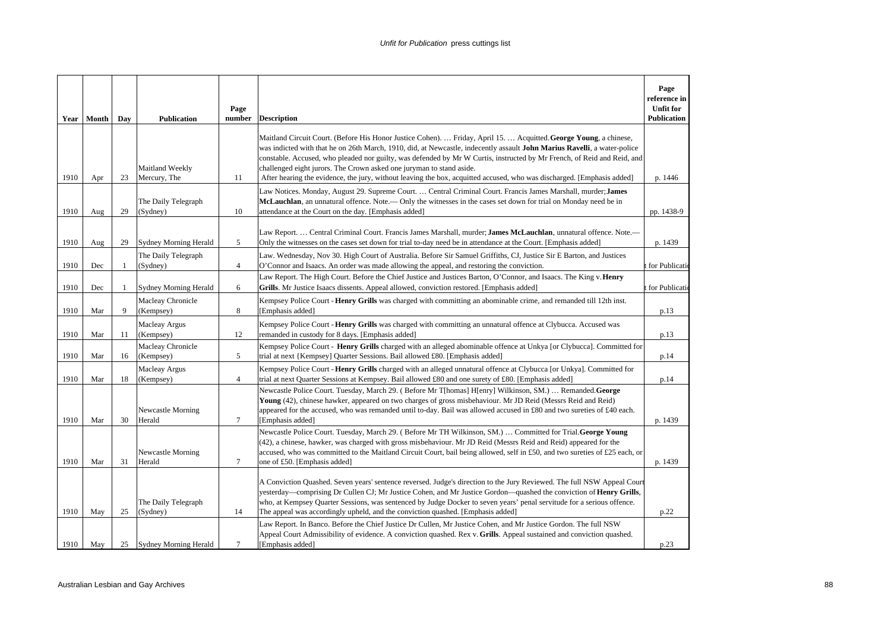|      |              |     |                                 | Page           |                                                                                                                                                                                                                                                                                                                                                                                                                                                                                                                                                                            | Page<br>reference in<br><b>Unfit for</b> |
|------|--------------|-----|---------------------------------|----------------|----------------------------------------------------------------------------------------------------------------------------------------------------------------------------------------------------------------------------------------------------------------------------------------------------------------------------------------------------------------------------------------------------------------------------------------------------------------------------------------------------------------------------------------------------------------------------|------------------------------------------|
|      | Year   Month | Day | <b>Publication</b>              | number         | <b>Description</b>                                                                                                                                                                                                                                                                                                                                                                                                                                                                                                                                                         | Publication                              |
| 1910 | Apr          | 23  | Maitland Weekly<br>Mercury, The | 11             | Maitland Circuit Court. (Before His Honor Justice Cohen).  Friday, April 15.  Acquitted. George Young, a chinese,<br>was indicted with that he on 26th March, 1910, did, at Newcastle, indecently assault John Marius Ravelli, a water-police<br>constable. Accused, who pleaded nor guilty, was defended by Mr W Curtis, instructed by Mr French, of Reid and Reid, and<br>challenged eight jurors. The Crown asked one juryman to stand aside.<br>After hearing the evidence, the jury, without leaving the box, acquitted accused, who was discharged. [Emphasis added] | p. 1446                                  |
| 1910 | Aug          | 29  | The Daily Telegraph<br>(Sydney) | 10             | Law Notices. Monday, August 29. Supreme Court.  Central Criminal Court. Francis James Marshall, murder; James<br>McLauchlan, an unnatural offence. Note.— Only the witnesses in the cases set down for trial on Monday need be in<br>attendance at the Court on the day. [Emphasis added]                                                                                                                                                                                                                                                                                  | pp. 1438-9                               |
| 1910 | Aug          | 29  | <b>Sydney Morning Herald</b>    | 5              | Law Report.  Central Criminal Court. Francis James Marshall, murder; James McLauchlan, unnatural offence. Note.—<br>Only the witnesses on the cases set down for trial to-day need be in attendance at the Court. [Emphasis added]                                                                                                                                                                                                                                                                                                                                         | p. 1439                                  |
| 1910 | Dec          | 1   | The Daily Telegraph<br>(Sydney) | $\overline{4}$ | Law. Wednesday, Nov 30. High Court of Australia. Before Sir Samuel Griffiths, CJ, Justice Sir E Barton, and Justices<br>O'Connor and Isaacs. An order was made allowing the appeal, and restoring the conviction.                                                                                                                                                                                                                                                                                                                                                          | for Publicati                            |
| 1910 | Dec          | 1   | Sydney Morning Herald           | 6              | Law Report. The High Court. Before the Chief Justice and Justices Barton, O'Connor, and Isaacs. The King v. Henry<br>Grills. Mr Justice Isaacs dissents. Appeal allowed, conviction restored. [Emphasis added]                                                                                                                                                                                                                                                                                                                                                             | for Publicati                            |
| 1910 | Mar          | 9   | Macleay Chronicle<br>(Kempsey)  | 8              | Kempsey Police Court - Henry Grills was charged with committing an abominable crime, and remanded till 12th inst.<br>[Emphasis added]                                                                                                                                                                                                                                                                                                                                                                                                                                      | p.13                                     |
| 1910 | Mar          | 11  | Macleay Argus<br>(Kempsey)      | 12             | Kempsey Police Court - Henry Grills was charged with committing an unnatural offence at Clybucca. Accused was<br>remanded in custody for 8 days. [Emphasis added]                                                                                                                                                                                                                                                                                                                                                                                                          | p.13                                     |
| 1910 | Mar          | 16  | Macleay Chronicle<br>(Kempsey)  | 5              | Kempsey Police Court - <b>Henry Grills</b> charged with an alleged abominable offence at Unkya [or Clybucca]. Committed for<br>trial at next {Kempsey] Quarter Sessions. Bail allowed £80. [Emphasis added]                                                                                                                                                                                                                                                                                                                                                                | p.14                                     |
| 1910 | Mar          | 18  | Macleay Argus<br>(Kempsey)      | $\overline{4}$ | Kempsey Police Court - <b>Henry Grills</b> charged with an alleged unnatural offence at Clybucca [or Unkya]. Committed for<br>trial at next Quarter Sessions at Kempsey. Bail allowed £80 and one surety of £80. [Emphasis added]                                                                                                                                                                                                                                                                                                                                          | p.14                                     |
| 1910 | Mar          | 30  | Newcastle Morning<br>Herald     | $\tau$         | Newcastle Police Court. Tuesday, March 29. (Before Mr T[homas] H[enry] Wilkinson, SM.)  Remanded. George<br>Young (42), chinese hawker, appeared on two charges of gross misbehaviour. Mr JD Reid (Messrs Reid and Reid)<br>appeared for the accused, who was remanded until to-day. Bail was allowed accused in £80 and two sureties of £40 each.<br>[Emphasis added]                                                                                                                                                                                                     | p. 1439                                  |
| 1910 | Mar          | 31  | Newcastle Morning<br>Herald     | $\tau$         | Newcastle Police Court. Tuesday, March 29. (Before Mr TH Wilkinson, SM.)  Committed for Trial. George Young<br>(42), a chinese, hawker, was charged with gross misbehaviour. Mr JD Reid (Messrs Reid and Reid) appeared for the<br>accused, who was committed to the Maitland Circuit Court, bail being allowed, self in £50, and two sureties of £25 each, or<br>one of £50. [Emphasis added]                                                                                                                                                                             | p. 1439                                  |
| 1910 | May          | 25  | The Daily Telegraph<br>(Sydney) | 14             | A Conviction Quashed. Seven years' sentence reversed. Judge's direction to the Jury Reviewed. The full NSW Appeal Court<br>yesterday—comprising Dr Cullen CJ; Mr Justice Cohen, and Mr Justice Gordon—quashed the conviction of Henry Grills,<br>who, at Kempsey Quarter Sessions, was sentenced by Judge Docker to seven years' penal servitude for a serious offence.<br>The appeal was accordingly upheld, and the conviction quashed. [Emphasis added]                                                                                                                 | p.22                                     |
| 1910 | May          | 25  | <b>Sydney Morning Herald</b>    | $\overline{7}$ | Law Report. In Banco. Before the Chief Justice Dr Cullen, Mr Justice Cohen, and Mr Justice Gordon. The full NSW<br>Appeal Court Admissibility of evidence. A conviction quashed. Rex v. Grills. Appeal sustained and conviction quashed.<br>[Emphasis added]                                                                                                                                                                                                                                                                                                               | p.23                                     |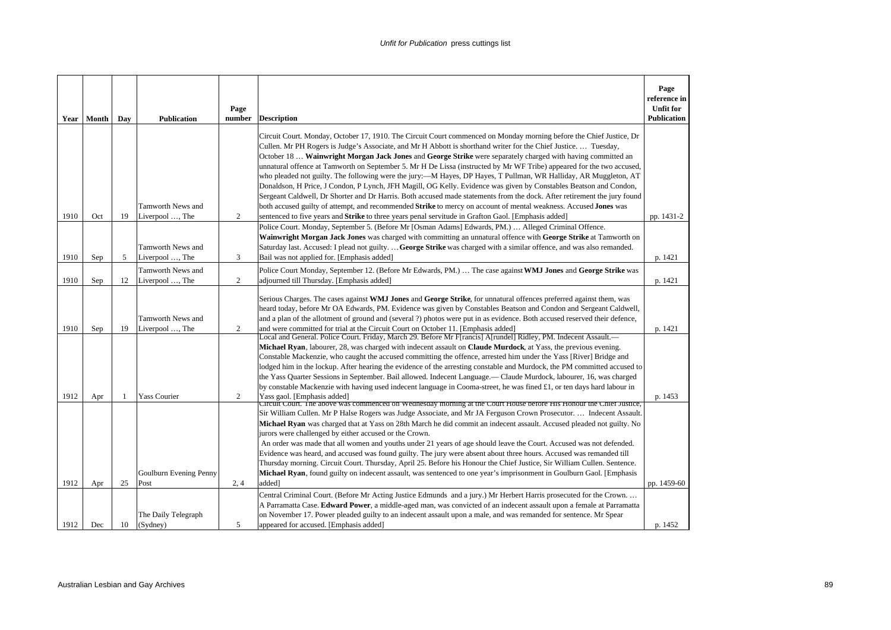| Year | Month | Day | <b>Publication</b>     | Page<br>number | <b>Description</b>                                                                                                                                                                                                                            | Page<br>reference in<br><b>Unfit for</b><br><b>Publication</b> |
|------|-------|-----|------------------------|----------------|-----------------------------------------------------------------------------------------------------------------------------------------------------------------------------------------------------------------------------------------------|----------------------------------------------------------------|
|      |       |     |                        |                | Circuit Court. Monday, October 17, 1910. The Circuit Court commenced on Monday morning before the Chief Justice, Dr                                                                                                                           |                                                                |
|      |       |     |                        |                | Cullen. Mr PH Rogers is Judge's Associate, and Mr H Abbott is shorthand writer for the Chief Justice.  Tuesday,                                                                                                                               |                                                                |
|      |       |     |                        |                | October 18  Wainwright Morgan Jack Jones and George Strike were separately charged with having committed an<br>unnatural offence at Tamworth on September 5. Mr H De Lissa (instructed by Mr WF Tribe) appeared for the two accused,          |                                                                |
|      |       |     |                        |                | who pleaded not guilty. The following were the jury:—M Hayes, DP Hayes, T Pullman, WR Halliday, AR Muggleton, AT                                                                                                                              |                                                                |
|      |       |     |                        |                | Donaldson, H Price, J Condon, P Lynch, JFH Magill, OG Kelly. Evidence was given by Constables Beatson and Condon,<br>Sergeant Caldwell, Dr Shorter and Dr Harris. Both accused made statements from the dock. After retirement the jury found |                                                                |
|      |       |     | Tamworth News and      |                | both accused guilty of attempt, and recommended Strike to mercy on account of mental weakness. Accused Jones was                                                                                                                              |                                                                |
| 1910 | Oct   | 19  | Liverpool , The        | 2              | sentenced to five years and <b>Strike</b> to three years penal servitude in Grafton Gaol. [Emphasis added]                                                                                                                                    | pp. 1431-2                                                     |
|      |       |     |                        |                | Police Court. Monday, September 5. (Before Mr [Osman Adams] Edwards, PM.)  Alleged Criminal Offence.<br>Wainwright Morgan Jack Jones was charged with committing an unnatural offence with George Strike at Tamworth on                       |                                                                |
|      |       |     | Tamworth News and      |                | Saturday last. Accused: I plead not guilty.  George Strike was charged with a similar offence, and was also remanded.                                                                                                                         |                                                                |
| 1910 | Sep   | 5   | Liverpool , The        | 3              | Bail was not applied for. [Emphasis added]                                                                                                                                                                                                    | p. 1421                                                        |
|      |       |     | Tamworth News and      |                | Police Court Monday, September 12. (Before Mr Edwards, PM.)  The case against WMJ Jones and George Strike was                                                                                                                                 |                                                                |
| 1910 | Sep   | 12  | Liverpool , The        | $\overline{2}$ | adjourned till Thursday. [Emphasis added]                                                                                                                                                                                                     | p. 1421                                                        |
|      |       |     |                        |                | Serious Charges. The cases against WMJ Jones and George Strike, for unnatural offences preferred against them, was                                                                                                                            |                                                                |
|      |       |     |                        |                | heard today, before Mr OA Edwards, PM. Evidence was given by Constables Beatson and Condon and Sergeant Caldwell,                                                                                                                             |                                                                |
|      |       |     | Tamworth News and      |                | and a plan of the allotment of ground and (several ?) photos were put in as evidence. Both accused reserved their defence,                                                                                                                    |                                                                |
| 1910 | Sep   | 19  | Liverpool , The        | $\overline{2}$ | and were committed for trial at the Circuit Court on October 11. [Emphasis added]                                                                                                                                                             | p. 1421                                                        |
|      |       |     |                        |                | Local and General. Police Court. Friday, March 29. Before Mr F[rancis] A[rundel] Ridley, PM. Indecent Assault.—                                                                                                                               |                                                                |
|      |       |     |                        |                | Michael Ryan, labourer, 28, was charged with indecent assault on Claude Murdock, at Yass, the previous evening.<br>Constable Mackenzie, who caught the accused committing the offence, arrested him under the Yass [River] Bridge and         |                                                                |
|      |       |     |                        |                | lodged him in the lockup. After hearing the evidence of the arresting constable and Murdock, the PM committed accused to                                                                                                                      |                                                                |
|      |       |     |                        |                | the Yass Quarter Sessions in September. Bail allowed. Indecent Language.— Claude Murdock, labourer, 16, was charged                                                                                                                           |                                                                |
|      |       |     |                        |                | by constable Mackenzie with having used indecent language in Cooma-street, he was fined £1, or ten days hard labour in                                                                                                                        |                                                                |
| 1912 | Apr   | -1  | <b>Yass Courier</b>    | 2              | Yass gaol. [Emphasis added]                                                                                                                                                                                                                   | p. 1453                                                        |
|      |       |     |                        |                | Circuit Court. The above was commenced on Wednesday morning at the Court House before His Honour the Chief Justice,<br>Sir William Cullen. Mr P Halse Rogers was Judge Associate, and Mr JA Ferguson Crown Prosecutor.  Indecent Assault.     |                                                                |
|      |       |     |                        |                | Michael Ryan was charged that at Yass on 28th March he did commit an indecent assault. Accused pleaded not guilty. No                                                                                                                         |                                                                |
|      |       |     |                        |                | jurors were challenged by either accused or the Crown.                                                                                                                                                                                        |                                                                |
|      |       |     |                        |                | An order was made that all women and youths under 21 years of age should leave the Court. Accused was not defended.                                                                                                                           |                                                                |
|      |       |     |                        |                | Evidence was heard, and accused was found guilty. The jury were absent about three hours. Accused was remanded till                                                                                                                           |                                                                |
|      |       |     |                        |                | Thursday morning. Circuit Court. Thursday, April 25. Before his Honour the Chief Justice, Sir William Cullen. Sentence.                                                                                                                       |                                                                |
|      |       |     | Goulburn Evening Penny |                | Michael Ryan, found guilty on indecent assault, was sentenced to one year's imprisonment in Goulburn Gaol. [Emphasis]                                                                                                                         |                                                                |
| 1912 | Apr   | 25  | Post                   | 2, 4           | added]                                                                                                                                                                                                                                        | pp. 1459-60                                                    |
|      |       |     |                        |                | Central Criminal Court. (Before Mr Acting Justice Edmunds and a jury.) Mr Herbert Harris prosecuted for the Crown<br>A Parramatta Case. Edward Power, a middle-aged man, was convicted of an indecent assault upon a female at Parramatta     |                                                                |
|      |       |     | The Daily Telegraph    |                | on November 17. Power pleaded guilty to an indecent assault upon a male, and was remanded for sentence. Mr Spear                                                                                                                              |                                                                |
| 1912 | Dec   | 10  | (Sydney)               | 5              | appeared for accused. [Emphasis added]                                                                                                                                                                                                        | p. 1452                                                        |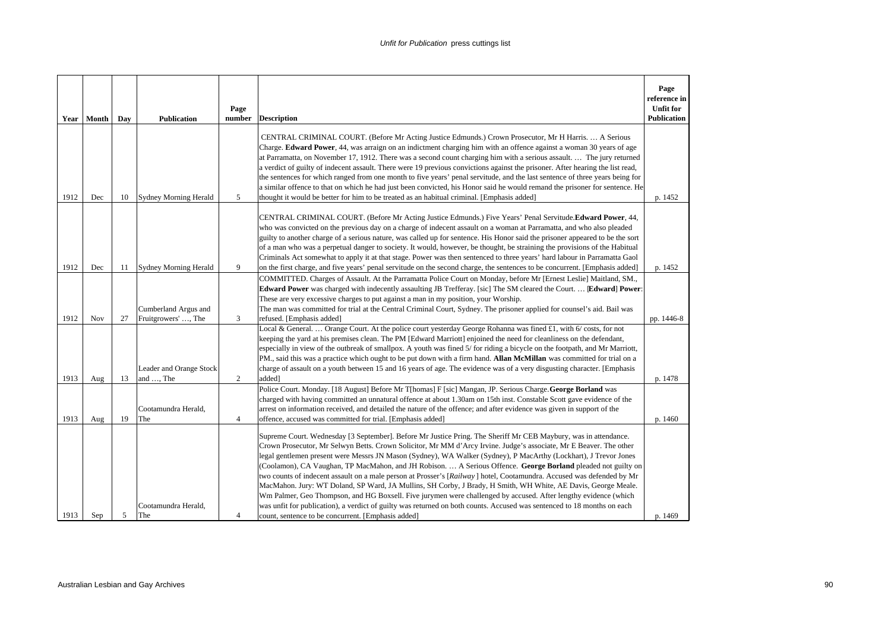| Year | Month | Day | <b>Publication</b>                          | Page<br>number | <b>Description</b>                                                                                                                                                                                                                                                                                                                                                                                                                                                                                                                                                                                                                                                                                                                                                                                                                                                                                                                                                                                                       | Page<br>reference in<br><b>Unfit for</b><br><b>Publication</b> |
|------|-------|-----|---------------------------------------------|----------------|--------------------------------------------------------------------------------------------------------------------------------------------------------------------------------------------------------------------------------------------------------------------------------------------------------------------------------------------------------------------------------------------------------------------------------------------------------------------------------------------------------------------------------------------------------------------------------------------------------------------------------------------------------------------------------------------------------------------------------------------------------------------------------------------------------------------------------------------------------------------------------------------------------------------------------------------------------------------------------------------------------------------------|----------------------------------------------------------------|
| 1912 | Dec   | 10  | <b>Sydney Morning Herald</b>                | 5              | CENTRAL CRIMINAL COURT. (Before Mr Acting Justice Edmunds.) Crown Prosecutor, Mr H Harris.  A Serious<br>Charge. Edward Power, 44, was arraign on an indictment charging him with an offence against a woman 30 years of age<br>at Parramatta, on November 17, 1912. There was a second count charging him with a serious assault.  The jury returned<br>a verdict of guilty of indecent assault. There were 19 previous convictions against the prisoner. After hearing the list read,<br>the sentences for which ranged from one month to five years' penal servitude, and the last sentence of three years being for<br>a similar offence to that on which he had just been convicted, his Honor said he would remand the prisoner for sentence. He<br>thought it would be better for him to be treated as an habitual criminal. [Emphasis added]                                                                                                                                                                     | p. 1452                                                        |
| 1912 | Dec   | 11  | <b>Sydney Morning Herald</b>                | 9              | CENTRAL CRIMINAL COURT. (Before Mr Acting Justice Edmunds.) Five Years' Penal Servitude.Edward Power, 44,<br>who was convicted on the previous day on a charge of indecent assault on a woman at Parramatta, and who also pleaded<br>guilty to another charge of a serious nature, was called up for sentence. His Honor said the prisoner appeared to be the sort<br>of a man who was a perpetual danger to society. It would, however, be thought, be straining the provisions of the Habitual<br>Criminals Act somewhat to apply it at that stage. Power was then sentenced to three years' hard labour in Parramatta Gaol<br>on the first charge, and five years' penal servitude on the second charge, the sentences to be concurrent. [Emphasis added]                                                                                                                                                                                                                                                             | p. 1452                                                        |
| 1912 | Nov   | 27  | Cumberland Argus and<br>Fruitgrowers' , The | 3              | COMMITTED. Charges of Assault. At the Parramatta Police Court on Monday, before Mr [Ernest Leslie] Maitland, SM.,<br>Edward Power was charged with indecently assaulting JB Trefferay. [sic] The SM cleared the Court.  [Edward] Power:<br>These are very excessive charges to put against a man in my position, your Worship.<br>The man was committed for trial at the Central Criminal Court, Sydney. The prisoner applied for counsel's aid. Bail was<br>refused. [Emphasis added]                                                                                                                                                                                                                                                                                                                                                                                                                                                                                                                                   | pp. 1446-8                                                     |
| 1913 | Aug   | 13  | Leader and Orange Stock<br>and , The        | 2              | Local & General.  Orange Court. At the police court yesterday George Rohanna was fined £1, with 6/ costs, for not<br>keeping the yard at his premises clean. The PM [Edward Marriott] enjoined the need for cleanliness on the defendant,<br>especially in view of the outbreak of smallpox. A youth was fined 5/ for riding a bicycle on the footpath, and Mr Marriott,<br>PM., said this was a practice which ought to be put down with a firm hand. Allan McMillan was committed for trial on a<br>charge of assault on a youth between 15 and 16 years of age. The evidence was of a very disgusting character. [Emphasis<br>added]                                                                                                                                                                                                                                                                                                                                                                                  | p. 1478                                                        |
| 1913 | Aug   | 19  | Cootamundra Herald,<br>The                  | $\overline{4}$ | Police Court. Monday. [18 August] Before Mr T[homas] F [sic] Mangan, JP. Serious Charge. George Borland was<br>charged with having committed an unnatural offence at about 1.30am on 15th inst. Constable Scott gave evidence of the<br>arrest on information received, and detailed the nature of the offence; and after evidence was given in support of the<br>offence, accused was committed for trial. [Emphasis added]                                                                                                                                                                                                                                                                                                                                                                                                                                                                                                                                                                                             | p. 1460                                                        |
| 1913 | Sep   | 5   | Cootamundra Herald,<br>The                  | 4              | Supreme Court. Wednesday [3 September]. Before Mr Justice Pring. The Sheriff Mr CEB Maybury, was in attendance.<br>Crown Prosecutor, Mr Selwyn Betts. Crown Solicitor, Mr MM d'Arcy Irvine. Judge's associate, Mr E Beaver. The other<br>legal gentlemen present were Messrs JN Mason (Sydney), WA Walker (Sydney), P MacArthy (Lockhart), J Trevor Jones<br>(Coolamon), CA Vaughan, TP MacMahon, and JH Robison.  A Serious Offence. George Borland pleaded not guilty on<br>two counts of indecent assault on a male person at Prosser's [Railway] hotel, Cootamundra. Accused was defended by Mr<br>MacMahon. Jury: WT Doland, SP Ward, JA Mullins, SH Corby, J Brady, H Smith, WH White, AE Davis, George Meale.<br>Wm Palmer, Geo Thompson, and HG Boxsell. Five jurymen were challenged by accused. After lengthy evidence (which<br>was unfit for publication), a verdict of guilty was returned on both counts. Accused was sentenced to 18 months on each<br>count, sentence to be concurrent. [Emphasis added] | p. 1469                                                        |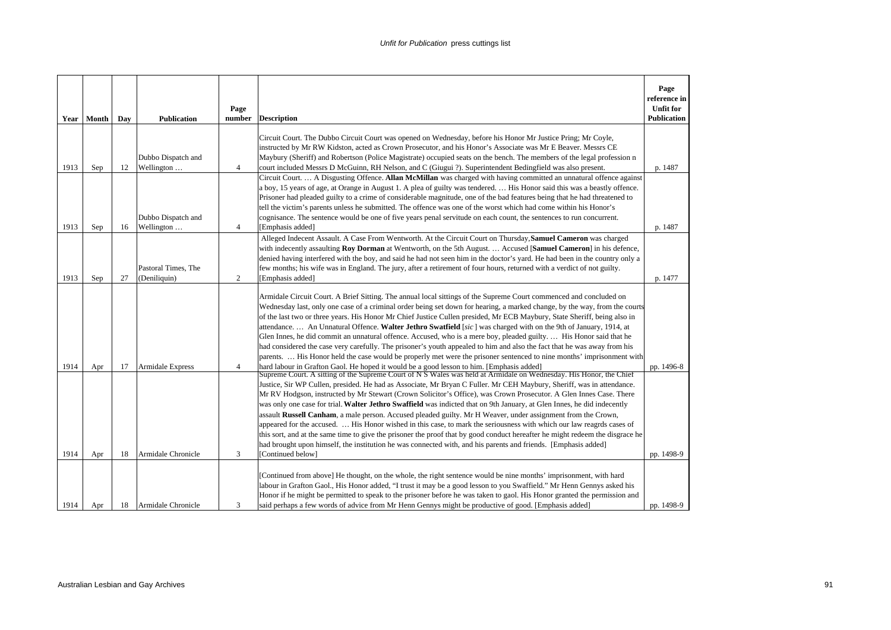| Year         | Month      | Day      | <b>Publication</b>                            | Page<br>number      | <b>Description</b>                                                                                                                                                                                                                                                                                                                                                                                                                                                                                                                                                                                                                                                                                                                                                                                                                                                                                                                                                                                                                                                                                                                                                                                                                                                                                                                                                                                                                                                                                                                                                                                                                                                                                                                                                                                                                                                                                                                                                                       | Page<br>reference in<br><b>Unfit for</b><br><b>Publication</b> |
|--------------|------------|----------|-----------------------------------------------|---------------------|------------------------------------------------------------------------------------------------------------------------------------------------------------------------------------------------------------------------------------------------------------------------------------------------------------------------------------------------------------------------------------------------------------------------------------------------------------------------------------------------------------------------------------------------------------------------------------------------------------------------------------------------------------------------------------------------------------------------------------------------------------------------------------------------------------------------------------------------------------------------------------------------------------------------------------------------------------------------------------------------------------------------------------------------------------------------------------------------------------------------------------------------------------------------------------------------------------------------------------------------------------------------------------------------------------------------------------------------------------------------------------------------------------------------------------------------------------------------------------------------------------------------------------------------------------------------------------------------------------------------------------------------------------------------------------------------------------------------------------------------------------------------------------------------------------------------------------------------------------------------------------------------------------------------------------------------------------------------------------------|----------------------------------------------------------------|
| 1913         | Sep        | 12       | Dubbo Dispatch and<br>Wellington              | $\overline{4}$      | Circuit Court. The Dubbo Circuit Court was opened on Wednesday, before his Honor Mr Justice Pring; Mr Coyle,<br>instructed by Mr RW Kidston, acted as Crown Prosecutor, and his Honor's Associate was Mr E Beaver. Messrs CE<br>Maybury (Sheriff) and Robertson (Police Magistrate) occupied seats on the bench. The members of the legal profession n<br>court included Messrs D McGuinn, RH Nelson, and C (Giugui ?). Superintendent Bedingfield was also present.                                                                                                                                                                                                                                                                                                                                                                                                                                                                                                                                                                                                                                                                                                                                                                                                                                                                                                                                                                                                                                                                                                                                                                                                                                                                                                                                                                                                                                                                                                                     | p. 1487                                                        |
| 1913         | Sep        | 16       | Dubbo Dispatch and<br>Wellington              | $\overline{4}$      | Circuit Court.  A Disgusting Offence. Allan McMillan was charged with having committed an unnatural offence against<br>a boy, 15 years of age, at Orange in August 1. A plea of guilty was tendered.  His Honor said this was a beastly offence.<br>Prisoner had pleaded guilty to a crime of considerable magnitude, one of the bad features being that he had threatened to<br>tell the victim's parents unless he submitted. The offence was one of the worst which had come within his Honor's<br>cognisance. The sentence would be one of five years penal servitude on each count, the sentences to run concurrent.<br>[Emphasis added]                                                                                                                                                                                                                                                                                                                                                                                                                                                                                                                                                                                                                                                                                                                                                                                                                                                                                                                                                                                                                                                                                                                                                                                                                                                                                                                                            | p. 1487                                                        |
| 1913         | Sep        | 27       | Pastoral Times, The<br>(Deniliquin)           | 2                   | Alleged Indecent Assault. A Case From Wentworth. At the Circuit Court on Thursday, Samuel Cameron was charged<br>with indecently assaulting Roy Dorman at Wentworth, on the 5th August.  Accused [Samuel Cameron] in his defence,<br>denied having interfered with the boy, and said he had not seen him in the doctor's yard. He had been in the country only a<br>few months; his wife was in England. The jury, after a retirement of four hours, returned with a verdict of not guilty.<br>[Emphasis added]                                                                                                                                                                                                                                                                                                                                                                                                                                                                                                                                                                                                                                                                                                                                                                                                                                                                                                                                                                                                                                                                                                                                                                                                                                                                                                                                                                                                                                                                          | p. 1477                                                        |
| 1914<br>1914 | Apr<br>Apr | 17<br>18 | <b>Armidale Express</b><br>Armidale Chronicle | $\overline{4}$<br>3 | Armidale Circuit Court. A Brief Sitting. The annual local sittings of the Supreme Court commenced and concluded on<br>Wednesday last, only one case of a criminal order being set down for hearing, a marked change, by the way, from the courts<br>of the last two or three years. His Honor Mr Chief Justice Cullen presided, Mr ECB Maybury, State Sheriff, being also in<br>attendance An Unnatural Offence. Walter Jethro Swatfield [sic] was charged with on the 9th of January, 1914, at<br>Glen Innes, he did commit an unnatural offence. Accused, who is a mere boy, pleaded guilty.  His Honor said that he<br>had considered the case very carefully. The prisoner's youth appealed to him and also the fact that he was away from his<br>parents.  His Honor held the case would be properly met were the prisoner sentenced to nine months' imprisonment with<br>hard labour in Grafton Gaol. He hoped it would be a good lesson to him. [Emphasis added]<br>Supreme Court. A sitting of the Supreme Court of N S Wales was held at Armidale on Wednesday. His Honor, the Chief<br>Justice, Sir WP Cullen, presided. He had as Associate, Mr Bryan C Fuller. Mr CEH Maybury, Sheriff, was in attendance.<br>Mr RV Hodgson, instructed by Mr Stewart (Crown Solicitor's Office), was Crown Prosecutor. A Glen Innes Case. There<br>was only one case for trial. Walter Jethro Swaffield was indicted that on 9th January, at Glen Innes, he did indecently<br>assault Russell Canham, a male person. Accused pleaded guilty. Mr H Weaver, under assignment from the Crown,<br>appeared for the accused.  His Honor wished in this case, to mark the seriousness with which our law reagrds cases of<br>this sort, and at the same time to give the prisoner the proof that by good conduct hereafter he might redeem the disgrace he<br>had brought upon himself, the institution he was connected with, and his parents and friends. [Emphasis added]<br>[Continued below] | pp. 1496-8<br>pp. 1498-9                                       |
| 1914         | Apr        | 18       | Armidale Chronicle                            | 3                   | [Continued from above] He thought, on the whole, the right sentence would be nine months' imprisonment, with hard<br>labour in Grafton Gaol., His Honor added, "I trust it may be a good lesson to you Swaffield." Mr Henn Gennys asked his<br>Honor if he might be permitted to speak to the prisoner before he was taken to gaol. His Honor granted the permission and<br>said perhaps a few words of advice from Mr Henn Gennys might be productive of good. [Emphasis added]                                                                                                                                                                                                                                                                                                                                                                                                                                                                                                                                                                                                                                                                                                                                                                                                                                                                                                                                                                                                                                                                                                                                                                                                                                                                                                                                                                                                                                                                                                         | pp. 1498-9                                                     |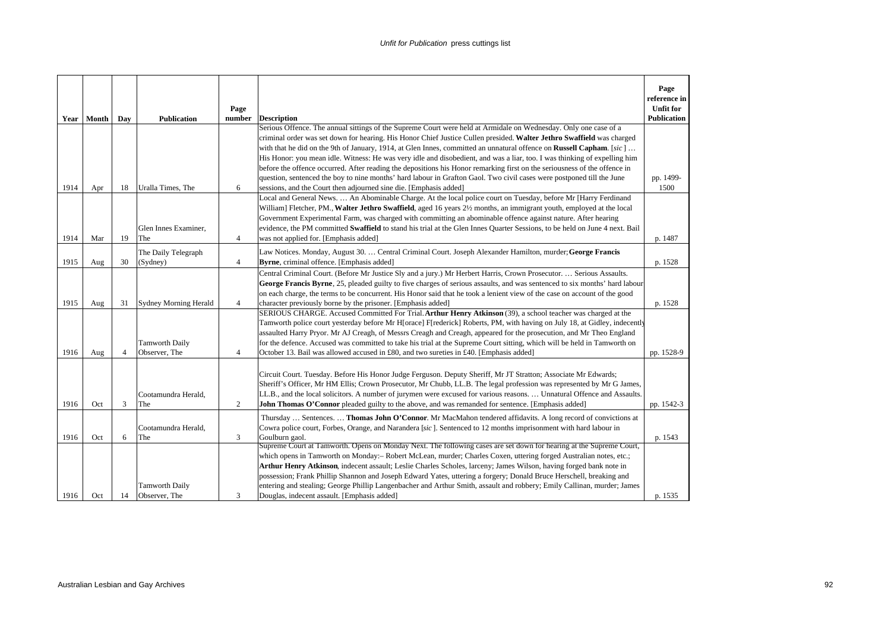|      |              |                |                              |                |                                                                                                                                                                                                                                         | Page<br>reference in |
|------|--------------|----------------|------------------------------|----------------|-----------------------------------------------------------------------------------------------------------------------------------------------------------------------------------------------------------------------------------------|----------------------|
|      |              |                |                              | Page           |                                                                                                                                                                                                                                         | <b>Unfit for</b>     |
|      | Year   Month | Day            | <b>Publication</b>           | number         | <b>Description</b><br>Serious Offence. The annual sittings of the Supreme Court were held at Armidale on Wednesday. Only one case of a                                                                                                  | Publication          |
|      |              |                |                              |                | criminal order was set down for hearing. His Honor Chief Justice Cullen presided. Walter Jethro Swaffield was charged                                                                                                                   |                      |
|      |              |                |                              |                | with that he did on the 9th of January, 1914, at Glen Innes, committed an unnatural offence on <b>Russell Capham</b> . [sic]                                                                                                            |                      |
|      |              |                |                              |                | His Honor: you mean idle. Witness: He was very idle and disobedient, and was a liar, too. I was thinking of expelling him                                                                                                               |                      |
|      |              |                |                              |                | before the offence occurred. After reading the depositions his Honor remarking first on the seriousness of the offence in                                                                                                               |                      |
|      |              |                |                              |                | question, sentenced the boy to nine months' hard labour in Grafton Gaol. Two civil cases were postponed till the June                                                                                                                   | pp. 1499-            |
| 1914 | Apr          | 18             | Uralla Times, The            | 6              | sessions, and the Court then adjourned sine die. [Emphasis added]                                                                                                                                                                       | 1500                 |
|      |              |                |                              |                | Local and General News.  An Abominable Charge. At the local police court on Tuesday, before Mr [Harry Ferdinand                                                                                                                         |                      |
|      |              |                |                              |                | William] Fletcher, PM., Walter Jethro Swaffield, aged 16 years 21/2 months, an immigrant youth, employed at the local                                                                                                                   |                      |
|      |              |                |                              |                | Government Experimental Farm, was charged with committing an abominable offence against nature. After hearing                                                                                                                           |                      |
|      |              |                | Glen Innes Examiner,         |                | evidence, the PM committed Swaffield to stand his trial at the Glen Innes Quarter Sessions, to be held on June 4 next. Bail                                                                                                             |                      |
| 1914 | Mar          | 19             | The                          | $\overline{4}$ | was not applied for. [Emphasis added]                                                                                                                                                                                                   | p. 1487              |
|      |              |                | The Daily Telegraph          |                | Law Notices. Monday, August 30.  Central Criminal Court. Joseph Alexander Hamilton, murder; George Francis                                                                                                                              |                      |
| 1915 | Aug          | 30             | (Sydney)                     | $\overline{4}$ | Byrne, criminal offence. [Emphasis added]                                                                                                                                                                                               | p. 1528              |
|      |              |                |                              |                | Central Criminal Court. (Before Mr Justice Sly and a jury.) Mr Herbert Harris, Crown Prosecutor.  Serious Assaults.                                                                                                                     |                      |
|      |              |                |                              |                | George Francis Byrne, 25, pleaded guilty to five charges of serious assaults, and was sentenced to six months' hard labour                                                                                                              |                      |
|      |              |                |                              |                | on each charge, the terms to be concurrent. His Honor said that he took a lenient view of the case on account of the good                                                                                                               |                      |
| 1915 | Aug          | 31             | <b>Sydney Morning Herald</b> | $\overline{4}$ | character previously borne by the prisoner. [Emphasis added]                                                                                                                                                                            | p. 1528              |
|      |              |                |                              |                | SERIOUS CHARGE. Accused Committed For Trial. Arthur Henry Atkinson (39), a school teacher was charged at the                                                                                                                            |                      |
|      |              |                |                              |                | Tamworth police court yesterday before Mr H[orace] F[rederick] Roberts, PM, with having on July 18, at Gidley, indecently                                                                                                               |                      |
|      |              |                |                              |                | assaulted Harry Pryor. Mr AJ Creagh, of Messrs Creagh and Creagh, appeared for the prosecution, and Mr Theo England                                                                                                                     |                      |
|      |              |                | <b>Tamworth Daily</b>        |                | for the defence. Accused was committed to take his trial at the Supreme Court sitting, which will be held in Tamworth on                                                                                                                |                      |
| 1916 | Aug          | $\overline{4}$ | Observer, The                | $\overline{4}$ | October 13. Bail was allowed accused in £80, and two sureties in £40. [Emphasis added]                                                                                                                                                  | pp. 1528-9           |
|      |              |                |                              |                |                                                                                                                                                                                                                                         |                      |
|      |              |                |                              |                | Circuit Court. Tuesday. Before His Honor Judge Ferguson. Deputy Sheriff, Mr JT Stratton; Associate Mr Edwards;<br>Sheriff's Officer, Mr HM Ellis; Crown Prosecutor, Mr Chubb, LL.B. The legal profession was represented by Mr G James, |                      |
|      |              |                | Cootamundra Herald,          |                | LL.B., and the local solicitors. A number of jurymen were excused for various reasons.  Unnatural Offence and Assaults.                                                                                                                 |                      |
| 1916 | Oct          | 3              | The                          | 2              | <b>John Thomas O'Connor</b> pleaded guilty to the above, and was remanded for sentence. [Emphasis added]                                                                                                                                | pp. 1542-3           |
|      |              |                |                              |                |                                                                                                                                                                                                                                         |                      |
|      |              |                | Cootamundra Herald,          |                | Thursday  Sentences.  Thomas John O'Connor. Mr MacMahon tendered affidavits. A long record of convictions at<br>Cowra police court, Forbes, Orange, and Narandera [sic]. Sentenced to 12 months imprisonment with hard labour in        |                      |
| 1916 | Oct          | 6              | The                          | 3              | Goulburn gaol.                                                                                                                                                                                                                          | p. 1543              |
|      |              |                |                              |                | Supreme Court at Tamworth. Opens on Monday Next. The following cases are set down for hearing at the Supreme Court,                                                                                                                     |                      |
|      |              |                |                              |                | which opens in Tamworth on Monday:- Robert McLean, murder; Charles Coxen, uttering forged Australian notes, etc.;                                                                                                                       |                      |
|      |              |                |                              |                | Arthur Henry Atkinson, indecent assault; Leslie Charles Scholes, larceny; James Wilson, having forged bank note in                                                                                                                      |                      |
|      |              |                |                              |                | possession; Frank Phillip Shannon and Joseph Edward Yates, uttering a forgery; Donald Bruce Herschell, breaking and                                                                                                                     |                      |
|      |              |                | <b>Tamworth Daily</b>        |                | entering and stealing; George Phillip Langenbacher and Arthur Smith, assault and robbery; Emily Callinan, murder; James                                                                                                                 |                      |
| 1916 | Oct          | 14             | Observer, The                | 3              | Douglas, indecent assault. [Emphasis added]                                                                                                                                                                                             | p. 1535              |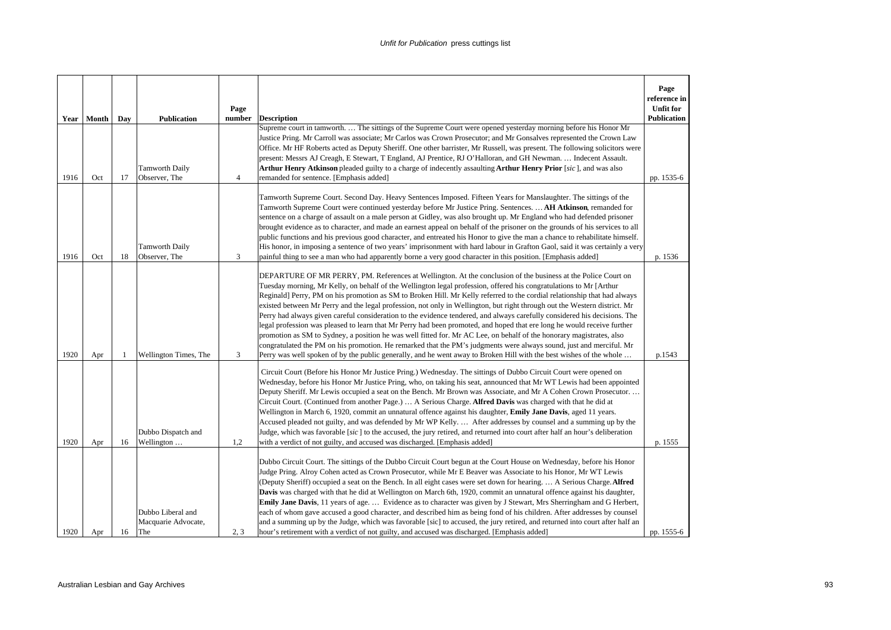|      |              |     |                                                 | Page           |                                                                                                                                                                                                                                                                                                                                                                                                                                                                                                                                                                                                                                                                                                                                                                                                                                                                                                                                                                                                                                                                                                                            | Page<br>reference in<br><b>Unfit for</b> |
|------|--------------|-----|-------------------------------------------------|----------------|----------------------------------------------------------------------------------------------------------------------------------------------------------------------------------------------------------------------------------------------------------------------------------------------------------------------------------------------------------------------------------------------------------------------------------------------------------------------------------------------------------------------------------------------------------------------------------------------------------------------------------------------------------------------------------------------------------------------------------------------------------------------------------------------------------------------------------------------------------------------------------------------------------------------------------------------------------------------------------------------------------------------------------------------------------------------------------------------------------------------------|------------------------------------------|
|      | Year   Month | Day | <b>Publication</b>                              | number         | <b>Description</b><br>Supreme court in tamworth.  The sittings of the Supreme Court were opened yesterday morning before his Honor Mr                                                                                                                                                                                                                                                                                                                                                                                                                                                                                                                                                                                                                                                                                                                                                                                                                                                                                                                                                                                      | <b>Publication</b>                       |
| 1916 | Oct          | 17  | <b>Tamworth Daily</b><br>Observer, The          | $\overline{4}$ | Justice Pring. Mr Carroll was associate; Mr Carlos was Crown Prosecutor; and Mr Gonsalves represented the Crown Law<br>Office. Mr HF Roberts acted as Deputy Sheriff. One other barrister, Mr Russell, was present. The following solicitors were<br>present: Messrs AJ Creagh, E Stewart, T England, AJ Prentice, RJ O'Halloran, and GH Newman.  Indecent Assault.<br>Arthur Henry Atkinson pleaded guilty to a charge of indecently assaulting Arthur Henry Prior [sic], and was also<br>remanded for sentence. [Emphasis added]                                                                                                                                                                                                                                                                                                                                                                                                                                                                                                                                                                                         | pp. 1535-6                               |
| 1916 | Oct          | 18  | <b>Tamworth Daily</b><br>Observer, The          | 3              | Tamworth Supreme Court. Second Day. Heavy Sentences Imposed. Fifteen Years for Manslaughter. The sittings of the<br>Tamworth Supreme Court were continued yesterday before Mr Justice Pring. Sentences.  AH Atkinson, remanded for<br>sentence on a charge of assault on a male person at Gidley, was also brought up. Mr England who had defended prisoner<br>brought evidence as to character, and made an earnest appeal on behalf of the prisoner on the grounds of his services to all<br>public functions and his previous good character, and entreated his Honor to give the man a chance to rehabilitate himself.<br>His honor, in imposing a sentence of two years' imprisonment with hard labour in Grafton Gaol, said it was certainly a very<br>painful thing to see a man who had apparently borne a very good character in this position. [Emphasis added]                                                                                                                                                                                                                                                  | p. 1536                                  |
| 1920 | Apr          | 1   | Wellington Times, The                           | 3              | DEPARTURE OF MR PERRY, PM. References at Wellington. At the conclusion of the business at the Police Court on<br>Tuesday morning, Mr Kelly, on behalf of the Wellington legal profession, offered his congratulations to Mr [Arthur<br>Reginald] Perry, PM on his promotion as SM to Broken Hill. Mr Kelly referred to the cordial relationship that had always<br>existed between Mr Perry and the legal profession, not only in Wellington, but right through out the Western district. Mr<br>Perry had always given careful consideration to the evidence tendered, and always carefully considered his decisions. The<br>legal profession was pleased to learn that Mr Perry had been promoted, and hoped that ere long he would receive further<br>promotion as SM to Sydney, a position he was well fitted for. Mr AC Lee, on behalf of the honorary magistrates, also<br>congratulated the PM on his promotion. He remarked that the PM's judgments were always sound, just and merciful. Mr<br>Perry was well spoken of by the public generally, and he went away to Broken Hill with the best wishes of the whole | p.1543                                   |
| 1920 | Apr          | 16  | Dubbo Dispatch and<br>Wellington                | 1,2            | Circuit Court (Before his Honor Mr Justice Pring.) Wednesday. The sittings of Dubbo Circuit Court were opened on<br>Wednesday, before his Honor Mr Justice Pring, who, on taking his seat, announced that Mr WT Lewis had been appointed<br>Deputy Sheriff. Mr Lewis occupied a seat on the Bench. Mr Brown was Associate, and Mr A Cohen Crown Prosecutor<br>Circuit Court. (Continued from another Page.)  A Serious Charge. Alfred Davis was charged with that he did at<br>Wellington in March 6, 1920, commit an unnatural offence against his daughter, Emily Jane Davis, aged 11 years.<br>Accused pleaded not guilty, and was defended by Mr WP Kelly.  After addresses by counsel and a summing up by the<br>Judge, which was favorable [sic] to the accused, the jury retired, and returned into court after half an hour's deliberation<br>with a verdict of not guilty, and accused was discharged. [Emphasis added]                                                                                                                                                                                           | p. 1555                                  |
| 1920 | Apr          | 16  | Dubbo Liberal and<br>Macquarie Advocate,<br>The | 2, 3           | Dubbo Circuit Court. The sittings of the Dubbo Circuit Court begun at the Court House on Wednesday, before his Honor<br>Judge Pring. Alroy Cohen acted as Crown Prosecutor, while Mr E Beaver was Associate to his Honor, Mr WT Lewis<br>(Deputy Sheriff) occupied a seat on the Bench. In all eight cases were set down for hearing A Serious Charge. Alfred<br>Davis was charged with that he did at Wellington on March 6th, 1920, commit an unnatural offence against his daughter,<br>Emily Jane Davis, 11 years of age.  Evidence as to character was given by J Stewart, Mrs Sherringham and G Herbert,<br>each of whom gave accused a good character, and described him as being fond of his children. After addresses by counsel<br>and a summing up by the Judge, which was favorable [sic] to accused, the jury retired, and returned into court after half an<br>hour's retirement with a verdict of not guilty, and accused was discharged. [Emphasis added]                                                                                                                                                  | pp. 1555-6                               |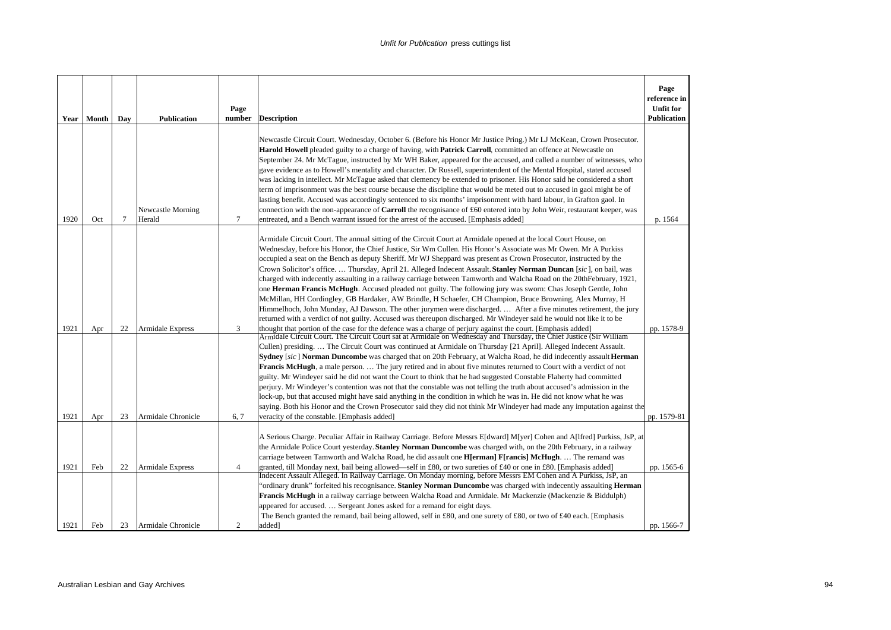| <b>Year</b>  | Month      | Day             | <b>Publication</b>                     | Page<br>number      | <b>Description</b>                                                                                                                                                                                                                                                                                                                                                                                                                                                                                                                                                                                                                                                                                                                                                                                                                                                                                                                                                                                                                                                                                                                                                                                                                                                                                                            | Page<br>reference in<br><b>Unfit for</b><br><b>Publication</b> |
|--------------|------------|-----------------|----------------------------------------|---------------------|-------------------------------------------------------------------------------------------------------------------------------------------------------------------------------------------------------------------------------------------------------------------------------------------------------------------------------------------------------------------------------------------------------------------------------------------------------------------------------------------------------------------------------------------------------------------------------------------------------------------------------------------------------------------------------------------------------------------------------------------------------------------------------------------------------------------------------------------------------------------------------------------------------------------------------------------------------------------------------------------------------------------------------------------------------------------------------------------------------------------------------------------------------------------------------------------------------------------------------------------------------------------------------------------------------------------------------|----------------------------------------------------------------|
| 1920         | Oct        | $7\phantom{.0}$ | Newcastle Morning<br>Herald            | $\tau$              | Newcastle Circuit Court. Wednesday, October 6. (Before his Honor Mr Justice Pring.) Mr LJ McKean, Crown Prosecutor.<br><b>Harold Howell</b> pleaded guilty to a charge of having, with <b>Patrick Carroll</b> , committed an offence at Newcastle on<br>September 24. Mr McTague, instructed by Mr WH Baker, appeared for the accused, and called a number of witnesses, who<br>gave evidence as to Howell's mentality and character. Dr Russell, superintendent of the Mental Hospital, stated accused<br>was lacking in intellect. Mr McTague asked that clemency be extended to prisoner. His Honor said he considered a short<br>term of imprisonment was the best course because the discipline that would be meted out to accused in gaol might be of<br>lasting benefit. Accused was accordingly sentenced to six months' imprisonment with hard labour, in Grafton gaol. In<br>connection with the non-appearance of Carroll the recognisance of £60 entered into by John Weir, restaurant keeper, was<br>entreated, and a Bench warrant issued for the arrest of the accused. [Emphasis added]                                                                                                                                                                                                                       | p. 1564                                                        |
| 1921         | Apr        | 22              | <b>Armidale Express</b>                | 3                   | Armidale Circuit Court. The annual sitting of the Circuit Court at Armidale opened at the local Court House, on<br>Wednesday, before his Honor, the Chief Justice, Sir Wm Cullen. His Honor's Associate was Mr Owen. Mr A Purkiss<br>occupied a seat on the Bench as deputy Sheriff. Mr WJ Sheppard was present as Crown Prosecutor, instructed by the<br>Crown Solicitor's office Thursday, April 21. Alleged Indecent Assault. Stanley Norman Duncan [sic], on bail, was<br>charged with indecently assaulting in a railway carriage between Tamworth and Walcha Road on the 20th February, 1921,<br>one <b>Herman Francis McHugh</b> . Accused pleaded not guilty. The following jury was sworn: Chas Joseph Gentle, John<br>McMillan, HH Cordingley, GB Hardaker, AW Brindle, H Schaefer, CH Champion, Bruce Browning, Alex Murray, H<br>Himmelhoch, John Munday, AJ Dawson. The other jurymen were discharged.  After a five minutes retirement, the jury<br>returned with a verdict of not guilty. Accused was thereupon discharged. Mr Windeyer said he would not like it to be<br>thought that portion of the case for the defence was a charge of perjury against the court. [Emphasis added]<br>Armidale Circuit Court. The Circuit Court sat at Armidale on Wednesday and Thursday, the Chief Justice (Sir William | pp. 1578-9                                                     |
| 1921         | Apr        | 23              | Armidale Chronicle                     | 6, 7                | Cullen) presiding The Circuit Court was continued at Armidale on Thursday [21 April]. Alleged Indecent Assault.<br>Sydney [sic] Norman Duncombe was charged that on 20th February, at Walcha Road, he did indecently assault Herman<br><b>Francis McHugh</b> , a male person.  The jury retired and in about five minutes returned to Court with a verdict of not<br>guilty. Mr Windeyer said he did not want the Court to think that he had suggested Constable Flaherty had committed<br>perjury. Mr Windeyer's contention was not that the constable was not telling the truth about accused's admission in the<br>lock-up, but that accused might have said anything in the condition in which he was in. He did not know what he was<br>saying. Both his Honor and the Crown Prosecutor said they did not think Mr Windeyer had made any imputation against the<br>veracity of the constable. [Emphasis added]                                                                                                                                                                                                                                                                                                                                                                                                           | pp. 1579-81                                                    |
|              |            |                 |                                        |                     | A Serious Charge. Peculiar Affair in Railway Carriage. Before Messrs E[dward] M[yer] Cohen and A[lfred] Purkiss, JsP, at<br>the Armidale Police Court yesterday. Stanley Norman Duncombe was charged with, on the 20th February, in a railway<br>carriage between Tamworth and Walcha Road, he did assault one <b>H</b> [erman] F[rancis] McHugh.  The remand was                                                                                                                                                                                                                                                                                                                                                                                                                                                                                                                                                                                                                                                                                                                                                                                                                                                                                                                                                             |                                                                |
| 1921<br>1921 | Feb<br>Feb | 22<br>23        | Armidale Express<br>Armidale Chronicle | $\overline{4}$<br>2 | granted, till Monday next, bail being allowed—self in £80, or two sureties of £40 or one in £80. [Emphasis added]<br>Indecent Assault Alleged. In Railway Carriage. On Monday morning, before Messrs EM Cohen and A Purkiss, JsP, an<br>"ordinary drunk" forfeited his recognisance. Stanley Norman Duncombe was charged with indecently assaulting Herman<br>Francis McHugh in a railway carriage between Walcha Road and Armidale. Mr Mackenzie (Mackenzie & Biddulph)<br>appeared for accused.  Sergeant Jones asked for a remand for eight days.<br>The Bench granted the remand, bail being allowed, self in £80, and one surety of £80, or two of £40 each. [Emphasis<br>added]                                                                                                                                                                                                                                                                                                                                                                                                                                                                                                                                                                                                                                         | pp. 1565-6<br>pp. 1566-7                                       |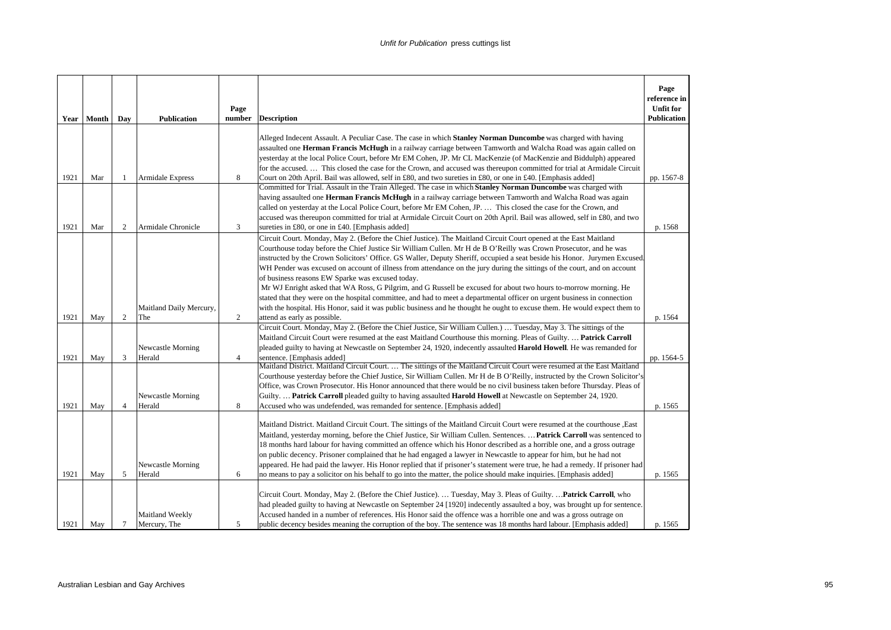| Year | Month | Day            | <b>Publication</b>              | Page<br>number | <b>Description</b>                                                                                                                                                                                                                                                                                                                                                                                                                                                                                                                                                                                                                                                                                                                                                                                                                                                                                                            | Page<br>reference in<br><b>Unfit for</b><br>Publication |
|------|-------|----------------|---------------------------------|----------------|-------------------------------------------------------------------------------------------------------------------------------------------------------------------------------------------------------------------------------------------------------------------------------------------------------------------------------------------------------------------------------------------------------------------------------------------------------------------------------------------------------------------------------------------------------------------------------------------------------------------------------------------------------------------------------------------------------------------------------------------------------------------------------------------------------------------------------------------------------------------------------------------------------------------------------|---------------------------------------------------------|
|      |       |                |                                 |                | Alleged Indecent Assault. A Peculiar Case. The case in which <b>Stanley Norman Duncombe</b> was charged with having<br>assaulted one Herman Francis McHugh in a railway carriage between Tamworth and Walcha Road was again called on<br>yesterday at the local Police Court, before Mr EM Cohen, JP. Mr CL MacKenzie (of MacKenzie and Biddulph) appeared<br>for the accused This closed the case for the Crown, and accused was thereupon committed for trial at Armidale Circuit                                                                                                                                                                                                                                                                                                                                                                                                                                           |                                                         |
| 1921 | Mar   | -1             | Armidale Express                | 8              | Court on 20th April. Bail was allowed, self in £80, and two sureties in £80, or one in £40. [Emphasis added]                                                                                                                                                                                                                                                                                                                                                                                                                                                                                                                                                                                                                                                                                                                                                                                                                  | pp. 1567-8                                              |
| 1921 | Mar   | 2              | Armidale Chronicle              | 3              | Committed for Trial. Assault in the Train Alleged. The case in which Stanley Norman Duncombe was charged with<br>having assaulted one Herman Francis McHugh in a railway carriage between Tamworth and Walcha Road was again<br>called on yesterday at the Local Police Court, before Mr EM Cohen, JP.  This closed the case for the Crown, and<br>accused was thereupon committed for trial at Armidale Circuit Court on 20th April. Bail was allowed, self in £80, and two<br>sureties in £80, or one in £40. [Emphasis added]                                                                                                                                                                                                                                                                                                                                                                                              | p. 1568                                                 |
|      |       |                | Maitland Daily Mercury,         |                | Circuit Court. Monday, May 2. (Before the Chief Justice). The Maitland Circuit Court opened at the East Maitland<br>Courthouse today before the Chief Justice Sir William Cullen. Mr H de B O'Reilly was Crown Prosecutor, and he was<br>instructed by the Crown Solicitors' Office. GS Waller, Deputy Sheriff, occupied a seat beside his Honor. Jurymen Excused<br>WH Pender was excused on account of illness from attendance on the jury during the sittings of the court, and on account<br>of business reasons EW Sparke was excused today.<br>Mr WJ Enright asked that WA Ross, G Pilgrim, and G Russell be excused for about two hours to-morrow morning. He<br>stated that they were on the hospital committee, and had to meet a departmental officer on urgent business in connection<br>with the hospital. His Honor, said it was public business and he thought he ought to excuse them. He would expect them to |                                                         |
| 1921 | May   | 2              | The                             | 2              | attend as early as possible.                                                                                                                                                                                                                                                                                                                                                                                                                                                                                                                                                                                                                                                                                                                                                                                                                                                                                                  | p. 1564                                                 |
| 1921 | May   | 3              | Newcastle Morning<br>Herald     | $\overline{4}$ | Circuit Court. Monday, May 2. (Before the Chief Justice, Sir William Cullen.)  Tuesday, May 3. The sittings of the<br>Maitland Circuit Court were resumed at the east Maitland Courthouse this morning. Pleas of Guilty.  Patrick Carroll<br>pleaded guilty to having at Newcastle on September 24, 1920, indecently assaulted Harold Howell. He was remanded for<br>sentence. [Emphasis added]                                                                                                                                                                                                                                                                                                                                                                                                                                                                                                                               | pp. 1564-5                                              |
| 1921 | May   | $\overline{4}$ | Newcastle Morning<br>Herald     | 8              | Maitland District. Maitland Circuit Court.  The sittings of the Maitland Circuit Court were resumed at the East Maitland<br>Courthouse yesterday before the Chief Justice, Sir William Cullen. Mr H de B O'Reilly, instructed by the Crown Solicitor's<br>Office, was Crown Prosecutor. His Honor announced that there would be no civil business taken before Thursday. Pleas of<br>Guilty.  Patrick Carroll pleaded guilty to having assaulted Harold Howell at Newcastle on September 24, 1920.<br>Accused who was undefended, was remanded for sentence. [Emphasis added]                                                                                                                                                                                                                                                                                                                                                 | p. 1565                                                 |
| 1921 | May   | 5              | Newcastle Morning<br>Herald     | 6              | Maitland District. Maitland Circuit Court. The sittings of the Maitland Circuit Court were resumed at the courthouse , East<br>Maitland, yesterday morning, before the Chief Justice, Sir William Cullen. Sentences.  Patrick Carroll was sentenced to<br>18 months hard labour for having committed an offence which his Honor described as a horrible one, and a gross outrage<br>on public decency. Prisoner complained that he had engaged a lawyer in Newcastle to appear for him, but he had not<br>appeared. He had paid the lawyer. His Honor replied that if prisoner's statement were true, he had a remedy. If prisoner had<br>no means to pay a solicitor on his behalf to go into the matter, the police should make inquiries. [Emphasis added]                                                                                                                                                                 | p. 1565                                                 |
| 1921 | May   | $\tau$         | Maitland Weekly<br>Mercury, The | 5              | Circuit Court. Monday, May 2. (Before the Chief Justice).  Tuesday, May 3. Pleas of Guilty.  Patrick Carroll, who<br>had pleaded guilty to having at Newcastle on September 24 [1920] indecently assaulted a boy, was brought up for sentence.<br>Accused handed in a number of references. His Honor said the offence was a horrible one and was a gross outrage on<br>public decency besides meaning the corruption of the boy. The sentence was 18 months hard labour. [Emphasis added]                                                                                                                                                                                                                                                                                                                                                                                                                                    | p. 1565                                                 |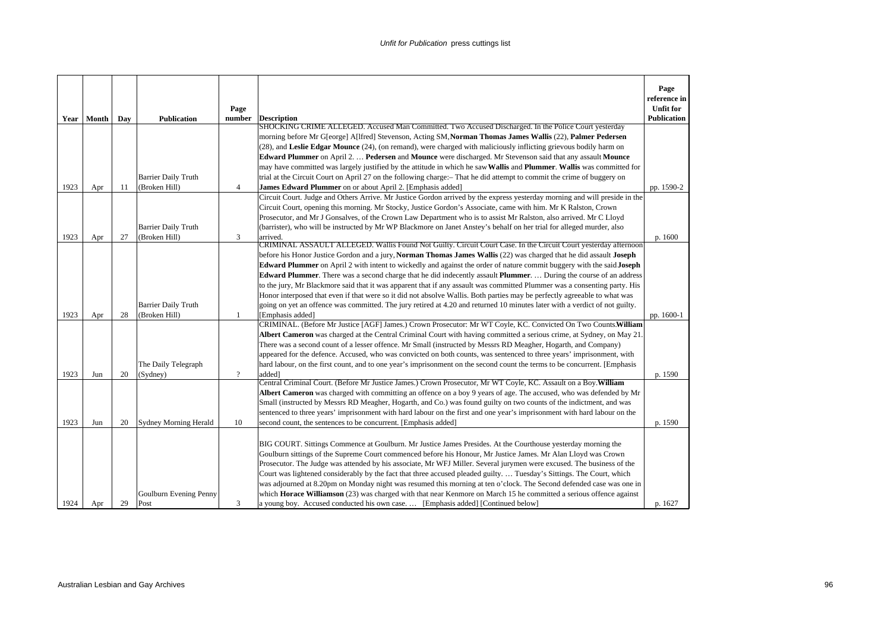|      | Year   Month | Day | <b>Publication</b>           | Page<br>number | <b>Description</b><br>SHOCKING CRIME ALLEGED. Accused Man Committed. Two Accused Discharged. In the Police Court yesterday                                                                                                                 | Page<br>reference in<br><b>Unfit for</b><br>Publication |
|------|--------------|-----|------------------------------|----------------|--------------------------------------------------------------------------------------------------------------------------------------------------------------------------------------------------------------------------------------------|---------------------------------------------------------|
|      |              |     |                              |                | morning before Mr G[eorge] A[lfred] Stevenson, Acting SM, Norman Thomas James Wallis (22), Palmer Pedersen                                                                                                                                 |                                                         |
|      |              |     |                              |                | (28), and Leslie Edgar Mounce (24), (on remand), were charged with maliciously inflicting grievous bodily harm on                                                                                                                          |                                                         |
|      |              |     |                              |                | Edward Plummer on April 2.  Pedersen and Mounce were discharged. Mr Stevenson said that any assault Mounce                                                                                                                                 |                                                         |
|      |              |     |                              |                | may have committed was largely justified by the attitude in which he saw Wallis and Plummer. Wallis was committed for                                                                                                                      |                                                         |
|      |              |     | <b>Barrier Daily Truth</b>   |                | trial at the Circuit Court on April 27 on the following charge: – That he did attempt to commit the crime of buggery on                                                                                                                    |                                                         |
| 1923 | Apr          | 11  | (Broken Hill)                | $\overline{4}$ | James Edward Plummer on or about April 2. [Emphasis added]                                                                                                                                                                                 | pp. 1590-2                                              |
|      |              |     |                              |                | Circuit Court. Judge and Others Arrive. Mr Justice Gordon arrived by the express yesterday morning and will preside in the                                                                                                                 |                                                         |
|      |              |     |                              |                | Circuit Court, opening this morning. Mr Stocky, Justice Gordon's Associate, came with him. Mr K Ralston, Crown                                                                                                                             |                                                         |
|      |              |     |                              |                | Prosecutor, and Mr J Gonsalves, of the Crown Law Department who is to assist Mr Ralston, also arrived. Mr C Lloyd                                                                                                                          |                                                         |
|      |              |     | <b>Barrier Daily Truth</b>   |                | (barrister), who will be instructed by Mr WP Blackmore on Janet Anstey's behalf on her trial for alleged murder, also                                                                                                                      |                                                         |
| 1923 | Apr          | 27  | (Broken Hill)                | 3              | arrived.<br>CRIMINAL ASSAULT ALLEGED. Wallis Found Not Guilty. Circuit Court Case. In the Circuit Court yesterday afternoon                                                                                                                | p. 1600                                                 |
|      |              |     |                              |                | before his Honor Justice Gordon and a jury, Norman Thomas James Wallis (22) was charged that he did assault Joseph                                                                                                                         |                                                         |
|      |              |     |                              |                | Edward Plummer on April 2 with intent to wickedly and against the order of nature commit buggery with the said Joseph                                                                                                                      |                                                         |
|      |              |     |                              |                | <b>Edward Plummer</b> . There was a second charge that he did indecently assault <b>Plummer</b> .  During the course of an address                                                                                                         |                                                         |
|      |              |     |                              |                | to the jury, Mr Blackmore said that it was apparent that if any assault was committed Plummer was a consenting party. His                                                                                                                  |                                                         |
|      |              |     |                              |                | Honor interposed that even if that were so it did not absolve Wallis. Both parties may be perfectly agreeable to what was                                                                                                                  |                                                         |
|      |              |     | <b>Barrier Daily Truth</b>   |                | going on yet an offence was committed. The jury retired at 4.20 and returned 10 minutes later with a verdict of not guilty.                                                                                                                |                                                         |
| 1923 | Apr          | 28  | (Broken Hill)                | 1              | [Emphasis added]                                                                                                                                                                                                                           | pp. 1600-1                                              |
|      |              |     |                              |                | CRIMINAL. (Before Mr Justice [AGF] James.) Crown Prosecutor: Mr WT Coyle, KC. Convicted On Two Counts. William                                                                                                                             |                                                         |
|      |              |     |                              |                | Albert Cameron was charged at the Central Criminal Court with having committed a serious crime, at Sydney, on May 21.                                                                                                                      |                                                         |
|      |              |     |                              |                | There was a second count of a lesser offence. Mr Small (instructed by Messrs RD Meagher, Hogarth, and Company)                                                                                                                             |                                                         |
|      |              |     |                              |                | appeared for the defence. Accused, who was convicted on both counts, was sentenced to three years' imprisonment, with                                                                                                                      |                                                         |
|      |              |     | The Daily Telegraph          |                | hard labour, on the first count, and to one year's imprisonment on the second count the terms to be concurrent. [Emphasis                                                                                                                  |                                                         |
| 1923 | Jun          | 20  | (Sydney)                     | $\overline{?}$ | added]                                                                                                                                                                                                                                     | p. 1590                                                 |
|      |              |     |                              |                | Central Criminal Court. (Before Mr Justice James.) Crown Prosecutor, Mr WT Coyle, KC. Assault on a Boy. William                                                                                                                            |                                                         |
|      |              |     |                              |                | Albert Cameron was charged with committing an offence on a boy 9 years of age. The accused, who was defended by Mr                                                                                                                         |                                                         |
|      |              |     |                              |                | Small (instructed by Messrs RD Meagher, Hogarth, and Co.) was found guilty on two counts of the indictment, and was                                                                                                                        |                                                         |
|      |              |     |                              |                | sentenced to three years' imprisonment with hard labour on the first and one year's imprisonment with hard labour on the                                                                                                                   |                                                         |
| 1923 | Jun          | 20  | <b>Sydney Morning Herald</b> | 10             | second count, the sentences to be concurrent. [Emphasis added]                                                                                                                                                                             | p. 1590                                                 |
|      |              |     |                              |                |                                                                                                                                                                                                                                            |                                                         |
|      |              |     |                              |                | BIG COURT. Sittings Commence at Goulburn. Mr Justice James Presides. At the Courthouse yesterday morning the                                                                                                                               |                                                         |
|      |              |     |                              |                | Goulburn sittings of the Supreme Court commenced before his Honour, Mr Justice James. Mr Alan Lloyd was Crown                                                                                                                              |                                                         |
|      |              |     |                              |                | Prosecutor. The Judge was attended by his associate, Mr WFJ Miller. Several jurymen were excused. The business of the                                                                                                                      |                                                         |
|      |              |     |                              |                | Court was lightened considerably by the fact that three accused pleaded guilty.  Tuesday's Sittings. The Court, which                                                                                                                      |                                                         |
|      |              |     | Goulburn Evening Penny       |                | was adjourned at 8.20pm on Monday night was resumed this morning at ten o'clock. The Second defended case was one in<br>which Horace Williamson (23) was charged with that near Kenmore on March 15 he committed a serious offence against |                                                         |
| 1924 | Apr          | 29  | Post                         | 3              | a young boy. Accused conducted his own case [Emphasis added] [Continued below]                                                                                                                                                             | p. 1627                                                 |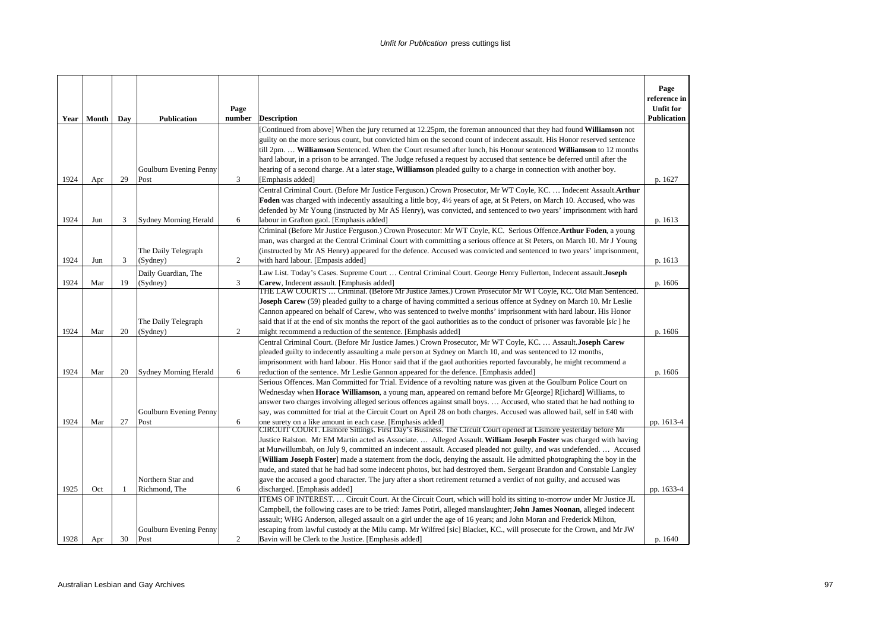|      |              |     |                                 | Page         |                                                                                                                                                                                                                                                                                                                                                                                                                                                                                                                                                                                                                                                                                                                                                                                                      | Page<br>reference in<br><b>Unfit for</b> |
|------|--------------|-----|---------------------------------|--------------|------------------------------------------------------------------------------------------------------------------------------------------------------------------------------------------------------------------------------------------------------------------------------------------------------------------------------------------------------------------------------------------------------------------------------------------------------------------------------------------------------------------------------------------------------------------------------------------------------------------------------------------------------------------------------------------------------------------------------------------------------------------------------------------------------|------------------------------------------|
|      | Year   Month | Day | <b>Publication</b>              | number       | <b>Description</b>                                                                                                                                                                                                                                                                                                                                                                                                                                                                                                                                                                                                                                                                                                                                                                                   | <b>Publication</b>                       |
| 1924 | Apr          | 29  | Goulburn Evening Penny<br>Post  | 3            | [Continued from above] When the jury returned at 12.25pm, the foreman announced that they had found <b>Williamson</b> not<br>guilty on the more serious count, but convicted him on the second count of indecent assault. His Honor reserved sentence<br>till 2pm.  Williamson Sentenced. When the Court resumed after lunch, his Honour sentenced Williamson to 12 months<br>hard labour, in a prison to be arranged. The Judge refused a request by accused that sentence be deferred until after the<br>hearing of a second charge. At a later stage, <b>Williamson</b> pleaded guilty to a charge in connection with another boy.<br>[Emphasis added]                                                                                                                                            | p. 1627                                  |
|      |              |     |                                 |              | Central Criminal Court. (Before Mr Justice Ferguson.) Crown Prosecutor, Mr WT Coyle, KC.  Indecent Assault.Arthur                                                                                                                                                                                                                                                                                                                                                                                                                                                                                                                                                                                                                                                                                    |                                          |
| 1924 | Jun          | 3   | <b>Sydney Morning Herald</b>    | 6            | Foden was charged with indecently assaulting a little boy, 41/2 years of age, at St Peters, on March 10. Accused, who was<br>defended by Mr Young (instructed by Mr AS Henry), was convicted, and sentenced to two years' imprisonment with hard<br>labour in Grafton gaol. [Emphasis added]                                                                                                                                                                                                                                                                                                                                                                                                                                                                                                         | p. 1613                                  |
| 1924 | Jun          | 3   | The Daily Telegraph<br>(Sydney) | 2            | Criminal (Before Mr Justice Ferguson.) Crown Prosecutor: Mr WT Coyle, KC. Serious Offence.Arthur Foden, a young<br>man, was charged at the Central Criminal Court with committing a serious offence at St Peters, on March 10. Mr J Young<br>(instructed by Mr AS Henry) appeared for the defence. Accused was convicted and sentenced to two years' imprisonment,<br>with hard labour. [Empasis added]                                                                                                                                                                                                                                                                                                                                                                                              | p. 1613                                  |
|      |              |     | Daily Guardian, The             |              | Law List. Today's Cases. Supreme Court  Central Criminal Court. George Henry Fullerton, Indecent assault.Joseph                                                                                                                                                                                                                                                                                                                                                                                                                                                                                                                                                                                                                                                                                      |                                          |
| 1924 | Mar          | 19  | (Sydney)                        | 3            | Carew, Indecent assault. [Emphasis added]                                                                                                                                                                                                                                                                                                                                                                                                                                                                                                                                                                                                                                                                                                                                                            | p. 1606                                  |
| 1924 | Mar          | 20  | The Daily Telegraph<br>(Sydney) | $\mathbf{2}$ | THE LAW COURTS  Criminal. (Before Mr Justice James.) Crown Prosecutor Mr WT Coyle, KC. Old Man Sentenced.<br>Joseph Carew (59) pleaded guilty to a charge of having committed a serious offence at Sydney on March 10. Mr Leslie<br>Cannon appeared on behalf of Carew, who was sentenced to twelve months' imprisonment with hard labour. His Honor<br>said that if at the end of six months the report of the gaol authorities as to the conduct of prisoner was favorable [sic] he<br>might recommend a reduction of the sentence. [Emphasis added]                                                                                                                                                                                                                                               | p. 1606                                  |
| 1924 | Mar          | 20  | <b>Sydney Morning Herald</b>    | 6            | Central Criminal Court. (Before Mr Justice James.) Crown Prosecutor, Mr WT Coyle, KC.  Assault.Joseph Carew<br>pleaded guilty to indecently assaulting a male person at Sydney on March 10, and was sentenced to 12 months,<br>imprisonment with hard labour. His Honor said that if the gaol authorities reported favourably, he might recommend a<br>reduction of the sentence. Mr Leslie Gannon appeared for the defence. [Emphasis added]                                                                                                                                                                                                                                                                                                                                                        | p. 1606                                  |
|      |              |     | Goulburn Evening Penny          |              | Serious Offences. Man Committed for Trial. Evidence of a revolting nature was given at the Goulburn Police Court on<br>Wednesday when <b>Horace Williamson</b> , a young man, appeared on remand before Mr G[eorge] R[ichard] Williams, to<br>answer two charges involving alleged serious offences against small boys.  Accused, who stated that he had nothing to<br>say, was committed for trial at the Circuit Court on April 28 on both charges. Accused was allowed bail, self in £40 with                                                                                                                                                                                                                                                                                                     |                                          |
| 1924 | Mar          | 27  | Post<br>Northern Star and       | 6            | one surety on a like amount in each case. [Emphasis added]<br>CIRCUIT COURT. Lismore Sittings. First Day's Business. The Circuit Court opened at Lismore yesterday before Mr<br>Justice Ralston. Mr EM Martin acted as Associate.  Alleged Assault. William Joseph Foster was charged with having<br>at Murwillumbah, on July 9, committed an indecent assault. Accused pleaded not guilty, and was undefended.  Accused<br>[William Joseph Foster] made a statement from the dock, denying the assault. He admitted photographing the boy in the<br>nude, and stated that he had had some indecent photos, but had destroyed them. Sergeant Brandon and Constable Langley<br>gave the accused a good character. The jury after a short retirement returned a verdict of not guilty, and accused was | pp. 1613-4                               |
| 1925 | Oct          | 1   | Richmond, The                   | 6            | discharged. [Emphasis added]                                                                                                                                                                                                                                                                                                                                                                                                                                                                                                                                                                                                                                                                                                                                                                         | pp. 1633-4                               |
| 1928 | Apr          | 30  | Goulburn Evening Penny<br>Post  | 2            | ITEMS OF INTEREST.  Circuit Court. At the Circuit Court, which will hold its sitting to-morrow under Mr Justice JL<br>Campbell, the following cases are to be tried: James Potiri, alleged manslaughter; John James Noonan, alleged indecent<br>assault; WHG Anderson, alleged assault on a girl under the age of 16 years; and John Moran and Frederick Milton,<br>escaping from lawful custody at the Milu camp. Mr Wilfred [sic] Blacket, KC., will prosecute for the Crown, and Mr JW<br>Bavin will be Clerk to the Justice. [Emphasis added]                                                                                                                                                                                                                                                    | p. 1640                                  |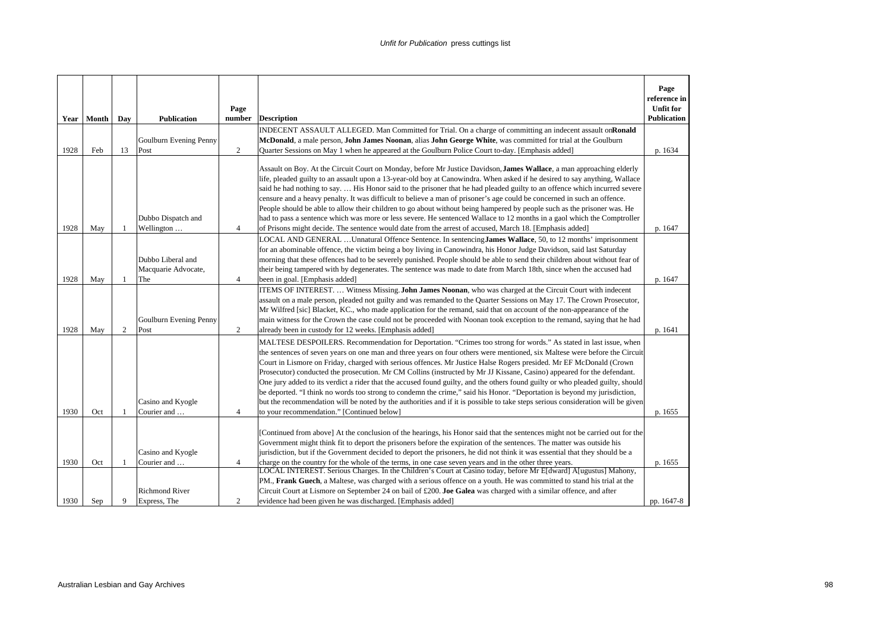|      |            |                |                                          | Page           |                                                                                                                                                                                                                                                                                                                                                                                                                                                                                                                                                                                                                                                                                                                                                                                                                                                                                                                                               | Page<br>reference in<br><b>Unfit for</b> |
|------|------------|----------------|------------------------------------------|----------------|-----------------------------------------------------------------------------------------------------------------------------------------------------------------------------------------------------------------------------------------------------------------------------------------------------------------------------------------------------------------------------------------------------------------------------------------------------------------------------------------------------------------------------------------------------------------------------------------------------------------------------------------------------------------------------------------------------------------------------------------------------------------------------------------------------------------------------------------------------------------------------------------------------------------------------------------------|------------------------------------------|
|      | Year Month | Day            | <b>Publication</b>                       | number         | <b>Description</b>                                                                                                                                                                                                                                                                                                                                                                                                                                                                                                                                                                                                                                                                                                                                                                                                                                                                                                                            | <b>Publication</b>                       |
|      |            |                |                                          |                | INDECENT ASSAULT ALLEGED. Man Committed for Trial. On a charge of committing an indecent assault onRonald                                                                                                                                                                                                                                                                                                                                                                                                                                                                                                                                                                                                                                                                                                                                                                                                                                     |                                          |
|      |            |                | Goulburn Evening Penny                   |                | McDonald, a male person, John James Noonan, alias John George White, was committed for trial at the Goulburn                                                                                                                                                                                                                                                                                                                                                                                                                                                                                                                                                                                                                                                                                                                                                                                                                                  |                                          |
| 1928 | Feb        | 13             | Post                                     | 2              | Quarter Sessions on May 1 when he appeared at the Goulburn Police Court to-day. [Emphasis added]                                                                                                                                                                                                                                                                                                                                                                                                                                                                                                                                                                                                                                                                                                                                                                                                                                              | p. 1634                                  |
|      |            |                | Dubbo Dispatch and                       |                | Assault on Boy. At the Circuit Court on Monday, before Mr Justice Davidson, James Wallace, a man approaching elderly<br>life, pleaded guilty to an assault upon a 13-year-old boy at Canowindra. When asked if he desired to say anything, Wallace<br>said he had nothing to say.  His Honor said to the prisoner that he had pleaded guilty to an offence which incurred severe<br>censure and a heavy penalty. It was difficult to believe a man of prisoner's age could be concerned in such an offence.<br>People should be able to allow their children to go about without being hampered by people such as the prisoner was. He<br>had to pass a sentence which was more or less severe. He sentenced Wallace to 12 months in a gaol which the Comptroller                                                                                                                                                                             |                                          |
| 1928 | May        | 1              | Wellington                               | $\overline{4}$ | of Prisons might decide. The sentence would date from the arrest of accused, March 18. [Emphasis added]                                                                                                                                                                                                                                                                                                                                                                                                                                                                                                                                                                                                                                                                                                                                                                                                                                       | p. 1647                                  |
|      |            |                | Dubbo Liberal and<br>Macquarie Advocate, |                | LOCAL AND GENERAL  Unnatural Offence Sentence. In sentencing James Wallace, 50, to 12 months' imprisonment<br>for an abominable offence, the victim being a boy living in Canowindra, his Honor Judge Davidson, said last Saturday<br>morning that these offences had to be severely punished. People should be able to send their children about without fear of<br>their being tampered with by degenerates. The sentence was made to date from March 18th, since when the accused had                                                                                                                                                                                                                                                                                                                                                                                                                                                      |                                          |
| 1928 | May        | -1             | The                                      | $\overline{4}$ | been in goal. [Emphasis added]<br>ITEMS OF INTEREST.  Witness Missing. John James Noonan, who was charged at the Circuit Court with indecent                                                                                                                                                                                                                                                                                                                                                                                                                                                                                                                                                                                                                                                                                                                                                                                                  | p. 1647                                  |
| 1928 | May        | $\overline{c}$ | Goulburn Evening Penny<br>Post           | 2              | assault on a male person, pleaded not guilty and was remanded to the Quarter Sessions on May 17. The Crown Prosecutor,<br>Mr Wilfred [sic] Blacket, KC., who made application for the remand, said that on account of the non-appearance of the<br>main witness for the Crown the case could not be proceeded with Noonan took exception to the remand, saying that he had<br>already been in custody for 12 weeks. [Emphasis added]                                                                                                                                                                                                                                                                                                                                                                                                                                                                                                          | p. 1641                                  |
| 1930 | Oct        | 1              | Casino and Kyogle<br>Courier and         | $\overline{4}$ | MALTESE DESPOILERS. Recommendation for Deportation. "Crimes too strong for words." As stated in last issue, when<br>the sentences of seven years on one man and three years on four others were mentioned, six Maltese were before the Circuit<br>Court in Lismore on Friday, charged with serious offences. Mr Justice Halse Rogers presided. Mr EF McDonald (Crown<br>Prosecutor) conducted the prosecution. Mr CM Collins (instructed by Mr JJ Kissane, Casino) appeared for the defendant.<br>One jury added to its verdict a rider that the accused found guilty, and the others found guilty or who pleaded guilty, should<br>be deported. "I think no words too strong to condemn the crime," said his Honor. "Deportation is beyond my jurisdiction,<br>but the recommendation will be noted by the authorities and if it is possible to take steps serious consideration will be given<br>to your recommendation." [Continued below] | p. 1655                                  |
|      |            |                |                                          |                |                                                                                                                                                                                                                                                                                                                                                                                                                                                                                                                                                                                                                                                                                                                                                                                                                                                                                                                                               |                                          |
| 1930 | Oct        |                | Casino and Kyogle<br>Courier and         | $\overline{4}$ | [Continued from above] At the conclusion of the hearings, his Honor said that the sentences might not be carried out for the<br>Government might think fit to deport the prisoners before the expiration of the sentences. The matter was outside his<br>iurisdiction, but if the Government decided to deport the prisoners, he did not think it was essential that they should be a<br>charge on the country for the whole of the terms, in one case seven years and in the other three years.                                                                                                                                                                                                                                                                                                                                                                                                                                              | p. 1655                                  |
|      |            |                | <b>Richmond River</b>                    |                | LOCAL INTEREST. Serious Charges. In the Children's Court at Casino today, before Mr E[dward] A[ugustus] Mahony,<br>PM., Frank Guech, a Maltese, was charged with a serious offence on a youth. He was committed to stand his trial at the<br>Circuit Court at Lismore on September 24 on bail of £200. Joe Galea was charged with a similar offence, and after                                                                                                                                                                                                                                                                                                                                                                                                                                                                                                                                                                                |                                          |
| 1930 | Sep        | 9              | Express, The                             | 2              | evidence had been given he was discharged. [Emphasis added]                                                                                                                                                                                                                                                                                                                                                                                                                                                                                                                                                                                                                                                                                                                                                                                                                                                                                   | pp. 1647-8                               |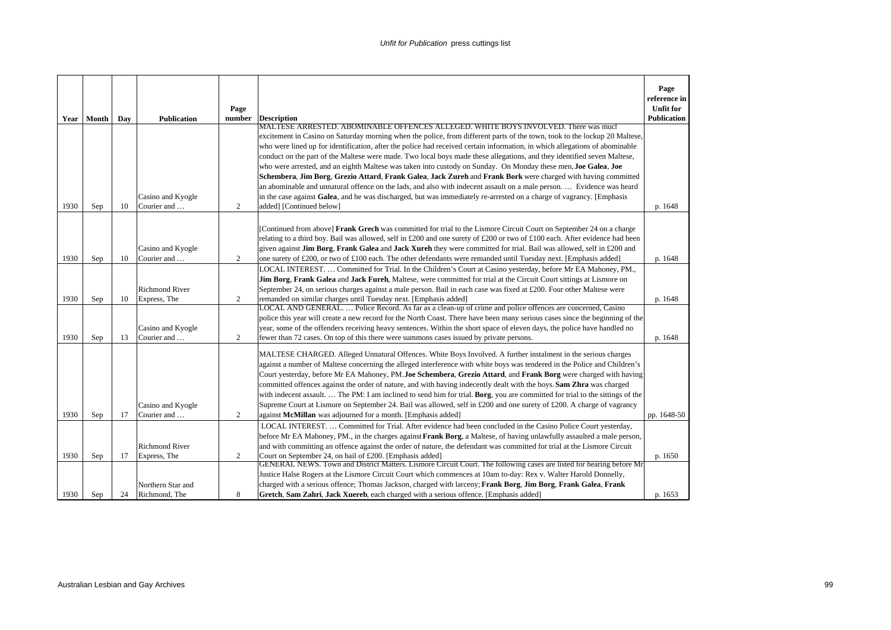|      | Year Month | Day | <b>Publication</b>               | Page<br>number | <b>Description</b><br>MALTESE ARRESTED. ABOMINABLE OFFENCES ALLEGED. WHITE BOYS INVOLVED. There was mucl                                                                                                                                                                                                                                                                                                                                                                                                                                                                                                                                                                                                                                                                                                        | Page<br>reference in<br><b>Unfit for</b><br>Publication |
|------|------------|-----|----------------------------------|----------------|-----------------------------------------------------------------------------------------------------------------------------------------------------------------------------------------------------------------------------------------------------------------------------------------------------------------------------------------------------------------------------------------------------------------------------------------------------------------------------------------------------------------------------------------------------------------------------------------------------------------------------------------------------------------------------------------------------------------------------------------------------------------------------------------------------------------|---------------------------------------------------------|
|      |            |     |                                  |                | excitement in Casino on Saturday morning when the police, from different parts of the town, took to the lockup 20 Maltese,                                                                                                                                                                                                                                                                                                                                                                                                                                                                                                                                                                                                                                                                                      |                                                         |
|      |            |     |                                  |                | who were lined up for identification, after the police had received certain information, in which allegations of abominable                                                                                                                                                                                                                                                                                                                                                                                                                                                                                                                                                                                                                                                                                     |                                                         |
|      |            |     |                                  |                | conduct on the part of the Maltese were made. Two local boys made these allegations, and they identified seven Maltese,                                                                                                                                                                                                                                                                                                                                                                                                                                                                                                                                                                                                                                                                                         |                                                         |
|      |            |     |                                  |                | who were arrested, and an eighth Maltese was taken into custody on Sunday. On Monday these men, Joe Galea, Joe                                                                                                                                                                                                                                                                                                                                                                                                                                                                                                                                                                                                                                                                                                  |                                                         |
|      |            |     |                                  |                | Schembera, Jim Borg, Grezio Attard, Frank Galea, Jack Zureh and Frank Bork were charged with having committed                                                                                                                                                                                                                                                                                                                                                                                                                                                                                                                                                                                                                                                                                                   |                                                         |
|      |            |     |                                  |                | an abominable and unnatural offence on the lads, and also with indecent assault on a male person.  Evidence was heard                                                                                                                                                                                                                                                                                                                                                                                                                                                                                                                                                                                                                                                                                           |                                                         |
| 1930 |            | 10  | Casino and Kyogle<br>Courier and | 2              | in the case against Galea, and he was discharged, but was immediately re-arrested on a charge of vagrancy. [Emphasis<br>added] [Continued below]                                                                                                                                                                                                                                                                                                                                                                                                                                                                                                                                                                                                                                                                |                                                         |
|      | Sep        |     |                                  |                |                                                                                                                                                                                                                                                                                                                                                                                                                                                                                                                                                                                                                                                                                                                                                                                                                 | p. 1648                                                 |
|      |            |     | Casino and Kyogle                |                | [Continued from above] Frank Grech was committed for trial to the Lismore Circuit Court on September 24 on a charge<br>relating to a third boy. Bail was allowed, self in £200 and one surety of £200 or two of £100 each. After evidence had been<br>given against Jim Borg, Frank Galea and Jack Xureh they were committed for trial. Bail was allowed, self in £200 and                                                                                                                                                                                                                                                                                                                                                                                                                                      |                                                         |
| 1930 | Sep        | 10  | Courier and                      | $\overline{c}$ | one surety of £200, or two of £100 each. The other defendants were remanded until Tuesday next. [Emphasis added]                                                                                                                                                                                                                                                                                                                                                                                                                                                                                                                                                                                                                                                                                                | p. 1648                                                 |
|      |            |     | <b>Richmond River</b>            |                | LOCAL INTEREST.  Committed for Trial. In the Children's Court at Casino yesterday, before Mr EA Mahoney, PM.,<br>Jim Borg, Frank Galea and Jack Fureh, Maltese, were committed for trial at the Circuit Court sittings at Lismore on<br>September 24, on serious charges against a male person. Bail in each case was fixed at £200. Four other Maltese were                                                                                                                                                                                                                                                                                                                                                                                                                                                    |                                                         |
| 1930 | Sep        | 10  | Express, The                     | $\overline{c}$ | remanded on similar charges until Tuesday next. [Emphasis added]                                                                                                                                                                                                                                                                                                                                                                                                                                                                                                                                                                                                                                                                                                                                                | p. 1648                                                 |
| 1930 | Sep        | 13  | Casino and Kyogle<br>Courier and | $\overline{c}$ | LOCAL AND GENERAL.  Police Record. As far as a clean-up of crime and police offences are concerned, Casino<br>police this year will create a new record for the North Coast. There have been many serious cases since the beginning of the<br>year, some of the offenders receiving heavy sentences. Within the short space of eleven days, the police have handled no<br>fewer than 72 cases. On top of this there were summons cases issued by private persons.                                                                                                                                                                                                                                                                                                                                               | p. 1648                                                 |
| 1930 | Sep        | 17  | Casino and Kyogle<br>Courier and | $\overline{c}$ | MALTESE CHARGED. Alleged Unnatural Offences. White Boys Involved. A further instalment in the serious charges<br>against a number of Maltese concerning the alleged interference with white boys was tendered in the Police and Children's<br>Court yesterday, before Mr EA Mahoney, PM.Joe Schembera, Grezio Attard, and Frank Borg were charged with having<br>committed offences against the order of nature, and with having indecently dealt with the boys. Sam Zhra was charged<br>with indecent assault.  The PM: I am inclined to send him for trial. Borg, you are committed for trial to the sittings of the<br>Supreme Court at Lismore on September 24. Bail was allowed, self in £200 and one surety of £200. A charge of vagrancy<br>against McMillan was adjourned for a month. [Emphasis added] | pp. 1648-50                                             |
|      |            |     |                                  |                | LOCAL INTEREST.  Committed for Trial. After evidence had been concluded in the Casino Police Court yesterday,                                                                                                                                                                                                                                                                                                                                                                                                                                                                                                                                                                                                                                                                                                   |                                                         |
|      |            |     | <b>Richmond River</b>            |                | before Mr EA Mahoney, PM., in the charges against Frank Borg, a Maltese, of having unlawfully assaulted a male person,<br>and with committing an offence against the order of nature, the defendant was committed for trial at the Lismore Circuit                                                                                                                                                                                                                                                                                                                                                                                                                                                                                                                                                              |                                                         |
| 1930 | Sep        | 17  | Express, The                     | 2              | Court on September 24, on bail of £200. [Emphasis added]                                                                                                                                                                                                                                                                                                                                                                                                                                                                                                                                                                                                                                                                                                                                                        | p. 1650                                                 |
|      |            |     | Northern Star and                |                | GENERAL NEWS. Town and District Matters. Lismore Circuit Court. The following cases are listed for hearing before Mr<br>Justice Halse Rogers at the Lismore Circuit Court which commences at 10am to-day: Rex v. Walter Harold Donnelly,<br>charged with a serious offence; Thomas Jackson, charged with larceny; Frank Borg, Jim Borg, Frank Galea, Frank                                                                                                                                                                                                                                                                                                                                                                                                                                                      |                                                         |
| 1930 | Sep        | 24  | Richmond. The                    | 8              | Gretch, Sam Zahri, Jack Xuereb, each charged with a serious offence. [Emphasis added]                                                                                                                                                                                                                                                                                                                                                                                                                                                                                                                                                                                                                                                                                                                           | p. 1653                                                 |